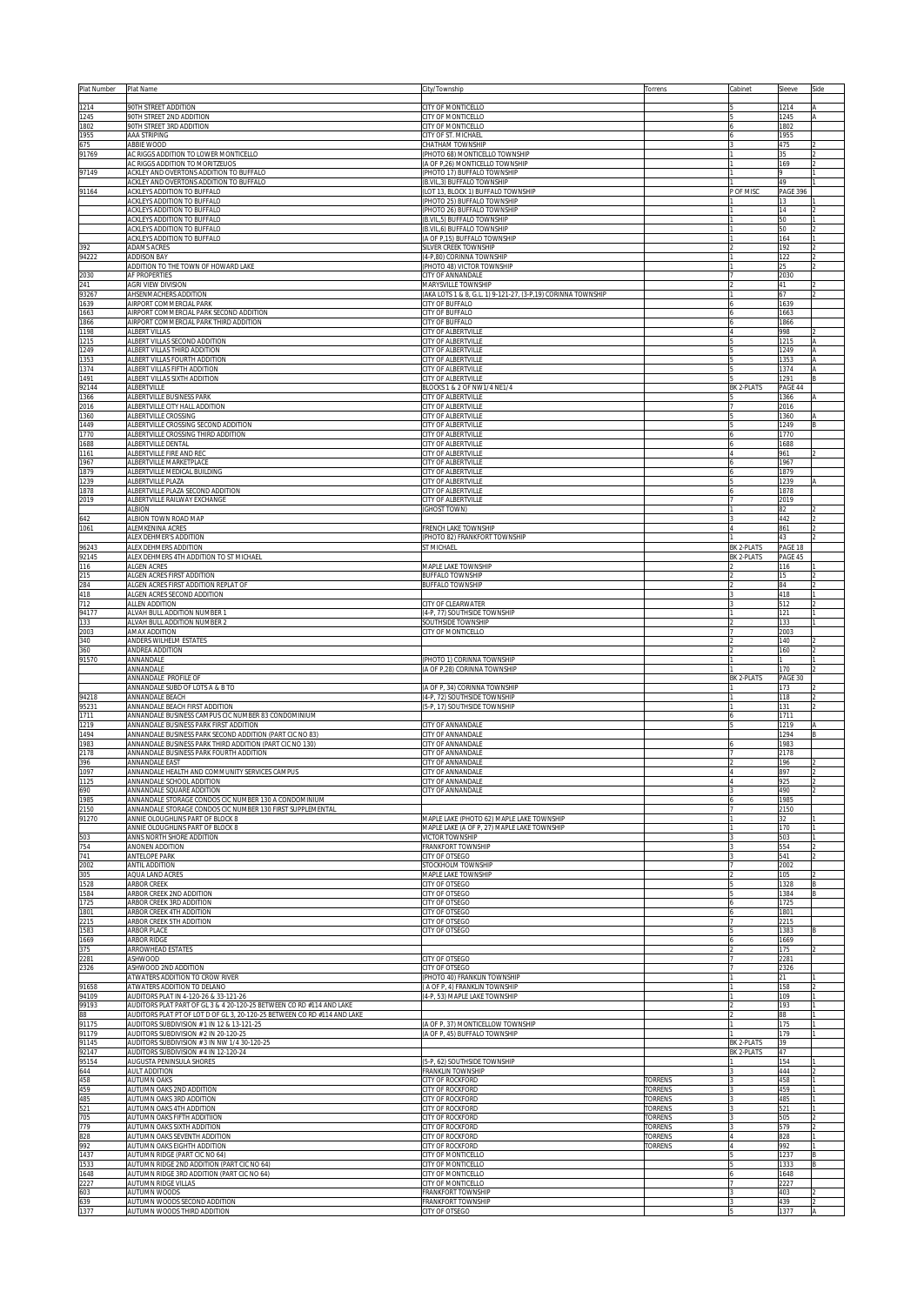| Plat Number    | Plat Name                                                                                                                                        | City/Township                                                                      | Torrens                         | Cabinet           | Sleeve                | Side   |
|----------------|--------------------------------------------------------------------------------------------------------------------------------------------------|------------------------------------------------------------------------------------|---------------------------------|-------------------|-----------------------|--------|
| 1214           | 90TH STREET ADDITION                                                                                                                             | CITY OF MONTICELLO                                                                 |                                 |                   | 1214                  |        |
| 1245<br>1802   | 90TH STREET 2ND ADDITION<br>90TH STREET 3RD ADDITION                                                                                             | CITY OF MONTICELLO<br>CITY OF MONTICELLO                                           |                                 |                   | 1245<br>1802          |        |
| 1955           | AAA STRIPING                                                                                                                                     | CITY OF ST. MICHAEL                                                                |                                 |                   | 1955                  |        |
| 675<br>91769   | ABBIE WOOD<br>AC RIGGS ADDITION TO LOWER MONTICELLO                                                                                              | <b>CHATHAM TOWNSHIP</b><br>(PHOTO 68) MONTICELLO TOWNSHIP                          |                                 |                   | 475<br>35             |        |
|                | AC RIGGS ADDITION TO MORITZEUOS                                                                                                                  | A OF P,26) MONTICELLO TOWNSHIP<br>PHOTO 17) BUFFALO TOWNSHIP                       |                                 |                   | 169                   |        |
| 97149          | ACKLEY AND OVERTONS ADDITION TO BUFFALO<br>ACKLEY AND OVERTONS ADDITION TO BUFFALO                                                               | B.VIL, 3) BUFFALO TOWNSHIP                                                         |                                 |                   | 49                    |        |
| 91164          | ACKLEYS ADDITION TO BUFFALO<br><b>ACKLEYS ADDITION TO BUFFALO</b>                                                                                | LOT 13, BLOCK 1) BUFFALO TOWNSHIP<br>PHOTO 25) BUFFALO TOWNSHIP                    |                                 | P OF MISC         | <b>PAGE 396</b><br>13 |        |
|                | ACKLEYS ADDITION TO BUFFALO                                                                                                                      | PHOTO 26) BUFFALO TOWNSHIP                                                         |                                 |                   | 14                    |        |
|                | <b>ACKLEYS ADDITION TO BUFFALO</b><br><b>ACKLEYS ADDITION TO BUFFALO</b>                                                                         | (B.VIL,5) BUFFALO TOWNSHIP<br>(B.VIL,6) BUFFALO TOWNSHIP                           |                                 |                   | 50<br>50              |        |
|                | <b>ACKLEYS ADDITION TO BUFFALO</b>                                                                                                               | (A OF P,15) BUFFALO TOWNSHIP                                                       |                                 |                   | 164                   |        |
| 392<br>94222   | <b>ADAMS ACRES</b><br><b>ADDISON BAY</b>                                                                                                         | SILVER CREEK TOWNSHIP<br>(4-P,80) CORINNA TOWNSHIP                                 |                                 |                   | 192<br>122            |        |
|                | ADDITION TO THE TOWN OF HOWARD LAKE                                                                                                              | (PHOTO 48) VICTOR TOWNSHIP                                                         |                                 |                   | 25                    |        |
| 2030<br>241    | AF PROPERTIES<br>AGRI VIEW DIVISION                                                                                                              | CITY OF ANNANDALE                                                                  |                                 |                   | 2030<br>41            |        |
| 93267          | AHSENMACHERS ADDITION                                                                                                                            | MARYSVILLE TOWNSHIP<br>AKA LOTS 1 & 8, G.L. 1) 9-121-27, (3-P,19) CORINNA TOWNSHIP |                                 |                   | 67                    |        |
| 1639<br>1663   | AIRPORT COMMERCIAL PARK<br>AIRPORT COMMERCIAL PARK SECOND ADDITION                                                                               | CITY OF BUFFALO<br>CITY OF BUFFALO                                                 |                                 |                   | 1639<br>1663          |        |
| 1866           | AIRPORT COMMERCIAL PARK THIRD ADDITION                                                                                                           | CITY OF BUFFALO                                                                    |                                 |                   | 1866                  |        |
| 1198<br>1215   | ALBERT VILLAS<br>ALBERT VILLAS SECOND ADDITION                                                                                                   | CITY OF ALBERTVILLE<br>CITY OF ALBERTVILLE                                         |                                 |                   | 998<br>1215           |        |
| 1249           | ALBERT VILLAS THIRD ADDITION                                                                                                                     | CITY OF ALBERTVILLE                                                                |                                 |                   | 1249                  |        |
| 1353<br>1374   | ALBERT VILLAS FOURTH ADDITION<br>ALBERT VILLAS FIFTH ADDITION                                                                                    | CITY OF ALBERTVILLE<br>CITY OF ALBERTVILLE                                         |                                 |                   | 1353<br>1374          |        |
| 1491           | ALBERT VILLAS SIXTH ADDITION                                                                                                                     | CITY OF ALBERTVILLE                                                                |                                 |                   | 1291                  |        |
| 92144<br>1366  | <b>ALBERTVILLE</b><br>ALBERTVILLE BUSINESS PARK                                                                                                  | BLOCKS 1 & 2 OF NW1/4 NE1/4<br>CITY OF ALBERTVILLE                                 |                                 | BK 2-PLATS        | PAGE 44<br>1366       |        |
| 2016           | ALBERTVILLE CITY HALL ADDITION                                                                                                                   | CITY OF ALBERTVILLE                                                                |                                 |                   | 2016                  |        |
| 1360<br>1449   | ALBERTVILLE CROSSING<br>ALBERTVILLE CROSSING SECOND ADDITION                                                                                     | CITY OF ALBERTVILLE<br>CITY OF ALBERTVILLE                                         |                                 |                   | 1360<br>1249          |        |
| 1770           | ALBERTVILLE CROSSING THIRD ADDITION                                                                                                              | CITY OF ALBERTVILLE                                                                |                                 |                   | 1770                  |        |
| 1688<br>1161   | ALBERTVILLE DENTAL<br>ALBERTVILLE FIRE AND REC                                                                                                   | CITY OF ALBERTVILLE<br>CITY OF ALBERTVILLE                                         |                                 |                   | 1688<br>961           |        |
| 1967           | ALBERTVILLE MARKETPLACE                                                                                                                          | CITY OF ALBERTVILLE                                                                |                                 |                   | 1967                  |        |
| 1879<br>1239   | ALBERTVILLE MEDICAL BUILDING<br>ALBERTVILLE PLAZA                                                                                                | CITY OF ALBERTVILLE<br><b>CITY OF ALBERTVILLE</b>                                  |                                 |                   | 1879<br>1239          |        |
| 1878           | ALBERTVILLE PLAZA SECOND ADDITION                                                                                                                | CITY OF ALBERTVILLE                                                                |                                 |                   | 1878                  |        |
| 2019           | ALBERTVILLE RAILWAY EXCHANGE<br><b>ALBION</b>                                                                                                    | CITY OF ALBERTVILLE<br><b>GHOST TOWN)</b>                                          |                                 |                   | 2019<br>82            |        |
| 642            | ALBION TOWN ROAD MAP                                                                                                                             |                                                                                    |                                 |                   | 442                   |        |
| 1061           | ALEMKENINA ACRES<br>ALEX DEHMER'S ADDITION                                                                                                       | <b>FRENCH LAKE TOWNSHIP</b><br>PHOTO 82) FRANKFORT TOWNSHIP                        |                                 |                   | 861<br>43             |        |
| 96243          | ALEX DEHMERS ADDITION                                                                                                                            | ST MICHAEL                                                                         |                                 | BK 2-PLATS        | PAGE 18               |        |
| 92145<br>116   | ALEX DEHMERS 4TH ADDITION TO ST MICHAEL<br>ALGEN ACRES                                                                                           | MAPLE LAKE TOWNSHIP                                                                |                                 | BK 2-PLATS        | PAGE 45               |        |
| 215            | ALGEN ACRES FIRST ADDITION                                                                                                                       | <b>BUFFALO TOWNSHIP</b>                                                            |                                 |                   | 116<br>15             |        |
| 284            | ALGEN ACRES FIRST ADDITION REPLAT OF                                                                                                             | <b>BUFFALO TOWNSHIP</b>                                                            |                                 |                   | 84<br>418             |        |
| 418<br>712     | ALGEN ACRES SECOND ADDITION<br><b>ALLEN ADDITION</b>                                                                                             | <b>CITY OF CLEARWATER</b>                                                          |                                 |                   | 512                   |        |
| 94177<br>133   | ALVAH BULL ADDITION NUMBER 1<br>ALVAH BULL ADDITION NUMBER 2                                                                                     | 4-P, 77) SOUTHSIDE TOWNSHIP<br>SOUTHSIDE TOWNSHIP                                  |                                 |                   | 121<br>133            |        |
| 2003           | AMAX ADDITION                                                                                                                                    | <b>CITY OF MONTICELLO</b>                                                          |                                 |                   | 2003                  |        |
| 340<br>360     | ANDERS WILHELM ESTATES                                                                                                                           |                                                                                    |                                 |                   | 140                   |        |
| 91570          | ANDREA ADDITION<br>ANNANDALE                                                                                                                     | PHOTO 1) CORINNA TOWNSHIP                                                          |                                 |                   | 160                   |        |
|                | ANNANDALE<br>ANNANDALE PROFILE OF                                                                                                                | (A OF P,28) CORINNA TOWNSHIP                                                       |                                 | BK 2-PLATS        | 170<br>PAGE 30        |        |
|                | ANNANDALE SUBD OF LOTS A & B TO                                                                                                                  | A OF P, 34) CORINNA TOWNSHIP                                                       |                                 |                   | 173                   |        |
| 94218<br>95231 | ANNANDALE BEACH<br>ANNANDALE BEACH FIRST ADDITION                                                                                                | (4-P, 72) SOUTHSIDE TOWNSHIP<br>(5-P, 17) SOUTHSIDE TOWNSHIP                       |                                 |                   | 118<br>131            | 2      |
| 1711           | ANNANDALE BUSINESS CAMPUS CIC NUMBER 83 CONDOMINIUM                                                                                              |                                                                                    |                                 |                   | 1711                  |        |
| 1219<br>1494   | ANNANDALE BUSINESS PARK FIRST ADDITION<br>ANNANDALE BUSINESS PARK SECOND ADDITION (PART CIC NO 83)                                               | CITY OF ANNANDALE<br>CITY OF ANNANDALE                                             |                                 |                   | 1219<br>1294          | Α<br>В |
| 1983           | ANNANDALE BUSINESS PARK THIRD ADDITION (PART CIC NO 130)                                                                                         | CITY OF ANNANDALE                                                                  |                                 |                   | 1983                  |        |
| 2178<br>396    | ANNANDALE BUSINESS PARK FOURTH ADDITION<br>ANNANDALE EAST                                                                                        | CITY OF ANNANDALE<br>CITY OF ANNANDALE                                             |                                 |                   | 2178<br>196           |        |
| 1097           | ANNANDALE HEALTH AND COMMUNITY SERVICES CAMPUS                                                                                                   | CITY OF ANNANDALE                                                                  |                                 |                   | 897                   |        |
| 1125<br>690    | ANNANDALE SCHOOL ADDITION<br>ANNANDALE SQUARE ADDITION                                                                                           | CITY OF ANNANDALE<br>CITY OF ANNANDALE                                             |                                 |                   | 490                   |        |
| 1985           | ANNANDALE STORAGE CONDOS CIC NUMBER 130 A CONDOMINIUM                                                                                            |                                                                                    |                                 |                   | 1985                  |        |
| 2150<br>91270  | ANNANDALE STORAGE CONDOS CIC NUMBER 130 FIRST SUPPLEMENTAL<br>ANNIE OLOUGHLINS PART OF BLOCK 8                                                   | MAPLE LAKE (PHOTO 62) MAPLE LAKE TOWNSHIP                                          |                                 |                   | 2150<br>32            |        |
|                | ANNIE OLOUGHLINS PART OF BLOCK 8                                                                                                                 | MAPLE LAKE (A OF P, 27) MAPLE LAKE TOWNSHIP                                        |                                 |                   | 170                   |        |
| 503<br>754     | ANNS NORTH SHORE ADDITION<br>ANONEN ADDITION                                                                                                     | VICTOR TOWNSHIP<br><b>FRANKFORT TOWNSHIP</b>                                       |                                 |                   | 503<br>554            |        |
| 741            | ANTELOPE PARK                                                                                                                                    | CITY OF OTSEGO                                                                     |                                 |                   | 541                   |        |
| 2002<br>305    | ANTIL ADDITION<br>AQUA LAND ACRES                                                                                                                | STOCKHOLM TOWNSHIP<br>MAPLE LAKE TOWNSHIP                                          |                                 |                   | 2002<br>105           |        |
| 1528           | ARBOR CREEK                                                                                                                                      | <b>CITY OF OTSEGO</b>                                                              |                                 |                   | 1328                  |        |
| 1584<br>1725   | ARBOR CREEK 2ND ADDITION<br>ARBOR CREEK 3RD ADDITION                                                                                             | CITY OF OTSEGO<br>CITY OF OTSEGO                                                   |                                 |                   | 1384<br>1725          |        |
| 1801<br>2215   | ARBOR CREEK 4TH ADDITION<br>ARBOR CREEK 5TH ADDITION                                                                                             | <b>CITY OF OTSEGO</b><br><b>CITY OF OTSEGO</b>                                     |                                 |                   | 1801                  |        |
| 1583           | ARBOR PLACE                                                                                                                                      | CITY OF OTSEGO                                                                     |                                 |                   | 2215<br>1383          |        |
| 1669<br>375    | ARBOR RIDGE<br>ARROWHEAD ESTATES                                                                                                                 |                                                                                    |                                 |                   | 1669<br>175           |        |
| 2281           | ASHWOOD                                                                                                                                          | <b>CITY OF OTSEGO</b>                                                              |                                 |                   | 2281                  |        |
| 2326           | ASHWOOD 2ND ADDITION<br>ATWATERS ADDITION TO CROW RIVER                                                                                          | <b>CITY OF OTSEGO</b><br>PHOTO 40) FRANKLIN TOWNSHIP                               |                                 |                   | 2326<br>21            |        |
| 91658          | ATWATERS ADDITION TO DELANO                                                                                                                      | A OF P, 4) FRANKLIN TOWNSHIP                                                       |                                 |                   | 158                   |        |
| 94109          | AUDITORS PLAT IN 4-120-26 & 33-121-26                                                                                                            | 4-P, 53) MAPLE LAKE TOWNSHIP                                                       |                                 |                   | 109                   |        |
| 99193<br>88    | AUDITORS PLAT PART OF GL 3 & 4 20-120-25 BETWEEN CO RD #114 AND LAKE<br>AUDITORS PLAT PT OF LOT D OF GL 3, 20-120-25 BETWEEN CO RD #114 AND LAKE |                                                                                    |                                 |                   | 193<br>88             |        |
| 91175<br>91179 | AUDITORS SUBDIVISION # 1 IN 12 & 13-121-25<br>AUDITORS SUBDIVISION # 2 IN 20-120-25                                                              | (A OF P, 37) MONTICELLOW TOWNSHIP<br>(A OF P, 45) BUFFALO TOWNSHIP                 |                                 |                   | 175<br>179            |        |
| 91145          | AUDITORS SUBDIVISION # 3 IN NW 1/4 30-120-25                                                                                                     |                                                                                    |                                 | BK 2-PLATS        | 39                    |        |
| 92147<br>95154 | AUDITORS SUBDIVISION # 4 IN 12-120-24<br>AUGUSTA PENINSULA SHORES                                                                                | 5-P, 62) SOUTHSIDE TOWNSHIP                                                        |                                 | <b>BK 2-PLATS</b> | 47<br>154             |        |
| 644            | <b>AULT ADDITION</b>                                                                                                                             | RANKLIN TOWNSHIP                                                                   |                                 |                   | 444                   |        |
| 458<br>459     | <b>AUTUMN OAKS</b><br>AUTUMN OAKS 2ND ADDITION                                                                                                   | <b>CITY OF ROCKFORD</b><br><b>CITY OF ROCKFORD</b>                                 | <b>ORRENS</b><br><b>ORRENS</b>  |                   | 458<br>459            |        |
| 485            | AUTUMN OAKS 3RD ADDITION                                                                                                                         | <b>CITY OF ROCKFORD</b>                                                            | <b>ORRENS</b>                   |                   | 485                   |        |
| 521<br>705     | AUTUMN OAKS 4TH ADDITION<br>AUTUMN OAKS FIFTH ADDITIION                                                                                          | <b>ITY OF ROCKFORD</b><br><b>CITY OF ROCKFORD</b>                                  | <b>ORRENS</b><br><b>TORRENS</b> |                   | 521<br>505            |        |
| 779            | AUTUMN OAKS SIXTH ADDITION                                                                                                                       | <b>CITY OF ROCKFORD</b>                                                            | <b>TORRENS</b>                  |                   | 579                   |        |
| 828<br>992     | AUTUMN OAKS SEVENTH ADDITION<br>AUTUMN OAKS EIGHTH ADDITION                                                                                      | <b>CITY OF ROCKFORD</b><br><b>CITY OF ROCKFORD</b>                                 | TORRENS<br>TORRENS              |                   | 828<br>992            |        |
| 1437           | AUTUMN RIDGE (PART CIC NO 64)                                                                                                                    | <b>CITY OF MONTICELLO</b>                                                          |                                 |                   | 1237                  |        |
| 1533<br>1648   | AUTUMN RIDGE 2ND ADDITION (PART CIC NO 64)<br>AUTUMN RIDGE 3RD ADDITION (PART CIC NO 64)                                                         | CITY OF MONTICELLO<br>CITY OF MONTICELLO                                           |                                 |                   | 1333<br>1648          |        |
| 2227           | AUTUMN RIDGE VILLAS                                                                                                                              | CITY OF MONTICELLO                                                                 |                                 |                   | 2227                  |        |
| 603<br>639     | AUTUMN WOODS<br>AUTUMN WOODS SECOND ADDITION                                                                                                     | FRANKFORT TOWNSHIP<br>FRANKFORT TOWNSHIP                                           |                                 |                   | 403<br>439            |        |
| 1377           | AUTUMN WOODS THIRD ADDITION                                                                                                                      | CITY OF OTSEGO                                                                     |                                 |                   | 1377                  | Α      |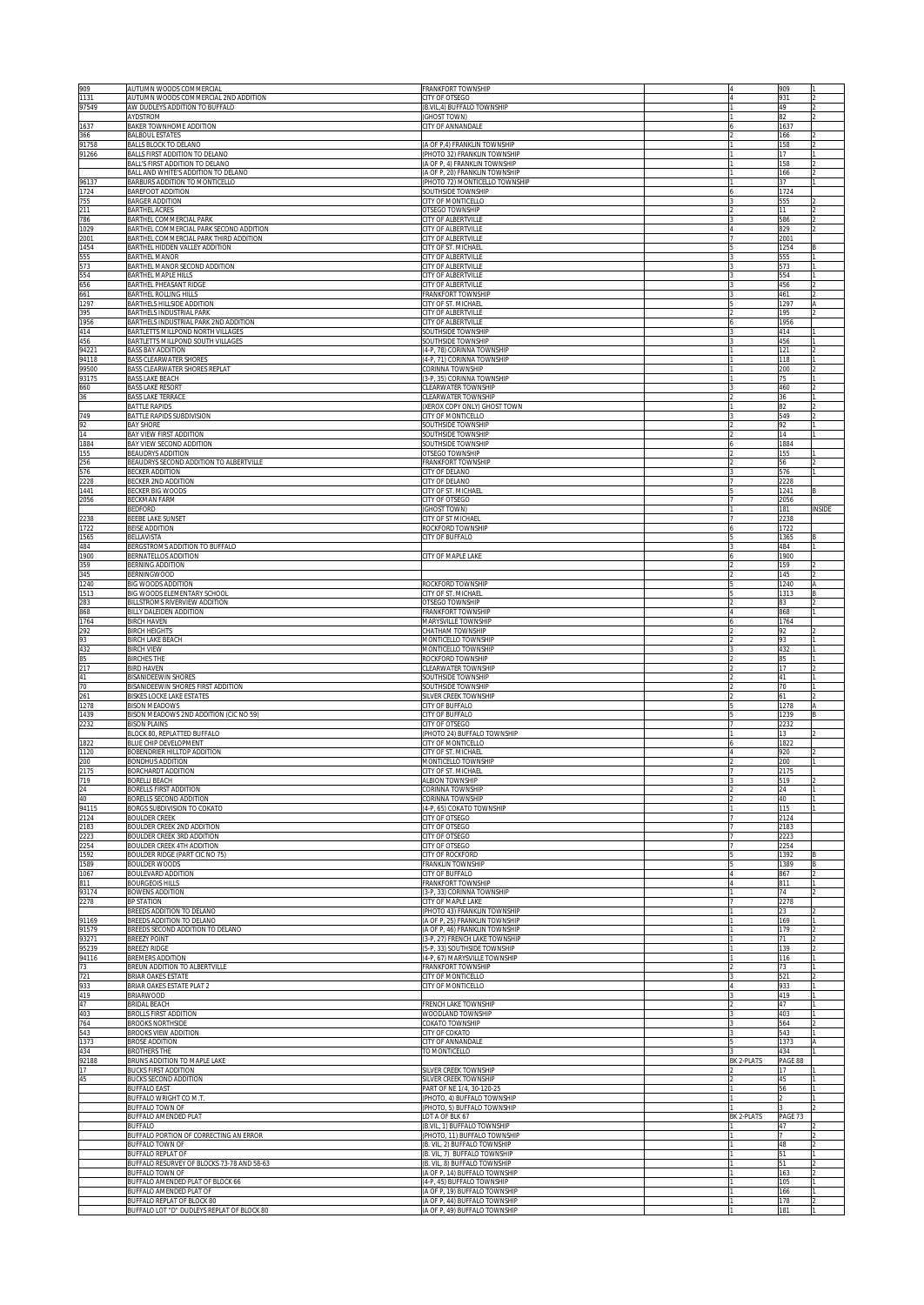| 909            | AUTUMN WOODS COMMERCIAL                                                           | <b>FRANKFORT TOWNSHIP</b>                                        |            | 909          |               |
|----------------|-----------------------------------------------------------------------------------|------------------------------------------------------------------|------------|--------------|---------------|
| 1131<br>97549  | AUTUMN WOODS COMMERCIAL 2ND ADDITION<br>AW DUDLEYS ADDITION TO BUFFALO            | CITY OF OTSEGO<br>(B.VIL.4) BUFFALO TOWNSHIP                     |            | 931<br>49    |               |
|                | AYDSTROM                                                                          | (GHOST TOWN)                                                     |            | 82           |               |
| 1637           | BAKER TOWNHOME ADDITION                                                           | CITY OF ANNANDALE                                                |            | 1637         |               |
| 366<br>91758   | <b>BALBOUL ESTATES</b><br>BALLS BLOCK TO DELANO                                   | (A OF P,4) FRANKLIN TOWNSHIP                                     |            | 166<br>158   |               |
| 91266          | BALLS FIRST ADDITION TO DELANO                                                    | PHOTO 32) FRANKLIN TOWNSHIP                                      |            | 17           |               |
|                | BALL'S FIRST ADDITION TO DELANO<br>BALL AND WHITE'S ADDITION TO DELANO            | (A OF P, 4) FRANKLIN TOWNSHIP<br>(A OF P, 20) FRANKLIN TOWNSHIP  |            | 158<br>166   |               |
| 96137          | BARBURS ADDITION TO MONTICELLO                                                    | PHOTO 72) MONTICELLO TOWNSHIP                                    |            | 37           |               |
| 1724           | <b>BAREFOOT ADDITION</b>                                                          | <b>SOUTHSIDE TOWNSHIP</b>                                        |            | 1724         |               |
| 755<br>211     | <b>BARGER ADDITION</b><br><b>BARTHEL ACRES</b>                                    | CITY OF MONTICELLO<br><b>OTSEGO TOWNSHIP</b>                     |            | 555<br>11    |               |
| 786            | BARTHEL COMMERCIAL PARK                                                           | CITY OF ALBERTVILLE                                              |            | 586          |               |
| 1029<br>2001   | BARTHEL COMMERCIAL PARK SECOND ADDITION<br>BARTHEL COMMERCIAL PARK THIRD ADDITION | CITY OF ALBERTVILLE<br>CITY OF ALBERTVILLE                       |            | 829<br>2001  |               |
| 1454           | BARTHEL HIDDEN VALLEY ADDITION                                                    | CITY OF ST. MICHAEL                                              |            | 1254         |               |
| 555            | BARTHEL MANOR                                                                     | CITY OF ALBERTVILLE                                              |            | 555          |               |
| 573<br>554     | BARTHEL MANOR SECOND ADDITION<br>BARTHEL MAPLE HILLS                              | CITY OF ALBERTVILLE<br>CITY OF ALBERTVILLE                       |            | 573<br>554   |               |
| 656            | BARTHEL PHEASANT RIDGE                                                            | CITY OF ALBERTVILLE                                              |            | 456          |               |
| 661<br>1297    | BARTHEL ROLLING HILLS<br>BARTHELS HILLSIDE ADDITION                               | <b><i>FRANKFORT TOWNSHIP</i></b><br>CITY OF ST. MICHAEL          |            | 461<br>1297  |               |
| 395            | BARTHELS INDUSTRIAL PARK                                                          | CITY OF ALBERTVILLE                                              |            | 195          |               |
| 1956           | BARTHELS INDUSTRIAL PARK 2ND ADDITION                                             | CITY OF ALBERTVILLE                                              |            | 1956         |               |
| 414<br>456     | BARTLETTS MILLPOND NORTH VILLAGES<br>BARTLETTS MILLPOND SOUTH VILLAGES            | SOUTHSIDE TOWNSHIP<br>SOUTHSIDE TOWNSHIP                         |            | 414<br>456   |               |
| 94221          | BASS BAY ADDITION                                                                 | (4-P, 78) CORINNA TOWNSHIP                                       |            | 121          |               |
| 94118          | <b>BASS CLEARWATER SHORES</b>                                                     | (4-P, 71) CORINNA TOWNSHIP                                       |            | 118          |               |
| 99500<br>93175 | BASS CLEARWATER SHORES REPLAT<br><b>BASS LAKE BEACH</b>                           | CORINNA TOWNSHIP<br>(3-P, 35) CORINNA TOWNSHIP                   |            | 200<br>75    |               |
| 660            | <b>BASS LAKE RESORT</b>                                                           | CLEARWATER TOWNSHIP                                              |            | 460          |               |
| 36             | <b>BASS LAKE TERRACE</b>                                                          | CLEARWATER TOWNSHIP<br>(XEROX COPY ONLY) GHOST TOWN              |            | 36           |               |
| 749            | <b>BATTLE RAPIDS</b><br><b>BATTLE RAPIDS SUBDIVISION</b>                          | CITY OF MONTICELLO                                               |            | 82<br>549    |               |
| 92             | <b>BAY SHORE</b>                                                                  | SOUTHSIDE TOWNSHIP                                               |            | 92           |               |
| 14<br>1884     | BAY VIEW FIRST ADDITION<br>BAY VIEW SECOND ADDITION                               | SOUTHSIDE TOWNSHIP<br>SOUTHSIDE TOWNSHIP                         |            | 14<br>1884   |               |
| 155            | <b>BEAUDRYS ADDITION</b>                                                          | OTSEGO TOWNSHIP                                                  |            | 155          |               |
| 256            | BEAUDRYS SECOND ADDITION TO ALBERTVILLE                                           | <b>FRANKFORT TOWNSHIP</b><br>CITY OF DELANO                      |            | 56<br>576    |               |
| 576<br>228     | BECKER ADDITION<br>BECKER 2ND ADDITION                                            | CITY OF DELANO                                                   |            | 2228         |               |
| 1441           | BECKER BIG WOODS                                                                  | CITY OF ST. MICHAE                                               |            | 1241         |               |
| 2056           | BECKMAN FARM<br>BEDFORD                                                           | CITY OF OTSEGO<br><b>GHOST TOWN)</b>                             |            | 2056<br>181  | <b>INSIDE</b> |
| 2238           | BEEBE LAKE SUNSET                                                                 | CITY OF ST MICHAEL                                               |            | 2238         |               |
| 1722           | BEISE ADDITION                                                                    | ROCKFORD TOWNSHIP                                                |            | 1722         |               |
| 1565<br>484    | <b>BELLAVISTA</b><br>BERGSTROMS ADDITION TO BUFFALO                               | CITY OF BUFFALO                                                  |            | 1365<br>484  |               |
| 1900           | BERNATELLOS ADDITION                                                              | CITY OF MAPLE LAKE                                               |            | 1900         |               |
| 359<br>345     | BERNING ADDITION<br>BERNINGWOOD                                                   |                                                                  |            | 159<br>145   |               |
| 1240           | BIG WOODS ADDITION                                                                | ROCKFORD TOWNSHIP                                                |            | 1240         |               |
| 1513           | BIG WOODS ELEMENTARY SCHOOL                                                       | CITY OF ST. MICHAEL                                              |            | 1313         |               |
| 283<br>868     | BILLSTROMS RIVERVIEW ADDITION<br>BILLY DALEIDEN ADDITION                          | <b>OTSEGO TOWNSHIP</b><br><b>FRANKFORT TOWNSHIP</b>              |            | 83<br>868    |               |
| 1764           | <b>BIRCH HAVEN</b>                                                                | <b>MARYSVILLE TOWNSHIP</b>                                       |            | 1764         |               |
| 292            | <b>BIRCH HEIGHTS</b>                                                              | HATHAM TOWNSHIP                                                  |            | 92           |               |
| 93<br>432      | <b>BIRCH LAKE BEACH</b><br><b>BIRCH VIEW</b>                                      | <b>MONTICELLO TOWNSHIP</b><br><b>MONTICELLO TOWNSHIP</b>         |            | 93<br>432    |               |
| 85             | <b>BIRCHES THE</b>                                                                | ROCKFORD TOWNSHIP                                                |            | 85           |               |
| 217<br>41      | <b>BIRD HAVEN</b><br>BISANIDEEWIN SHORES                                          | <b>CLEARWATER TOWNSHIP</b><br><b>SOUTHSIDE TOWNSHIP</b>          |            | 17<br>41     |               |
| 70             | BISANIDEEWIN SHORES FIRST ADDITION                                                | SOUTHSIDE TOWNSHIP                                               |            | 70           |               |
| 261            | <b>BISKES LOCKE LAKE ESTATES</b>                                                  | <b>SILVER CREEK TOWNSHIP</b>                                     |            | 61           |               |
| 1278<br>1439   | <b>BISON MEADOWS</b><br>BISON MEADOWS 2ND ADDITION (CIC NO 59)                    | <b>CITY OF BUFFALO</b><br><b>CITY OF BUFFALO</b>                 |            | 1278<br>1239 |               |
| 2232           | <b>BISON PLAINS</b>                                                               | CITY OF OTSEGO                                                   |            | 2232         |               |
|                | BLOCK 80, REPLATTED BUFFALO                                                       | PHOTO 24) BUFFALO TOWNSHIP<br>CITY OF MONTICELLO                 |            | 13           |               |
| 1822<br>1120   | BLUE CHIP DEVELOPMENT<br>BOBENDRIER HILLTOP ADDITION                              | CITY OF ST. MICHAEL                                              |            | 1822<br>920  |               |
| 200            | BONDHUS ADDITION                                                                  | <b>MONTICELLO TOWNSHIP</b>                                       |            | 200          |               |
| 2175<br>719    | BORCHARDT ADDITION<br>BORELLI BEACH                                               | CITY OF ST. MICHAEL<br>ALBION TOWNSHIF                           |            | 2175<br>519  |               |
| 24             | BORELLS FIRST ADDITION                                                            | <b>CORINNA TOWNSHIP</b>                                          |            | 24           |               |
| 40             | <b>BORELLS SECOND ADDITION</b><br><b>BORGS SUBDIVISION TO COKATO</b>              | CORINNA TOWNSHIP<br>4-P, 65) COKATO TOWNSHIP                     |            | 40           |               |
| 94115<br>2124  | <b>BOULDER CREEK</b>                                                              | <b>ITY OF OTSEGO</b>                                             |            | 115<br>2124  |               |
| 2183           | <b>BOULDER CREEK 2ND ADDITION</b>                                                 | <b>CITY OF OTSEGO</b>                                            |            | 2183         |               |
| 2223<br>2254   | BOULDER CREEK 3RD ADDITION<br>BOULDER CREEK 4TH ADDITION                          | <b>CITY OF OTSEGO</b><br><b>CITY OF OTSEGO</b>                   |            | 2223<br>2254 |               |
| 1592           | BOULDER RIDGE (PART CIC NO 75)                                                    | <b>CITY OF ROCKFORD</b>                                          |            | 1392         |               |
| 1589           | BOULDER WOODS                                                                     | <b>FRANKLIN TOWNSHIP</b>                                         |            | 1389         | R.            |
| 1067<br>811    | BOULEVARD ADDITION<br><b>BOURGEOIS HILLS</b>                                      | <b>CITY OF BUFFALO</b><br>FRANKFORT TOWNSHIP                     |            | 867<br>811   | 2             |
| 93174          | <b>BOWENS ADDITION</b>                                                            | (3-P, 33) CORINNA TOWNSHIP                                       |            | 74           | 2             |
| 2278           | <b>BP STATION</b><br>BREEDS ADDITION TO DELANO                                    | CITY OF MAPLE LAKE<br>(PHOTO 43) FRANKLIN TOWNSHIP               |            | 2278<br>23   |               |
| 91169          | BREEDS ADDITION TO DELANO                                                         | (A OF P, 25) FRANKLIN TOWNSHIP                                   |            | 169          |               |
| 91579<br>93271 | BREEDS SECOND ADDITION TO DELANO<br><b>BREEZY POINT</b>                           | (A OF P, 46) FRANKLIN TOWNSHIP<br>(3-P, 27) FRENCH LAKE TOWNSHIP |            | 179<br>71    |               |
| 95239          | <b>BREEZY RIDGE</b>                                                               | (5-P, 33) SOUTHSIDE TOWNSHIP                                     |            | 139          |               |
| 94116          | BREMERS ADDITION                                                                  | (4-P, 67) MARYSVILLE TOWNSHIP                                    |            | 116          |               |
| 73<br>721      | BREUN ADDITION TO ALBERTVILLE<br>BRIAR OAKES ESTATE                               | <b>FRANKFORT TOWNSHIP</b><br>CITY OF MONTICELLO                  |            | 73<br>521    |               |
| 933            | BRIAR OAKES ESTATE PLAT 2                                                         | CITY OF MONTICELLO                                               |            | 933          |               |
| 419            | <b>BRIARWOOD</b>                                                                  |                                                                  |            | 419          |               |
| 47<br>403      | BRIDAL BEACH<br>BROLLS FIRST ADDITION                                             | FRENCH LAKE TOWNSHIP<br>WOODLAND TOWNSHIP                        |            | 47<br>403    |               |
| 764            | <b>BROOKS NORTHSIDE</b>                                                           | COKATO TOWNSHIP                                                  |            | 564          |               |
| 543<br>1373    | BROOKS VIEW ADDITION<br>BROSE ADDITION                                            | CITY OF COKATO<br>CITY OF ANNANDALE                              |            | 543<br>1373  |               |
| 434            | <b>BROTHERS THE</b>                                                               | TO MONTICELLO                                                    |            | 434          |               |
| 92188          | BRUNS ADDITION TO MAPLE LAKE                                                      |                                                                  | BK 2-PLATS | PAGE 88      |               |
| 17<br>45       | BUCKS FIRST ADDITION<br>BUCKS SECOND ADDITION                                     | SILVER CREEK TOWNSHIP<br>SILVER CREEK TOWNSHIP                   |            | 17<br>45     |               |
|                | <b>BUFFALO EAST</b>                                                               | PART OF NE 1/4, 30-120-25                                        |            | 56           |               |
|                | BUFFALO WRIGHT CO M.T.<br><b>BUFFALO TOWN OF</b>                                  | (PHOTO, 4) BUFFALO TOWNSHIP<br>PHOTO, 5) BUFFALO TOWNSHIP        |            |              |               |
|                | BUFFALO AMENDED PLAT                                                              | OT A OF BLK 67                                                   | BK 2-PLATS | PAGE 73      |               |
|                | BUFFALO                                                                           | (B.VIL, 1) BUFFALO TOWNSHIP                                      |            | 47           |               |
|                | BUFFALO PORTION OF CORRECTING AN ERROR<br>BUFFALO TOWN OF                         | (PHOTO, 11) BUFFALO TOWNSHIP<br>(B. VIL, 2) BUFFALO TOWNSHIP     |            | 48           |               |
|                | <b>BUFFALO REPLAT OF</b>                                                          | (B. VIL, 7) BUFFALO TOWNSHIP                                     |            | 51           |               |
|                | BUFFALO RESURVEY OF BLOCKS 73-78 AND 58-63<br><b>BUFFALO TOWN OF</b>              | (B. VIL, 8) BUFFALO TOWNSHIP<br>(A OF P, 14) BUFFALO TOWNSHIP    |            | 51<br>163    |               |
|                | BUFFALO AMENDED PLAT OF BLOCK 66                                                  | (4-P, 45) BUFFALO TOWNSHIP                                       |            | 105          |               |
|                | BUFFALO AMENDED PLAT OF                                                           | (A OF P, 19) BUFFALO TOWNSHIP                                    |            | 166          |               |
|                | <b>BUFFALO REPLAT OF BLOCK 80</b><br>BUFFALO LOT "D" DUDLEYS REPLAT OF BLOCK 80   | (A OF P, 44) BUFFALO TOWNSHIP<br>(A OF P, 49) BUFFALO TOWNSHIP   |            | 178<br>181   |               |
|                |                                                                                   |                                                                  |            |              |               |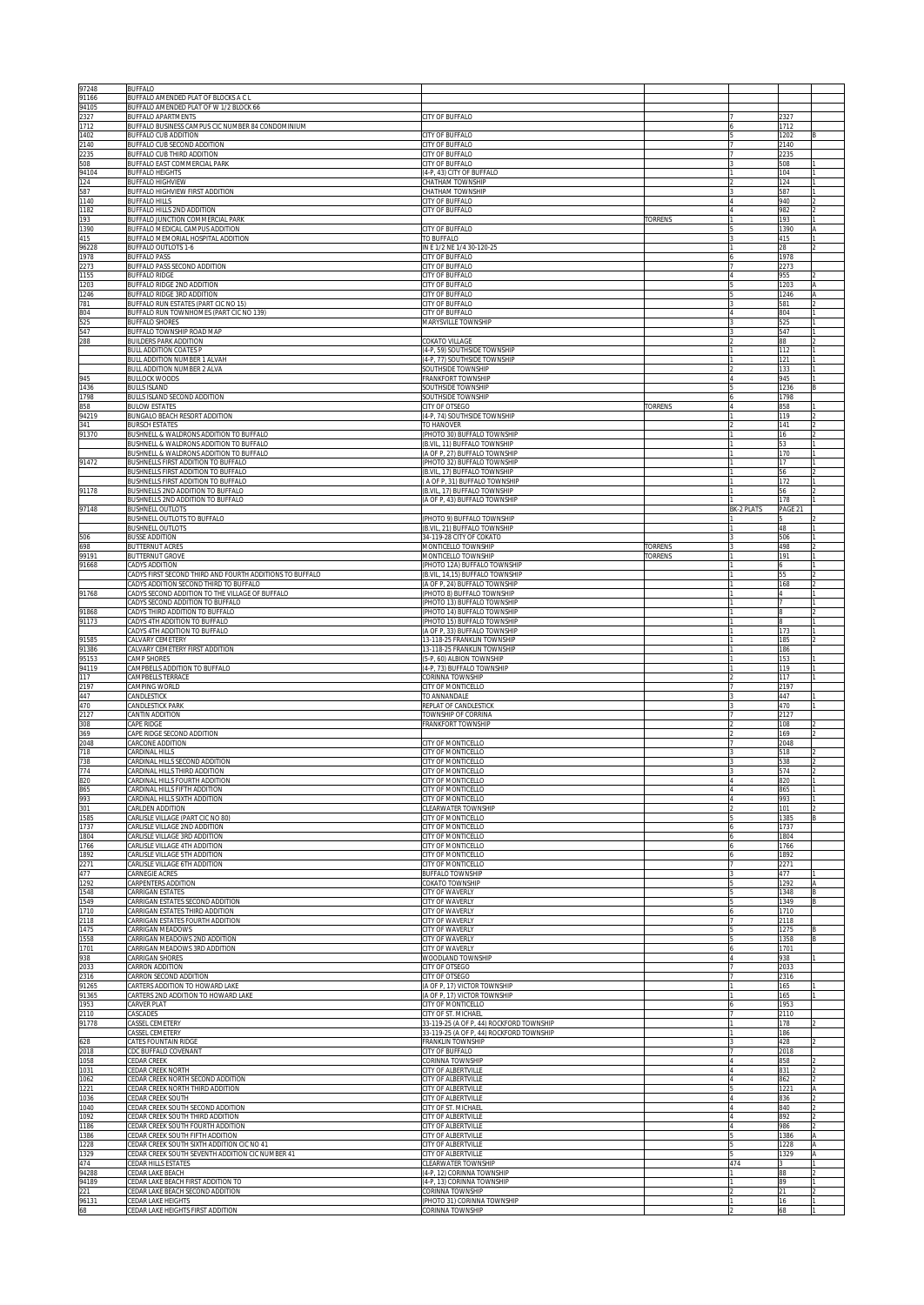| 97248              | <b>BUFFALO</b>                                                                              |                                                                                      |                       |                   |                |    |
|--------------------|---------------------------------------------------------------------------------------------|--------------------------------------------------------------------------------------|-----------------------|-------------------|----------------|----|
| 91166<br>94105     | BUFFALO AMENDED PLAT OF BLOCKS A C L<br>BUFFALO AMENDED PLAT OF W 1/2 BLOCK 66              |                                                                                      |                       |                   |                |    |
| 2327               | BUFFALO APARTMENTS                                                                          | CITY OF BUFFALO                                                                      |                       |                   | 2327           |    |
| 1712<br>1402       | BUFFALO BUSINESS CAMPUS CIC NUMBER 84 CONDOMINIUM<br>BUFFALO CUB ADDITION                   | <b>CITY OF BUFFALO</b>                                                               |                       |                   | 1712<br>1202   |    |
| 2140               | BUFFALO CUB SECOND ADDITION                                                                 | <b>CITY OF BUFFALO</b>                                                               |                       |                   | 2140           |    |
| 2235<br>508        | BUFFALO CUB THIRD ADDITION<br>BUFFALO EAST COMMERCIAL PARK                                  | <b>CITY OF BUFFALO</b><br>CITY OF BUFFALO                                            |                       |                   | 2235<br>508    |    |
| 94104              | <b>BUFFALO HEIGHTS</b>                                                                      | (4-P, 43) CITY OF BUFFALO                                                            |                       |                   | 104            |    |
| 24<br>587          | <b>BUFFALO HIGHVIEW</b><br>BUFFALO HIGHVIEW FIRST ADDITION                                  | CHATHAM TOWNSHIP<br><b>CHATHAM TOWNSHIP</b>                                          |                       |                   | 124<br>587     |    |
| 1140               | <b>BUFFALO HILLS</b>                                                                        | CITY OF BUFFALO                                                                      |                       |                   | 940            |    |
| 182<br>193         | BUFFALO HILLS 2ND ADDITION                                                                  | CITY OF BUFFALO                                                                      | <b>TORRENS</b>        |                   | 982<br>193     |    |
| 1390               | BUFFALO JUNCTION COMMERCIAL PARK<br>BUFFALO MEDICAL CAMPUS ADDITION                         | CITY OF BUFFALO                                                                      |                       |                   | 1390           |    |
| 415                | BUFFALO MEMORIAL HOSPITAL ADDITION                                                          | TO BUFFALO                                                                           |                       |                   | 415<br>28      |    |
| 96228<br>1978      | BUFFALO OUTLOTS 1-6<br><b>BUFFALO PASS</b>                                                  | IN E 1/2 NE 1/4 30-120-25<br>CITY OF BUFFALO                                         |                       |                   | 1978           |    |
| 273                | BUFFALO PASS SECOND ADDITION                                                                | CITY OF BUFFALO                                                                      |                       |                   | 2273           |    |
| 1155<br>1203       | BUFFALO RIDGE<br>BUFFALO RIDGE 2ND ADDITION                                                 | <b>ITY OF BUFFALO</b><br><b>ITY OF BUFFALO</b>                                       |                       |                   | 955<br>1203    |    |
| 1246               | BUFFALO RIDGE 3RD ADDITION                                                                  | <b>ITY OF BUFFALO</b>                                                                |                       |                   | 1246           |    |
| 781<br>804         | BUFFALO RUN ESTATES (PART CIC NO 15)<br>BUFFALO RUN TOWNHOMES (PART CIC NO 139)             | <b>ITY OF BUFFALO</b><br><b>ITY OF BUFFALO</b>                                       |                       |                   | 581<br>804     |    |
| <b>25</b>          | <b>BUFFALO SHORES</b>                                                                       | <b>MARYSVILLE TOWNSHIP</b>                                                           |                       |                   | 525            |    |
| 547<br>288         | BUFFALO TOWNSHIP ROAD MAP<br>BUILDERS PARK ADDITION                                         | <b>COKATO VILLAGE</b>                                                                |                       |                   | 547<br>88      |    |
|                    | <b>BULL ADDITION COATES P</b>                                                               | 4-P, 59) SOUTHSIDE TOWNSHIP                                                          |                       |                   | 112            |    |
|                    | BULL ADDITION NUMBER 1 ALVAH<br><b>BULL ADDITION NUMBER 2 ALVA</b>                          | 4-P, 77) SOUTHSIDE TOWNSHIP<br><b>SOUTHSIDE TOWNSHIP</b>                             |                       |                   | 121<br>33      |    |
| 945                | BULLOCK WOODS                                                                               | RANKFORT TOWNSHIP                                                                    |                       |                   | 945            |    |
| 1436<br>1798       | <b>BULLS ISLAND</b><br><b>BULLS ISLAND SECOND ADDITION</b>                                  | <b>SOUTHSIDE TOWNSHIP</b><br><b>SOUTHSIDE TOWNSHIP</b>                               |                       |                   | 236<br>1798    |    |
| 358                | <b>BULOW ESTATES</b>                                                                        | <b>CITY OF OTSEGO</b>                                                                | <b><i>TORRENS</i></b> |                   | 158            |    |
| 4219<br>341        | BUNGALO BEACH RESORT ADDITION<br><b>BURSCH ESTATES</b>                                      | 4-P, 74) SOUTHSIDE TOWNSHIP<br>TO HANOVER                                            |                       |                   | 119<br>141     |    |
| 91370              | BUSHNELL & WALDRONS ADDITION TO BUFFALO                                                     | PHOTO 30) BUFFALO TOWNSHIP                                                           |                       |                   | 16             |    |
|                    | BUSHNELL & WALDRONS ADDITION TO BUFFALO<br>BUSHNELL & WALDRONS ADDITION TO BUFFALO          | B.VIL, 11) BUFFALO TOWNSHIP<br>A OF P. 27) BUFFALO TOWNSHIP                          |                       |                   | 53<br>170      |    |
| 91472              | BUSHNELLS FIRST ADDITION TO BUFFALO                                                         | PHOTO 32) BUFFALO TOWNSHIP                                                           |                       |                   | 17             |    |
|                    | BUSHNELLS FIRST ADDITION TO BUFFALO<br>BUSHNELLS FIRST ADDITION TO BUFFALO                  | B.VIL, 17) BUFFALO TOWNSHIP<br>A OF P. 31) BUFFALO TOWNSHIP                          |                       |                   | 56<br>172      |    |
| 91178              | BUSHNELLS 2ND ADDITION TO BUFFALO                                                           | B.VIL, 17) BUFFALO TOWNSHIP                                                          |                       |                   | 56             |    |
| 97148              | BUSHNELLS 2ND ADDITION TO BUFFALO<br><b>BUSHNELL OUTLOTS</b>                                | (A OF P, 43) BUFFALO TOWNSHIP                                                        |                       | <b>BK-2 PLATS</b> | 178<br>PAGE 21 |    |
|                    | BUSHNELL OUTLOTS TO BUFFALO                                                                 | PHOTO 9) BUFFALO TOWNSHIP                                                            |                       |                   |                |    |
| 506                | BUSHNELL OUTLOTS<br>BUSSE ADDITION                                                          | B.VIL, 21) BUFFALO TOWNSHIP<br>34-119-28 CITY OF COKATO                              |                       |                   | 48<br>506      |    |
| 598                | BUTTERNUT ACRES                                                                             | <b>MONTICELLO TOWNSHIP</b>                                                           | <b>ORRENS</b>         |                   | 498            |    |
| 99191<br>91668     | BUTTERNUT GROVE<br><b>ADYS ADDITION</b>                                                     | <b>MONTICELLO TOWNSHIP</b><br>PHOTO 12A) BUFFALO TOWNSHIP                            | ORRENS                |                   | 91             |    |
|                    | ADYS FIRST SECOND THIRD AND FOURTH ADDITIONS TO BUFFALO                                     | B.VIL, 14,15) BUFFALO TOWNSHIP                                                       |                       |                   |                |    |
| 91768              | CADYS ADDITION SECOND THIRD TO BUFFALO<br>CADYS SECOND ADDITION TO THE VILLAGE OF BUFFALO   | A OF P, 24) BUFFALO TOWNSHIP<br>(PHOTO 8) BUFFALO TOWNSHIP                           |                       |                   | 68             |    |
|                    | CADYS SECOND ADDITION TO BUFFALO                                                            | PHOTO 13) BUFFALO TOWNSHIP                                                           |                       |                   |                |    |
| 91868<br>91173     | CADYS THIRD ADDITION TO BUFFALO                                                             | (PHOTO 14) BUFFALO TOWNSHIP                                                          |                       |                   |                |    |
|                    | CADYS 4TH ADDITION TO BUFFALO<br>CADYS 4TH ADDITION TO BUFFALO                              | (PHOTO 15) BUFFALO TOWNSHIP<br>(A OF P, 33) BUFFALO TOWNSHIP                         |                       |                   | 173            |    |
| 91585              | CALVARY CEMETERY                                                                            | 13-118-25 FRANKLIN TOWNSHIP                                                          |                       |                   | 185            |    |
| 91386<br>95153     | CALVARY CEMETERY FIRST ADDITION<br>CAMP SHORES                                              | 13-118-25 FRANKLIN TOWNSHIP<br>(5-P, 60) ALBION TOWNSHIP                             |                       |                   | 186<br>153     |    |
| 94119              | CAMPBELLS ADDITION TO BUFFALO                                                               | (4-P, 73) BUFFALO TOWNSHIP                                                           |                       |                   | 119            |    |
| 117<br>2197        | CAMPBELLS TERRACE<br>CAMPING WORLD                                                          | CORINNA TOWNSHIP<br>CITY OF MONTICELLO                                               |                       |                   | 117<br>2197    |    |
| 447                | CANDLESTICK                                                                                 | TO ANNANDALE                                                                         |                       |                   | 447            |    |
| 470<br>2127        | CANDLESTICK PARK<br>CANTIN ADDITION                                                         | REPLAT OF CANDLESTICK<br>TOWNSHIP OF CORRINA                                         |                       |                   | 470<br>2127    |    |
| 308                | CAPE RIDGE                                                                                  | FRANKFORT TOWNSHIP                                                                   |                       |                   | 108            |    |
| 369<br>2048        | CAPE RIDGE SECOND ADDITION<br>CARCONE ADDITION                                              | CITY OF MONTICELLO                                                                   |                       |                   | 169<br>2048    |    |
| 718                | CARDINAL HILLS                                                                              | CITY OF MONTICELLO                                                                   |                       |                   | 518            |    |
| 738<br>774         | CARDINAL HILLS SECOND ADDITION<br>CARDINAL HILLS THIRD ADDITION                             | CITY OF MONTICELLO<br>CITY OF MONTICELLO                                             |                       |                   | 538<br>574     |    |
| 820                | ARDINAL HILLS FOURTH ADDITION:                                                              | CITY OF MONTICELLO                                                                   |                       |                   | 820            |    |
| 865<br>993         | CARDINAL HILLS FIFTH ADDITION<br>CARDINAL HILLS SIXTH ADDITION                              | CITY OF MONTICELLO<br>CITY OF MONTICELLO                                             |                       |                   | 865<br>993     |    |
| 301                | CARLDEN ADDITION                                                                            | <b>CLEARWATER TOWNSHIP</b>                                                           |                       |                   | 101            |    |
| 1585<br>1737       | CARLISLE VILLAGE (PART CIC NO 80)<br>CARLISLE VILLAGE 2ND ADDITION                          | CITY OF MONTICELLO<br><b>CITY OF MONTICELLO</b>                                      |                       |                   | 1385<br>1737   |    |
| 1804               | CARLISLE VILLAGE 3RD ADDITION                                                               | CITY OF MONTICELLO                                                                   |                       |                   | 1804           |    |
| 1766<br>1892       | CARLISLE VILLAGE 4TH ADDITION<br>CARLISLE VILLAGE 5TH ADDITION                              | CITY OF MONTICELLO<br>CITY OF MONTICELLO                                             |                       |                   | 1766<br>1892   |    |
| 2271               | CARLISLE VILLAGE 6TH ADDITION                                                               | <b>CITY OF MONTICELLO</b>                                                            |                       |                   | 2271           |    |
| 477<br>1292        | CARNEGIE ACRES<br>CARPENTERS ADDITION                                                       | BUFFALO TOWNSHIP<br><b>COKATO TOWNSHIP</b>                                           |                       |                   | 477<br>1292    |    |
| 1548               | CARRIGAN ESTATES                                                                            | <b>CITY OF WAVERLY</b>                                                               |                       |                   | 1348           |    |
| 1549<br>1710       | CARRIGAN ESTATES SECOND ADDITION<br>CARRIGAN ESTATES THIRD ADDITION                         | CITY OF WAVERLY<br><b>CITY OF WAVERLY</b>                                            |                       |                   | 349<br>1710    |    |
| 2118               | CARRIGAN ESTATES FOURTH ADDITION                                                            | CITY OF WAVERLY                                                                      |                       |                   | 2118           |    |
| 1475<br>1558       | CARRIGAN MEADOWS<br>CARRIGAN MEADOWS 2ND ADDITION                                           | CITY OF WAVERLY<br>CITY OF WAVERLY                                                   |                       |                   | 1275<br>1358   |    |
| 1701               | CARRIGAN MEADOWS 3RD ADDITION                                                               | CITY OF WAVERLY                                                                      |                       |                   | 1701           |    |
| 938<br>2033        | <b>CARRIGAN SHORES</b><br>CARRON ADDITION                                                   | WOODLAND TOWNSHIP<br>CITY OF OTSEGO                                                  |                       |                   | 938<br>2033    |    |
| 2316               | CARRON SECOND ADDITION                                                                      | CITY OF OTSEGO                                                                       |                       |                   | 2316           |    |
| 91265<br>91365     | CARTERS ADDITION TO HOWARD LAKE<br>CARTERS 2ND ADDITION TO HOWARD LAKE                      | (A OF P, 17) VICTOR TOWNSHIP                                                         |                       |                   | 165<br>165     |    |
| 1953               |                                                                                             |                                                                                      |                       |                   |                |    |
| 2110<br>91778      | CARVER PLAT                                                                                 | (A OF P, 17) VICTOR TOWNSHIP<br>CITY OF MONTICELLO                                   |                       |                   | 1953           |    |
|                    | CASCADES                                                                                    | CITY OF ST. MICHAEL                                                                  |                       |                   | 2110           |    |
|                    | CASSEL CEMETERY<br><b>CASSEL CEMETERY</b>                                                   | 33-119-25 (A OF P, 44) ROCKFORD TOWNSHIP<br>33-119-25 (A OF P, 44) ROCKFORD TOWNSHIP |                       |                   | 178<br>186     |    |
| 628                | <b>CATES FOUNTAIN RIDGE</b>                                                                 | RANKLIN TOWNSHIP                                                                     |                       |                   | 428            |    |
| 2018<br>1058       | <b>CDC BUFFALO COVENANT</b><br>CEDAR CREEK                                                  | <b>ITY OF BUFFALO</b><br><b>CORINNA TOWNSHIP</b>                                     |                       |                   | 2018<br>858    |    |
| 1031               | EDAR CREEK NORTH                                                                            | <b>CITY OF ALBERTVILLE</b>                                                           |                       |                   | 831            |    |
| 1062<br>1221       | CEDAR CREEK NORTH SECOND ADDITION<br>CEDAR CREEK NORTH THIRD ADDITION                       | <b>CITY OF ALBERTVILLE</b><br><b>CITY OF ALBERTVILLE</b>                             |                       |                   | 862<br>1221    |    |
| 1036               | CEDAR CREEK SOUTH                                                                           | CITY OF ALBERTVILLE                                                                  |                       |                   | 836            |    |
| 1040<br>1092       | CEDAR CREEK SOUTH SECOND ADDITION<br>CEDAR CREEK SOUTH THIRD ADDITION                       | CITY OF ST. MICHAEL<br>CITY OF ALBERTVILLE                                           |                       |                   | 840<br>892     |    |
| 1186               | CEDAR CREEK SOUTH FOURTH ADDITION                                                           | CITY OF ALBERTVILLE                                                                  |                       |                   | 986            |    |
| 1386<br>1228       | CEDAR CREEK SOUTH FIFTH ADDITION<br>CEDAR CREEK SOUTH SIXTH ADDITION CIC NO 41              | CITY OF ALBERTVILLE<br>CITY OF ALBERTVILLE                                           |                       |                   | 1386<br>1228   |    |
| 1329               | CEDAR CREEK SOUTH SEVENTH ADDITION CIC NUMBER 41                                            | CITY OF ALBERTVILLE                                                                  |                       |                   | 1329           |    |
| 474<br>94288       | CEDAR HILLS ESTATES<br>CEDAR LAKE BEACH                                                     | CLEARWATER TOWNSHIP<br>(4-P, 12) CORINNA TOWNSHIP                                    |                       | 474               | 88             |    |
| 94189              | CEDAR LAKE BEACH FIRST ADDITION TO                                                          | (4-P, 13) CORINNA TOWNSHIP                                                           |                       |                   | 89             |    |
| 221<br>96131<br>68 | CEDAR LAKE BEACH SECOND ADDITION<br>CEDAR LAKE HEIGHTS<br>CEDAR LAKE HEIGHTS FIRST ADDITION | CORINNA TOWNSHIP<br>(PHOTO 31) CORINNA TOWNSHIP<br>CORINNA TOWNSHIP                  |                       |                   | 21<br>16<br>68 | I1 |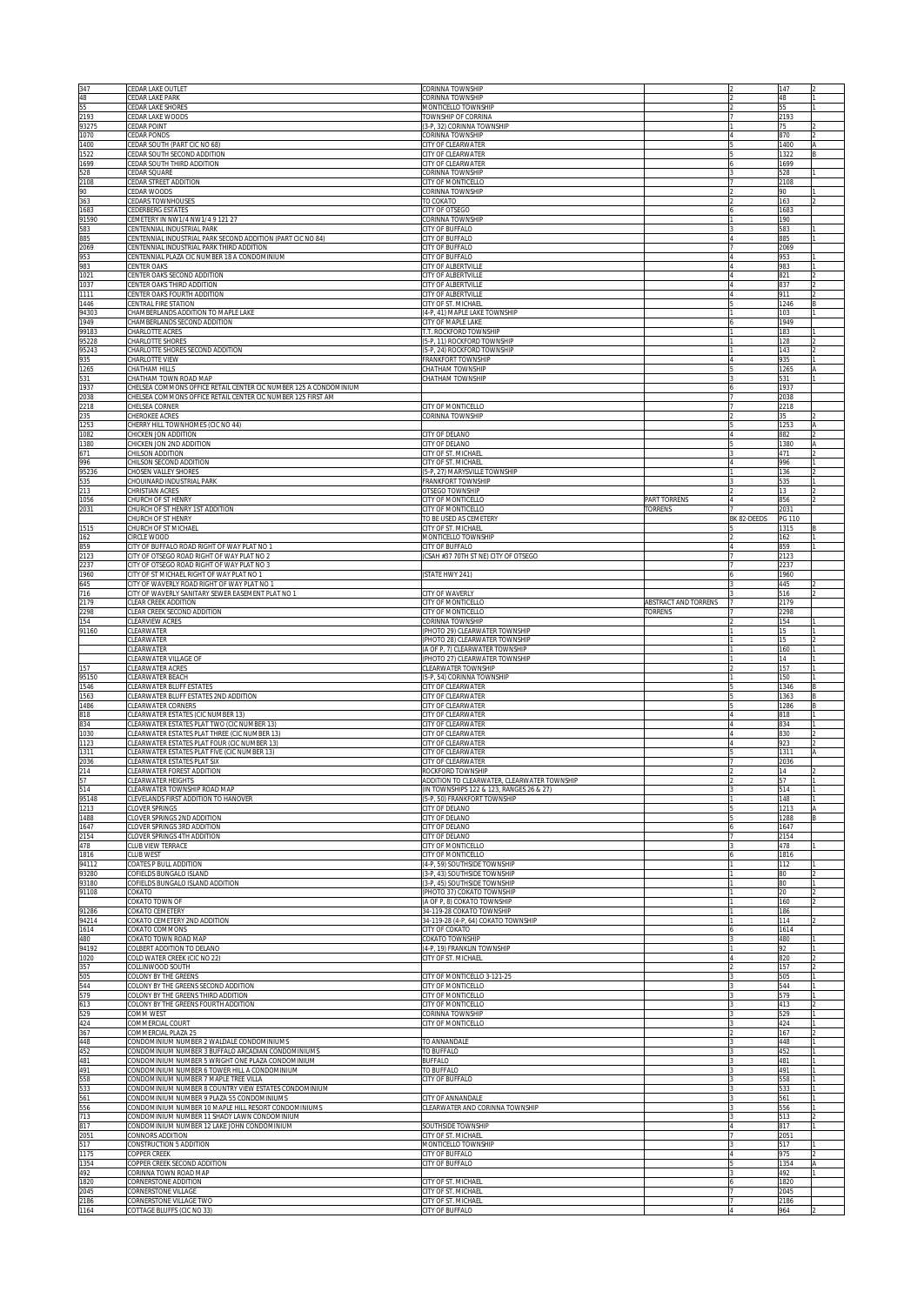| 347<br>48                                                                                         | CEDAR LAKE OUTLET<br>EDAR LAKE PARK                                                                      | CORINNA TOWNSHIP<br>CORINNA TOWNSHIP                                     |                             |             | 147<br>48            |  |
|---------------------------------------------------------------------------------------------------|----------------------------------------------------------------------------------------------------------|--------------------------------------------------------------------------|-----------------------------|-------------|----------------------|--|
| 55<br>2193<br>93275                                                                               | <b>CEDAR LAKE SHORES</b><br>CEDAR LAKE WOODS<br>CEDAR POINT                                              | MONTICELLO TOWNSHIP<br>TOWNSHIP OF CORRINA<br>(3-P, 32) CORINNA TOWNSHIP |                             |             | 55<br>2193<br>75     |  |
| 1070                                                                                              | CEDAR PONDS                                                                                              | CORINNA TOWNSHIP                                                         |                             |             | 870                  |  |
| 1400<br>1522                                                                                      | CEDAR SOUTH (PART CIC NO 68)<br>CEDAR SOUTH SECOND ADDITION                                              | CITY OF CLEARWATER<br>CITY OF CLEARWATER                                 |                             |             | 1400<br>1322         |  |
| 1699<br>528                                                                                       | CEDAR SOUTH THIRD ADDITION<br>CEDAR SQUARE                                                               | CITY OF CLEARWATER<br>CORINNA TOWNSHIP                                   |                             |             | 1699<br>528          |  |
| 2108<br>90                                                                                        | CEDAR STREET ADDITION<br>CEDAR WOODS                                                                     | CITY OF MONTICELLO<br>CORINNA TOWNSHIP                                   |                             |             | 2108<br>90           |  |
| 363<br>1683                                                                                       | CEDARS TOWNHOUSES<br>CEDERBERG ESTATES                                                                   | TO COKATO<br>CITY OF OTSEGO                                              |                             |             | 163<br>1683          |  |
| 91590<br>583                                                                                      | CEMETERY IN NW1/4 NW1/4 9 121 27<br>CENTENNIAL INDUSTRIAL PARK                                           | CORINNA TOWNSHIP<br>CITY OF BUFFALO                                      |                             |             | 190<br>583           |  |
| 885<br>2069                                                                                       | CENTENNIAL INDUSTRIAL PARK SECOND ADDITION (PART CIC NO 84)<br>CENTENNIAL INDUSTRIAL PARK THIRD ADDITION | CITY OF BUFFALO<br>CITY OF BUFFALO                                       |                             |             | 885<br>2069          |  |
| 953<br>983                                                                                        | CENTENNIAL PLAZA CIC NUMBER 18 A CONDOMINIUM<br><b>CENTER OAKS</b>                                       | CITY OF BUFFALO<br>CITY OF ALBERTVILLE                                   |                             |             | 953<br>983           |  |
| 1021<br>1037                                                                                      | CENTER OAKS SECOND ADDITION<br>CENTER OAKS THIRD ADDITION                                                | CITY OF ALBERTVILLE<br>CITY OF ALBERTVILLE                               |                             |             | 821<br>837           |  |
| 1111<br>1446                                                                                      | CENTER OAKS FOURTH ADDITION<br>CENTRAL FIRE STATION                                                      | CITY OF ALBERTVILLE<br>CITY OF ST. MICHAEL                               |                             |             | 911<br>1246          |  |
| 94303                                                                                             | CHAMBERLANDS ADDITION TO MAPLE LAKE                                                                      | (4-P, 41) MAPLE LAKE TOWNSHIP                                            |                             |             | 103                  |  |
| 1949<br>99183                                                                                     | CHAMBERLANDS SECOND ADDITION<br>CHARLOTTE ACRES                                                          | CITY OF MAPLE LAKE<br>T.T. ROCKFORD TOWNSHIP                             |                             |             | 1949<br>183          |  |
| 95228<br>95243                                                                                    | CHARLOTTE SHORES<br>CHARLOTTE SHORES SECOND ADDITION                                                     | (5-P, 11) ROCKFORD TOWNSHIP<br>(5-P, 24) ROCKFORD TOWNSHIP               |                             |             | 128<br>143           |  |
| 935<br>1265                                                                                       | CHARLOTTE VIEW<br>CHATHAM HILLS                                                                          | <b>FRANKFORT TOWNSHIP</b><br>CHATHAM TOWNSHIP                            |                             |             | 935<br>1265          |  |
| 531<br>1937                                                                                       | CHATHAM TOWN ROAD MAP<br>CHELSEA COMMONS OFFICE RETAIL CENTER CIC NUMBER 125 A CONDOMINIUM               | CHATHAM TOWNSHIP                                                         |                             |             | 531<br>1937          |  |
| 2038<br>2218                                                                                      | CHELSEA COMMONS OFFICE RETAIL CENTER CIC NUMBER 125 FIRST AM<br>CHELSEA CORNER                           | CITY OF MONTICELLO                                                       |                             |             | 2038<br>2218         |  |
| 235<br>1253                                                                                       | CHEROKEE ACRES<br>CHERRY HILL TOWNHOMES (CIC NO 44)                                                      | CORINNA TOWNSHIP                                                         |                             |             | 35<br>1253           |  |
| 1082<br>1380                                                                                      | CHICKEN JON ADDITION<br>CHICKEN JON 2ND ADDITION                                                         | CITY OF DELANO<br>CITY OF DELANO                                         |                             |             | 882<br>1380          |  |
| 671                                                                                               | CHILSON ADDITION<br>CHILSON SECOND ADDITION                                                              | CITY OF ST. MICHAEI<br>CITY OF ST. MICHAEL                               |                             |             | 471<br>996           |  |
| 996<br>95236<br>535<br>213                                                                        | CHOSEN VALLEY SHORES<br>CHOUINARD INDUSTRIAL PARK                                                        | 5-P, 27) MARYSVILLE TOWNSHIP<br>FRANKFORT TOWNSHIP                       |                             |             | 136<br>535           |  |
| 1056                                                                                              | CHRISTIAN ACRES<br>CHURCH OF ST HENRY                                                                    | OTSEGO TOWNSHIP<br>CITY OF MONTICELLO                                    | PART TORRENS                |             | 13<br>856            |  |
| 2031                                                                                              | HURCH OF ST HENRY 1ST ADDITION                                                                           | CITY OF MONTICELLO                                                       | <b>TORRENS</b>              |             | 2031                 |  |
| 1515                                                                                              | <b>CHURCH OF ST HENRY</b><br>HURCH OF ST MICHAEL                                                         | TO BE USED AS CEMETERY<br>CITY OF ST. MICHAEL                            |                             | BK 82-DEEDS | PG 110<br>1315       |  |
| 162<br>859                                                                                        | Ircle wood<br>CITY OF BUFFALO ROAD RIGHT OF WAY PLAT NO 1                                                | MONTICELLO TOWNSHIP<br>CITY OF BUFFALO                                   |                             |             | 162<br>859           |  |
| 2123<br>2237                                                                                      | CITY OF OTSEGO ROAD RIGHT OF WAY PLAT NO 2<br>CITY OF OTSEGO ROAD RIGHT OF WAY PLAT NO 3                 | CSAH #37 70TH ST NE) CITY OF OTSEGO                                      |                             |             | 2123<br>2237         |  |
| 1960<br>645                                                                                       | CITY OF ST MICHAEL RIGHT OF WAY PLAT NO 1<br>CITY OF WAVERLY ROAD RIGHT OF WAY PLAT NO 1                 | STATE HWY 241)                                                           |                             |             | 1960<br>445          |  |
| 716<br>2179                                                                                       | ITY OF WAVERLY SANITARY SEWER EASEMENT PLAT NO 1<br>LEAR CREEK ADDITION                                  | CITY OF WAVERLY<br>CITY OF MONTICELLO                                    | <b>ABSTRACT AND TORRENS</b> |             | 516<br>2179          |  |
| 2298<br>154                                                                                       | CLEAR CREEK SECOND ADDITION<br>LEARVIEW ACRES                                                            | CITY OF MONTICELLO<br>CORINNA TOWNSHIP                                   | TORRENS                     |             | 2298<br>154          |  |
| 91160                                                                                             | CLEARWATER<br><b>LEARWATER</b>                                                                           | (PHOTO 29) CLEARWATER TOWNSHIP<br>(PHOTO 28) CLEARWATER TOWNSHIP         |                             |             | 15<br>15             |  |
|                                                                                                   | CLEARWATER<br>CLEARWATER VILLAGE OF                                                                      | (A OF P, 7) CLEARWATER TOWNSHIP<br>(PHOTO 27) CLEARWATER TOWNSHIP        |                             |             | 160<br>14            |  |
| 157<br>95150                                                                                      | CLEARWATER ACRES<br>LEARWATER BEACH                                                                      | CLEARWATER TOWNSHIP<br>5-P, 54) CORINNA TOWNSHIP                         |                             |             | 157<br>150           |  |
| 1546<br>1563                                                                                      | LEARWATER BLUFF ESTATES<br>LEARWATER BLUFF ESTATES 2ND ADDITION                                          | CITY OF CLEARWATER<br>CITY OF CLEARWATER                                 |                             |             | 1346<br>1363         |  |
| 1486                                                                                              | CLEARWATER CORNERS                                                                                       | CITY OF CLEARWATER                                                       |                             |             | 1286                 |  |
| 818<br>834<br>1030                                                                                | LEARWATER ESTATES (CIC NUMBER 13)<br>LEARWATER ESTATES PLAT TWO (CIC NUMBER 13)                          | CITY OF CLEARWATER<br>CITY OF CLEARWATER                                 |                             |             | 818<br>834           |  |
| 1123                                                                                              | LEARWATER ESTATES PLAT THREE (CIC NUMBER 13)<br>LEARWATER ESTATES PLAT FOUR (CIC NUMBER 13)              | CITY OF CLEARWATER<br>CITY OF CLEARWATER                                 |                             |             | 830<br>923           |  |
| 1311<br>2036                                                                                      | LEARWATER ESTATES PLAT FIVE (CIC NUMBER 13)<br>LEARWATER ESTATES PLAT SIX                                | CITY OF CLEARWATER<br>CITY OF CLEARWATER                                 |                             |             | 1311<br>2036         |  |
| 214                                                                                               | LEARWATER FOREST ADDITION<br>LEARWATER HEIGHTS                                                           | ROCKFORD TOWNSHIP<br>DDITION TO CLEARWATER, CLEARWATER TOWNSHI           |                             |             | 14                   |  |
| 514<br>95148                                                                                      | LEARWATER TOWNSHIP ROAD MAP<br>LEVELANDS FIRST ADDITION TO HANOVER                                       | (IN TOWNSHIPS 122 & 123, RANGES 26 & 27)<br>5-P, 50) FRANKFORT TOWNSHIP  |                             |             | 514<br>148           |  |
| 1213<br>1488                                                                                      | LOVER SPRINGS<br>LOVER SPRINGS 2ND ADDITION                                                              | CITY OF DELANO<br><b>ITY OF DELANO</b>                                   |                             |             | 1213<br>1288         |  |
| 1647<br>2154                                                                                      | LOVER SPRINGS 3RD ADDITION<br>LOVER SPRINGS 4TH ADDITION                                                 | CITY OF DELANO<br><b>CITY OF DELANO</b>                                  |                             |             | 1647<br>2154         |  |
| 478<br>1816                                                                                       | LUB VIEW TERRACE<br>CLUB WEST                                                                            | <b>CITY OF MONTICELLO</b><br>CITY OF MONTICELLO                          |                             |             | 478<br>1816          |  |
| 94112<br>93280                                                                                    | COATES P BULL ADDITION<br>COFIELDS BUNGALO ISLAND                                                        | 4-P, 59) SOUTHSIDE TOWNSHIP<br>3-P. 43) SOUTHSIDE TOWNSHIP               |                             |             | 112<br>80            |  |
| 93180<br>91108                                                                                    | COFIELDS BUNGALO ISLAND ADDITION<br>COKATO                                                               | 3-P, 45) SOUTHSIDE TOWNSHIP<br>PHOTO 37) COKATO TOWNSHIP                 |                             |             | 80<br>$20 -$         |  |
| 91286                                                                                             | COKATO TOWN OF<br>COKATO CEMETERY                                                                        | A OF P. 8) COKATO TOWNSHIP<br>4-119-28 COKATO TOWNSHIP                   |                             |             | 160<br>186           |  |
| 94214<br>1614                                                                                     | COKATO CEMETERY 2ND ADDITION<br>COKATO COMMONS                                                           | 34-119-28 (4-P, 64) COKATO TOWNSHIP<br><b>CITY OF COKATO</b>             |                             |             | 114<br>1614          |  |
| 480<br>94192                                                                                      | COKATO TOWN ROAD MAP<br>COLBERT ADDITION TO DELANO                                                       | OKATO TOWNSHIP<br>4-P, 19) FRANKLIN TOWNSHIP                             |                             |             | 480<br>92            |  |
| 1020                                                                                              | COLD WATER CREEK (CIC NO 22)                                                                             | CITY OF ST. MICHAEL                                                      |                             |             | 820                  |  |
| 357<br>505                                                                                        | COLLINWOOD SOUTH<br><b>COLONY BY THE GREENS</b>                                                          | CITY OF MONTICELLO 3-121-25                                              |                             |             | 157<br>505           |  |
| 544<br>579                                                                                        | COLONY BY THE GREENS SECOND ADDITION<br>COLONY BY THE GREENS THIRD ADDITION                              | CITY OF MONTICELLO<br>CITY OF MONTICELLO                                 |                             |             | 544<br>579           |  |
| 613<br>529                                                                                        | COLONY BY THE GREENS FOURTH ADDITION<br>COMM WEST                                                        | CITY OF MONTICELLO<br>CORINNA TOWNSHIP                                   |                             |             | 413<br>529           |  |
| 424<br>367                                                                                        |                                                                                                          |                                                                          |                             |             |                      |  |
| 448                                                                                               | OMMERCIAL COURT<br>OMMERCIAL PLAZA 25                                                                    | CITY OF MONTICELLO                                                       |                             |             | 424<br>167           |  |
|                                                                                                   | ONDOMINIUM NUMBER 2 WALDALE CONDOMINIUMS<br>ONDOMINIUM NUMBER 3 BUFFALO ARCADIAN CONDOMINIUMS            | TO ANNANDALE<br>TO BUFFALO                                               |                             |             | 448<br>452           |  |
|                                                                                                   | ONDOMINIUM NUMBER 5 WRIGHT ONE PLAZA CONDOMINIUM                                                         | BUFFALO<br><b>TO BUFFALO</b>                                             |                             |             | 481<br>491           |  |
|                                                                                                   | ONDOMINIUM NUMBER 6 TOWER HILL A CONDOMINIUM<br>ONDOMINIUM NUMBER 7 MAPLE TREE VILLA                     | <b>CITY OF BUFFALO</b>                                                   |                             |             | 558                  |  |
|                                                                                                   | CONDOMINIUM NUMBER 8 COUNTRY VIEW ESTATES CONDOMINIUM<br>CONDOMINIUM NUMBER 9 PLAZA 55 CONDOMINIUMS      | CITY OF ANNANDALE                                                        |                             |             | 533<br>561           |  |
|                                                                                                   | CONDOMINIUM NUMBER 10 MAPLE HILL RESORT CONDOMINIUMS<br>CONDOMINIUM NUMBER 11 SHADY LAWN CONDOMINIUM     | CLEARWATER AND CORINNA TOWNSHIP                                          |                             |             | 556<br>513           |  |
|                                                                                                   | CONDOMINIUM NUMBER 12 LAKE JOHN CONDOMINIUM<br>CONNORS ADDITION                                          | SOUTHSIDE TOWNSHIP<br>CITY OF ST. MICHAEL                                |                             |             | 817<br>2051          |  |
|                                                                                                   | CONSTRUCTION 5 ADDITION<br>COPPER CREEK                                                                  | MONTICELLO TOWNSHIP<br>CITY OF BUFFALO                                   |                             |             | 517<br>975           |  |
| 452<br>481<br>491<br>558<br>533<br>561<br>556<br>713<br>817<br>2051<br>517<br>1175<br>1354<br>492 | COPPER CREEK SECOND ADDITION<br>CORINNA TOWN ROAD MAP                                                    | CITY OF BUFFALO                                                          |                             |             | 1354<br>492          |  |
| 1820<br>2045<br>2186                                                                              | CORNERSTONE ADDITION<br><b>CORNERSTONE VILLAGE</b><br>CORNERSTONE VILLAGE TWO                            | CITY OF ST. MICHAEL<br>CITY OF ST. MICHAEL<br>CITY OF ST. MICHAEI        |                             |             | 1820<br>2045<br>2186 |  |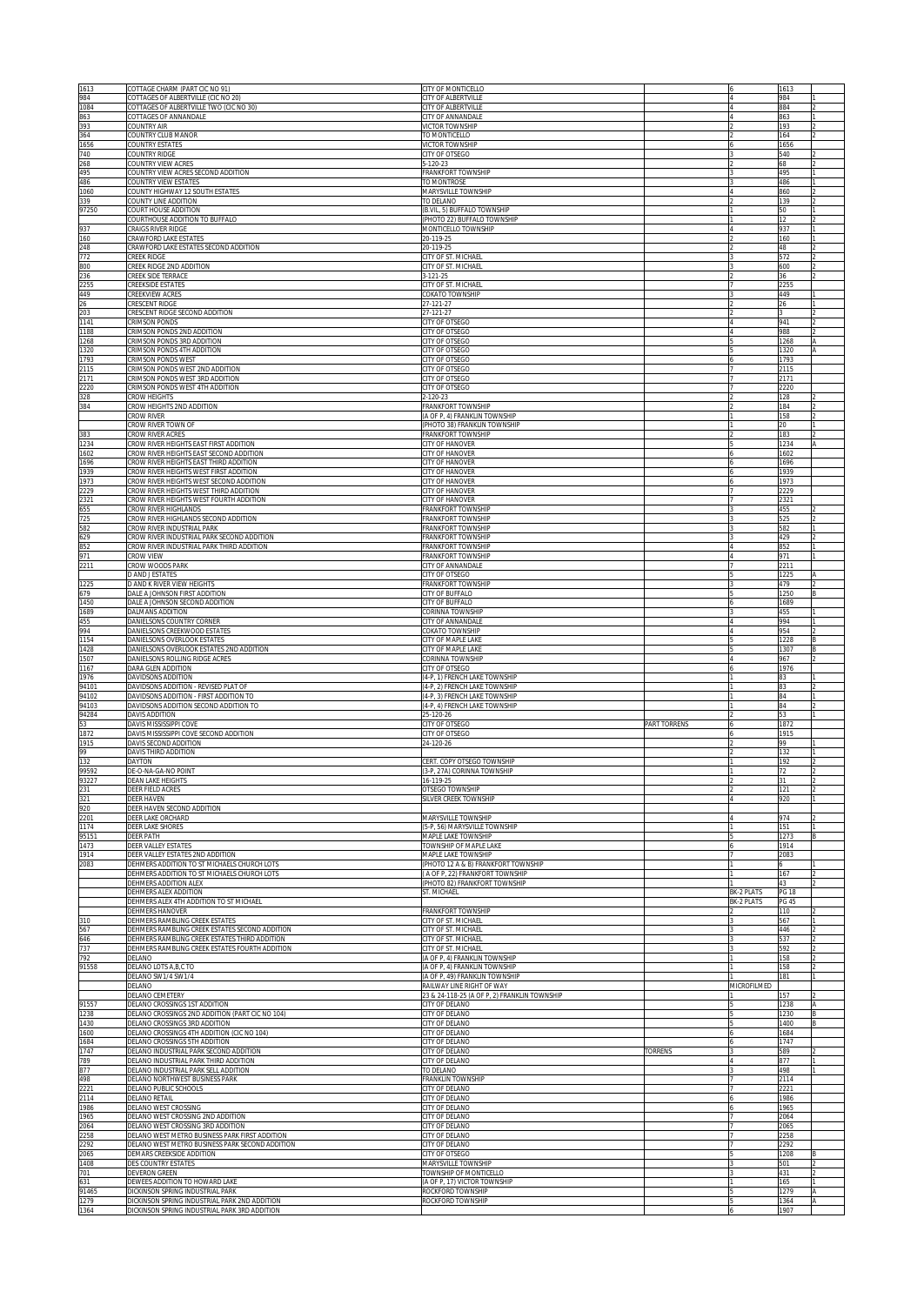| 1613                 | COTTAGE CHARM (PART CIC NO 91)                                                                  | CITY OF MONTICELLO                                                        |                       |             | 1613                  |    |
|----------------------|-------------------------------------------------------------------------------------------------|---------------------------------------------------------------------------|-----------------------|-------------|-----------------------|----|
| 984<br>1084          | COTTAGES OF ALBERTVILLE (CIC NO 20)<br>COTTAGES OF ALBERTVILLE TWO (CIC NO 30)                  | CITY OF ALBERTVILLE<br>CITY OF ALBERTVILLE                                |                       |             | 984<br>884            |    |
| 863<br>393           | COTTAGES OF ANNANDALE<br>COUNTRY AIR                                                            | CITY OF ANNANDALE<br><b>VICTOR TOWNSHIP</b>                               |                       |             | 863<br>193            |    |
| 364                  | COUNTRY CLUB MANOR                                                                              | TO MONTICELLO                                                             |                       |             | 164                   |    |
| 1656<br>740          | COUNTRY ESTATES<br>COUNTRY RIDGE                                                                | <b>VICTOR TOWNSHIP</b><br>CITY OF OTSEGO                                  |                       |             | 1656<br>540           |    |
| 268<br>495           | COUNTRY VIEW ACRES<br>COUNTRY VIEW ACRES SECOND ADDITION                                        | 5-120-23<br>FRANKFORT TOWNSHIP                                            |                       |             | 68<br>495             |    |
| 486                  | COUNTRY VIEW ESTATES                                                                            | TO MONTROSE                                                               |                       |             | 486                   |    |
| 1060<br>339          | COUNTY HIGHWAY 12 SOUTH ESTATES<br>COUNTY LINE ADDITION                                         | MARYSVILLE TOWNSHIP<br>TO DELANO                                          |                       |             | 860<br>139            |    |
| 97250                | COURT HOUSE ADDITION                                                                            | (B.VIL, 5) BUFFALO TOWNSHIP                                               |                       |             | 50                    |    |
| 937                  | COURTHOUSE ADDITION TO BUFFALO<br><b>CRAIGS RIVER RIDGE</b>                                     | PHOTO 22) BUFFALO TOWNSHIP<br>MONTICELLO TOWNSHIP                         |                       |             | $12 \,$<br>937        |    |
| 160                  | CRAWFORD LAKE ESTATES                                                                           | 20-119-25                                                                 |                       |             | 160                   |    |
| 248<br>772           | CRAWFORD LAKE ESTATES SECOND ADDITION<br><b>CREEK RIDGE</b>                                     | 20-119-25<br>CITY OF ST. MICHAEL                                          |                       |             | 48<br>572             |    |
| 800<br>236           | CREEK RIDGE 2ND ADDITION<br>CREEK SIDE TERRACE                                                  | CITY OF ST. MICHAEL<br>$3 - 121 - 25$                                     |                       |             | 600<br>36             |    |
| 2255                 | CREEKSIDE ESTATES                                                                               | CITY OF ST. MICHAEL                                                       |                       |             | 2255                  |    |
| 449<br>26            | <b>CREEKVIEW ACRES</b><br><b>RESCENT RIDGE</b>                                                  | <b>COKATO TOWNSHIP</b><br>27-121-27                                       |                       |             | 449<br>26             |    |
| 203<br>1141          | RESCENT RIDGE SECOND ADDITION<br><b>CRIMSON PONDS</b>                                           | 27-121-27<br><b>ITY OF OTSEGO</b>                                         |                       |             | 941                   |    |
| 1188                 | CRIMSON PONDS 2ND ADDITION                                                                      | CITY OF OTSEGO                                                            |                       |             | 988                   |    |
| 1268<br>1320         | CRIMSON PONDS 3RD ADDITION<br>RIMSON PONDS 4TH ADDITION                                         | CITY OF OTSEGO<br><b>CITY OF OTSEGO</b>                                   |                       |             | 1268<br>1320          |    |
| 1793                 | <b>RIMSON PONDS WEST</b>                                                                        | <b>CITY OF OTSEGO</b>                                                     |                       |             | 1793                  |    |
| 2115<br>2171         | CRIMSON PONDS WEST 2ND ADDITION<br>CRIMSON PONDS WEST 3RD ADDITION                              | CITY OF OTSEGO<br>CITY OF OTSEGO                                          |                       |             | 2115<br>2171          |    |
| 2220<br>328          | CRIMSON PONDS WEST 4TH ADDITION<br>ROW HEIGHTS                                                  | CITY OF OTSEGO<br>2-120-23                                                |                       |             | 2220<br>128           |    |
| 384                  | ROW HEIGHTS 2ND ADDITION                                                                        | FRANKFORT TOWNSHIP                                                        |                       |             | 184                   |    |
|                      | Row River<br>Crow River Town of                                                                 | (A OF P, 4) FRANKLIN TOWNSHIP<br>(PHOTO 38) FRANKLIN TOWNSHIP             |                       |             | 158<br>20             |    |
| 383                  | ROW RIVER ACRES                                                                                 | FRANKFORT TOWNSHIP                                                        |                       |             | 183                   |    |
| 1234<br>1602         | ROW RIVER HEIGHTS EAST FIRST ADDITION<br>CROW RIVER HEIGHTS EAST SECOND ADDITION                | CITY OF HANOVER<br>CITY OF HANOVER                                        |                       |             | 1234<br>1602          |    |
| 1696<br>1939         | ROW RIVER HEIGHTS EAST THIRD ADDITION<br>ROW RIVER HEIGHTS WEST FIRST ADDITION:                 | CITY OF HANOVER<br><b>CITY OF HANOVER</b>                                 |                       |             | 1696<br>1939          |    |
| 1973                 | ROW RIVER HEIGHTS WEST SECOND ADDITION                                                          | <b>CITY OF HANOVER</b>                                                    |                       |             | 1973                  |    |
| 2229<br>2321         | CROW RIVER HEIGHTS WEST THIRD ADDITION<br>ROW RIVER HEIGHTS WEST FOURTH ADDITION                | CITY OF HANOVER<br>CITY OF HANOVER                                        |                       |             | 2229<br>2321          |    |
| 655                  | ROW RIVER HIGHLANDS<br>ROW RIVER HIGHLANDS SECOND ADDITION                                      | <b>RANKFORT TOWNSHIP</b>                                                  |                       |             | 455                   |    |
| 725<br>582           | ROW RIVER INDUSTRIAL PARK                                                                       | <b>RANKFORT TOWNSHIP</b><br><b>RANKFORT TOWNSHIP</b>                      |                       |             | 525<br>582            |    |
| 629<br>852           | ROW RIVER INDUSTRIAL PARK SECOND ADDITION<br>ROW RIVER INDUSTRIAL PARK THIRD ADDITION:          | <b>RANKFORT TOWNSHIP</b><br>RANKFORT TOWNSHIP                             |                       |             | 429<br>852            |    |
| 971                  | Row View:                                                                                       | RANKFORT TOWNSHIP                                                         |                       |             | 971                   |    |
| 2211                 | ROW WOODS PARK<br>AND JESTATES                                                                  | <b>ITY OF ANNANDALE</b><br><b>CITY OF OTSEGO</b>                          |                       |             | 2211<br>1225          |    |
| 1225                 | <b>DAND K RIVER VIEW HEIGHTS</b><br>DALE A JOHNSON FIRST ADDITION                               | RANKFORT TOWNSHIP<br><b>CITY OF BUFFALO</b>                               |                       |             | 479<br>1250           |    |
| 679<br>1450          | DALE A JOHNSON SECOND ADDITION                                                                  | <b>CITY OF BUFFALO</b>                                                    |                       |             | 1689                  |    |
| 1689<br>455          | DALMANS ADDITION<br>DANIELSONS COUNTRY CORNER                                                   | CORINNA TOWNSHIP<br><b>CITY OF ANNANDALE</b>                              |                       |             | 455<br>994            |    |
| 994                  | DANIELSONS CREEKWOOD ESTATES                                                                    | <b>COKATO TOWNSHIP</b>                                                    |                       |             | 954                   |    |
| 1154                 | DANIELSONS OVERLOOK ESTATES<br>DANIELSONS OVERLOOK ESTATES 2ND ADDITION                         | <b>CITY OF MAPLE LAKE</b>                                                 |                       |             | 1228<br>1307          |    |
| 1428                 |                                                                                                 | <b>CITY OF MAPLE LAKE</b>                                                 |                       |             |                       |    |
| 1507                 | DANIELSONS ROLLING RIDGE ACRES                                                                  | CORINNA TOWNSHIP                                                          |                       |             | 967                   |    |
| 1167<br>1976         | DARA GLEN ADDITION<br>DAVIDSONS ADDITION                                                        | CITY OF OTSEGO<br>4-P, 1) FRENCH LAKE TOWNSHIP                            |                       |             | 1976<br>83            |    |
| 94101                | DAVIDSONS ADDITION - REVISED PLAT OF                                                            | 4-P. 2) FRENCH LAKE TOWNSHIP                                              |                       |             | 83                    |    |
| 94102<br>94103       | DAVIDSONS ADDITION - FIRST ADDITION TO<br>DAVIDSONS ADDITION SECOND ADDITION TO                 | 4-P, 3) FRENCH LAKE TOWNSHIP<br>4-P, 4) FRENCH LAKE TOWNSHIP              |                       |             | 84<br>84              |    |
| 94284<br>53          | DAVIS ADDITION<br>DAVIS MISSISSIPPI COVE                                                        | 25-120-26<br><b>CITY OF OTSEGO</b>                                        | PART TORRENS          |             | 53<br>1872            |    |
| 1872                 | DAVIS MISSISSIPPI COVE SECOND ADDITION                                                          | CITY OF OTSEGO                                                            |                       |             | 1915                  |    |
| 1915<br>99           | DAVIS SECOND ADDITION<br>DAVIS THIRD ADDITION                                                   | 24-120-26                                                                 |                       |             | 99<br>132             |    |
| 132                  | DAYTON<br>DE-O-NA-GA-NO POINT                                                                   | ERT. COPY OTSEGO TOWNSHIP                                                 |                       |             | 192<br>72             |    |
| 99592<br>93227       | DEAN LAKE HEIGHTS                                                                               | 3-P, 27A) CORINNA TOWNSHIP<br>16-119-25                                   |                       |             |                       |    |
| 231<br>321           | DEER FIELD ACRES<br><b>DEER HAVEN</b>                                                           | <b>DTSEGO TOWNSHIP</b><br>SILVER CREEK TOWNSHIP                           |                       |             | 121<br>920            |    |
| 920                  | DEER HAVEN SECOND ADDITION                                                                      |                                                                           |                       |             |                       |    |
| 2201<br>1174         | DEER LAKE ORCHARD<br><b>DEER LAKE SHORES</b>                                                    | <b>MARYSVILLE TOWNSHIP</b><br>5-P. 56) MARYSVILLE TOWNSHIP                |                       |             | 974<br>151            |    |
| 95151<br>1473        | <b>DEER PATH</b><br>DEER VALLEY ESTATES                                                         | <b>MAPLE LAKE TOWNSHIP</b><br><b>TOWNSHIP OF MAPLE LAKE</b>               |                       |             | 1273<br>1914          |    |
| 1914                 | DEER VALLEY ESTATES 2ND ADDITION                                                                | MAPLE LAKE TOWNSHIP                                                       |                       |             | 2083                  |    |
| 2083                 | DEHMERS ADDITION TO ST MICHAELS CHURCH LOTS<br>DEHMERS ADDITION TO ST MICHAELS CHURCH LOTS      | PHOTO 12 A & B) FRANKFORT TOWNSHIP<br>A OF P, 22) FRANKFORT TOWNSHIP      |                       |             | 6<br>167              |    |
|                      | DEHMERS ADDITION ALEX<br>DEHMERS ALEX ADDITION                                                  | PHOTO 82) FRANKFORT TOWNSHIP                                              |                       | BK-2 PLATS  | 43                    |    |
|                      | DEHMERS ALEX 4TH ADDITION TO ST MICHAEL                                                         | ST. MICHAEL                                                               |                       | BK-2 PLATS  | <b>PG 18</b><br>PG 45 |    |
| 310                  | DEHMERS HANOVER<br>DEHMERS RAMBLING CREEK ESTATES                                               | FRANKFORT TOWNSHIP<br>CITY OF ST. MICHAEL                                 |                       |             | 110<br>567            |    |
| 567                  | DEHMERS RAMBLING CREEK ESTATES SECOND ADDITION                                                  | CITY OF ST. MICHAEL                                                       |                       |             | 446                   |    |
| 646<br>737           | DEHMERS RAMBLING CREEK ESTATES THIRD ADDITION<br>DEHMERS RAMBLING CREEK ESTATES FOURTH ADDITION | CITY OF ST. MICHAEL<br>CITY OF ST. MICHAEL                                |                       |             | 537<br>592            |    |
| 792<br>91558         | DELANO<br>DELANO LOTS A, B, C TO                                                                | (A OF P, 4) FRANKLIN TOWNSHIP<br>(A OF P, 4) FRANKLIN TOWNSHIP            |                       |             | 158<br>158            |    |
|                      | DELANO SW1/4 SW1/4                                                                              | (A OF P, 49) FRANKLIN TOWNSHIP                                            |                       |             | 181                   |    |
|                      | DELANO<br><b>DELANO CEMETERY</b>                                                                | RAILWAY LINE RIGHT OF WAY<br>23 & 24-118-25 (A OF P, 2) FRANKLIN TOWNSHIP |                       | MICROFILMED | 157                   |    |
| 91557<br>1238        | DELANO CROSSINGS 1ST ADDITION<br>DELANO CROSSINGS 2ND ADDITION (PART CIC NO 104)                | CITY OF DELANO<br>CITY OF DELANO                                          |                       |             | 1238<br>1230          |    |
| 1430                 | DELANO CROSSINGS 3RD ADDITION                                                                   | CITY OF DELANO                                                            |                       |             | 1400                  | R. |
| 1600<br>1684         | DELANO CROSSINGS 4TH ADDITION (CIC NO 104)<br>DELANO CROSSINGS 5TH ADDITION                     | CITY OF DELANO<br>CITY OF DELANO                                          |                       |             | 1684<br>1747          |    |
| 1747                 | DELANO INDUSTRIAL PARK SECOND ADDITION                                                          | CITY OF DELANO                                                            | <b><i>TORRENS</i></b> |             | 589<br>877            |    |
| 789<br>877           | DELANO INDUSTRIAL PARK THIRD ADDITION<br>DELANO INDUSTRIAL PARK SELL ADDITION                   | CITY OF DELANO<br>TO DELANO                                               |                       |             | 498                   |    |
| 498<br>2221          | DELANO NORTHWEST BUSINESS PARK<br>DELANO PUBLIC SCHOOLS                                         | <b>FRANKLIN TOWNSHIP</b><br>CITY OF DELANO                                |                       |             | 2114<br>2221          |    |
| 2114                 | <b>DELANO RETAIL</b>                                                                            | CITY OF DELANO                                                            |                       |             | 1986                  |    |
| 1986<br>1965         | DELANO WEST CROSSING<br>DELANO WEST CROSSING 2ND ADDITION                                       | <b>CITY OF DELANO</b><br>CITY OF DELANO                                   |                       |             | 1965<br>2064          |    |
| 2064<br>2258         | DELANO WEST CROSSING 3RD ADDITION<br>DELANO WEST METRO BUSINESS PARK FIRST ADDITION             | <b>CITY OF DELANO</b><br>CITY OF DELANO                                   |                       |             | 2065<br>2258          |    |
| 2292                 | DELANO WEST METRO BUSINESS PARK SECOND ADDITION                                                 | <b>CITY OF DELANO</b>                                                     |                       |             | 2292                  |    |
| 2065<br>1408         | DEMARS CREEKSIDE ADDITION<br>DES COUNTRY ESTATES                                                | CITY OF OTSEGO<br><b>MARYSVILLE TOWNSHIP</b>                              |                       |             | 1208<br>501           |    |
| 701                  | DEVERON GREEN<br>DEWEES ADDITION TO HOWARD LAKE                                                 | <b>TOWNSHIP OF MONTICELLO</b><br>A OF P, 17) VICTOR TOWNSHIP              |                       |             | 431<br>165            |    |
| 631<br>91465<br>1279 | DICKINSON SPRING INDUSTRIAL PARK<br>DICKINSON SPRING INDUSTRIAL PARK 2ND ADDITION               | <b>ROCKFORD TOWNSHIP</b><br>ROCKFORD TOWNSHIP                             |                       |             | 1279<br>1364          |    |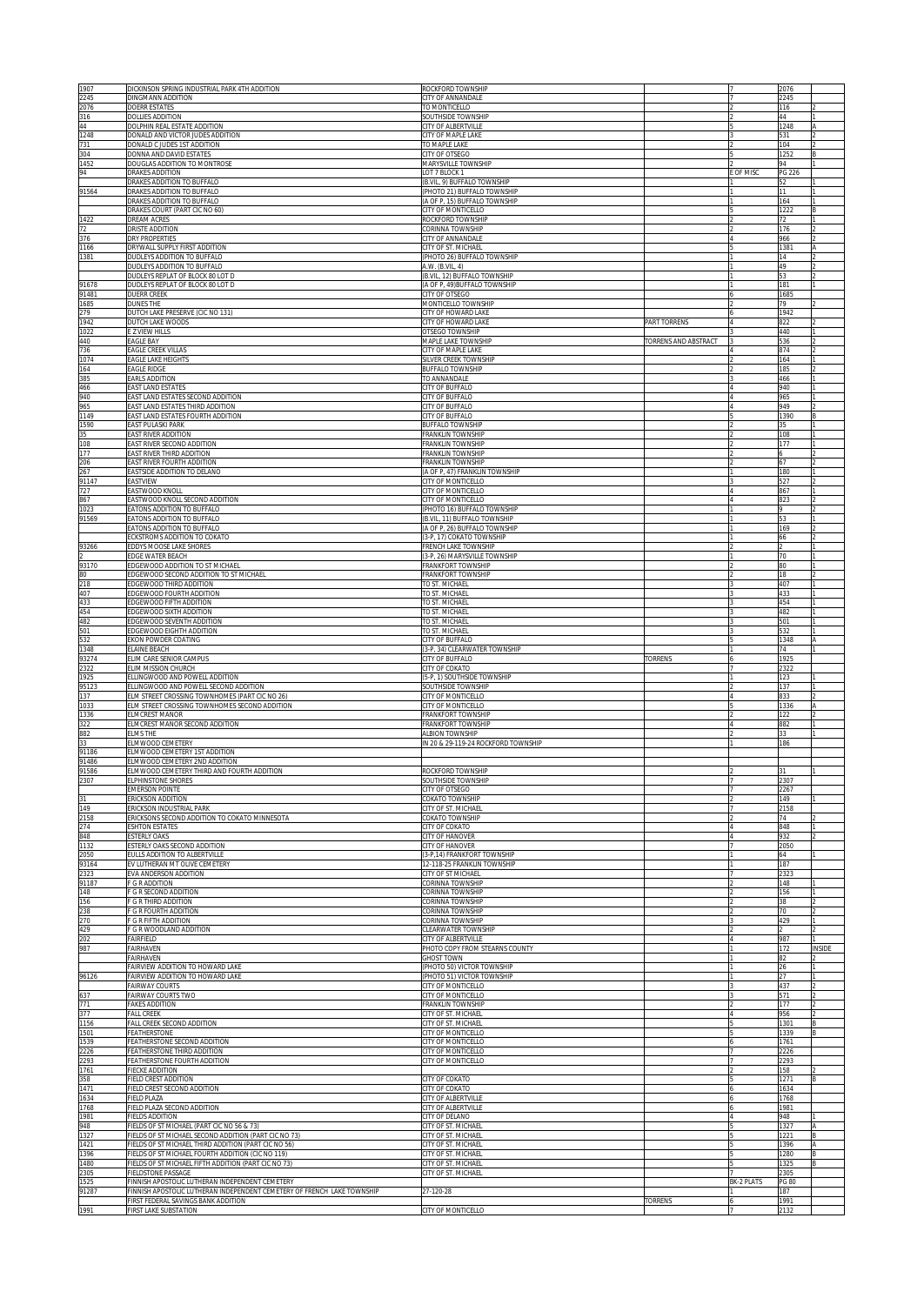| 1907<br>2245   | DICKINSON SPRING INDUSTRIAL PARK 4TH ADDITION<br>DINGMANN ADDITION                                                                      | ROCKFORD TOWNSHIP<br>CITY OF ANNANDALE                     |                             |            | 2076<br>2245        |        |
|----------------|-----------------------------------------------------------------------------------------------------------------------------------------|------------------------------------------------------------|-----------------------------|------------|---------------------|--------|
| 2076           | <b>DOERR ESTATES</b>                                                                                                                    | TO MONTICELLO                                              |                             |            | 116                 |        |
| 316<br>44      | <b>DOLLIES ADDITION</b><br>DOLPHIN REAL ESTATE ADDITION                                                                                 | SOUTHSIDE TOWNSHIP<br><b>CITY OF ALBERTVILLE</b>           |                             |            | 44<br>1248          |        |
| 1248           | DONALD AND VICTOR JUDES ADDITION                                                                                                        | CITY OF MAPLE LAKE                                         |                             |            | 531                 |        |
| 731<br>304     | DONALD C JUDES 1ST ADDITION<br>DONNA AND DAVID ESTATES                                                                                  | TO MAPLE LAKE<br>CITY OF OTSEGO                            |                             |            | 104<br>1252         |        |
| 1452<br>94     | DOUGLAS ADDITION TO MONTROSE<br>DRAKES ADDITION                                                                                         | MARYSVILLE TOWNSHIP<br>OT 7 BLOCK 1                        |                             | E OF MISC  | 94<br>PG 226        |        |
|                | DRAKES ADDITION TO BUFFALO                                                                                                              | B.VIL, 9) BUFFALO TOWNSHIP                                 |                             |            | 52                  |        |
| 91564          | DRAKES ADDITION TO BUFFALO<br>DRAKES ADDITION TO BUFFALO                                                                                | PHOTO 21) BUFFALO TOWNSHIP<br>A OF P, 15) BUFFALO TOWNSHIP |                             |            | 11<br>164           |        |
| 1422           | DRAKES COURT (PART CIC NO 60)<br><b>DREAM ACRES</b>                                                                                     | CITY OF MONTICELLO<br>ROCKFORD TOWNSHIP                    |                             |            | 1222<br>72          |        |
| 72             | DRISTE ADDITION                                                                                                                         | CORINNA TOWNSHIP                                           |                             |            | 176                 |        |
| 376<br>1166    | <b>DRY PROPERTIES</b><br>DRYWALL SUPPLY FIRST ADDITION                                                                                  | CITY OF ANNANDALE<br>CITY OF ST. MICHAEL                   |                             |            | 966<br>1381         |        |
| 1381           | DUDLEYS ADDITION TO BUFFALO<br>DUDLEYS ADDITION TO BUFFALO                                                                              | PHOTO 26) BUFFALO TOWNSHIP<br>A.W. (B.VIL, 4)              |                             |            | 14<br>49            |        |
|                | DUDLEYS REPLAT OF BLOCK 80 LOT D                                                                                                        | B.VIL, 12) BUFFALO TOWNSHIP                                |                             |            | 53                  |        |
| 91678<br>91481 | DUDLEYS REPLAT OF BLOCK 80 LOT D<br><b>DUERR CREEK</b>                                                                                  | (A OF P, 49) BUFFALO TOWNSHIP<br>CITY OF OTSEGO            |                             |            | 181<br>1685         |        |
| 1685           | <b>DUNES THE</b>                                                                                                                        | <b>MONTICELLO TOWNSHIP</b>                                 |                             |            | 79                  |        |
| 279<br>1942    | <b>DUTCH LAKE PRESERVE (CIC NO 131)</b><br>DUTCH LAKE WOODS                                                                             | CITY OF HOWARD LAKE<br>CITY OF HOWARD LAKE                 | PART TORRENS                |            | 1942<br>822         |        |
| 1022<br>440    | E Z VIEW HILLS<br><b>EAGLE BAY</b>                                                                                                      | <b>DTSEGO TOWNSHIP</b><br><b>MAPLE LAKE TOWNSHIP</b>       | <b>TORRENS AND ABSTRACT</b> |            | 440<br>536          |        |
| 736            | EAGLE CREEK VILLAS                                                                                                                      | <b>CITY OF MAPLE LAKE</b>                                  |                             |            | 874                 |        |
| 1074<br>164    | EAGLE LAKE HEIGHTS<br><b>EAGLE RIDGE</b>                                                                                                | SILVER CREEK TOWNSHIP<br>BUFFALO TOWNSHIP                  |                             |            | 164<br>185          |        |
| 385<br>466     | EARLS ADDITION<br>EAST LAND ESTATES                                                                                                     | TO ANNANDALE<br>CITY OF BUFFALO                            |                             |            | 466<br>940          |        |
| 940            | EAST LAND ESTATES SECOND ADDITION                                                                                                       | CITY OF BUFFALO                                            |                             |            | 965                 |        |
| 965<br>1149    | EAST LAND ESTATES THIRD ADDITION<br>EAST LAND ESTATES FOURTH ADDITION                                                                   | CITY OF BUFFALO<br>CITY OF BUFFALO                         |                             |            | 949<br>1390         |        |
| 1590           | EAST PULASKI PARK                                                                                                                       | BUFFALO TOWNSHIP                                           |                             |            | 35                  |        |
| 35<br>108      | EAST RIVER ADDITION<br>EAST RIVER SECOND ADDITION                                                                                       | FRANKLIN TOWNSHIP<br>FRANKLIN TOWNSHIP                     |                             |            | 108<br>177          |        |
| 177<br>206     | EAST RIVER THIRD ADDITION<br><b>EAST RIVER FOURTH ADDITION</b>                                                                          | FRANKLIN TOWNSHIP<br>FRANKLIN TOWNSHIP                     |                             |            | 67                  |        |
| 267            | EASTSIDE ADDITION TO DELANO                                                                                                             | (A OF P, 47) FRANKLIN TOWNSHIP                             |                             |            | 180                 |        |
| 91147<br>727   | EASTVIEW<br>EASTWOOD KNOLL                                                                                                              | CITY OF MONTICELLO<br>CITY OF MONTICELLO                   |                             |            | 527<br>867          |        |
| 867<br>1023    | EASTWOOD KNOLL SECOND ADDITION<br>EATONS ADDITION TO BUFFALO                                                                            | CITY OF MONTICELLO<br>(PHOTO 16) BUFFALO TOWNSHIP          |                             |            | 823                 |        |
| 91569          | ATONS ADDITION TO BUFFALO                                                                                                               | (B.VIL, 11) BUFFALO TOWNSHIP                               |                             |            | 53                  |        |
|                | ATONS ADDITION TO BUFFALO<br>CKSTROMS ADDITION TO COKATO                                                                                | A OF P, 26) BUFFALO TOWNSHIP<br>3-P, 17) COKATO TOWNSHIP   |                             |            | 169<br>66           |        |
| 93266          | <b>EDDYS MOOSE LAKE SHORES</b><br><b>DGE WATER BEACH</b>                                                                                | RENCH LAKE TOWNSHIP<br>3-P, 26) MARYSVILLE TOWNSHIP        |                             |            | 70                  |        |
| 93170          | <b>EDGEWOOD ADDITION TO ST MICHAEL</b>                                                                                                  | RANKFORT TOWNSHIP                                          |                             |            | 80                  |        |
| 80<br>218      | EDGEWOOD SECOND ADDITION TO ST MICHAEL<br><b>EDGEWOOD THIRD ADDITION</b>                                                                | RANKFORT TOWNSHIP<br>TO ST. MICHAEL                        |                             |            | 18<br>407           |        |
| 407            | EDGEWOOD FOURTH ADDITION<br>EDGEWOOD FIFTH ADDITION                                                                                     | TO ST. MICHAEL<br>TO ST. MICHAEL                           |                             |            | 433<br>454          |        |
| 433<br>454     | EDGEWOOD SIXTH ADDITION                                                                                                                 | TO ST. MICHAEL                                             |                             |            | 482                 |        |
| 482<br>501     | EDGEWOOD SEVENTH ADDITION<br>EDGEWOOD EIGHTH ADDITION                                                                                   | TO ST. MICHAEL<br>TO ST. MICHAEL                           |                             |            | 501<br>532          |        |
| 532            | EKON POWDER COATING<br>ELAINE BEACH                                                                                                     | <b>CITY OF BUFFALO</b><br>3-P, 34) CLEARWATER TOWNSHIP     |                             |            | 1348                |        |
|                |                                                                                                                                         |                                                            |                             |            | 74                  |        |
| 1348<br>93274  | ELIM CARE SENIOR CAMPUS                                                                                                                 | <b>CITY OF BUFFALO</b>                                     | TORRENS                     |            | 1925                |        |
| 2322           | ELIM MISSION CHURCH                                                                                                                     | <b>CITY OF COKATO</b>                                      |                             |            | 2322                |        |
| 1925<br>95123  | ELLINGWOOD AND POWELL ADDITION<br>ELLINGWOOD AND POWELL SECOND ADDITION                                                                 | 5-P, 1) SOUTHSIDE TOWNSHIP<br><b>SOUTHSIDE TOWNSHIP</b>    |                             |            | 123<br>137          |        |
| 137<br>1033    | ELM STREET CROSSING TOWNHOMES (PART CIC NO 26)<br>ELM STREET CROSSING TOWNHOMES SECOND ADDITION                                         | <b>CITY OF MONTICELLO</b><br><b>CITY OF MONTICELLO</b>     |                             |            | 833<br>1336         |        |
| 1336           | ELMCREST MANOR                                                                                                                          | RANKFORT TOWNSHIP                                          |                             |            | 122                 |        |
| 322<br>882     | ELMCREST MANOR SECOND ADDITION<br><b>ELMS THE</b>                                                                                       | FRANKFORT TOWNSHIP<br>ALBION TOWNSHIP                      |                             |            | 882<br>33           |        |
| 33             | LMWOOD CEMETERY<br><b>ELMWOOD CEMETERY 1ST ADDITION</b>                                                                                 | IN 20 & 29-119-24 ROCKFORD TOWNSHIP                        |                             |            | 186                 |        |
| 91186<br>91486 | <b>ELMWOOD CEMETERY 2ND ADDITION</b>                                                                                                    |                                                            |                             |            |                     |        |
| 91586<br>2307  | ELMWOOD CEMETERY THIRD AND FOURTH ADDITION<br>ELPHINSTONE SHORE                                                                         | ROCKFORD TOWNSHIP<br>SOUTHSIDE TOWNSHIP                    |                             |            | 2307                |        |
|                | <b>EMERSON POINTE</b><br><b>ERICKSON ADDITION</b>                                                                                       | CITY OF OTSEGO                                             |                             |            | 2267<br>149         |        |
| 31<br>149      | <b>ERICKSON INDUSTRIAL PARK</b>                                                                                                         | <b>COKATO TOWNSHIP</b><br><b>CITY OF ST. MICHAEL</b>       |                             |            | 2158                |        |
| 2158<br>274    | RICKSONS SECOND ADDITION TO COKATO MINNESOTA<br><b>SHTON ESTATES</b>                                                                    | <b>COKATO TOWNSHIP</b><br><b>CITY OF COKATO</b>            |                             |            | 74<br>848           |        |
| 848            | <b>ESTERLY OAKS</b>                                                                                                                     | <b>CITY OF HANOVER</b><br><b>CITY OF HANOVER</b>           |                             |            | 932                 |        |
| 1132<br>2050   | ESTERLY OAKS SECOND ADDITION<br><b>EULLS ADDITION TO ALBERTVILLE</b>                                                                    | 3-P,14) FRANKFORT TOWNSHIP                                 |                             |            | 2050<br>64          |        |
| 93164<br>2323  | EV LUTHERAN MT OLIVE CEMETERY<br>EVA ANDERSON ADDITION                                                                                  | 12-118-25 FRANKLIN TOWNSHIP<br>CITY OF ST MICHAEL          |                             |            | 187<br>2323         |        |
| 91187<br>148   | F G R ADDITION<br>F G R SECOND ADDITION                                                                                                 | CORINNA TOWNSHIP<br>CORINNA TOWNSHIP                       |                             |            | 148<br>156          |        |
| 156            | F G R THIRD ADDITION                                                                                                                    | CORINNA TOWNSHIP                                           |                             |            | 38                  |        |
| 238<br>270     | F G R FOURTH ADDITION<br><b>F G R FIFTH ADDITION</b>                                                                                    | CORINNA TOWNSHIP<br>CORINNA TOWNSHIP                       |                             |            | 70<br>429           |        |
| 429            | F G R WOODLAND ADDITION                                                                                                                 | CLEARWATER TOWNSHIP<br>CITY OF ALBERTVILLE                 |                             |            | 987                 |        |
| 202<br>987     | FAIRFIELD<br>FAIRHAVEN                                                                                                                  | PHOTO COPY FROM STEARNS COUNTY                             |                             |            | 172                 | INSIDE |
|                | FAIRHAVEN<br>FAIRVIEW ADDITION TO HOWARD LAKE                                                                                           | <b>GHOST TOWN</b><br>(PHOTO 50) VICTOR TOWNSHIP            |                             | 11         | 82<br>26            |        |
| 96126          | FAIRVIEW ADDITION TO HOWARD LAKE                                                                                                        | (PHOTO 51) VICTOR TOWNSHIP                                 |                             |            | 27                  |        |
| 637            | <b>FAIRWAY COURTS</b><br>FAIRWAY COURTS TWO                                                                                             | CITY OF MONTICELLO<br>CITY OF MONTICELLO                   |                             |            | 437<br>571          |        |
| 771<br>377     | <b>FAKES ADDITION</b><br><b>FALL CREEK</b>                                                                                              | FRANKLIN TOWNSHIP<br>CITY OF ST. MICHAEL                   |                             |            | 177<br>956          |        |
| 1156           | FALL CREEK SECOND ADDITION                                                                                                              | CITY OF ST. MICHAEL                                        |                             |            | 1301                |        |
| 1501<br>1539   | FEATHERSTONE<br>FEATHERSTONE SECOND ADDITION                                                                                            | CITY OF MONTICELLO<br>CITY OF MONTICELLO                   |                             |            | 1339<br>1761        |        |
| 2226<br>2293   | FEATHERSTONE THIRD ADDITION<br>FEATHERSTONE FOURTH ADDITION                                                                             | CITY OF MONTICELLO<br>CITY OF MONTICELLO                   |                             |            | 2226<br>2293        |        |
| 1761           | FIECKE ADDITION                                                                                                                         |                                                            |                             |            | 158                 |        |
| 358<br>1471    | FIELD CREST ADDITION<br>FIELD CREST SECOND ADDITION                                                                                     | <b>CITY OF COKATO</b><br><b>CITY OF COKATO</b>             |                             |            | 1271<br>1634        |        |
| 1634<br>1768   | <b>FIELD PLAZA</b><br>FIELD PLAZA SECOND ADDITION                                                                                       | CITY OF ALBERTVILLE<br>CITY OF ALBERTVILLE                 |                             |            | 1768<br>1981        |        |
| 1981           | <b>FIELDS ADDITION</b>                                                                                                                  | CITY OF DELANO                                             |                             |            | 948                 |        |
| 948<br>1327    | FIELDS OF ST MICHAEL (PART CIC NO 56 & 73)<br>FIELDS OF ST MICHAEL SECOND ADDITION (PART CIC NO 73)                                     | CITY OF ST. MICHAEL<br>CITY OF ST. MICHAEL                 |                             |            | 1327<br>1221        |        |
| 1421<br>1396   | FIELDS OF ST MICHAEL THIRD ADDITION (PART CIC NO 56)<br>IELDS OF ST MICHAEL FOURTH ADDITION (CIC NO 119)                                | CITY OF ST. MICHAEL<br>CITY OF ST. MICHAEL                 |                             |            | 1396<br>1280        |        |
| 1480<br>2305   | FIELDS OF ST MICHAEL FIFTH ADDITION (PART CIC NO 73)<br>FIELDSTONE PASSAGE                                                              | CITY OF ST. MICHAEL<br>CITY OF ST. MICHAEL                 |                             |            | 1325<br>2305        |        |
| 1525           | FINNISH APOSTOLIC LUTHERAN INDEPENDENT CEMETERY                                                                                         |                                                            |                             | BK-2 PLATS | <b>PG 80</b>        |        |
| 91287<br>1991  | FINNISH APOSTOLIC LUTHERAN INDEPENDENT CEMETERY OF FRENCH LAKE TOWNSHIP<br>FIRST FEDERAL SAVINGS BANK ADDITION<br>FIRST LAKE SUBSTATION | 27-120-28<br>CITY OF MONTICELLO                            | <b>TORRENS</b>              |            | 187<br>1991<br>2132 |        |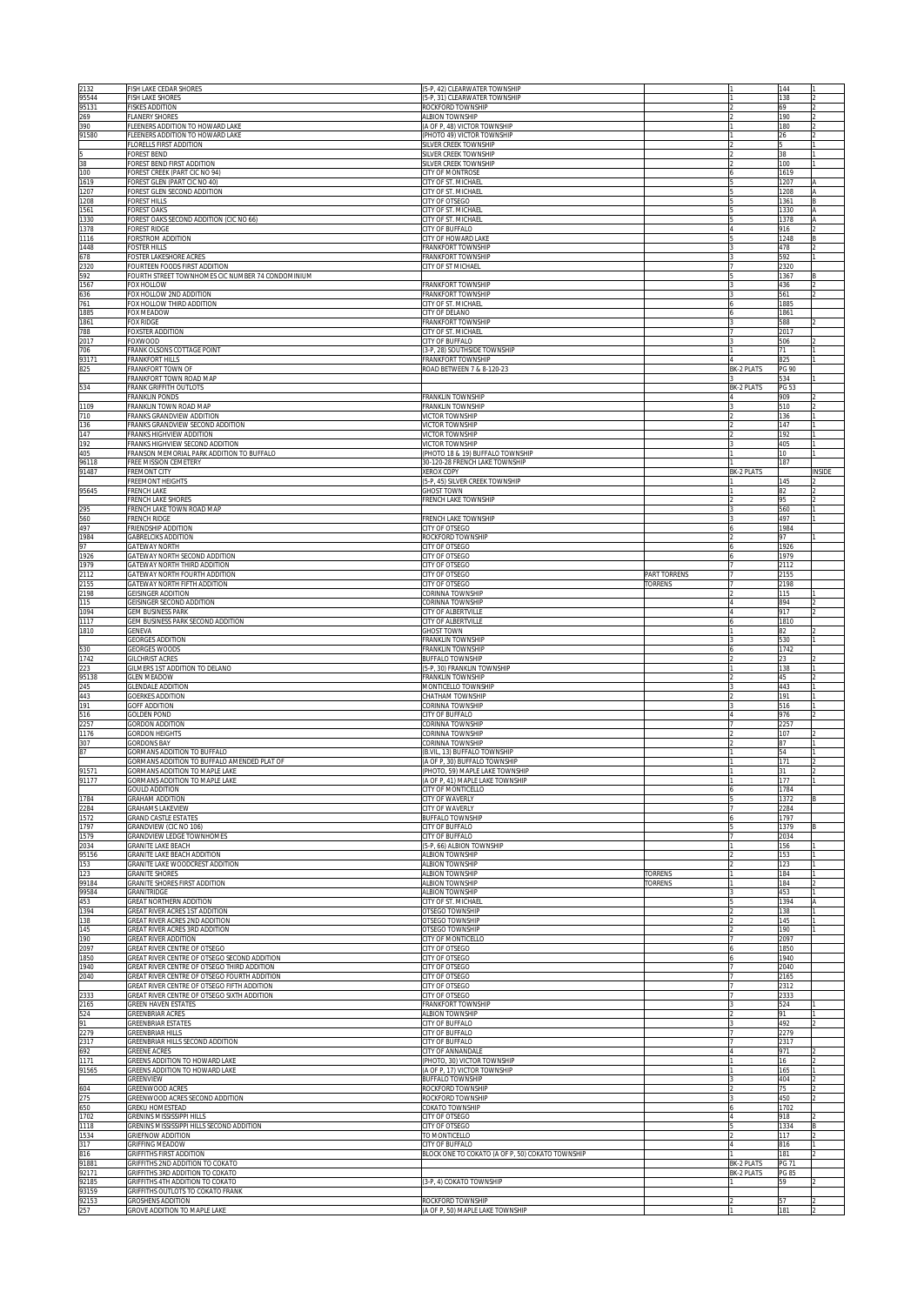| 2132<br>95544  | FISH LAKE CEDAR SHORES<br><b>FISH LAKE SHORES</b>                                           | (5-P, 42) CLEARWATER TOWNSHIP<br>5-P, 31) CLEARWATER TOWNSHIP              |                                |                                        | 144<br>138                   |        |
|----------------|---------------------------------------------------------------------------------------------|----------------------------------------------------------------------------|--------------------------------|----------------------------------------|------------------------------|--------|
| 95131<br>269   | <b>FISKES ADDITION</b><br><b>FLANERY SHORES</b>                                             | ROCKFORD TOWNSHIP<br>ALBION TOWNSHIP                                       |                                |                                        | 69<br>190                    |        |
| 390            | FLEENERS ADDITION TO HOWARD LAKE                                                            | (A OF P, 48) VICTOR TOWNSHIP                                               |                                |                                        | 180                          |        |
| 91580          | FLEENERS ADDITION TO HOWARD LAKE<br><b>FLORELLS FIRST ADDITION</b>                          | PHOTO 49) VICTOR TOWNSHIP<br>SILVER CREEK TOWNSHIP                         |                                |                                        | 26                           |        |
| 38             | FOREST BEND<br>FOREST BEND FIRST ADDITION                                                   | SILVER CREEK TOWNSHIP<br>SILVER CREEK TOWNSHIP                             |                                |                                        | 38<br>100                    |        |
| 100<br>1619    | FOREST CREEK (PART CIC NO 94)<br>OREST GLEN (PART CIC NO 40)                                | CITY OF MONTROSE<br>CITY OF ST. MICHAEL                                    |                                |                                        | 1619<br>1207                 |        |
| 1207<br>1208   | FOREST GLEN SECOND ADDITION<br><b>FOREST HILLS</b>                                          | CITY OF ST. MICHAEL<br><b>CITY OF OTSEGO</b>                               |                                |                                        | 1208<br>1361                 |        |
| 1561<br>1330   | FOREST OAKS<br>FOREST OAKS SECOND ADDITION (CIC NO 66)                                      | CITY OF ST. MICHAEL<br>CITY OF ST. MICHAEL                                 |                                |                                        | 1330<br>1378                 |        |
| 1378<br>1116   | Forest Ridge<br>FORSTROM ADDITION                                                           | <b>ITY OF BUFFALO</b>                                                      |                                |                                        | 916<br>1248                  |        |
| 1448           | <b>FOSTER HILLS</b>                                                                         | <b>ITY OF HOWARD LAKE</b><br><b>FRANKFORT TOWNSHIP</b>                     |                                |                                        | 478                          |        |
| 678<br>2320    | <b>FOSTER LAKESHORE ACRES</b><br>FOURTEEN FOODS FIRST ADDITION                              | <b>FRANKFORT TOWNSHIP</b><br>CITY OF ST MICHAEL                            |                                |                                        | 592<br>2320                  |        |
| 592<br>1567    | FOURTH STREET TOWNHOMES CIC NUMBER 74 CONDOMINIUM<br>FOX HOLLOW                             | <b>FRANKFORT TOWNSHIP</b>                                                  |                                |                                        | 1367<br>436                  |        |
| 636<br>761     | FOX HOLLOW 2ND ADDITION<br>FOX HOLLOW THIRD ADDITION                                        | FRANKFORT TOWNSHIP<br>CITY OF ST. MICHAEL                                  |                                |                                        | 561<br>1885                  |        |
| 1885<br>1861   | FOX MEADOW<br>FOX RIDGE                                                                     | CITY OF DELANO<br>FRANKFORT TOWNSHIP                                       |                                |                                        | 1861<br>588                  |        |
| 788<br>2017    | FOXSTER ADDITION<br>FOXWOOD                                                                 | CITY OF ST. MICHAEL<br>CITY OF BUFFALO                                     |                                |                                        | 2017<br>506                  |        |
| 706            | FRANK OLSONS COTTAGE POINT                                                                  | 3-P, 28) SOUTHSIDE TOWNSHIP                                                |                                |                                        | 71                           |        |
| 93171<br>825   | <b>RANKFORT HILLS</b><br>FRANKFORT TOWN OF                                                  | <b>FRANKFORT TOWNSHIP</b><br>ROAD BETWEEN 7 & 8-120-23                     |                                | BK-2 PLATS                             | PG 90                        |        |
| 534            | RANKFORT TOWN ROAD MAP<br><b>RANK GRIFFITH OUTLOTS</b>                                      |                                                                            |                                | <b>BK-2 PLATS</b>                      | 534<br>PG 53                 |        |
| 1109           | RANKLIN PONDS<br>RANKLIN TOWN ROAD MAP                                                      | <b>FRANKLIN TOWNSHIP</b><br><b>RANKLIN TOWNSHIP</b>                        |                                |                                        | 909<br>510                   |        |
| 710<br>136     | RANKS GRANDVIEW ADDITION<br>RANKS GRANDVIEW SECOND ADDITION                                 | VICTOR TOWNSHIP<br>VICTOR TOWNSHIP                                         |                                |                                        | 136<br>147                   |        |
| 147<br>192     | RANKS HIGHVIEW ADDITION<br>RANKS HIGHVIEW SECOND ADDITION                                   | VICTOR TOWNSHIP<br><b>JICTOR TOWNSHIP</b>                                  |                                |                                        | 192<br>405                   |        |
| 405<br>96118   | RANSON MEMORIAL PARK ADDITION TO BUFFALO<br>REE MISSION CEMETERY                            | PHOTO 18 & 19) BUFFALO TOWNSHIP<br>30-120-28 FRENCH LAKE TOWNSHIP          |                                |                                        | 10<br>187                    |        |
| 91487          | FREMONT CITY                                                                                | <b>(EROX COPY</b>                                                          |                                | <b>BK-2 PLATS</b>                      |                              | INSIDE |
| 95645          | <b>FREEMONT HEIGHTS</b><br>FRENCH LAKE                                                      | 5-P, 45) SILVER CREEK TOWNSHIP<br><b>HOST TOWN</b>                         |                                |                                        | 145<br>82                    |        |
| 295            | FRENCH LAKE SHORES<br>FRENCH LAKE TOWN ROAD MAP                                             | <b>RENCH LAKE TOWNSHIP</b>                                                 |                                |                                        | 95<br>560                    |        |
| 560<br>497     | FRENCH RIDGE<br><b>FRIENDSHIP ADDITION</b>                                                  | <b>RENCH LAKE TOWNSHIP</b><br><b>CITY OF OTSEGO</b>                        |                                |                                        | 497<br>1984                  |        |
| 1984<br>97     | <b>GABRELCIKS ADDITION</b><br>GATEWAY NORTH                                                 | ROCKFORD TOWNSHIP<br>CITY OF OTSEGO                                        |                                |                                        | 97<br>1926                   |        |
| 1926<br>1979   | GATEWAY NORTH SECOND ADDITION<br>GATEWAY NORTH THIRD ADDITION                               | CITY OF OTSEGO<br><b>CITY OF OTSEGO</b>                                    |                                |                                        | 1979<br>2112                 |        |
| 2112           | GATEWAY NORTH FOURTH ADDITION                                                               | <b>CITY OF OTSEGO</b><br>CITY OF OTSEGO                                    | <b>PART TORRENS</b><br>TORRENS |                                        | 2155<br>2198                 |        |
| 2155<br>2198   | GATEWAY NORTH FIFTH ADDITION<br>GEISINGER ADDITION                                          | CORINNA TOWNSHIP                                                           |                                |                                        | 115                          |        |
| 115<br>1094    | <b>GEISINGER SECOND ADDITION</b><br><b>GEM BUSINESS PARK</b>                                | CORINNA TOWNSHIP<br><b>CITY OF ALBERTVILLE</b>                             |                                |                                        | 894<br>917                   |        |
| 1117<br>1810   | GEM BUSINESS PARK SECOND ADDITION<br>GENEVA                                                 | CITY OF ALBERTVILLE<br><b>GHOST TOWN</b>                                   |                                |                                        | 1810<br>82                   |        |
| 530            | <b>GEORGES ADDITION</b><br><b>GEORGES WOODS</b>                                             | <b>FRANKLIN TOWNSHIP</b><br><b>FRANKLIN TOWNSHIP</b>                       |                                |                                        | 530<br>1742                  |        |
| 1742<br>223    | <b>GILCHRIST ACRES</b><br>SILMERS 1ST ADDITION TO DELANO                                    | <b>BUFFALO TOWNSHIP</b><br>5-P, 30) FRANKLIN TOWNSHIP                      |                                |                                        | 23<br>138                    |        |
| 95138<br>245   | <b>GLEN MEADOW</b><br><b>GLENDALE ADDITION</b>                                              | RANKLIN TOWNSHIP<br><b>MONTICELLO TOWNSHIP</b>                             |                                |                                        | 45<br>443                    |        |
| 443            | <b>GOERKES ADDITION</b>                                                                     | <b>HATHAM TOWNSHIP</b><br>CORINNA TOWNSHIP                                 |                                |                                        | 191                          |        |
| 191<br>516     | GOFF ADDITION<br><b>GOLDEN POND</b>                                                         | <b>CITY OF BUFFALO</b>                                                     |                                |                                        | 516<br>976                   |        |
| 2257<br>1176   | GORDON ADDITION<br><b>GORDON HEIGHTS</b>                                                    | CORINNA TOWNSHIP<br>CORINNA TOWNSHIP                                       |                                |                                        | 2257<br>107                  |        |
| 307<br>87      | GORDONS BAY<br>GORMANS ADDITION TO BUFFALO                                                  | CORINNA TOWNSHIP<br>(B.VIL, 13) BUFFALO TOWNSHIP                           |                                |                                        | 87<br>54                     |        |
| 91571          | GORMANS ADDITION TO BUFFALO AMENDED PLAT OF<br>GORMANS ADDITION TO MAPLE LAKE               | (A OF P, 30) BUFFALO TOWNSHIP<br>(PHOTO, 59) MAPLE LAKE TOWNSHIP           |                                |                                        | 171<br>31                    |        |
| <u>91177</u>   | GORMANS ADDITION TO MAPLE LAKE<br><b>GOULD ADDITION</b>                                     | A OF P. 41) MAPLE LAKE TOWNSHIP<br>CITY OF MONTICELLO                      |                                |                                        | 177<br>1784                  |        |
| 1784<br>2284   | <b>GRAHAM ADDITION</b><br><b>GRAHAMS LAKEVIEW</b>                                           | CITY OF WAVERLY<br>CITY OF WAVERLY                                         |                                |                                        | 1372<br>2284                 |        |
| 1572<br>1797   | <b>GRAND CASTLE ESTATES</b><br>GRANDVIEW (CIC NO 106)                                       | <b>BUFFALO TOWNSHIP</b><br>CITY OF BUFFALO                                 |                                |                                        | 1797<br>1379                 |        |
| 1579           | GRANDVIEW LEDGE TOWNHOMES                                                                   | CITY OF BUFFALO                                                            |                                |                                        | 2034                         |        |
| 2034<br>95156  | GRANITE LAKE BEACH<br>GRANITE LAKE BEACH ADDITION                                           | (5-P, 66) ALBION TOWNSHIP<br>ALBION TOWNSHIP                               |                                |                                        | 156<br>153                   |        |
| 153<br>123     | GRANITE LAKE WOODCREST ADDITION<br>GRANITE SHORES                                           | ALBION TOWNSHIP<br>ALBION TOWNSHIP                                         | <b><i>TORRENS</i></b>          |                                        | 123<br>184                   |        |
| 99184<br>99584 | <b>GRANITE SHORES FIRST ADDITION</b><br>GRANITRIDGE                                         | ALBION TOWNSHIP<br>ALBION TOWNSHIP                                         | TORRENS                        |                                        | 184<br>453                   |        |
| 453<br>1394    | GREAT NORTHERN ADDITION<br>GREAT RIVER ACRES 1ST ADDITION                                   | CITY OF ST. MICHAEL<br>OTSEGO TOWNSHIP                                     |                                |                                        | 1394<br>138                  |        |
| 138<br>145     | GREAT RIVER ACRES 2ND ADDITION<br>GREAT RIVER ACRES 3RD ADDITION                            | OTSEGO TOWNSHIP<br>OTSEGO TOWNSHIP                                         |                                |                                        | 145<br>190                   |        |
| 190            | GREAT RIVER ADDITION                                                                        | CITY OF MONTICELLO                                                         |                                |                                        | 2097                         |        |
| 2097<br>1850   | GREAT RIVER CENTRE OF OTSEGO<br>GREAT RIVER CENTRE OF OTSEGO SECOND ADDITION                | CITY OF OTSEGO<br>CITY OF OTSEGO<br><b>CITY OF OTSEGO</b>                  |                                |                                        | 1850<br>1940                 |        |
| 1940<br>2040   | GREAT RIVER CENTRE OF OTSEGO THIRD ADDITION<br>GREAT RIVER CENTRE OF OTSEGO FOURTH ADDITION | CITY OF OTSEGO                                                             |                                |                                        | 2040<br>2165                 |        |
| 2333           | GREAT RIVER CENTRE OF OTSEGO FIFTH ADDITION<br>GREAT RIVER CENTRE OF OTSEGO SIXTH ADDITION  | CITY OF OTSEGO<br>CITY OF OTSEGO                                           |                                |                                        | 2312<br>2333                 |        |
| 2165<br>524    | GREEN HAVEN ESTATES<br>GREENBRIAR ACRES                                                     | <b>RANKFORT TOWNSHIP</b><br>ALBION TOWNSHIP                                |                                |                                        | 524<br>91                    |        |
| 91<br>2279     | <b>GREENBRIAR ESTATES</b><br>GREENBRIAR HILLS                                               | CITY OF BUFFALO<br><b>CITY OF BUFFALO</b>                                  |                                |                                        | 492<br>2279                  |        |
| 2317<br>692    | GREENBRIAR HILLS SECOND ADDITION<br><b>GREENE ACRES</b>                                     | CITY OF BUFFALO<br>CITY OF ANNANDALE                                       |                                |                                        | 2317<br>971                  |        |
| 1171<br>91565  | GREENS ADDITION TO HOWARD LAKE<br>GREENS ADDITION TO HOWARD LAKE                            | PHOTO, 30) VICTOR TOWNSHIP<br>A OF P, 17) VICTOR TOWNSHIP                  |                                |                                        | 16<br>165                    |        |
|                | GREENVIEW                                                                                   | <b>BUFFALO TOWNSHIP</b>                                                    |                                |                                        | 404                          |        |
| 604<br>275     | GREENWOOD ACRES<br>GREENWOOD ACRES SECOND ADDITION                                          | ROCKFORD TOWNSHIP<br>ROCKFORD TOWNSHIP                                     |                                |                                        | 75<br>450                    |        |
| 650<br>1702    | GREKU HOMESTEAD<br>GRENINS MISSISSIPPI HILLS                                                | <b>COKATO TOWNSHIP</b><br>CITY OF OTSEGO                                   |                                |                                        | 1702<br>918                  |        |
| 1118<br>1534   | GRENINS MISSISSIPPI HILLS SECOND ADDITION<br>GRIEFNOW ADDITION                              | CITY OF OTSEGO<br>TO MONTICELLO                                            |                                |                                        | 1334<br>117                  |        |
| 317<br>816     | GRIFFING MEADOW<br>GRIFFITHS FIRST ADDITION                                                 | <b>CITY OF BUFFALO</b><br>BLOCK ONE TO COKATO (A OF P, 50) COKATO TOWNSHIP |                                |                                        | 816<br>181                   |        |
| 91881<br>92171 | GRIFFITHS 2ND ADDITION TO COKATO<br>GRIFFITHS 3RD ADDITION TO COKATO                        |                                                                            |                                | <b>BK-2 PLATS</b><br><b>BK-2 PLATS</b> | <b>PG 71</b><br><b>PG 85</b> |        |
| 92185<br>93159 | GRIFFITHS 4TH ADDITION TO COKATO<br>GRIFFITHS OUTLOTS TO COKATO FRANK                       | 3-P, 4) COKATO TOWNSHIP                                                    |                                |                                        | 59                           |        |
| 92153          | <b>GROSHENS ADDITION</b>                                                                    | ROCKFORD TOWNSHIP                                                          |                                |                                        | 57                           |        |
| 257            | GROVE ADDITION TO MAPLE LAKE                                                                | (A OF P, 50) MAPLE LAKE TOWNSHIP                                           |                                |                                        | 181                          |        |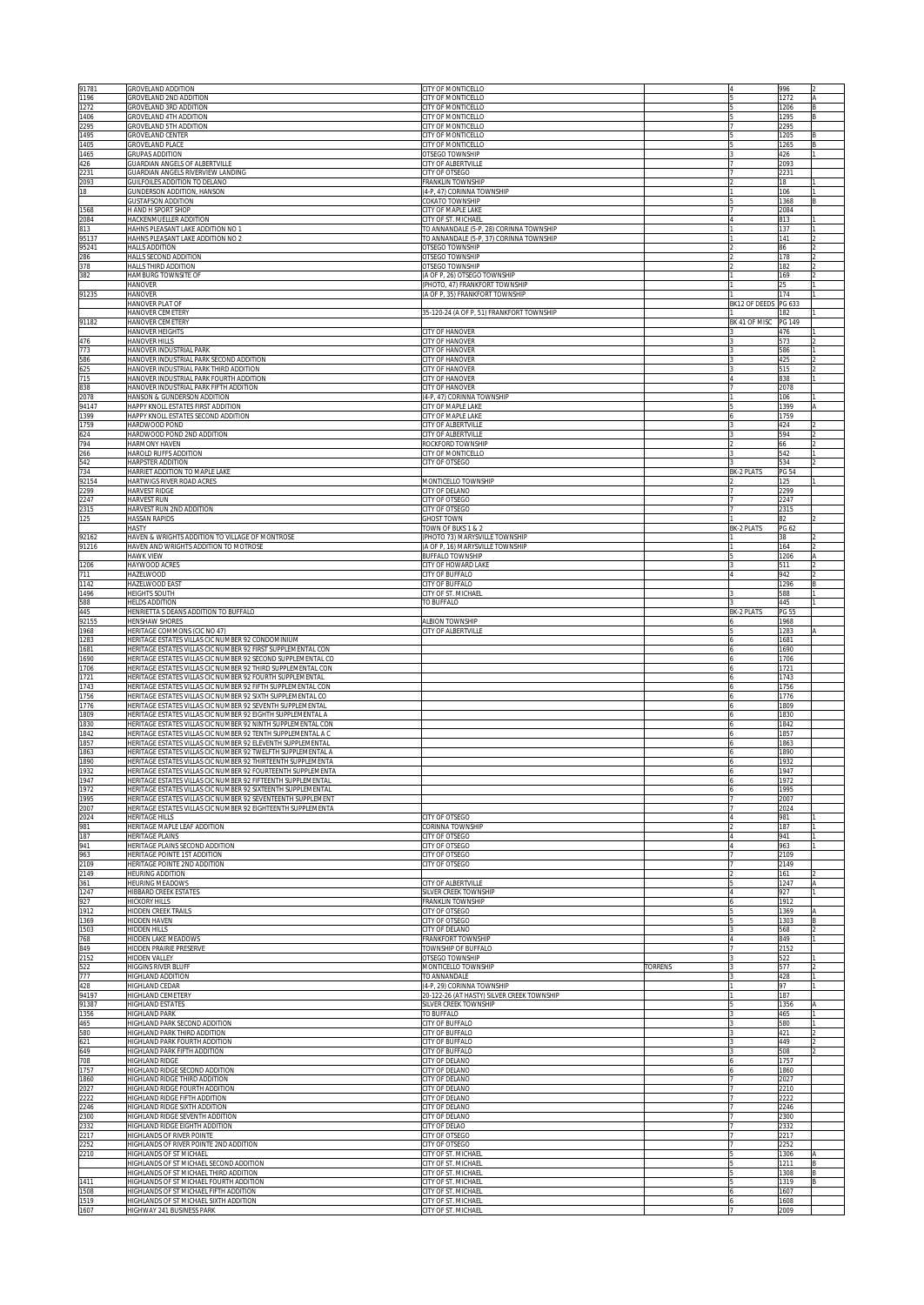| 91781<br>1196        | GROVELAND ADDITION<br>GROVELAND 2ND ADDITION                                                                                                                                               | <b>CITY OF MONTICELLO</b><br><b>CITY OF MONTICELLO</b>                             |                |                      | 996<br>1272                 |  |
|----------------------|--------------------------------------------------------------------------------------------------------------------------------------------------------------------------------------------|------------------------------------------------------------------------------------|----------------|----------------------|-----------------------------|--|
| 1272<br>1406         | GROVELAND 3RD ADDITION<br>GROVELAND 4TH ADDITION                                                                                                                                           | CITY OF MONTICELLO<br>CITY OF MONTICELLO                                           |                |                      | 1206<br>1295                |  |
| 2295<br>1495<br>1405 | GROVELAND 5TH ADDITION<br><b>GROVELAND CENTER</b><br>GROVELAND PLACE                                                                                                                       | CITY OF MONTICELLO<br>CITY OF MONTICELLO<br>CITY OF MONTICELLO                     |                |                      | 2295<br>1205                |  |
| 1465<br>426          | <b>GRUPAS ADDITION</b><br><b>GUARDIAN ANGELS OF ALBERTVILLE</b>                                                                                                                            | OTSEGO TOWNSHIP<br>CITY OF ALBERTVILLE                                             |                |                      | 1265<br>426<br>2093         |  |
| 2231<br>2093         | GUARDIAN ANGELS RIVERVIEW LANDING<br>GUILFOILES ADDITION TO DELANO                                                                                                                         | CITY OF OTSEGO<br>FRANKLIN TOWNSHIP                                                |                |                      | 2231<br>18                  |  |
| 18                   | GUNDERSON ADDITION, HANSON<br><b>GUSTAFSON ADDITION</b>                                                                                                                                    | (4-P, 47) CORINNA TOWNSHIP<br>COKATO TOWNSHIP                                      |                |                      | 106<br>1368                 |  |
| 1568<br>2084         | H AND H SPORT SHOP<br>HACKENMUELLER ADDITION                                                                                                                                               | CITY OF MAPLE LAKE<br>CITY OF ST. MICHAEL                                          |                |                      | 2084<br>813                 |  |
| 813<br>95137         | HAHNS PLEASANT LAKE ADDITION NO 1<br>HAHNS PLEASANT LAKE ADDITION NO 2                                                                                                                     | TO ANNANDALE (5-P, 28) CORINNA TOWNSHIP<br>TO ANNANDALE (5-P, 37) CORINNA TOWNSHIP |                |                      | 137<br>141                  |  |
| 95241<br>286         | <b>HALLS ADDITION</b><br>HALLS SECOND ADDITION                                                                                                                                             | OTSEGO TOWNSHIP<br>OTSEGO TOWNSHIP                                                 |                |                      | 86<br>178                   |  |
| 378<br>382           | HALLS THIRD ADDITION<br>HAMBURG TOWNSITE OF                                                                                                                                                | OTSEGO TOWNSHIP<br>(A OF P, 26) OTSEGO TOWNSHIP                                    |                |                      | 182<br>169                  |  |
| 91235                | <b>HANOVER</b><br><b>HANOVER</b>                                                                                                                                                           | (PHOTO, 47) FRANKFORT TOWNSHIP<br>(A OF P, 35) FRANKFORT TOWNSHIP                  |                |                      | 25<br>174                   |  |
|                      | HANOVER PLAT OF<br>HANOVER CEMETERY                                                                                                                                                        | 35-120-24 (A OF P, 51) FRANKFORT TOWNSHIP                                          |                | BK12 OF DEEDS PG 633 | 182                         |  |
| 91182                | HANOVER CEMETERY<br>HANOVER HEIGHTS                                                                                                                                                        | CITY OF HANOVER                                                                    |                | BK 41 OF MISC        | PG 149<br>476               |  |
| 476<br>773           | HANOVER HILLS<br>HANOVER INDUSTRIAL PARK                                                                                                                                                   | CITY OF HANOVER<br>CITY OF HANOVER                                                 |                |                      | 573<br>586                  |  |
| 586<br>625           | HANOVER INDUSTRIAL PARK SECOND ADDITION<br>HANOVER INDUSTRIAL PARK THIRD ADDITION                                                                                                          | CITY OF HANOVER<br><b>CITY OF HANOVER</b>                                          |                |                      | 425<br>515                  |  |
| 715<br>838           | HANOVER INDUSTRIAL PARK FOURTH ADDITION<br>HANOVER INDUSTRIAL PARK FIFTH ADDITION                                                                                                          | CITY OF HANOVER<br>CITY OF HANOVER                                                 |                |                      | 838<br>2078                 |  |
| 2078<br>94147        | HANSON & GUNDERSON ADDITION<br>HAPPY KNOLL ESTATES FIRST ADDITION                                                                                                                          | (4-P, 47) CORINNA TOWNSHIP<br>CITY OF MAPLE LAKE                                   |                |                      | 106<br>1399                 |  |
| 1399<br>1759         | HAPPY KNOLL ESTATES SECOND ADDITION<br>HARDWOOD POND                                                                                                                                       | CITY OF MAPLE LAKE<br>CITY OF ALBERTVILLE                                          |                |                      | 1759<br>424                 |  |
| 624<br>794<br>266    | HARDWOOD POND 2ND ADDITION<br><b>HARMONY HAVEN</b><br><b>HAROLD RUFFS ADDITION</b>                                                                                                         | CITY OF ALBERTVILLE<br>ROCKFORD TOWNSHIP<br>CITY OF MONTICELLO                     |                |                      | 594<br>66<br>542            |  |
| 542<br>734           | HARPSTER ADDITION<br>HARRIET ADDITION TO MAPLE LAKE                                                                                                                                        | CITY OF OTSEGO                                                                     |                | BK-2 PLATS           | 534                         |  |
| 92154<br>2299        | HARTWIGS RIVER ROAD ACRES<br>HARVEST RIDGE                                                                                                                                                 | MONTICELLO TOWNSHIP<br><b>CITY OF DELANO</b>                                       |                |                      | <b>PG 54</b><br>125<br>2299 |  |
| 2247<br>2315         | HARVEST RUN<br>HARVEST RUN 2ND ADDITION                                                                                                                                                    | CITY OF OTSEGO<br>CITY OF OTSEGO                                                   |                |                      | 2247<br>2315                |  |
| 125                  | <b>HASSAN RAPIDS</b><br>HASTY                                                                                                                                                              | <b>GHOST TOWN</b><br><b>TOWN OF BLKS 1 &amp; 2</b>                                 |                | <b>BK-2 PLATS</b>    | R2<br>PG 62                 |  |
| 92162<br>91216       | HAVEN & WRIGHTS ADDITION TO VILLAGE OF MONTROSE<br>HAVEN AND WRIGHTS ADDITION TO MOTROSE                                                                                                   | (PHOTO 73) MARYSVILLE TOWNSHIP<br>(A OF P, 16) MARYSVILLE TOWNSHIP                 |                |                      | 38<br>164                   |  |
| 1206                 | HAWK VIEW<br>HAYWOOD ACRES                                                                                                                                                                 | <b>BUFFALO TOWNSHIP</b><br>CITY OF HOWARD LAKE                                     |                |                      | 1206<br>511                 |  |
| 711<br>1142          | HAZELWOOD<br><b>HAZELWOOD EAST</b>                                                                                                                                                         | CITY OF BUFFALO<br><b>CITY OF BUFFALO</b>                                          |                |                      | 942<br>1296                 |  |
| 1496<br>588          | HEIGHTS SOUTH<br><b>HELDS ADDITION</b>                                                                                                                                                     | CITY OF ST. MICHAEL<br>TO BUFFALO                                                  |                |                      | 588<br>445                  |  |
| 445<br>92155         | HENRIETTA S DEANS ADDITION TO BUFFALO<br><b>HENSHAW SHORES</b>                                                                                                                             | <b>ALBION TOWNSHIP</b>                                                             |                | <b>BK-2 PLATS</b>    | PG 55<br>1968               |  |
| 1968<br>1283         | HERITAGE COMMONS (CIC NO 47)<br>HERITAGE ESTATES VILLAS CIC NUMBER 92 CONDOMINIUM                                                                                                          | CITY OF ALBERTVILLE                                                                |                |                      | 1283<br>1681                |  |
| 1681<br>1690         | HERITAGE ESTATES VILLAS CIC NUMBER 92 FIRST SUPPLEMENTAL CON<br>HERITAGE ESTATES VILLAS CIC NUMBER 92 SECOND SUPPLEMENTAL CO                                                               |                                                                                    |                |                      | 1690<br>1706                |  |
| 1706<br>1721         | HERITAGE ESTATES VILLAS CIC NUMBER 92 THIRD SUPPLEMENTAL CON<br>HERITAGE ESTATES VILLAS CIC NUMBER 92 FOURTH SUPPLEMENTAL                                                                  |                                                                                    |                |                      | 1721<br>1743                |  |
| 1743<br>1756         | HERITAGE ESTATES VILLAS CIC NUMBER 92 FIFTH SUPPLEMENTAL CON<br>HERITAGE ESTATES VILLAS CIC NUMBER 92 SIXTH SUPPLEMENTAL CO                                                                |                                                                                    |                |                      | 1756<br>1776                |  |
| 1776<br>1809         | HERITAGE ESTATES VILLAS CIC NUMBER 92 SEVENTH SUPPLEMENTAL<br>HERITAGE ESTATES VILLAS CIC NUMBER 92 EIGHTH SUPPLEMENTAL A                                                                  |                                                                                    |                |                      | 1809<br>1830                |  |
| 1830<br>1842         | HERITAGE ESTATES VILLAS CIC NUMBER 92 NINTH SUPPLEMENTAL CON<br>HERITAGE ESTATES VILLAS CIC NUMBER 92 TENTH SUPPLEMENTAL A C                                                               |                                                                                    |                |                      | 1842<br>1857                |  |
| 1857<br>1863<br>1890 | HERITAGE ESTATES VILLAS CIC NUMBER 92 ELEVENTH SUPPLEMENTAL<br>HERITAGE ESTATES VILLAS CIC NUMBER 92 TWELFTH SUPPLEMENTAL A                                                                |                                                                                    |                |                      | 1863<br>1890<br>1932        |  |
| 1932<br>1947         | HERITAGE ESTATES VILLAS CIC NUMBER 92 THIRTEENTH SUPPLEMENTA<br>HERITAGE ESTATES VILLAS CIC NUMBER 92 FOURTEENTH SUPPLEMENTA<br>ERITAGE ESTATES VILLAS CIC NUMBER 92 FIFTEENTH SUPPLEMENTA |                                                                                    |                |                      | 1947                        |  |
| 1972<br>1995         | HERITAGE ESTATES VILLAS CIC NUMBER 92 SIXTEENTH SUPPLEMENTAL<br>HERITAGE ESTATES VILLAS CIC NUMBER 92 SEVENTEENTH SUPPLEMENT                                                               |                                                                                    |                |                      | 197.<br>1995<br>2007        |  |
| 2007<br>2024         | HERITAGE ESTATES VILLAS CIC NUMBER 92 EIGHTEENTH SUPPLEMENTA<br><b>HERITAGE HILLS</b>                                                                                                      | <b>CITY OF OTSEGO</b>                                                              |                |                      | 2024<br>981                 |  |
| 981<br>187           | HERITAGE MAPLE LEAF ADDITION<br><b>HERITAGE PLAINS</b>                                                                                                                                     | ORINNA TOWNSHIP<br><b>CITY OF OTSEGO</b>                                           |                |                      | 187<br>941                  |  |
| 941<br>963           | HERITAGE PLAINS SECOND ADDITION<br><b>HERITAGE POINTE 1ST ADDITION</b>                                                                                                                     | ITY OF OTSEGO<br><b>CITY OF OTSEGO</b>                                             |                |                      | 963<br>2109                 |  |
| 2109<br>2149         | HERITAGE POINTE 2ND ADDITION<br>HEURING ADDITION                                                                                                                                           | CITY OF OTSEGO                                                                     |                |                      | 2149<br>161                 |  |
| 361<br>1247          | HEURING MEADOWS<br><b>HIBBARD CREEK ESTATES</b>                                                                                                                                            | <b>CITY OF ALBERTVILLE</b><br>SILVER CREEK TOWNSHIP                                |                |                      | 1247<br>927                 |  |
| 927<br>1912          | <b>HICKORY HILLS</b><br><b>HIDDEN CREEK TRAILS</b>                                                                                                                                         | FRANKLIN TOWNSHIP<br><b>CITY OF OTSEGO</b>                                         |                |                      | 1912<br>1369                |  |
| 1369<br>1503         | HIDDEN HAVEN<br>HIDDEN HILLS                                                                                                                                                               | <b>CITY OF OTSEGO</b><br><b>CITY OF DELANO</b>                                     |                |                      | 1303<br>568                 |  |
| 768<br>849           | HIDDEN LAKE MEADOWS<br>HIDDEN PRAIRIE PRESERVE                                                                                                                                             | FRANKFORT TOWNSHIP<br><b>OWNSHIP OF BUFFALO</b>                                    |                |                      | 849<br>2152                 |  |
| 2152<br>522          | <b>HIDDEN VALLEY</b><br>HIGGINS RIVER BLUFF                                                                                                                                                | <b>OTSEGO TOWNSHIP</b><br>MONTICELLO TOWNSHIP                                      | <b>TORRENS</b> |                      | 522<br>577                  |  |
| 777<br>428           | HIGHLAND ADDITION<br>HIGHLAND CEDAR                                                                                                                                                        | TO ANNANDALE<br>(4-P, 29) CORINNA TOWNSHIP                                         |                |                      | 428<br>97                   |  |
| 94197<br>91387       | HIGHLAND CEMETERY<br>HIGHLAND ESTATES                                                                                                                                                      | 20-122-26 (AT HASTY) SILVER CREEK TOWNSHIP<br>SILVER CREEK TOWNSHIP                |                |                      | 187<br>1356                 |  |
| 1356<br>465          | <b>HIGHLAND PARK</b><br>HIGHLAND PARK SECOND ADDITION                                                                                                                                      | TO BUFFALO<br>CITY OF BUFFALO                                                      |                |                      | 465<br>580                  |  |
| 580<br>621<br>649    | HIGHLAND PARK THIRD ADDITION<br>HIGHLAND PARK FOURTH ADDITION<br>HIGHLAND PARK FIFTH ADDITION                                                                                              | <b>CITY OF BUFFALO</b><br><b>ITY OF BUFFALO</b><br><b>ITY OF BUFFALO</b>           |                |                      | 421<br>449<br>508           |  |
| 708<br>1757          | HIGHLAND RIDGE<br>HIGHLAND RIDGE SECOND ADDITION                                                                                                                                           | <b>CITY OF DELANO</b><br><b>CITY OF DELANO</b>                                     |                |                      | 1757<br>860                 |  |
| 1860<br>2027         | HIGHLAND RIDGE THIRD ADDITION<br>HIGHLAND RIDGE FOURTH ADDITION                                                                                                                            | <b>CITY OF DELANO</b><br><b>CITY OF DELANO</b>                                     |                |                      | 2027<br>2210                |  |
| 2222<br>2246         | <b>HIGHLAND RIDGE FIFTH ADDITION</b><br>HIGHLAND RIDGE SIXTH ADDITION                                                                                                                      | CITY OF DELANO<br>CITY OF DELANO                                                   |                |                      | 2222<br>2246                |  |
| 2300<br>2332         | HIGHLAND RIDGE SEVENTH ADDITION<br>HIGHLAND RIDGE EIGHTH ADDITION                                                                                                                          | CITY OF DELANO<br>CITY OF DELAO                                                    |                |                      | 2300<br>2332                |  |
| 2217<br>2252         | HIGHLANDS OF RIVER POINTE<br>HIGHLANDS OF RIVER POINTE 2ND ADDITION                                                                                                                        | CITY OF OTSEGO<br>CITY OF OTSEGO                                                   |                |                      | 2217<br>2252                |  |
| 2210                 |                                                                                                                                                                                            |                                                                                    |                |                      | 1306                        |  |
|                      | HIGHLANDS OF ST MICHAEL<br>HIGHLANDS OF ST MICHAEL SECOND ADDITION                                                                                                                         | CITY OF ST. MICHAEL<br>CITY OF ST. MICHAEL                                         |                |                      | 1211                        |  |
| 1411                 | HIGHLANDS OF ST MICHAEL THIRD ADDITION<br>HIGHLANDS OF ST MICHAEL FOURTH ADDITION                                                                                                          | CITY OF ST. MICHAEL<br>CITY OF ST. MICHAEL                                         |                |                      | 1308<br>1319                |  |
| 1508<br>1519<br>1607 | HIGHLANDS OF ST MICHAEL FIFTH ADDITION<br>HIGHLANDS OF ST MICHAEL SIXTH ADDITION<br>HIGHWAY 241 BUSINESS PARK                                                                              | CITY OF ST. MICHAEL<br>CITY OF ST. MICHAEL<br>CITY OF ST. MICHAEL                  |                |                      | 1607<br>1608<br>2009        |  |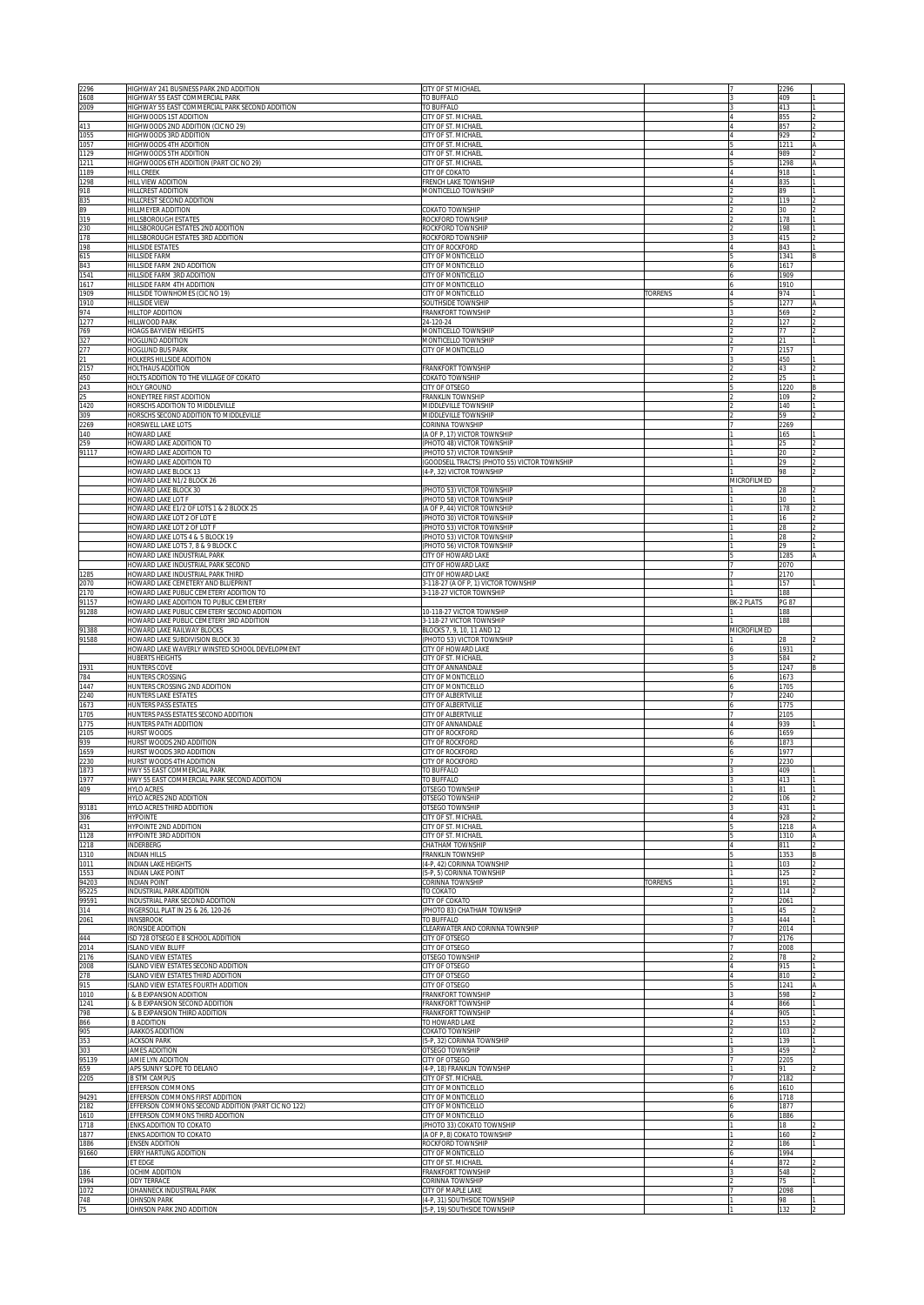| 2296<br>1608             | HIGHWAY 241 BUSINESS PARK 2ND ADDITION<br>HIGHWAY 55 EAST COMMERCIAL PARK                      | CITY OF ST MICHAEL                                                        |                |                   | 2296             |  |
|--------------------------|------------------------------------------------------------------------------------------------|---------------------------------------------------------------------------|----------------|-------------------|------------------|--|
| 2009                     | HIGHWAY 55 EAST COMMERCIAL PARK SECOND ADDITION                                                | TO BUFFALO<br>TO BUFFALO                                                  |                |                   | 409<br>413       |  |
| 413                      | HIGHWOODS 1ST ADDITION<br>HIGHWOODS 2ND ADDITION (CIC NO 29)                                   | CITY OF ST. MICHAEL<br>CITY OF ST. MICHAEL                                |                |                   | 855<br>857       |  |
| 1055                     | HIGHWOODS 3RD ADDITION                                                                         | CITY OF ST. MICHAEL                                                       |                |                   | 929              |  |
| 1057<br>1129             | HIGHWOODS 4TH ADDITION<br>HIGHWOODS 5TH ADDITION                                               | CITY OF ST. MICHAEL<br>CITY OF ST. MICHAEL                                |                |                   | 1211<br>989      |  |
| 1211<br>1189             | HIGHWOODS 6TH ADDITION (PART CIC NO 29)<br><b>HILL CREEK</b>                                   | CITY OF ST. MICHAEL<br>CITY OF COKATO                                     |                |                   | 1298<br>918      |  |
| 1298                     | HILL VIEW ADDITION                                                                             | FRENCH LAKE TOWNSHIP                                                      |                |                   | 835              |  |
| 918<br>835               | HILLCREST ADDITION<br>HILLCREST SECOND ADDITION                                                | MONTICELLO TOWNSHIP                                                       |                |                   | 89<br>119        |  |
| 89                       | HILLMEYER ADDITION                                                                             | COKATO TOWNSHIP                                                           |                |                   | 30               |  |
| 319<br>230               | <b>HILLSBOROUGH ESTATES</b><br>HILLSBOROUGH ESTATES 2ND ADDITION                               | ROCKFORD TOWNSHIP<br>ROCKFORD TOWNSHIP                                    |                |                   | 178<br>198       |  |
| 178<br>198               | HILLSBOROUGH ESTATES 3RD ADDITION<br>HILLSIDE ESTATES                                          | ROCKFORD TOWNSHIP<br>CITY OF ROCKFORD                                     |                |                   | 415<br>843       |  |
| 615                      | HILLSIDE FARM                                                                                  | CITY OF MONTICELLO                                                        |                |                   | 1341             |  |
| 843<br>1541              | HILLSIDE FARM 2ND ADDITION<br>HILLSIDE FARM 3RD ADDITION                                       | CITY OF MONTICELLO<br>CITY OF MONTICELLO                                  |                |                   | 1617<br>1909     |  |
| 1617                     | HILLSIDE FARM 4TH ADDITION                                                                     | CITY OF MONTICELLO                                                        |                |                   | 1910             |  |
| 1909<br>1910             | HILLSIDE TOWNHOMES (CIC NO 19)<br>HILLSIDE VIEW                                                | CITY OF MONTICELLO<br>SOUTHSIDE TOWNSHIP                                  | <b>ORRENS</b>  |                   | 974<br>1277      |  |
| 974<br>1277              | HILLTOP ADDITION<br>HILLWOOD PARK                                                              | <b>FRANKFORT TOWNSHIP</b><br>24-120-24                                    |                |                   | 569<br>127       |  |
| 769                      | HOAGS BAYVIEW HEIGHTS                                                                          | MONTICELLO TOWNSHIP                                                       |                |                   | 77               |  |
| 327<br>277               | HOGLUND ADDITION<br>HOGLUND BUS PARK                                                           | MONTICELLO TOWNSHIP<br>CITY OF MONTICELLO                                 |                |                   | 21<br>2157       |  |
| 21                       | HOLKERS HILLSIDE ADDITION                                                                      |                                                                           |                |                   | 450              |  |
| 2157<br>450              | HOLTHAUS ADDITION<br>HOLTS ADDITION TO THE VILLAGE OF COKATO                                   | FRANKFORT TOWNSHIP<br>COKATO TOWNSHIP                                     |                |                   | 43<br>25         |  |
| 243<br>25                | HOLY GROUND<br>HONEYTREE FIRST ADDITION                                                        | CITY OF OTSEGO<br>FRANKLIN TOWNSHIP                                       |                |                   | 1220<br>109      |  |
| 1420                     | HORSCHS ADDITION TO MIDDLEVILLE                                                                | MIDDLEVILLE TOWNSHIP                                                      |                |                   | 140              |  |
| 309<br>2269              | HORSCHS SECOND ADDITION TO MIDDLEVILLE<br>HORSWELL LAKE LOTS                                   | MIDDLEVILLE TOWNSHIP<br>CORINNA TOWNSHIP                                  |                |                   | 59<br>2269       |  |
| 140<br>259               | <b>HOWARD LAKE</b><br>HOWARD LAKE ADDITION TO                                                  | (A OF P, 17) VICTOR TOWNSHIP<br>(PHOTO 48) VICTOR TOWNSHIP                |                |                   | 165<br>25        |  |
| 91117                    | HOWARD LAKE ADDITION TO                                                                        | (PHOTO 57) VICTOR TOWNSHIP                                                |                |                   | 20               |  |
|                          | HOWARD LAKE ADDITION TO<br>HOWARD LAKE BLOCK 13                                                | (GOODSELL TRACTS) (PHOTO 55) VICTOR TOWNSHIP<br>(4-P, 32) VICTOR TOWNSHIP |                |                   | 29<br>98         |  |
|                          | HOWARD LAKE N1/2 BLOCK 26                                                                      |                                                                           |                | MICROFILMED       |                  |  |
|                          | HOWARD LAKE BLOCK 30<br>HOWARD LAKE LOT F                                                      | (PHOTO 53) VICTOR TOWNSHIP<br>(PHOTO 58) VICTOR TOWNSHIP                  |                |                   | 30               |  |
|                          | HOWARD LAKE E1/2 OF LOTS 1 & 2 BLOCK 25<br>HOWARD LAKE LOT 2 OF LOT E                          | (A OF P, 44) VICTOR TOWNSHIP                                              |                |                   | 178              |  |
|                          | HOWARD LAKE LOT 2 OF LOT F                                                                     | (PHOTO 30) VICTOR TOWNSHIP<br>PHOTO 53) VICTOR TOWNSHIP                   |                |                   | 16<br>28         |  |
|                          | HOWARD LAKE LOTS 4 & 5 BLOCK 19<br>HOWARD LAKE LOTS 7, 8 & 9 BLOCK C                           | (PHOTO 53) VICTOR TOWNSHIP<br>(PHOTO 56) VICTOR TOWNSHIP                  |                |                   | 28<br>20         |  |
|                          | HOWARD LAKE INDUSTRIAL PARK                                                                    | CITY OF HOWARD LAKE                                                       |                |                   | 1285             |  |
| 1285                     | HOWARD LAKE INDUSTRIAL PARK SECOND<br>HOWARD LAKE INDUSTRIAL PARK THIRD                        | CITY OF HOWARD LAKE<br>CITY OF HOWARD LAKE                                |                |                   | 2070<br>2170     |  |
| 2070<br>2170             | HOWARD LAKE CEMETERY AND BLUEPRINT                                                             | 3-118-27 (A OF P, 1) VICTOR TOWNSHIP<br>3-118-27 VICTOR TOWNSHIP          |                |                   | 157              |  |
| 91157                    | HOWARD LAKE PUBLIC CEMETERY ADDITION TO<br>HOWARD LAKE ADDITION TO PUBLIC CEMETERY             |                                                                           |                | <b>BK-2 PLATS</b> | 188<br>PG 87     |  |
| 91288                    | HOWARD LAKE PUBLIC CEMETERY SECOND ADDITION<br>HOWARD LAKE PUBLIC CEMETERY 3RD ADDITION        | 10-118-27 VICTOR TOWNSHIP<br>3-118-27 VICTOR TOWNSHIP                     |                |                   | 188<br>188       |  |
| 91388                    | HOWARD LAKE RAILWAY BLOCKS                                                                     | BLOCKS 7, 9, 10, 11 AND 12                                                |                | MICROFILMED       |                  |  |
|                          |                                                                                                |                                                                           |                |                   |                  |  |
| 91588                    | HOWARD LAKE SUBDIVISION BLOCK 30<br>HOWARD LAKE WAVERLY WINSTED SCHOOL DEVELOPMENT             | (PHOTO 53) VICTOR TOWNSHIP<br>CITY OF HOWARD LAKE                         |                |                   | 28<br>1931       |  |
|                          | HUBERTS HEIGHTS                                                                                | CITY OF ST. MICHAEL                                                       |                |                   | 584              |  |
| 1931<br>784              | HUNTERS COVE<br>HUNTERS CROSSING                                                               | CITY OF ANNANDALE<br>CITY OF MONTICELLO                                   |                |                   | 1247<br>1673     |  |
| 1447                     | HUNTERS CROSSING 2ND ADDITION                                                                  | CITY OF MONTICELLO                                                        |                |                   | 1705             |  |
| 2240<br>1673             | HUNTERS LAKE ESTATES<br><b>HUNTERS PASS ESTATES</b>                                            | CITY OF ALBERTVILLE<br>CITY OF ALBERTVILLE                                |                |                   | 2240<br>1775     |  |
| 1705<br>1775             | HUNTERS PASS ESTATES SECOND ADDITION<br>HUNTERS PATH ADDITION                                  | CITY OF ALBERTVILLE<br>CITY OF ANNANDALE                                  |                |                   | 2105<br>939      |  |
| 2105                     | HURST WOODS                                                                                    | CITY OF ROCKFORD                                                          |                |                   | 1659             |  |
| 939<br>1659              | HURST WOODS 2ND ADDITION<br>HURST WOODS 3RD ADDITION                                           | <b>CITY OF ROCKFORD</b><br><b>CITY OF ROCKFORD</b>                        |                |                   | 1873<br>1977     |  |
| 2230                     | HURST WOODS 4TH ADDITION                                                                       | <b>CITY OF ROCKFORD</b>                                                   |                |                   | 2230             |  |
| 1873<br>$\frac{1}{1977}$ | HWY 55 EAST COMMERCIAL PARK<br>IWY 55 EAST COMMERCIAL PARK SECOND ADDITION                     | TO BUFFALO<br>O BUFFALO                                                   |                |                   | 409<br>413       |  |
| 409                      | HYLO ACRES<br>HYLO ACRES 2ND ADDITION                                                          | OTSEGO TOWNSHIP<br>OTSEGO TOWNSHIP                                        |                |                   | 81<br>106        |  |
| 93181                    | HYLO ACRES THIRD ADDITION<br><b>HYPOINTE</b>                                                   | OTSEGO TOWNSHIP<br><b>CITY OF ST. MICHAEL</b>                             |                |                   | 431              |  |
| 306<br>431               | <b>HYPOINTE 2ND ADDITION</b>                                                                   | <b>CITY OF ST. MICHAEL</b>                                                |                |                   | 928<br>1218      |  |
| 1128<br>1218             | <b>HYPOINTE 3RD ADDITION</b><br>NDERBERG                                                       | <b>CITY OF ST. MICHAEL</b><br><b>CHATHAM TOWNSHIP</b>                     |                |                   | 1310<br>811      |  |
| 1310                     | <b>NDIAN HILLS</b>                                                                             | FRANKLIN TOWNSHIP                                                         |                |                   | 1353             |  |
| 1011<br>1553             | <b>NDIAN LAKE HEIGHTS</b><br><b>NDIAN LAKE POINT</b>                                           | 4-P, 42) CORINNA TOWNSHIP<br>5-P, 5) CORINNA TOWNSHIP                     |                |                   | 103<br>125       |  |
| 94203                    | <b>NDIAN POINT</b><br>INDUSTRIAL PARK ADDITION                                                 | CORINNA TOWNSHIP                                                          | <b>TORRENS</b> |                   | 191<br>114       |  |
| 95225<br>99591           | NDUSTRIAL PARK SECOND ADDITION                                                                 | TO COKATO<br>CITY OF COKATO                                               |                |                   | 2061             |  |
| 314<br>2061              | INGERSOLL PLAT IN 25 & 26, 120-26<br><b>INNSBROOK</b>                                          | PHOTO 83) CHATHAM TOWNSHIP<br>TO BUFFALO                                  |                |                   | 45<br>444        |  |
|                          | RONSIDE ADDITION                                                                               | CLEARWATER AND CORINNA TOWNSHIP                                           |                |                   | 2014             |  |
| 444<br>2014              | SD 728 OTSEGO E 8 SCHOOL ADDITION<br>SLAND VIEW BLUFF                                          | CITY OF OTSEGO<br><b>CITY OF OTSEGO</b>                                   |                |                   | 2176<br>2008     |  |
| 2176<br>2008             | <b>SLAND VIEW ESTATES</b><br>SLAND VIEW ESTATES SECOND ADDITION                                | OTSEGO TOWNSHIP<br>CITY OF OTSEGO                                         |                |                   | 78<br>915        |  |
| 278                      | SLAND VIEW ESTATES THIRD ADDITION                                                              | <b>CITY OF OTSEGO</b>                                                     |                |                   | 810              |  |
| 915<br>1010              | SLAND VIEW ESTATES FOURTH ADDITION<br>& B EXPANSION ADDITION                                   | CITY OF OTSEGO<br>FRANKFORT TOWNSHIP                                      |                |                   | 1241<br>598      |  |
| 1241                     | <b>&amp; B EXPANSION SECOND ADDITION</b>                                                       | FRANKFORT TOWNSHIP                                                        |                |                   | 866              |  |
| 798<br>866               | & B EXPANSION THIRD ADDITION<br><b>B ADDITION</b>                                              | FRANKFORT TOWNSHIP<br>TO HOWARD LAKE                                      |                |                   | 905<br>153       |  |
| 905<br>353               | <b>JAAKKOS ADDITION</b><br><b>JACKSON PARK</b>                                                 | <b>COKATO TOWNSHIP</b><br>5-P, 32) CORINNA TOWNSHIP                       |                |                   | 103<br>139       |  |
| 303                      | JAMES ADDITION                                                                                 | OTSEGO TOWNSHIP                                                           |                |                   | 459              |  |
| 95139<br>659             | JAMIE LYN ADDITION<br>JAPS SUNNY SLOPE TO DELANO                                               | CITY OF OTSEGO<br>(4-P, 18) FRANKLIN TOWNSHIP                             |                |                   | 2205<br>91       |  |
| 2205                     | <b>JB STM CAMPUS</b>                                                                           | CITY OF ST. MICHAEL<br>CITY OF MONTICELLO                                 |                |                   | 2182             |  |
| 94291                    | <b>JEFFERSON COMMONS</b><br><b>IEFFERSON COMMONS FIRST ADDITION</b>                            | CITY OF MONTICELLO                                                        |                |                   | 1610<br>1718     |  |
| 2182<br>1610             | IEFFERSON COMMONS SECOND ADDITION (PART CIC NO 122)<br><b>IEFFERSON COMMONS THIRD ADDITION</b> | CITY OF MONTICELLO<br>CITY OF MONTICELLO                                  |                |                   | 1877<br>1886     |  |
| 1718                     | ENKS ADDITION TO COKATO                                                                        | PHOTO 33) COKATO TOWNSHIP                                                 |                |                   | 18               |  |
| 1877<br>1886             | <b>JENKS ADDITION TO COKATO</b><br><b>IENSEN ADDITION</b>                                      | (A OF P, 8) COKATO TOWNSHIP<br>ROCKFORD TOWNSHIP                          |                |                   | 160<br>186       |  |
| 91660                    | JERRY HARTUNG ADDITION<br>JET EDGE                                                             | <b>CITY OF MONTICELLO</b><br>CITY OF ST. MICHAEL                          |                |                   | 1994<br>872      |  |
| 186                      | JOCHIM ADDITION                                                                                | FRANKFORT TOWNSHIP                                                        |                |                   | 548              |  |
| 1994<br>1072<br>748      | JODY TERRACE<br>JOHANNECK INDUSTRIAL PARK<br>JOHNSON PARK                                      | CORINNA TOWNSHIP<br>CITY OF MAPLE LAKE<br>(4-P, 31) SOUTHSIDE TOWNSHIP    |                |                   | 75<br>2098<br>98 |  |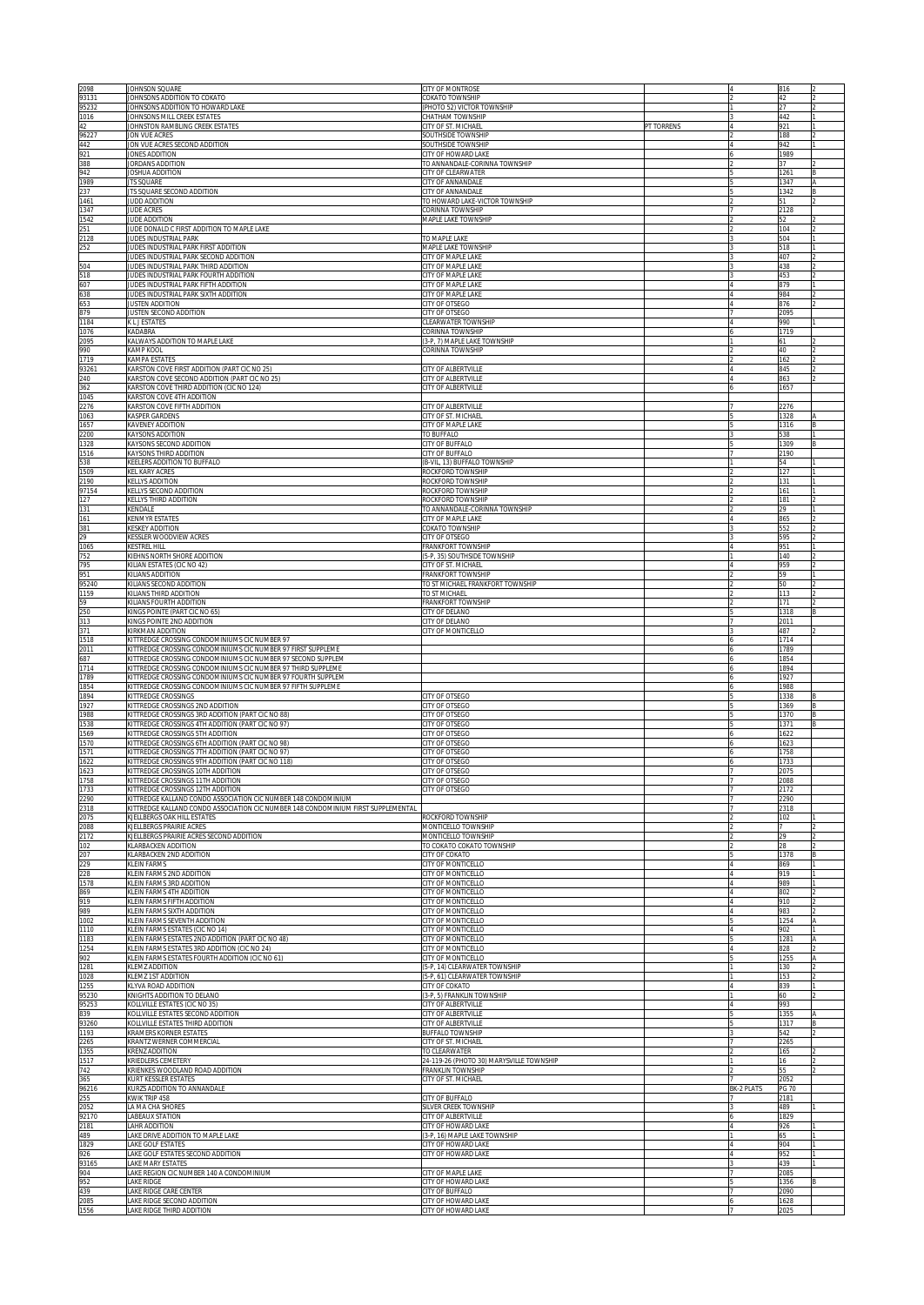| 2098                    | JOHNSON SQUARE                                                                                                                                      | CITY OF MONTROSE                                              |            |                | 816          |  |
|-------------------------|-----------------------------------------------------------------------------------------------------------------------------------------------------|---------------------------------------------------------------|------------|----------------|--------------|--|
| 93131<br>95232          | JOHNSONS ADDITION TO COKATO<br>JOHNSONS ADDITION TO HOWARD LAKE                                                                                     | COKATO TOWNSHIP<br>(PHOTO 52) VICTOR TOWNSHIP                 |            |                | 42<br>27     |  |
| 1016                    | JOHNSONS MILL CREEK ESTATES                                                                                                                         | CHATHAM TOWNSHIP                                              |            |                | 442          |  |
| 42                      | JOHNSTON RAMBLING CREEK ESTATES                                                                                                                     | CITY OF ST. MICHAEL                                           | PT TORRENS |                | 921          |  |
| 96227<br>442            | JON VUE ACRES<br>JON VUE ACRES SECOND ADDITION                                                                                                      | SOUTHSIDE TOWNSHIP<br>SOUTHSIDE TOWNSHIP                      |            |                | 188<br>942   |  |
| 921                     | JONES ADDITION                                                                                                                                      | CITY OF HOWARD LAKE                                           |            |                | 1989         |  |
| 388                     | JORDANS ADDITION                                                                                                                                    | TO ANNANDALE-CORINNA TOWNSHIP                                 |            |                | 37           |  |
| 942<br>1989             | JOSHUA ADDITION<br><b>ITS SQUARE</b>                                                                                                                | CITY OF CLEARWATER<br>CITY OF ANNANDALE                       |            |                | 1261<br>1347 |  |
| 237                     | JTS SQUARE SECOND ADDITION                                                                                                                          | CITY OF ANNANDALE                                             |            |                | 1342         |  |
| 1461<br>1347            | JUDD ADDITION<br>JUDE ACRES                                                                                                                         | TO HOWARD LAKE-VICTOR TOWNSHIP<br><b>CORINNA TOWNSHIP</b>     |            |                | 51<br>2128   |  |
| 1542                    | JUDE ADDITION                                                                                                                                       | MAPLE LAKE TOWNSHIP                                           |            |                | 52           |  |
|                         | JUDE DONALD C FIRST ADDITION TO MAPLE LAKE                                                                                                          |                                                               |            |                | 104          |  |
| 251<br>2128<br>252      | JUDES INDUSTRIAL PARK<br><b>JUDES INDUSTRIAL PARK FIRST ADDITION</b>                                                                                | TO MAPLE LAKE<br>MAPLE LAKE TOWNSHIP                          |            |                | 504<br>518   |  |
|                         | JUDES INDUSTRIAL PARK SECOND ADDITION                                                                                                               | CITY OF MAPLE LAKE                                            |            |                | 407          |  |
| 504<br>518              | <b>JUDES INDUSTRIAL PARK THIRD ADDITION</b>                                                                                                         | CITY OF MAPLE LAKE                                            |            |                | 438          |  |
| 607                     | <b>JUDES INDUSTRIAL PARK FOURTH ADDITION</b><br><b>JUDES INDUSTRIAL PARK FIFTH ADDITION</b>                                                         | CITY OF MAPLE LAKE<br>CITY OF MAPLE LAKE                      |            |                | 453<br>879   |  |
| 638                     | <b>JUDES INDUSTRIAL PARK SIXTH ADDITION</b>                                                                                                         | CITY OF MAPLE LAKE                                            |            |                | 984          |  |
| 653<br>879              | <b>JUSTEN ADDITION</b>                                                                                                                              | CITY OF OTSEGO<br>CITY OF OTSEGO                              |            |                | 876<br>2095  |  |
| 1184                    | <b>IUSTEN SECOND ADDITION</b><br>K L J ESTATES                                                                                                      | CLEARWATER TOWNSHIP                                           |            |                | 990          |  |
| 1076                    | KADABRA                                                                                                                                             | CORINNA TOWNSHIP                                              |            |                | 1719         |  |
| 2095<br>990             | KALWAYS ADDITION TO MAPLE LAKE<br>KAMP KOOL                                                                                                         | (3-P, 7) MAPLE LAKE TOWNSHIP<br>CORINNA TOWNSHIP              |            |                | 61<br>40     |  |
| 1719                    | KAMPA ESTATES                                                                                                                                       |                                                               |            |                | 162          |  |
| 93261                   | KARSTON COVE FIRST ADDITION (PART CIC NO 25                                                                                                         | CITY OF ALBERTVILLE                                           |            |                | 845          |  |
| 240<br>362              | KARSTON COVE SECOND ADDITION (PART CIC NO 25)<br>KARSTON COVE THIRD ADDITION (CIC NO 124)                                                           | CITY OF ALBERTVILLE<br>CITY OF ALBERTVILLE                    |            |                | 863<br>1657  |  |
| 1045                    | KARSTON COVE 4TH ADDITION                                                                                                                           |                                                               |            |                |              |  |
| 2276                    | KARSTON COVE FIFTH ADDITION                                                                                                                         | CITY OF ALBERTVILLE                                           |            |                | 2276         |  |
| 1063<br>1657            | KASPER GARDENS<br>KAVENEY ADDITION                                                                                                                  | CITY OF ST. MICHAEL<br>CITY OF MAPLE LAKE                     |            |                | 1328<br>1316 |  |
| 2200                    | <b>KAYSONS ADDITION</b>                                                                                                                             | TO BUFFALO                                                    |            |                | 538          |  |
| 1328<br>1516            | KAYSONS SECOND ADDITION<br>KAYSONS THIRD ADDITION                                                                                                   | CITY OF BUFFALO<br>CITY OF BUFFALO                            |            |                | 1309<br>2190 |  |
| 538                     | KEELERS ADDITION TO BUFFALO                                                                                                                         | (B-VIL, 13) BUFFALO TOWNSHIP                                  |            |                | 54           |  |
| 1509                    | KEL KARY ACRES                                                                                                                                      | ROCKFORD TOWNSHIP                                             |            |                | 127          |  |
| 2190<br>97154           | KELLYS ADDITION<br>KELLYS SECOND ADDITION                                                                                                           | ROCKFORD TOWNSHIP<br>ROCKFORD TOWNSHIP                        |            |                | 131<br>161   |  |
| 127                     | KELLYS THIRD ADDITION                                                                                                                               | ROCKFORD TOWNSHIP                                             |            |                | 181          |  |
|                         | KENDALE                                                                                                                                             | TO ANNANDALE-CORINNA TOWNSHIP                                 |            |                | 29           |  |
| 131<br>161<br>381<br>29 | <b>KENMYR ESTATES</b><br><b>KESKEY ADDITION</b>                                                                                                     | CITY OF MAPLE LAKE<br>COKATO TOWNSHIP                         |            |                | 865<br>552   |  |
|                         | KESSLER WOODVIEW ACRES                                                                                                                              | <b>ITY OF OTSEGO</b>                                          |            |                | 595          |  |
| 1065                    | KESTREL HILL                                                                                                                                        | FRANKFORT TOWNSHIP                                            |            |                | 951          |  |
| 752<br>795              | KIEHNS NORTH SHORE ADDITION<br>KILIAN ESTATES (CIC NO 42)                                                                                           | 5-P, 35) SOUTHSIDE TOWNSHIP<br><b>CITY OF ST. MICHAEL</b>     |            |                | 140<br>959   |  |
| 951                     | KILIANS ADDITION                                                                                                                                    | FRANKFORT TOWNSHIP                                            |            |                | 59           |  |
| 95240<br>1159           | KILIANS SECOND ADDITION<br>KILIANS THIRD ADDITION                                                                                                   | TO ST MICHAEL FRANKFORT TOWNSHIP<br>TO ST MICHAEL             |            |                | 50<br>113    |  |
|                         | KILIANS FOURTH ADDITION                                                                                                                             | RANKFORT TOWNSHIP                                             |            |                | 171          |  |
| 59<br>250               | KINGS POINTE (PART CIC NO 65)                                                                                                                       | <b>CITY OF DELANO</b>                                         |            |                | 1318         |  |
| 313<br>371              | KINGS POINTE 2ND ADDITION<br>KIRKMAN ADDITION                                                                                                       | <b>CITY OF DELANO</b><br><b>ITY OF MONTICELLO</b>             |            |                | 2011<br>487  |  |
| 1518                    | KITTREDGE CROSSING CONDOMINIUMS CIC NUMBER 97                                                                                                       |                                                               |            |                | 1714         |  |
| 2011                    | KITTREDGE CROSSING CONDOMINIUMS CIC NUMBER 97 FIRST SUPPLEME                                                                                        |                                                               |            |                | 1789         |  |
| 687<br>1714             | KITTREDGE CROSSING CONDOMINIUMS CIC NUMBER 97 SECOND SUPPLEM<br>KITTREDGE CROSSING CONDOMINIUMS CIC NUMBER 97 THIRD SUPPLEME                        |                                                               |            |                | 1854<br>1894 |  |
| 1789                    | KITTREDGE CROSSING CONDOMINIUMS CIC NUMBER 97 FOURTH SUPPLEM                                                                                        |                                                               |            |                | 1927         |  |
| 1854<br>1894            | KITTREDGE CROSSING CONDOMINIUMS CIC NUMBER 97 FIFTH SUPPLEME<br>KITTREDGE CROSSINGS                                                                 | <b>CITY OF OTSEGO</b>                                         |            |                | 1988<br>1338 |  |
| 1927                    | KITTREDGE CROSSINGS 2ND ADDITION                                                                                                                    | <b>CITY OF OTSEGO</b>                                         |            |                | 1369         |  |
| 1988                    | KITTREDGE CROSSINGS 3RD ADDITION (PART CIC NO 88)                                                                                                   | CITY OF OTSEGO                                                |            |                | 1370         |  |
| 1538<br>1569            | KITTREDGE CROSSINGS 4TH ADDITION (PART CIC NO 97)<br>KITTREDGE CROSSINGS 5TH ADDITION                                                               | CITY OF OTSEGO<br>CITY OF OTSEGO                              |            |                | 1371<br>1622 |  |
| 1570                    | KITTREDGE CROSSINGS 6TH ADDITION (PART CIC NO 98)                                                                                                   | CITY OF OTSEGO                                                |            |                | 1623         |  |
| 1571                    | KITTREDGE CROSSINGS 7TH ADDITION (PART CIC NO 97)                                                                                                   | CITY OF OTSEGO                                                |            |                | 1758         |  |
| 1622<br>1623            | KITTREDGE CROSSINGS 9TH ADDITION (PART CIC NO 118)<br>KITTREDGE CROSSINGS 10TH ADDITION                                                             | CITY OF OTSEGO<br>CITY OF OTSEGO                              |            |                | 1733<br>2075 |  |
| 1758                    | KITTREDGE CROSSINGS 11TH ADDITION                                                                                                                   | CITY OF OTSEGO                                                |            |                | 2088         |  |
| 1733                    | KITTREDGE CROSSINGS 12TH ADDITION                                                                                                                   | CITY OF OTSEGO                                                |            |                | 2172         |  |
| 2290<br>2318            | KITTREDGE KALLAND CONDO ASSOCIATION CIC NUMBER 148 CONDOMINIUM<br>KITTREDGE KALLAND CONDO ASSOCIATION CIC NUMBER 148 CONDOMINIUM FIRST SUPPLEMENTAL |                                                               |            |                | 290<br>318   |  |
| 2075                    | <b>UELLBERGS OAK HILL ESTATES</b>                                                                                                                   | ROCKFORD TOWNSHIP                                             |            |                | 02           |  |
| 2088<br>2172            | KJELLBERGS PRAIRIE ACRES<br>KJELLBERGS PRAIRIE ACRES SECOND ADDITION                                                                                | MONTICELLO TOWNSHIP<br>MONTICELLO TOWNSHIP                    |            |                | 79           |  |
| 102                     | <b>KLARBACKEN ADDITION</b>                                                                                                                          | TO COKATO COKATO TOWNSHIP                                     |            |                | 28           |  |
| 207                     | KLARBACKEN 2ND ADDITION                                                                                                                             | CITY OF COKATO                                                |            |                | 1378         |  |
| 229<br>228              | <b>KLEIN FARMS</b><br>KLEIN FARMS 2ND ADDITION                                                                                                      | CITY OF MONTICELLO<br>CITY OF MONTICELLO                      |            |                | 869<br>919   |  |
| 1578                    | KLEIN FARMS 3RD ADDITION                                                                                                                            | CITY OF MONTICELLO                                            |            |                | 989          |  |
| 869<br>919              | KLEIN FARMS 4TH ADDITION<br>KLEIN FARMS FIFTH ADDITION                                                                                              | CITY OF MONTICELLO<br>CITY OF MONTICELLO                      |            |                | 802<br>910   |  |
| 989                     | KLEIN FARMS SIXTH ADDITION                                                                                                                          | CITY OF MONTICELLO                                            |            |                | 983          |  |
| 1002                    | KLEIN FARMS SEVENTH ADDITION                                                                                                                        | CITY OF MONTICELLO                                            |            |                | 1254         |  |
| 1110<br>1183            | KLEIN FARMS ESTATES (CIC NO 14)<br>KLEIN FARMS ESTATES 2ND ADDITION (PART CIC NO 48)                                                                | CITY OF MONTICELLO<br>CITY OF MONTICELLO                      |            |                | 902<br>1281  |  |
| 1254                    | KLEIN FARMS ESTATES 3RD ADDITION (CIC NO 24)                                                                                                        | CITY OF MONTICELLO                                            |            |                | 828          |  |
| 902                     | KLEIN FARMS ESTATES FOURTH ADDITION (CIC NO 61)                                                                                                     | CITY OF MONTICELLO                                            |            |                | 1255         |  |
| 1281<br>1028            | KLEMZ ADDITION<br>KLEMZ 1ST ADDITION                                                                                                                | (5-P, 14) CLEARWATER TOWNSHIP<br>5-P, 61) CLEARWATER TOWNSHIP |            |                | 130<br>153   |  |
| 1255                    | KLYVA ROAD ADDITION                                                                                                                                 | CITY OF COKATO                                                |            | $\overline{A}$ | 839          |  |
| 95230<br>95253          | KNIGHTS ADDITION TO DELANO<br>KOLLVILLE ESTATES (CIC NO 35)                                                                                         | (3-P, 5) FRANKLIN TOWNSHIP<br>CITY OF ALBERTVILLE             |            |                | 60<br>993    |  |
| 839                     | KOLLVILLE ESTATES SECOND ADDITION                                                                                                                   | CITY OF ALBERTVILLE                                           |            |                | 1355         |  |
| 93260                   | KOLLVILLE ESTATES THIRD ADDITION                                                                                                                    | CITY OF ALBERTVILLE                                           |            |                | 1317         |  |
| 1193<br>2265            | KRAMERS KORNER ESTATES<br>KRANTZ WERNER COMMERCIAL                                                                                                  | <b>BUFFALO TOWNSHIP</b><br>CITY OF ST. MICHAEL                |            |                | 542<br>2265  |  |
| 1355                    | KRENZ ADDITION                                                                                                                                      | TO CLEARWATER                                                 |            |                | 165          |  |
| 1517<br>742             | <b>KRIEDLERS CEMETERY</b><br>KRIENKES WOODLAND ROAD ADDITION                                                                                        | 24-119-26 (PHOTO 30) MARYSVILLE TOWNSHIP<br>FRANKLIN TOWNSHIP |            |                | 16<br>55     |  |
| 365                     | KURT KESSLER ESTATES                                                                                                                                | CITY OF ST. MICHAEL                                           |            |                | 2052         |  |
| 96216                   | KURZS ADDITION TO ANNANDALE                                                                                                                         |                                                               |            | BK-2 PLATS     | <b>PG 70</b> |  |
| 255<br>2052             | KWIK TRIP 458<br>LA MA CHA SHORES                                                                                                                   | CITY OF BUFFALO<br>SILVER CREEK TOWNSHIP                      |            |                | 2181<br>489  |  |
| 92170                   | LABEAUX STATION                                                                                                                                     | CITY OF ALBERTVILLE                                           |            |                | 1829         |  |
| 2181                    | LAHR ADDITION                                                                                                                                       | CITY OF HOWARD LAKE                                           |            |                | 926          |  |
| 489<br>1829             | LAKE DRIVE ADDITION TO MAPLE LAKE<br>LAKE GOLF ESTATES                                                                                              | (3-P, 16) MAPLE LAKE TOWNSHIP<br>CITY OF HOWARD LAKE          |            |                | 65<br>904    |  |
| 926                     | LAKE GOLF ESTATES SECOND ADDITION                                                                                                                   | CITY OF HOWARD LAKE                                           |            |                | 952          |  |
| 93165<br>904            | <b>AKE MARY ESTATES</b><br>LAKE REGION CIC NUMBER 140 A CONDOMINIUM                                                                                 | CITY OF MAPLE LAKE                                            |            |                | 439<br>2085  |  |
| 952                     | AKE RIDGE                                                                                                                                           | CITY OF HOWARD LAKE                                           |            |                | 1356         |  |
| 439                     | LAKE RIDGE CARE CENTER                                                                                                                              | CITY OF BUFFALO                                               |            |                | 2090         |  |
| 2085<br>1556            | LAKE RIDGE SECOND ADDITION<br>LAKE RIDGE THIRD ADDITION                                                                                             | CITY OF HOWARD LAKE<br>CITY OF HOWARD LAKE                    |            |                | 1628<br>2025 |  |
|                         |                                                                                                                                                     |                                                               |            |                |              |  |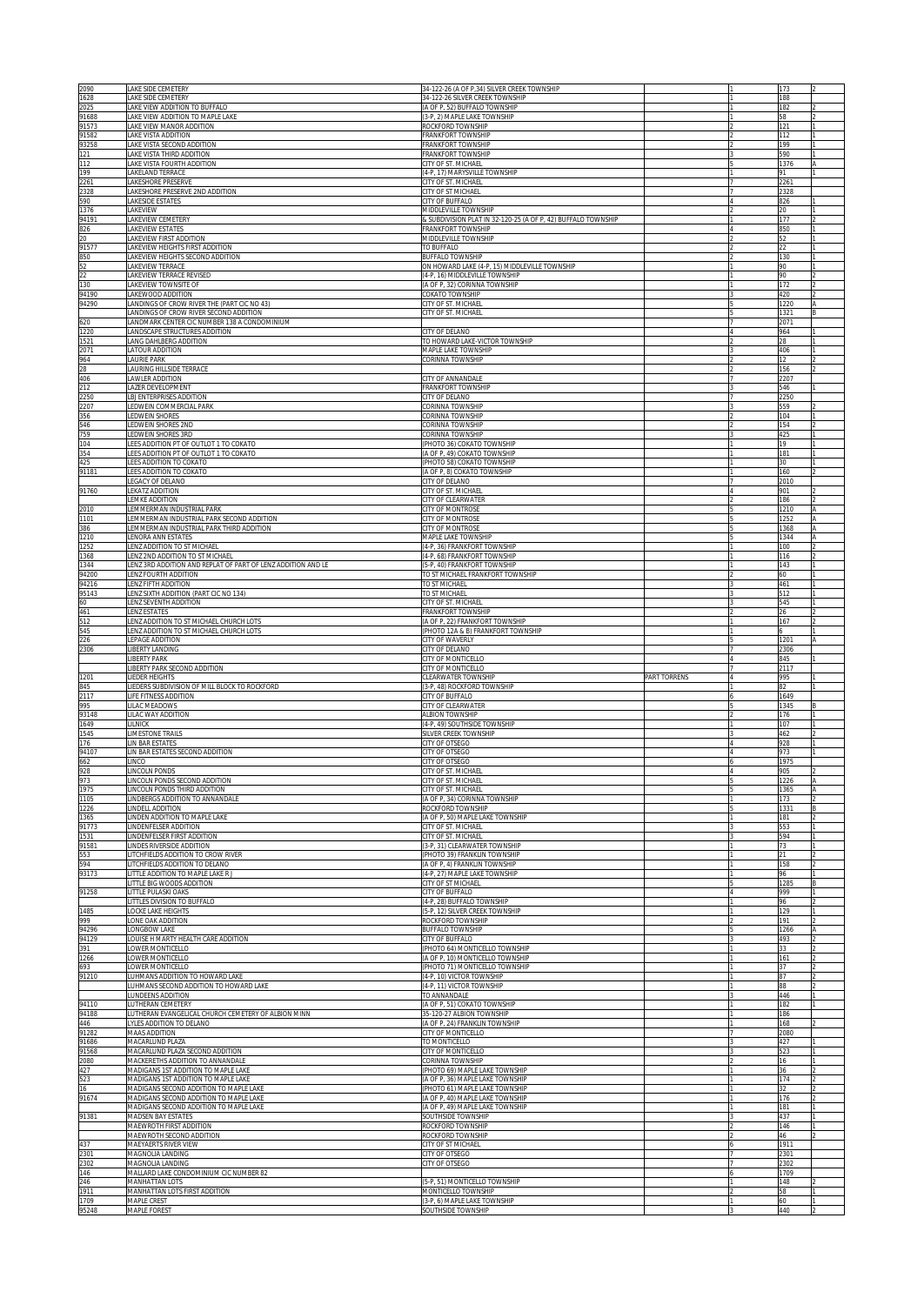| 2090           | LAKE SIDE CEMETERY                                                               | 34-122-26 (A OF P,34) SILVER CREEK TOWNSHIP                              |              | 173          |                |
|----------------|----------------------------------------------------------------------------------|--------------------------------------------------------------------------|--------------|--------------|----------------|
| 1628<br>2025   | LAKE SIDE CEMETERY<br>LAKE VIEW ADDITION TO BUFFALO                              | 34-122-26 SILVER CREEK TOWNSHIP<br>(A OF P, 52) BUFFALO TOWNSHIP         |              | 188<br>182   |                |
| 91688          | LAKE VIEW ADDITION TO MAPLE LAKE                                                 | (3-P, 2) MAPLE LAKE TOWNSHIP                                             |              | 58           |                |
| 91573<br>91582 | LAKE VIEW MANOR ADDITION<br>LAKE VISTA ADDITION                                  | ROCKFORD TOWNSHIP<br><b>FRANKFORT TOWNSHIP</b>                           |              | 121<br>112   |                |
| 93258          | LAKE VISTA SECOND ADDITION                                                       | FRANKFORT TOWNSHIP                                                       |              | 199          |                |
| 121<br>112     | LAKE VISTA THIRD ADDITION<br>LAKE VISTA FOURTH ADDITION                          | FRANKFORT TOWNSHIP<br>CITY OF ST. MICHAEL                                |              | 590<br>1376  |                |
| 199            | LAKELAND TERRACE                                                                 | (4-P, 17) MARYSVILLE TOWNSHIP                                            |              | 91           |                |
| 2261           | LAKESHORE PRESERVE                                                               | CITY OF ST. MICHAEL                                                      |              | 2261         |                |
| 2328<br>590    | LAKESHORE PRESERVE 2ND ADDITION<br>LAKESIDE ESTATES                              | CITY OF ST MICHAEL<br>CITY OF BUFFALO                                    |              | 2328<br>826  |                |
| 1376           | LAKEVIEW                                                                         | MIDDLEVILLE TOWNSHIP                                                     |              | 20           |                |
| 94191          | LAKEVIEW CEMETERY                                                                | & SUBDIVISION PLAT IN 32-120-25 (A OF P, 42) BUFFALO TOWNSHIP            |              | 177          |                |
| 826<br>20      | AKEVIEW ESTATES<br>AKEVIEW FIRST ADDITION                                        | FRANKFORT TOWNSHIP<br>MIDDLEVILLE TOWNSHIP                               |              | 850<br>52    |                |
| 91577          | AKEVIEW HEIGHTS FIRST ADDITION                                                   | TO BUFFALO                                                               |              | 22           |                |
| 850<br>52      | LAKEVIEW HEIGHTS SECOND ADDITION<br>AKEVIEW TERRACE                              | <b>BUFFALO TOWNSHIP</b><br>ON HOWARD LAKE (4-P, 15) MIDDLEVILLE TOWNSHIP |              | 130<br>90    |                |
| 22             | AKEVIEW TERRACE REVISED                                                          | (4-P, 16) MIDDLEVILLE TOWNSHIP                                           |              | 90           |                |
| 130            | AKEVIEW TOWNSITE OF                                                              | (A OF P, 32) CORINNA TOWNSHIP                                            |              | 172          |                |
| 94190<br>94290 | AKEWOOD ADDITION<br>ANDINGS OF CROW RIVER THE (PART CIC NO 43)                   | COKATO TOWNSHIP<br>CITY OF ST. MICHAEL                                   |              | 420<br>1220  |                |
|                | ANDINGS OF CROW RIVER SECOND ADDITION                                            | CITY OF ST. MICHAEL                                                      |              | 1321         |                |
| 620            | ANDMARK CENTER CIC NUMBER 138 A CONDOMINIUM                                      | <b>CITY OF DELANO</b>                                                    |              | 2071         |                |
| 1220<br>1521   | ANDSCAPE STRUCTURES ADDITION<br>LANG DAHLBERG ADDITION                           | TO HOWARD LAKE-VICTOR TOWNSHIP                                           |              | 964<br>28    |                |
| 2071           | LATOUR ADDITION                                                                  | MAPLE LAKE TOWNSHIP                                                      |              | 406          |                |
| 964<br>28      | LAURIE PARK                                                                      | CORINNA TOWNSHIP                                                         |              | 12<br>156    |                |
| 406            | LAURING HILLSIDE TERRACE<br>LAWLER ADDITION                                      | CITY OF ANNANDALE                                                        |              | 2207         |                |
| 212            | LAZER DEVELOPMENT                                                                | <b>FRANKFORT TOWNSHIP</b>                                                |              | 546          |                |
| 2250<br>2207   | LBJ ENTERPRISES ADDITION<br>LEDWEIN COMMERCIAL PARK                              | CITY OF DELANO<br><u>CORINNA TOWNSHIP</u>                                |              | 2250<br>559  |                |
| 356            | LEDWEIN SHORES                                                                   | CORINNA TOWNSHIP                                                         |              | 104          |                |
| 546            | LEDWEIN SHORES 2ND                                                               | CORINNA TOWNSHIP                                                         |              | 154          |                |
| 759<br>104     | LEDWEIN SHORES 3RD<br>LEES ADDITION PT OF OUTLOT 1 TO COKATO                     | CORINNA TOWNSHIP<br>(PHOTO 36) COKATO TOWNSHIP                           |              | 425<br>19    |                |
| 354            | LEES ADDITION PT OF OUTLOT 1 TO COKATO                                           | (A OF P, 49) COKATO TOWNSHIP                                             |              | 181          |                |
| 425            | LEES ADDITION TO COKATO                                                          | (PHOTO 58) COKATO TOWNSHIP                                               |              | 30           |                |
| 91181          | LEES ADDITION TO COKATO<br>LEGACY OF DELANO                                      | (A OF P, 8) COKATO TOWNSHIP<br>CITY OF DELANO                            |              | 160<br>2010  |                |
| 91760          | LEKATZ ADDITION                                                                  | CITY OF ST. MICHAE                                                       |              | 901          |                |
| 2010           | LEMKE ADDITION<br>LEMMERMAN INDUSTRIAL PARK                                      | CITY OF CLEARWATER<br>CITY OF MONTROSE                                   |              | 186<br>1210  |                |
| 1101           | LEMMERMAN INDUSTRIAL PARK SECOND ADDITION                                        | <b>CITY OF MONTROSE</b>                                                  |              | 1252         |                |
| 386            | LEMMERMAN INDUSTRIAL PARK THIRD ADDITION                                         | CITY OF MONTROSE                                                         |              | 1368         |                |
| 1210<br>1252   | LENORA ANN ESTATES<br>LENZ ADDITION TO ST MICHAEL                                | <b>MAPLE LAKE TOWNSHIP</b><br>(4-P, 36) FRANKFORT TOWNSHIP               |              | 1344<br>100  |                |
| 1368           | ENZ 2ND ADDITION TO ST MICHAEL                                                   | (4-P, 68) FRANKFORT TOWNSHIP                                             |              | 116          |                |
| 1344           | LENZ 3RD ADDITION AND REPLAT OF PART OF LENZ ADDITION AND LE                     | 5-P, 40) FRANKFORT TOWNSHIP                                              |              | 143          |                |
| 94200<br>94216 | ENZ FOURTH ADDITION<br>LENZ FIFTH ADDITION                                       | TO ST MICHAEL FRANKFORT TOWNSHIP<br>TO ST MICHAEL                        |              | 60<br>461    |                |
| 95143          | ENZ SIXTH ADDITION (PART CIC NO 134)                                             | TO ST MICHAEL                                                            |              | 512          |                |
| 60             | LENZ SEVENTH ADDITION                                                            | CITY OF ST. MICHAEL                                                      |              | 545          |                |
| 461<br>512     | <b>LENZ ESTATES</b><br>LENZ ADDITION TO ST MICHAEL CHURCH LOTS                   | <b>FRANKFORT TOWNSHIP</b><br>(A OF P, 22) FRANKFORT TOWNSHIP             |              | 26<br>167    |                |
| 545            | LENZ ADDITION TO ST MICHAEL CHURCH LOTS                                          | PHOTO 12A & B) FRANKFORT TOWNSHIP                                        |              |              |                |
| 226            | LEPAGE ADDITION                                                                  | CITY OF WAVERLY                                                          |              | 1201         |                |
|                |                                                                                  |                                                                          |              |              |                |
| 2306           | LIBERTY LANDING<br><b>LIBERTY PARK</b>                                           | <b>CITY OF DELANO</b><br><b>CITY OF MONTICELLO</b>                       |              | 2306<br>845  |                |
|                | LIBERTY PARK SECOND ADDITION                                                     | <b>CITY OF MONTICELLO</b>                                                |              | 2117         |                |
| 1201           | LIEDER HEIGHTS                                                                   | <b>CLEARWATER TOWNSHIP</b>                                               | PART TORRENS | 995          |                |
| 345<br>2117    | LIEDERS SUBDIVISION OF MILL BLOCK TO ROCKFORD<br>LIFE FITNESS ADDITION           | 3-P, 48) ROCKFORD TOWNSHIP<br><b>CITY OF BUFFALO</b>                     |              | 82<br>1649   |                |
| 995            | LILAC MEADOWS                                                                    | CITY OF CLEARWATER                                                       |              | 1345         |                |
| 93148          | LILAC WAY ADDITION<br>LILNICK                                                    | <b>ALBION TOWNSHIP</b>                                                   |              | 176<br>107   |                |
| 1649<br>1545   | LIMESTONE TRAILS                                                                 | (4-P, 49) SOUTHSIDE TOWNSHIP<br>SILVER CREEK TOWNSHIP                    |              | 462          |                |
| 176            | LIN BAR ESTATES                                                                  | CITY OF OTSEGO                                                           |              | 928          |                |
| 94107          | IN BAR ESTATES SECOND ADDITION<br><b>INCO</b>                                    | <b>CITY OF OTSEGO</b>                                                    |              | 973<br>1975  |                |
| 662<br>928     | LINCOLN PONDS                                                                    | CITY OF OTSEGO<br>CITY OF ST. MICHAE                                     |              | 905          |                |
| 973            | LINCOLN PONDS SECOND ADDITION                                                    | CITY OF ST. MICHAEL                                                      |              | 1226         |                |
| 1975<br>1105   | INCOLN PONDS THIRD ADDITION<br>INDBERGS ADDITION TO ANNANDALE                    | CITY OF ST. MICHAEL<br>(A OF P, 34) CORINNA TOWNSHIP                     |              | 1365<br>173  | Α              |
| 1226           | INDELL ADDITION                                                                  | ROCKFORD TOWNSHIP                                                        |              | 1331         |                |
| 1365           | INDEN ADDITION TO MAPLE LAKE<br>INDENFELSER ADDITION                             | (A OF P, 50) MAPLE LAKE TOWNSHIP<br>CITY OF ST. MICHAEL                  |              | 181<br>553   |                |
| 91773<br>1531  | INDENFELSER FIRST ADDITION                                                       | CITY OF ST. MICHAEL                                                      |              | 594          |                |
| 91581          | INDES RIVERSIDE ADDITION                                                         | 3-P, 31) CLEARWATER TOWNSHIP                                             |              | 73           |                |
| 553<br>594     | LITCHFIELDS ADDITION TO CROW RIVER<br>LITCHFIELDS ADDITION TO DELANO             | (PHOTO 39) FRANKLIN TOWNSHIP<br>(A OF P, 4) FRANKLIN TOWNSHIP            |              | 21<br>158    | $\mathfrak{D}$ |
| 93173          | LITTLE ADDITION TO MAPLE LAKE R J                                                | (4-P, 27) MAPLE LAKE TOWNSHIP                                            |              | 96           |                |
|                | LITTLE BIG WOODS ADDITION                                                        | CITY OF ST MICHAEL                                                       |              | 1285         | B              |
| 91258          | LITTLE PULASKI OAKS<br>LITTLES DIVISION TO BUFFALO                               | CITY OF BUFFALO<br>(4-P, 28) BUFFALO TOWNSHIP                            |              | 999<br>96    | 2              |
| 1485           | LOCKE LAKE HEIGHTS                                                               | 5-P, 12) SILVER CREEK TOWNSHIP                                           |              | 129          |                |
| 999            | LONE OAK ADDITION<br>LONGBOW LAKE                                                | ROCKFORD TOWNSHIP<br><b>BUFFALO TOWNSHIP</b>                             |              | 191<br>1266  | 2              |
| 94296<br>94129 | LOUISE H MARTY HEALTH CARE ADDITION                                              | CITY OF BUFFALO                                                          |              | 493          | Α              |
| 391            | LOWER MONTICELLO                                                                 | (PHOTO 64) MONTICELLO TOWNSHIP                                           |              | 33           |                |
| 1266<br>693    | LOWER MONTICELLO<br>LOWER MONTICELLO                                             | (A OF P, 10) MONTICELLO TOWNSHIP<br>PHOTO 71) MONTICELLO TOWNSHIP        |              | 161<br>37    |                |
| 91210          | LUHMANS ADDITION TO HOWARD LAKE                                                  | (4-P, 10) VICTOR TOWNSHIP                                                |              | 87           |                |
|                | LUHMANS SECOND ADDITION TO HOWARD LAKE                                           | (4-P, 11) VICTOR TOWNSHIP                                                |              | 88           |                |
| 94110          | LUNDEENS ADDITION<br>LUTHERAN CEMETERY                                           | TO ANNANDALE<br>(A OF P, 51) COKATO TOWNSHIP                             |              | 446<br>182   |                |
| 94188          | LUTHERAN EVANGELICAL CHURCH CEMETERY OF ALBION MINN                              | 35-120-27 ALBION TOWNSHIP                                                |              | 186          |                |
| 446            | LYLES ADDITION TO DELANO                                                         | (A OF P, 24) FRANKLIN TOWNSHIP                                           |              | 168          |                |
| 91282<br>91686 | MAAS ADDITION<br>MACARLUND PLAZA                                                 | CITY OF MONTICELLO<br>TO MONTICELLO                                      |              | 2080<br>427  |                |
| 91568          | MACARLUND PLAZA SECOND ADDITION                                                  | CITY OF MONTICELLO                                                       |              | 523          |                |
| 2080<br>427    | MACKERETHS ADDITION TO ANNANDALE<br>MADIGANS 1ST ADDITION TO MAPLE LAKE          | CORINNA TOWNSHIP<br>(PHOTO 69) MAPLE LAKE TOWNSHIP                       |              | 16<br>36     |                |
| 523            | MADIGANS 1ST ADDITION TO MAPLE LAKE                                              | (A OF P, 36) MAPLE LAKE TOWNSHIP                                         |              | 174          |                |
| 16             | MADIGANS SECOND ADDITION TO MAPLE LAKE                                           | (PHOTO 61) MAPLE LAKE TOWNSHIP                                           |              | 32           |                |
| 91674          | MADIGANS SECOND ADDITION TO MAPLE LAKE<br>MADIGANS SECOND ADDITION TO MAPLE LAKE | (A OF P, 40) MAPLE LAKE TOWNSHIP<br>(A OF P, 49) MAPLE LAKE TOWNSHIP     |              | 176<br>181   |                |
| 91381          | MADSEN BAY ESTATES                                                               | SOUTHSIDE TOWNSHIP                                                       |              | 437          |                |
|                | MAEWROTH FIRST ADDITION<br>MAEWROTH SECOND ADDITION                              | ROCKFORD TOWNSHIP<br>ROCKFORD TOWNSHIP                                   |              | 146<br>46    |                |
| 437            | MAEYAERTS RIVER VIEW                                                             | CITY OF ST MICHAEL                                                       |              | 1911         |                |
| 2301           | MAGNOLIA LANDING                                                                 | CITY OF OTSEGO                                                           |              | 2301         |                |
| 2302<br>146    | MAGNOLIA LANDING<br>MALLARD LAKE CONDOMINIUM CIC NUMBER 82                       | CITY OF OTSEGO                                                           |              | 2302<br>1709 |                |
| 246            | MANHATTAN LOTS                                                                   | (5-P, 51) MONTICELLO TOWNSHIP                                            |              | 148          |                |
| 1911<br>1709   | MANHATTAN LOTS FIRST ADDITION<br><b>MAPLE CREST</b>                              | MONTICELLO TOWNSHIP<br>(3-P, 6) MAPLE LAKE TOWNSHIP                      |              | 58<br>60     |                |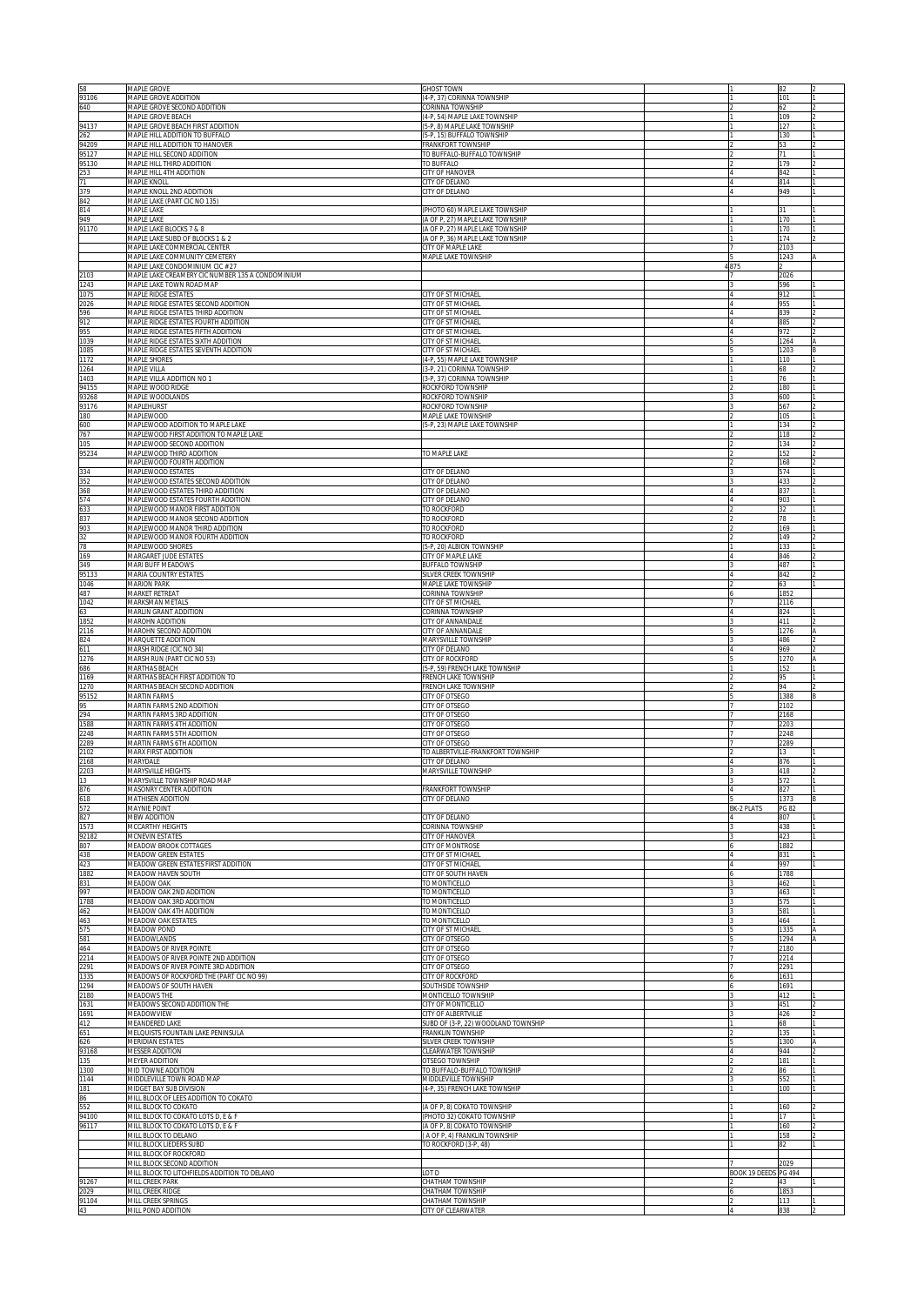| 58<br>93106            | MAPLE GROVE<br>MAPLE GROVE ADDITION                                          | <b>GHOST TOWN</b><br>4-P, 37) CORINNA TOWNSHIP                     |                      | 82<br>101     |  |
|------------------------|------------------------------------------------------------------------------|--------------------------------------------------------------------|----------------------|---------------|--|
| 640                    | MAPLE GROVE SECOND ADDITION<br>MAPLE GROVE BEACH                             | CORINNA TOWNSHIP<br>4-P, 54) MAPLE LAKE TOWNSHIP                   |                      | 62<br>109     |  |
| 94137                  | MAPLE GROVE BEACH FIRST ADDITION                                             | 5-P, 8) MAPLE LAKE TOWNSHIP                                        |                      | 127           |  |
| 262<br>94209           | MAPLE HILL ADDITION TO BUFFALO<br>MAPLE HILL ADDITION TO HANOVER             | 5-P, 15) BUFFALO TOWNSHIP<br>RANKFORT TOWNSHIP                     |                      | 130<br>53     |  |
| 95127<br>95130         | MAPLE HILL SECOND ADDITION<br>MAPLE HILL THIRD ADDITION                      | TO BUFFALO-BUFFALO TOWNSHIP<br>TO BUFFALO                          |                      | 71<br>179     |  |
| 253<br>$\overline{71}$ | MAPLE HILL 4TH ADDITION<br>MAPLE KNOLL                                       | <b>CITY OF HANOVER</b><br>CITY OF DELANO                           |                      | 842<br>814    |  |
| 379<br>842             | MAPLE KNOLL 2ND ADDITION<br>MAPLE LAKE (PART CIC NO 135)                     | CITY OF DELANO                                                     |                      | 949           |  |
| 814<br>949             | MAPLE LAKE<br><b>MAPLE LAKE</b>                                              | PHOTO 60) MAPLE LAKE TOWNSHIP<br>A OF P, 27) MAPLE LAKE TOWNSHIP   |                      | 31<br>170     |  |
| 91170                  | MAPLE LAKE BLOCKS 7 & 8<br>MAPLE LAKE SUBD OF BLOCKS 1 & 2                   | A OF P, 27) MAPLE LAKE TOWNSHIP<br>A OF P, 36) MAPLE LAKE TOWNSHIP |                      | 170<br>174    |  |
|                        | MAPLE LAKE COMMERCIAL CENTER<br>MAPLE LAKE COMMUNITY CEMETERY                | <b>CITY OF MAPLE LAKE</b><br>MAPLE LAKE TOWNSHIP                   |                      | 2103<br>1243  |  |
|                        | MAPLE LAKE CONDOMINIUM CIC # 27                                              |                                                                    | 4875                 |               |  |
| 2103<br>1243           | MAPLE LAKE CREAMERY CIC NUMBER 135 A CONDOMINIUM<br>MAPLE LAKE TOWN ROAD MAP |                                                                    |                      | 2026<br>596   |  |
| 1075<br>2026           | MAPLE RIDGE ESTATES<br>MAPLE RIDGE ESTATES SECOND ADDITION                   | CITY OF ST MICHAEL<br>CITY OF ST MICHAEL                           |                      | 912<br>955    |  |
| 596<br>912             | MAPLE RIDGE ESTATES THIRD ADDITION<br>MAPLE RIDGE ESTATES FOURTH ADDITION    | CITY OF ST MICHAEL<br>CITY OF ST MICHAEL                           |                      | 839<br>885    |  |
| 955<br>1039            | MAPLE RIDGE ESTATES FIFTH ADDITION<br>MAPLE RIDGE ESTATES SIXTH ADDITION     | CITY OF ST MICHAEL<br>CITY OF ST MICHAEL                           |                      | 972<br>1264   |  |
| 1085<br>1172           | MAPLE RIDGE ESTATES SEVENTH ADDITION<br>MAPLE SHORES                         | CITY OF ST MICHAEL<br>(4-P, 55) MAPLE LAKE TOWNSHIP                |                      | 1203<br>110   |  |
| 1264<br>1403           | MAPLE VILLA<br>MAPLE VILLA ADDITION NO 1                                     | 3-P, 21) CORINNA TOWNSHIP<br>3-P, 37) CORINNA TOWNSHIP             |                      | 68<br>76      |  |
| 94155<br>93268         | MAPLE WOOD RIDGE<br>MAPLE WOODLANDS                                          | ROCKFORD TOWNSHIP<br>ROCKFORD TOWNSHIP                             |                      | 180<br>600    |  |
| 93176<br>180           | MAPLEHURST<br><b>MAPLEWOOD</b>                                               | ROCKFORD TOWNSHIP<br>MAPLE LAKE TOWNSHIP                           |                      | 567<br>105    |  |
| 600<br>767             | MAPLEWOOD ADDITION TO MAPLE LAKE<br>MAPLEWOOD FIRST ADDITION TO MAPLE LAKE   | 5-P, 23) MAPLE LAKE TOWNSHIP                                       |                      | 134<br>118    |  |
| 105                    | MAPLEWOOD SECOND ADDITION                                                    |                                                                    |                      | 134           |  |
| 95234                  | MAPLEWOOD THIRD ADDITION<br>MAPLEWOOD FOURTH ADDITION                        | TO MAPLE LAKE                                                      |                      | 152<br>168    |  |
| 334<br>352             | <b>MAPLEWOOD ESTATES</b><br>MAPLEWOOD ESTATES SECOND ADDITION                | <b>CITY OF DELANO</b><br><b>CITY OF DELANO</b>                     |                      | 574<br>433    |  |
| 368<br>574             | MAPLEWOOD ESTATES THIRD ADDITION<br>MAPLEWOOD ESTATES FOURTH ADDITION        | <b>CITY OF DELANO</b><br><b>CITY OF DELANO</b>                     |                      | 837<br>903    |  |
| 633<br>837             | MAPLEWOOD MANOR FIRST ADDITION<br>MAPLEWOOD MANOR SECOND ADDITION            | TO ROCKFORD<br><b>O ROCKFORD</b>                                   |                      | 32<br>78      |  |
| 903<br>32              | MAPLEWOOD MANOR THIRD ADDITION<br>MAPLEWOOD MANOR FOURTH ADDITION            | <b>O ROCKFORD</b><br>TO ROCKFORD                                   |                      | 169<br>149    |  |
| 78<br>169              | MAPLEWOOD SHORES<br>MARGARET JUDE ESTATES                                    | 5-P, 20) ALBION TOWNSHIP<br><b>CITY OF MAPLE LAKE</b>              |                      | 133<br>846    |  |
| 349<br>95133           | <b>MARI BUFF MEADOWS</b><br><b>MARIA COUNTRY ESTATES</b>                     | <b>BUFFALO TOWNSHIP</b><br>SILVER CREEK TOWNSHIP                   |                      | 487<br>842    |  |
| 1046<br>487            | <b>MARION PARK</b><br>MARKET RETREAT                                         | <b>MAPLE LAKE TOWNSHIP</b><br><b>CORINNA TOWNSHIP</b>              |                      | 63<br>1852    |  |
| 1042<br>63             | MARKSMAN METALS<br>MARLIN GRANT ADDITION                                     | CITY OF ST MICHAEL<br>CORINNA TOWNSHIP                             |                      | 2116<br>824   |  |
| 1852<br>2116           | MAROHN ADDITION<br>MAROHN SECOND ADDITION                                    | CITY OF ANNANDALE<br>CITY OF ANNANDALE                             |                      | 411<br>1276   |  |
| 824<br>611             | MARQUETTE ADDITION<br>MARSH RIDGE (CIC NO 34)                                | MARYSVILLE TOWNSHIP<br>CITY OF DELANO                              |                      | 486<br>969    |  |
| 1276                   | MARSH RUN (PART CIC NO 53)<br>MARTHAS BEACH                                  | CITY OF ROCKFORD<br>5-P, 59) FRENCH LAKE TOWNSHIP                  |                      | 1270<br>152   |  |
| 686<br>1169<br>1270    | MARTHAS BEACH FIRST ADDITION TO                                              | RENCH LAKE TOWNSHIP                                                |                      | 95<br>94      |  |
| 95152                  | MARTHAS BEACH SECOND ADDITION<br><b>MARTIN FARMS</b>                         | RENCH LAKE TOWNSHIP<br><b>CITY OF OTSEGO</b>                       |                      | 1388          |  |
| 95<br>294              | MARTIN FARMS 2ND ADDITION<br>MARTIN FARMS 3RD ADDITION                       | <b>CITY OF OTSEGO</b><br><b>CITY OF OTSEGO</b>                     |                      | 2102<br>2168  |  |
| 1588<br>2248           | MARTIN FARMS 4TH ADDITION<br><b>MARTIN FARMS 5TH ADDITION</b>                | <b>CITY OF OTSEGO</b><br>CITY OF OTSEGO                            |                      | 2203<br>2248  |  |
| 2289<br>2102           | MARTIN FARMS 6TH ADDITION<br>MARX FIRST ADDITION                             | <b>CITY OF OTSEGO</b><br>TO ALBERTVILLE-FRANKFORT TOWNSHIP         |                      | 2289<br>13    |  |
| 2168<br>2203           | MARYDALE<br>MARYSVILLE HEIGHTS                                               | CITY OF DELANO<br>MARYSVILLE TOWNSHIP                              |                      | 876<br>418    |  |
| 876                    | MARYSVILLE TOWNSHIP ROAD MAP<br>MASONRY CENTER ADDITION                      | <b><i>FRANKFORT TOWNSHIP</i></b>                                   |                      | 572<br>827    |  |
| 618<br>572             | MATHISEN ADDITION<br>MAYNIE POINT                                            | CITY OF DELANO                                                     | BK-2 PLATS           | 1373<br>PG 82 |  |
| 827<br>1573            | <b>MBW ADDITION</b><br>MCCARTHY HEIGHTS                                      | CITY OF DELANO<br>CORINNA TOWNSHIP                                 |                      | 807<br>438    |  |
| 92182<br>807           | MCNEVIN ESTATES<br>MEADOW BROOK COTTAGES                                     | CITY OF HANOVER<br>CITY OF MONTROSE                                |                      | 423<br>1882   |  |
| 438<br>423             | MEADOW GREEN ESTATES<br>MEADOW GREEN ESTATES FIRST ADDITION                  | CITY OF ST MICHAEL<br>CITY OF ST MICHAEL                           | $\overline{A}$       | 831<br>997    |  |
| 1882<br>831            | MEADOW HAVEN SOUTH<br>MEADOW OAK                                             | CITY OF SOUTH HAVEN<br>TO MONTICELLO                               |                      | 1788<br>462   |  |
| 997<br>1788            | MEADOW OAK 2ND ADDITION<br>MEADOW OAK 3RD ADDITION                           | TO MONTICELLO<br>TO MONTICELLO                                     |                      | 463<br>575    |  |
| 462                    | MEADOW OAK 4TH ADDITION                                                      | TO MONTICELLO                                                      |                      | 581           |  |
| 463<br>575             | MEADOW OAK ESTATES<br>MEADOW POND                                            | TO MONTICELLO<br>CITY OF ST MICHAEL                                |                      | 464<br>1335   |  |
| 581<br>464             | MEADOWLANDS<br>MEADOWS OF RIVER POINTE                                       | CITY OF OTSEGO<br>CITY OF OTSEGO                                   |                      | 1294<br>2180  |  |
| 2214<br>2291           | MEADOWS OF RIVER POINTE 2ND ADDITION<br>MEADOWS OF RIVER POINTE 3RD ADDITION | CITY OF OTSEGO<br>CITY OF OTSEGO                                   |                      | 2214<br>2291  |  |
| 1335<br>1294           | MEADOWS OF ROCKFORD THE (PART CIC NO 99)<br>MEADOWS OF SOUTH HAVEN           | <b>CITY OF ROCKFORD</b><br>SOUTHSIDE TOWNSHIP                      |                      | 1631<br>1691  |  |
| 2180<br>1631           | <b>MEADOWS THE</b><br>MEADOWS SECOND ADDITION THE                            | <b>MONTICELLO TOWNSHIP</b><br><b>CITY OF MONTICELLO</b>            |                      | 412<br>451    |  |
| 1691<br>412            | MEADOWVIEW<br>MEANDERED LAKE                                                 | CITY OF ALBERTVILLE<br>SUBD OF (3-P, 22) WOODLAND TOWNSHIP         |                      | 426<br>68     |  |
| 651<br>626             | MELQUISTS FOUNTAIN LAKE PENINSULA<br>MERIDIAN ESTATES                        | <b>FRANKLIN TOWNSHIP</b><br>SILVER CREEK TOWNSHIP                  |                      | 135<br>1300   |  |
| 93168<br>135           | MESSER ADDITION<br>MEYER ADDITION                                            | <b>CLEARWATER TOWNSHIP</b><br>OTSEGO TOWNSHIP                      |                      | 944<br>181    |  |
| 1300<br>1144           | MID TOWNE ADDITION<br>MIDDLEVILLE TOWN ROAD MAP                              | TO BUFFALO-BUFFALO TOWNSHIP<br>MIDDLEVILLE TOWNSHIP                |                      | 86<br>552     |  |
| 181<br>86              | MIDGET BAY SUB DIVISION<br>MILL BLOCK OF LEES ADDITION TO COKATO             | 4-P, 35) FRENCH LAKE TOWNSHIP                                      |                      | 100           |  |
| 552<br>94100           | MILL BLOCK TO COKATO<br>MILL BLOCK TO COKATO LOTS D, E & F                   | (A OF P, 8) COKATO TOWNSHIP<br>PHOTO 32) COKATO TOWNSHIP           |                      | 160<br>17     |  |
| 96117                  | MILL BLOCK TO COKATO LOTS D, E & F<br>MILL BLOCK TO DELANO                   | (A OF P, 8) COKATO TOWNSHIP<br>A OF P, 4) FRANKLIN TOWNSHIP        |                      | 160<br>158    |  |
|                        | MILL BLOCK LIEDERS SUBD<br>MILL BLOCK OF ROCKFORD                            | TO ROCKFORD (3-P, 48)                                              |                      | 82            |  |
|                        | MILL BLOCK SECOND ADDITION                                                   |                                                                    |                      | 2029          |  |
| 91267                  | MILL BLOCK TO LITCHFIELDS ADDITION TO DELANO<br>MILL CREEK PARK              | OT D<br><b>HATHAM TOWNSHIP</b>                                     | <b>BOOK 19 DEEDS</b> | PG 494<br>43  |  |
| 2029                   | MILL CREEK RIDGE                                                             | <b>HATHAM TOWNSHIP</b><br><b>CHATHAM TOWNSHIP</b>                  |                      | 1853<br>113   |  |
| 91104<br>43            | MILL CREEK SPRINGS<br>MILL POND ADDITION                                     | CITY OF CLEARWATER                                                 |                      | 838           |  |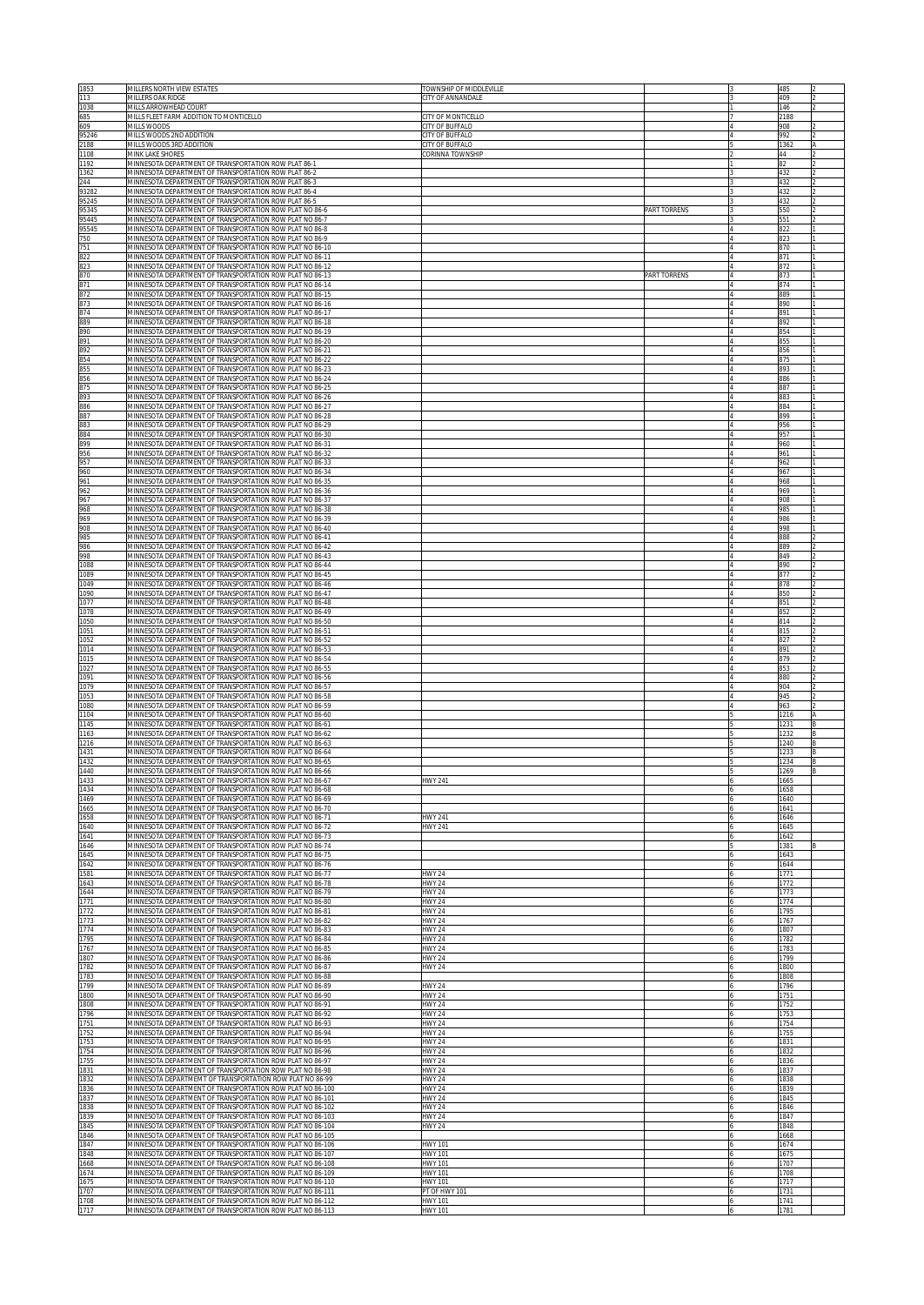| 1853<br>113              | MILLERS NORTH VIEW ESTATES<br><b>MILLERS OAK RIDGE</b>                                                                   | TOWNSHIP OF MIDDLEVILLE<br>CITY OF ANNANDALE     |                     | 485<br>409   |  |
|--------------------------|--------------------------------------------------------------------------------------------------------------------------|--------------------------------------------------|---------------------|--------------|--|
| 1038                     | MILLS ARROWHEAD COURT                                                                                                    |                                                  |                     | 146          |  |
| 685<br>609               | MILLS FLEET FARM ADDITION TO MONTICELLO<br>MILLS WOODS                                                                   | CITY OF MONTICELLO<br><b>CITY OF BUFFALO</b>     |                     | 2188<br>908  |  |
| 95246<br>2188            | MILLS WOODS 2ND ADDITION<br>MILLS WOODS 3RD ADDITION                                                                     | <b>CITY OF BUFFALO</b><br><b>CITY OF BUFFALO</b> |                     | 992<br>1362  |  |
| 1108<br>1192             | MINK LAKE SHORES<br>MINNESOTA DEPARTMENT OF TRANSPORTATION ROW PLAT 86-1                                                 | CORINNA TOWNSHIP                                 |                     | 44<br>82     |  |
| 1362                     | MINNESOTA DEPARTMENT OF TRANSPORTATION ROW PLAT 86-2                                                                     |                                                  |                     | 432          |  |
| 244<br>93282             | VIINNESOTA DEPARTMENT OF TRANSPORTATION ROW PLAT 86-3<br>AINNESOTA DEPARTMENT OF TRANSPORTATION ROW PLAT 86-4            |                                                  |                     | 432<br>432   |  |
| 95245<br>95345           | VIINNESOTA DEPARTMENT OF TRANSPORTATION ROW PLAT 86-5<br>VIINNESOTA DEPARTMENT OF TRANSPORTATION ROW PLAT NO 86-6        |                                                  | <b>PART TORRENS</b> | 432<br>550   |  |
| 95445<br>95545           | VIINNESOTA DEPARTMENT OF TRANSPORTATION ROW PLAT NO 86-7<br>MINNESOTA DEPARTMENT OF TRANSPORTATION ROW PLAT NO 86-8      |                                                  |                     | 551<br>822   |  |
| 750                      | MINNESOTA DEPARTMENT OF TRANSPORTATION ROW PLAT NO 86-9                                                                  |                                                  |                     | 823          |  |
| 751<br>822               | MINNESOTA DEPARTMENT OF TRANSPORTATION ROW PLAT NO 86-10<br>MINNESOTA DEPARTMENT OF TRANSPORTATION ROW PLAT NO 86-11     |                                                  |                     | 870<br>871   |  |
| 823<br>870               | MINNESOTA DEPARTMENT OF TRANSPORTATION ROW PLAT NO 86-12<br>MINNESOTA DEPARTMENT OF TRANSPORTATION ROW PLAT NO 86-13     |                                                  | PART TORRENS        | 872<br>873   |  |
| 871<br>872               | MINNESOTA DEPARTMENT OF TRANSPORTATION ROW PLAT NO 86-14<br>MINNESOTA DEPARTMENT OF TRANSPORTATION ROW PLAT NO 86-15     |                                                  |                     | 874<br>889   |  |
| 873                      | MINNESOTA DEPARTMENT OF TRANSPORTATION ROW PLAT NO 86-16                                                                 |                                                  |                     | 890          |  |
| 874<br>889               | MINNESOTA DEPARTMENT OF TRANSPORTATION ROW PLAT NO 86-17<br>MINNESOTA DEPARTMENT OF TRANSPORTATION ROW PLAT NO 86-18     |                                                  |                     | 891<br>892   |  |
| 890<br>891               | MINNESOTA DEPARTMENT OF TRANSPORTATION ROW PLAT NO 86-19<br>MINNESOTA DEPARTMENT OF TRANSPORTATION ROW PLAT NO 86-20     |                                                  |                     | 854<br>855   |  |
| 892                      | MINNESOTA DEPARTMENT OF TRANSPORTATION ROW PLAT NO 86-21<br>MINNESOTA DEPARTMENT OF TRANSPORTATION ROW PLAT NO 86-22     |                                                  |                     | 856<br>875   |  |
| 854<br>855<br>856<br>875 | MINNESOTA DEPARTMENT OF TRANSPORTATION ROW PLAT NO 86-23<br>MINNESOTA DEPARTMENT OF TRANSPORTATION ROW PLAT NO 86-24     |                                                  |                     | 893<br>886   |  |
|                          | MINNESOTA DEPARTMENT OF TRANSPORTATION ROW PLAT NO 86-25                                                                 |                                                  |                     | 887          |  |
| 893<br>886<br>887        | MINNESOTA DEPARTMENT OF TRANSPORTATION ROW PLAT NO 86-26<br>MINNESOTA DEPARTMENT OF TRANSPORTATION ROW PLAT NO 86-27     |                                                  |                     | 883<br>884   |  |
| 883                      | MINNESOTA DEPARTMENT OF TRANSPORTATION ROW PLAT NO 86-28<br>MINNESOTA DEPARTMENT OF TRANSPORTATION ROW PLAT NO 86-29     |                                                  |                     | 899<br>956   |  |
| 884<br>899               | MINNESOTA DEPARTMENT OF TRANSPORTATION ROW PLAT NO 86-30<br>MINNESOTA DEPARTMENT OF TRANSPORTATION ROW PLAT NO 86-31     |                                                  |                     | 957<br>960   |  |
| 956<br>957               | MINNESOTA DEPARTMENT OF TRANSPORTATION ROW PLAT NO 86-32<br>MINNESOTA DEPARTMENT OF TRANSPORTATION ROW PLAT NO 86-33     |                                                  |                     | 961<br>962   |  |
| 960                      | MINNESOTA DEPARTMENT OF TRANSPORTATION ROW PLAT NO 86-34                                                                 |                                                  |                     | 967          |  |
| 961<br>962               | MINNESOTA DEPARTMENT OF TRANSPORTATION ROW PLAT NO 86-35<br>MINNESOTA DEPARTMENT OF TRANSPORTATION ROW PLAT NO 86-36     |                                                  |                     | 968<br>969   |  |
| 967<br>968               | MINNESOTA DEPARTMENT OF TRANSPORTATION ROW PLAT NO 86-37<br>MINNESOTA DEPARTMENT OF TRANSPORTATION ROW PLAT NO 86-38     |                                                  |                     | 908<br>985   |  |
| 969<br>908               | MINNESOTA DEPARTMENT OF TRANSPORTATION ROW PLAT NO 86-39<br>MINNESOTA DEPARTMENT OF TRANSPORTATION ROW PLAT NO 86-40     |                                                  |                     | 986<br>998   |  |
| 985<br>986               | MINNESOTA DEPARTMENT OF TRANSPORTATION ROW PLAT NO 86-41<br>MINNESOTA DEPARTMENT OF TRANSPORTATION ROW PLAT NO 86-42     |                                                  |                     | 888<br>889   |  |
| 998                      | MINNESOTA DEPARTMENT OF TRANSPORTATION ROW PLAT NO 86-43                                                                 |                                                  |                     | 849          |  |
| 1088<br>1089             | MINNESOTA DEPARTMENT OF TRANSPORTATION ROW PLAT NO 86-44<br>MINNESOTA DEPARTMENT OF TRANSPORTATION ROW PLAT NO 86-45     |                                                  |                     | 890<br>877   |  |
| 1049<br>1090             | MINNESOTA DEPARTMENT OF TRANSPORTATION ROW PLAT NO 86-46<br>MINNESOTA DEPARTMENT OF TRANSPORTATION ROW PLAT NO 86-47     |                                                  |                     | 878<br>850   |  |
| 1077<br>1078             | MINNESOTA DEPARTMENT OF TRANSPORTATION ROW PLAT NO 86-48<br>MINNESOTA DEPARTMENT OF TRANSPORTATION ROW PLAT NO 86-49     |                                                  |                     | 851<br>852   |  |
| 1050<br>1051             | MINNESOTA DEPARTMENT OF TRANSPORTATION ROW PLAT NO 86-50<br>MINNESOTA DEPARTMENT OF TRANSPORTATION ROW PLAT NO 86-51     |                                                  |                     | 814<br>815   |  |
| 1052<br>1014             | MINNESOTA DEPARTMENT OF TRANSPORTATION ROW PLAT NO 86-52<br>MINNESOTA DEPARTMENT OF TRANSPORTATION ROW PLAT NO 86-53     |                                                  |                     | 827<br>891   |  |
| 1015                     | MINNESOTA DEPARTMENT OF TRANSPORTATION ROW PLAT NO 86-54                                                                 |                                                  |                     | 879          |  |
| 1027<br>1091             | MINNESOTA DEPARTMENT OF TRANSPORTATION ROW PLAT NO 86-55<br>MINNESOTA DEPARTMENT OF TRANSPORTATION ROW PLAT NO 86-56     |                                                  |                     | 853<br>880   |  |
| 1079<br>1053             | MINNESOTA DEPARTMENT OF TRANSPORTATION ROW PLAT NO 86-57<br>MINNESOTA DEPARTMENT OF TRANSPORTATION ROW PLAT NO 86-58     |                                                  |                     | 904<br>945   |  |
| 1080<br>1104             | MINNESOTA DEPARTMENT OF TRANSPORTATION ROW PLAT NO 86-59<br>MINNESOTA DEPARTMENT OF TRANSPORTATION ROW PLAT NO 86-60     |                                                  |                     | 963<br>1216  |  |
| 1145<br>1163             | MINNESOTA DEPARTMENT OF TRANSPORTATION ROW PLAT NO 86-61<br>MINNESOTA DEPARTMENT OF TRANSPORTATION ROW PLAT NO 86-62     |                                                  |                     | 1231<br>1232 |  |
| 1216<br>1431             | MINNESOTA DEPARTMENT OF TRANSPORTATION ROW PLAT NO 86-63<br>MINNESOTA DEPARTMENT OF TRANSPORTATION ROW PLAT NO 86-64     |                                                  |                     | 1240<br>1233 |  |
| 1432<br>1440             | MINNESOTA DEPARTMENT OF TRANSPORTATION ROW PLAT NO 86-65<br>MINNESOTA DEPARTMENT OF TRANSPORTATION ROW PLAT NO 86-66     |                                                  |                     | 1234         |  |
| 1433                     | MINNESOTA DEPARTMENT OF TRANSPORTATION ROW PLAT NO 86-67                                                                 | HWY 241                                          |                     | 1269<br>1665 |  |
| 1434<br>1469             | MINNESOTA DEPARTMENT OF TRANSPORTATION ROW PLAT NO 86-68<br>MINNESOTA DEPARTMENT OF TRANSPORTATION ROW PLAT NO 86-69     |                                                  |                     | 1658<br>1640 |  |
| 1665<br>1658             | MINNESOTA DEPARTMENT OF TRANSPORTATION ROW PLAT NO 86-70<br>MINNESOTA DEPARTMENT OF TRANSPORTATION ROW PLAT NO 86-71     | <b>HWY 241</b>                                   |                     | 1641<br>1646 |  |
| 1640<br>1641             | MINNESOTA DEPARTMENT OF TRANSPORTATION ROW PLAT NO 86-72<br>MINNESOTA DEPARTMENT OF TRANSPORTATION ROW PLAT NO 86-73     | HWY 241                                          |                     | 1645<br>1642 |  |
| 1646<br>1645             | MINNESOTA DEPARTMENT OF TRANSPORTATION ROW PLAT NO 86-74<br>MINNESOTA DEPARTMENT OF TRANSPORTATION ROW PLAT NO 86-75     |                                                  |                     | 1381<br>1643 |  |
| 1642                     | MINNESOTA DEPARTMENT OF TRANSPORTATION ROW PLAT NO 86-76                                                                 |                                                  |                     | 1644         |  |
| 1581<br>1643             | MINNESOTA DEPARTMENT OF TRANSPORTATION ROW PLAT NO 86-77<br>MINNESOTA DEPARTMENT OF TRANSPORTATION ROW PLAT NO 86-78     | <b>HWY 24</b><br><b>HWY 24</b>                   |                     | 1771<br>1772 |  |
| 1644<br>1771             | MINNESOTA DEPARTMENT OF TRANSPORTATION ROW PLAT NO 86-79<br>MINNESOTA DEPARTMENT OF TRANSPORTATION ROW PLAT NO 86-80     | <b>HWY 24</b><br><b>HWY 24</b>                   |                     | 1773<br>1774 |  |
| 1772<br>1773             | MINNESOTA DEPARTMENT OF TRANSPORTATION ROW PLAT NO 86-81<br>MINNESOTA DEPARTMENT OF TRANSPORTATION ROW PLAT NO 86-82     | <b>HWY 24</b><br><b>HWY 24</b>                   |                     | 1795<br>1767 |  |
| 1774<br>1795             | MINNESOTA DEPARTMENT OF TRANSPORTATION ROW PLAT NO 86-83<br>MINNESOTA DEPARTMENT OF TRANSPORTATION ROW PLAT NO 86-84     | <b>HWY 24</b><br><b>HWY 24</b>                   |                     | 1807<br>1782 |  |
| 1767<br>1807             | MINNESOTA DEPARTMENT OF TRANSPORTATION ROW PLAT NO 86-85<br>MINNESOTA DEPARTMENT OF TRANSPORTATION ROW PLAT NO 86-86     | <b>HWY 24</b><br><b>HWY 24</b>                   |                     | 1783<br>1799 |  |
| 1782                     | MINNESOTA DEPARTMENT OF TRANSPORTATION ROW PLAT NO 86-87<br>MINNESOTA DEPARTMENT OF TRANSPORTATION ROW PLAT NO 86-88     | <b>HWY 24</b>                                    |                     | 800          |  |
| 1783<br>1799             | MINNESOTA DEPARTMENT OF TRANSPORTATION ROW PLAT NO 86-89                                                                 | <b>HWY 24</b>                                    |                     | 808<br>1796  |  |
| 1800<br>1808             | MINNESOTA DEPARTMENT OF TRANSPORTATION ROW PLAT NO 86-90<br>MINNESOTA DEPARTMENT OF TRANSPORTATION ROW PLAT NO 86-91     | <b>HWY 24</b><br><b>HWY 24</b>                   |                     | 1751<br>1752 |  |
| 1796<br>1751             | MINNESOTA DEPARTMENT OF TRANSPORTATION ROW PLAT NO 86-92<br>MINNESOTA DEPARTMENT OF TRANSPORTATION ROW PLAT NO 86-93     | <b>HWY 24</b><br><b>HWY 24</b>                   |                     | 1753<br>1754 |  |
| 1752<br>1753             | MINNESOTA DEPARTMENT OF TRANSPORTATION ROW PLAT NO 86-94<br>MINNESOTA DEPARTMENT OF TRANSPORTATION ROW PLAT NO 86-95     | <b>HWY 24</b><br><b>IWY 24</b>                   |                     | 1755<br>1831 |  |
| 1754<br>1755             | MINNESOTA DEPARTMENT OF TRANSPORTATION ROW PLAT NO 86-96<br>MINNESOTA DEPARTMENT OF TRANSPORTATION ROW PLAT NO 86-97     | <b>IWY 24</b><br><b>HWY 24</b>                   |                     | 832<br>1836  |  |
| 1831<br>1832             | MINNESOTA DEPARTMENT OF TRANSPORTATION ROW PLAT NO 86-98<br>MINNESOTA DEPARTMEMT OF TRANSPORTATION ROW PLAT NO 86-99     | <b>HWY 24</b><br><b>HWY 24</b>                   |                     | 1837<br>1838 |  |
| 1836<br>1837             | MINNESOTA DEPARTMENT OF TRANSPORTATION ROW PLAT NO 86-100<br>MINNESOTA DEPARTMENT OF TRANSPORTATION ROW PLAT NO 86-101   | <b>HWY 24</b><br><b>HWY 24</b>                   |                     | 1839<br>1845 |  |
| 1838                     | MINNESOTA DEPARTMENT OF TRANSPORTATION ROW PLAT NO 86-102                                                                | <b>HWY 24</b>                                    |                     | 1846         |  |
| 1839<br>1845             | VIINNESOTA DEPARTMENT OF TRANSPORTATION ROW PLAT NO 86-103<br>MINNESOTA DEPARTMENT OF TRANSPORTATION ROW PLAT NO 86-104  | <b>HWY 24</b><br><b>HWY 24</b>                   |                     | 1847<br>1848 |  |
| 1846<br>1847             | VIINNESOTA DEPARTMENT OF TRANSPORTATION ROW PLAT NO 86-105<br>VIINNESOTA DEPARTMENT OF TRANSPORTATION ROW PLAT NO 86-106 | HWY 101                                          |                     | 1668<br>1674 |  |
| 1848<br>1668             | VIINNESOTA DEPARTMENT OF TRANSPORTATION ROW PLAT NO 86-107<br>AINNESOTA DEPARTMENT OF TRANSPORTATION ROW PLAT NO 86-108  | HWY 101<br><b>HWY 101</b>                        |                     | 1675<br>707  |  |
| 1674<br>1675             | AINNESOTA DEPARTMENT OF TRANSPORTATION ROW PLAT NO 86-109<br>AINNESOTA DEPARTMENT OF TRANSPORTATION ROW PLAT NO 86-110   | HWY 101<br><b>HWY 101</b>                        |                     | 708<br>717   |  |
| 1707<br>1708             | AINNESOTA DEPARTMENT OF TRANSPORTATION ROW PLAT NO 86-111<br>VIINNESOTA DEPARTMENT OF TRANSPORTATION ROW PLAT NO 86-112  | PT OF HWY 101<br><b>HWY 101</b>                  |                     | 1731<br>1741 |  |
| 1717                     | MINNESOTA DEPARTMENT OF TRANSPORTATION ROW PLAT NO 86-113                                                                | HWY 101                                          |                     | 1781         |  |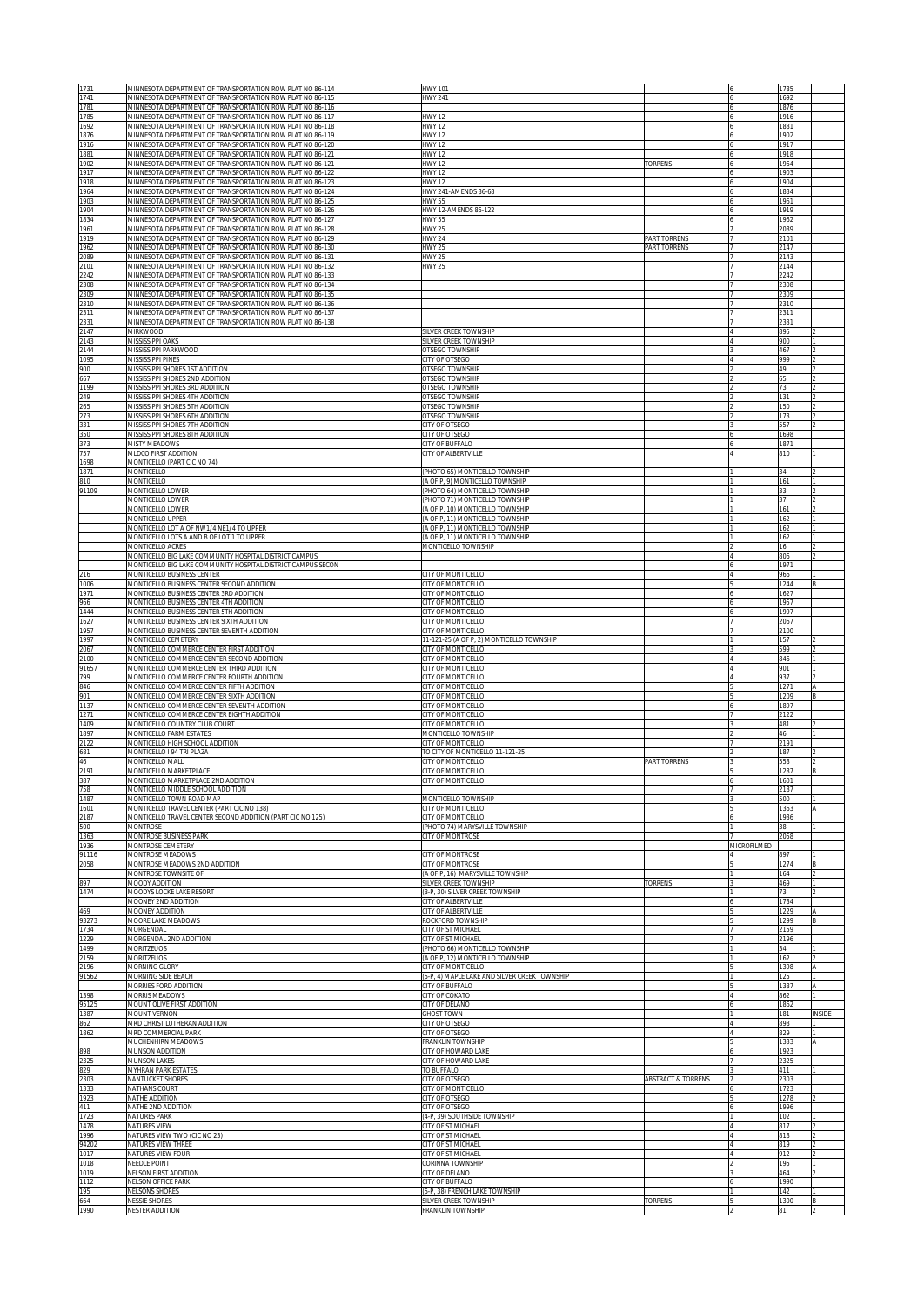| 1731          | MINNESOTA DEPARTMENT OF TRANSPORTATION ROW PLAT NO 86-114                                                                | <b>HWY 101</b>                                                      |                               |             | 1785                  |        |
|---------------|--------------------------------------------------------------------------------------------------------------------------|---------------------------------------------------------------------|-------------------------------|-------------|-----------------------|--------|
| 1741<br>1781  | MINNESOTA DEPARTMENT OF TRANSPORTATION ROW PLAT NO 86-115<br>MINNESOTA DEPARTMENT OF TRANSPORTATION ROW PLAT NO 86-116   | HWY 241                                                             |                               |             | 1692<br>1876          |        |
| 1785          | MINNESOTA DEPARTMENT OF TRANSPORTATION ROW PLAT NO 86-117                                                                | <b>HWY 12</b>                                                       |                               |             | 1916                  |        |
| 1692<br>1876  | MINNESOTA DEPARTMENT OF TRANSPORTATION ROW PLAT NO 86-118<br>MINNESOTA DEPARTMENT OF TRANSPORTATION ROW PLAT NO 86-119   | <b>HWY 12</b><br><b>HWY 12</b>                                      |                               |             | 1881<br>1902          |        |
| 1916          | MINNESOTA DEPARTMENT OF TRANSPORTATION ROW PLAT NO 86-120                                                                | <b>HWY 12</b>                                                       |                               |             | 1917                  |        |
| 1881<br>1902  | MINNESOTA DEPARTMENT OF TRANSPORTATION ROW PLAT NO 86-121<br>MINNESOTA DEPARTMENT OF TRANSPORTATION ROW PLAT NO 86-121   | <b>HWY 12</b><br><b>HWY 12</b>                                      | <b><i>FORRENS</i></b>         |             | 1918<br>1964          |        |
| 1917          | MINNESOTA DEPARTMENT OF TRANSPORTATION ROW PLAT NO 86-122                                                                | HWY 12                                                              |                               |             | 1903                  |        |
| 1918<br>1964  | MINNESOTA DEPARTMENT OF TRANSPORTATION ROW PLAT NO 86-123<br>MINNESOTA DEPARTMENT OF TRANSPORTATION ROW PLAT NO 86-124   | HWY 12<br>HWY 241-AMENDS 86-68                                      |                               |             | 1904<br>1834          |        |
| 1903          | MINNESOTA DEPARTMENT OF TRANSPORTATION ROW PLAT NO 86-125                                                                | HWY 55                                                              |                               |             | 1961                  |        |
| 1904<br>1834  | MINNESOTA DEPARTMENT OF TRANSPORTATION ROW PLAT NO 86-126<br>MINNESOTA DEPARTMENT OF TRANSPORTATION ROW PLAT NO 86-127   | HWY 12-AMENDS 86-122<br><b>HWY 55</b>                               |                               |             | 1919<br>1962          |        |
| 1961          | MINNESOTA DEPARTMENT OF TRANSPORTATION ROW PLAT NO 86-128                                                                | <b>HWY 25</b>                                                       |                               |             | 2089                  |        |
| 1919<br>1962  | MINNESOTA DEPARTMENT OF TRANSPORTATION ROW PLAT NO 86-129<br>MINNESOTA DEPARTMENT OF TRANSPORTATION ROW PLAT NO 86-130   | <b>HWY 24</b><br><b>HWY 25</b>                                      | PART TORRENS<br>PART TORRENS  |             | 2101<br>2147          |        |
| 2089          | MINNESOTA DEPARTMENT OF TRANSPORTATION ROW PLAT NO 86-131                                                                | <b>HWY 25</b>                                                       |                               |             | 2143                  |        |
| 2101<br>2242  | MINNESOTA DEPARTMENT OF TRANSPORTATION ROW PLAT NO 86-132<br>VIINNESOTA DEPARTMENT OF TRANSPORTATION ROW PLAT NO 86-133  | <b>HWY 25</b>                                                       |                               |             | 2144<br>2242          |        |
| 2308          | VIINNESOTA DEPARTMENT OF TRANSPORTATION ROW PLAT NO 86-134                                                               |                                                                     |                               |             | 2308                  |        |
| 2309<br>2310  | VIINNESOTA DEPARTMENT OF TRANSPORTATION ROW PLAT NO 86-135<br>VIINNESOTA DEPARTMENT OF TRANSPORTATION ROW PLAT NO 86-136 |                                                                     |                               |             | 2309<br>2310          |        |
| 2311<br>2331  | VIINNESOTA DEPARTMENT OF TRANSPORTATION ROW PLAT NO 86-137<br>VIINNESOTA DEPARTMENT OF TRANSPORTATION ROW PLAT NO 86-138 |                                                                     |                               |             | 2311<br>2331          |        |
| 2147          | <b>MIRKWOOD</b>                                                                                                          | SILVER CREEK TOWNSHIP                                               |                               |             | 895                   |        |
| 2143<br>2144  | MISSISSIPPI OAKS<br>MISSISSIPPI PARKWOOD                                                                                 | SILVER CREEK TOWNSHIP<br>OTSEGO TOWNSHIP                            |                               |             | 900<br>467            |        |
| 1095          | <b>MISSISSIPPI PINES</b>                                                                                                 | <b>CITY OF OTSEGO</b>                                               |                               |             | 999                   |        |
| 900<br>667    | MISSISSIPPI SHORES 1ST ADDITION<br>MISSISSIPPI SHORES 2ND ADDITION                                                       | OTSEGO TOWNSHIP<br>OTSEGO TOWNSHIP                                  |                               |             | 49<br>65              |        |
| 1199          | MISSISSIPPI SHORES 3RD ADDITION                                                                                          | OTSEGO TOWNSHIP                                                     |                               |             | 73                    |        |
| 249<br>265    | MISSISSIPPI SHORES 4TH ADDITION<br>MISSISSIPPI SHORES 5TH ADDITION                                                       | OTSEGO TOWNSHIP<br>OTSEGO TOWNSHIP                                  |                               |             | 131<br>150            |        |
| 273           | MISSISSIPPI SHORES 6TH ADDITION                                                                                          | OTSEGO TOWNSHIP                                                     |                               |             | 173                   |        |
| 331<br>350    | MISSISSIPPI SHORES 7TH ADDITION<br>MISSISSIPPI SHORES 8TH ADDITION                                                       | <b>CITY OF OTSEGO</b><br><b>CITY OF OTSEGO</b>                      |                               |             | 557<br>1698           |        |
| 373           | <b>MISTY MEADOWS</b>                                                                                                     | <b>CITY OF BUFFALO</b>                                              |                               |             | 1871                  |        |
| 757<br>1698   | <b>MLDCO FIRST ADDITION</b><br><b>MONTICELLO (PART CIC NO 74)</b>                                                        | CITY OF ALBERTVILLE                                                 |                               |             | 810                   |        |
| 1871          | MONTICELLO                                                                                                               | PHOTO 65) MONTICELLO TOWNSHIP                                       |                               |             | 34                    |        |
| 810<br>91109  | MONTICELLO<br>MONTICELLO LOWER                                                                                           | (A OF P, 9) MONTICELLO TOWNSHIP<br>PHOTO 64) MONTICELLO TOWNSHIP    |                               |             | 161<br>33             |        |
|               | MONTICELLO LOWER                                                                                                         | PHOTO 71) MONTICELLO TOWNSHIP                                       |                               |             |                       |        |
|               | MONTICELLO LOWER<br>MONTICELLO UPPER                                                                                     | (A OF P, 10) MONTICELLO TOWNSHIP<br>A OF P, 11) MONTICELLO TOWNSHIP |                               |             | 161<br>162            |        |
|               | MONTICELLO LOT A OF NW1/4 NE1/4 TO UPPER                                                                                 | (A OF P, 11) MONTICELLO TOWNSHIP                                    |                               |             | 162                   |        |
|               | MONTICELLO LOTS A AND B OF LOT 1 TO UPPER<br><b>MONTICELLO ACRES</b>                                                     | (A OF P, 11) MONTICELLO TOWNSHIP<br>MONTICELLO TOWNSHIP             |                               |             | 162<br>16             |        |
|               | MONTICELLO BIG LAKE COMMUNITY HOSPITAL DISTRICT CAMPUS                                                                   |                                                                     |                               |             | 806                   |        |
| 216           | MONTICELLO BIG LAKE COMMUNITY HOSPITAL DISTRICT CAMPUS SECON<br>MONTICELLO BUSINESS CENTER                               | <b>CITY OF MONTICELLO</b>                                           |                               |             | 1971<br>966           |        |
| 1006<br>1971  | MONTICELLO BUSINESS CENTER SECOND ADDITION<br>MONTICELLO BUSINESS CENTER 3RD ADDITION                                    | <b>CITY OF MONTICELLO</b><br><b>CITY OF MONTICELLO</b>              |                               |             | 1244                  |        |
| 966           | MONTICELLO BUSINESS CENTER 4TH ADDITION                                                                                  | <b>CITY OF MONTICELLO</b>                                           |                               |             | 1627<br>1957          |        |
| 1444<br>1627  | MONTICELLO BUSINESS CENTER 5TH ADDITION<br>MONTICELLO BUSINESS CENTER SIXTH ADDITION                                     | CITY OF MONTICELLO<br>CITY OF MONTICELLO                            |                               |             | 1997<br>2067          |        |
| 1957          | MONTICELLO BUSINESS CENTER SEVENTH ADDITION                                                                              | CITY OF MONTICELLO                                                  |                               |             | 2100                  |        |
| 1997<br>2067  | MONTICELLO CEMETERY<br>MONTICELLO COMMERCE CENTER FIRST ADDITION                                                         | 11-121-25 (A OF P, 2) MONTICELLO TOWNSHIP<br>CITY OF MONTICELLO     |                               |             | 157<br>599            |        |
| 2100          | MONTICELLO COMMERCE CENTER SECOND ADDITION                                                                               | CITY OF MONTICELLO                                                  |                               |             | 846                   |        |
| 91657<br>799  | MONTICELLO COMMERCE CENTER THIRD ADDITION<br>MONTICELLO COMMERCE CENTER FOURTH ADDITION                                  | CITY OF MONTICELLO<br>CITY OF MONTICELLO                            |                               |             | 901<br>937            |        |
|               | MONTICELLO COMMERCE CENTER FIFTH ADDITION                                                                                | CITY OF MONTICELLO                                                  |                               |             | 1271                  |        |
| 846           |                                                                                                                          |                                                                     |                               |             |                       |        |
| 901<br>1137   | MONTICELLO COMMERCE CENTER SIXTH ADDITION<br>MONTICELLO COMMERCE CENTER SEVENTH ADDITION                                 | CITY OF MONTICELLO<br>CITY OF MONTICELLO                            |                               |             | 1209<br>1897          |        |
| 1271          | MONTICELLO COMMERCE CENTER EIGHTH ADDITION                                                                               | CITY OF MONTICELLO                                                  |                               |             | 2122                  |        |
| 1409<br>1897  | MONTICELLO COUNTRY CLUB COURT<br>MONTICELLO FARM ESTATES                                                                 | CITY OF MONTICELLO<br>MONTICELLO TOWNSHIP                           |                               |             | 481<br>46             |        |
| 2122          | MONTICELLO HIGH SCHOOL ADDITION                                                                                          | CITY OF MONTICELLO                                                  |                               |             | 2191                  |        |
| 681<br>46     | MONTICELLO I 94 TRI PLAZA<br>MONTICELLO MALL                                                                             | TO CITY OF MONTICELLO 11-121-25<br>CITY OF MONTICELLO               | <b>PART TORRENS</b>           |             | 187<br>558            |        |
| 2191          | MONTICELLO MARKETPLACE                                                                                                   | CITY OF MONTICELLO                                                  |                               |             | 1287                  |        |
| 387<br>758    | MONTICELLO MARKETPLACE 2ND ADDITION<br>MONTICELLO MIDDLE SCHOOL ADDITION                                                 | CITY OF MONTICELLO                                                  |                               |             | $160^{\circ}$<br>2187 |        |
| 1487<br>1601  | MONTICELLO TOWN ROAD MAP<br>MONTICELLO TRAVEL CENTER (PART CIC NO 138)                                                   | MONTICELLO TOWNSHIP<br>CITY OF MONTICELLO                           |                               |             | 500<br>1363           |        |
| 2187          | MONTICELLO TRAVEL CENTER SECOND ADDITION (PART CIC NO 125)                                                               | CITY OF MONTICELLO                                                  |                               |             | 1936                  |        |
| 500<br>1363   | MONTROSE<br>MONTROSE BUSINESS PARK                                                                                       | (PHOTO 74) MARYSVILLE TOWNSHIP<br>CITY OF MONTROSE                  |                               |             | 38<br>2058            |        |
| 1936          | <b>MONTROSE CEMETERY</b>                                                                                                 |                                                                     |                               | MICROFILMED |                       |        |
| 91116<br>2058 | <b>MONTROSE MEADOWS</b><br>MONTROSE MEADOWS 2ND ADDITION                                                                 | CITY OF MONTROSE<br>CITY OF MONTROSE                                |                               |             | 897<br>1274           |        |
|               | MONTROSE TOWNSITE OF                                                                                                     | (A OF P, 16) MARYSVILLE TOWNSHIP                                    |                               |             | 164                   |        |
| 897<br>1474   | MOODY ADDITION<br>MOODYS LOCKE LAKE RESORT                                                                               | SILVER CREEK TOWNSHIP<br>(3-P. 30) SILVER CREEK TOWNSHIP            | <b>TORRENS</b>                |             | 469<br>73             |        |
|               | MOONEY 2ND ADDITION                                                                                                      | CITY OF ALBERTVILLE                                                 |                               |             | 1734                  |        |
| 469<br>93273  | MOONEY ADDITION<br>MOORE LAKE MEADOWS                                                                                    | CITY OF ALBERTVILLE<br>ROCKFORD TOWNSHIP                            |                               |             | 1229<br>1299          |        |
| 1734<br>1229  | MORGENDAL<br>MORGENDAL 2ND ADDITION                                                                                      | CITY OF ST MICHAEL<br>CITY OF ST MICHAEL                            |                               |             | 2159<br>2196          |        |
| 1499          | <b>MORITZEUOS</b>                                                                                                        | (PHOTO 66) MONTICELLO TOWNSHIP                                      |                               |             | 34                    |        |
| 2159          | <b>MORITZEUOS</b><br>MORNING GLORY                                                                                       | (A OF P, 12) MONTICELLO TOWNSHIP<br>CITY OF MONTICELLO              |                               |             | 162<br>1398           |        |
| 2196<br>91562 | MORNING SIDE BEACH                                                                                                       | 5-P. 4) MAPLE LAKE AND SILVER CREEK TOWNSHIP                        |                               |             | 125                   |        |
| 1398          | MORRIES FORD ADDITION                                                                                                    | CITY OF BUFFALO                                                     |                               |             | 1387<br>862           |        |
| 95125         | MORRIS MEADOWS<br>MOUNT OLIVE FIRST ADDITION                                                                             | CITY OF COKATO<br>CITY OF DELANO                                    |                               |             | 1862                  |        |
| 1387<br>862   | MOUNT VERNON<br>MRD CHRIST LUTHERAN ADDITION                                                                             | <b>GHOST TOWN</b><br>CITY OF OTSEGO                                 |                               |             | 181<br>898            | INSIDE |
| 1862          | VIRD COMMERCIAL PARK                                                                                                     | CITY OF OTSEGO                                                      |                               |             | 829                   |        |
| 898           | MUCHENHIRN MEADOWS<br>MUNSON ADDITION                                                                                    | FRANKLIN TOWNSHIP<br>CITY OF HOWARD LAKE                            |                               |             | 1333<br>1923          |        |
| 2325          | <b>MUNSON LAKES</b>                                                                                                      | CITY OF HOWARD LAKE                                                 |                               |             | 325                   |        |
| 829<br>2303   | <b>MYHRAN PARK ESTATES</b><br>NANTUCKET SHORES                                                                           | TO BUFFALO<br>CITY OF OTSEGO                                        | <b>ABSTRACT &amp; TORRENS</b> |             | 411<br>2303           |        |
| 1333          | NATHANS COURT                                                                                                            | CITY OF MONTICELLO                                                  |                               |             | 1723                  |        |
| 1923<br>411   | NATHE ADDITION<br>NATHE 2ND ADDITION                                                                                     | CITY OF OTSEGO<br>CITY OF OTSEGO                                    |                               |             | 1278<br>1996          |        |
| 1723<br>1478  | NATURES PARK<br>NATURES VIEW                                                                                             | (4-P, 39) SOUTHSIDE TOWNSHIP<br>CITY OF ST MICHAEL                  |                               |             | 102<br>817            |        |
| 1996          | NATURES VIEW TWO (CIC NO 23)                                                                                             | CITY OF ST MICHAEL                                                  |                               |             | 818                   |        |
| 94202<br>1017 | NATURES VIEW THREE<br>NATURES VIEW FOUR                                                                                  | CITY OF ST MICHAEL<br>CITY OF ST MICHAEL                            |                               |             | 819<br>912            |        |
| 1018          | NEEDLE POINT                                                                                                             | CORINNA TOWNSHIP                                                    |                               |             | 195                   |        |
| 1019<br>1112  | NELSON FIRST ADDITION<br>NELSON OFFICE PARK                                                                              | CITY OF DELANO<br>CITY OF BUFFALO                                   |                               |             | 464<br>1990           |        |
| 195<br>664    | NELSONS SHORES<br><b>NESSIE SHORES</b>                                                                                   | (5-P, 38) FRENCH LAKE TOWNSHIP<br>SILVER CREEK TOWNSHIP             | <b>TORRENS</b>                |             | 142<br>1300           | ΙR     |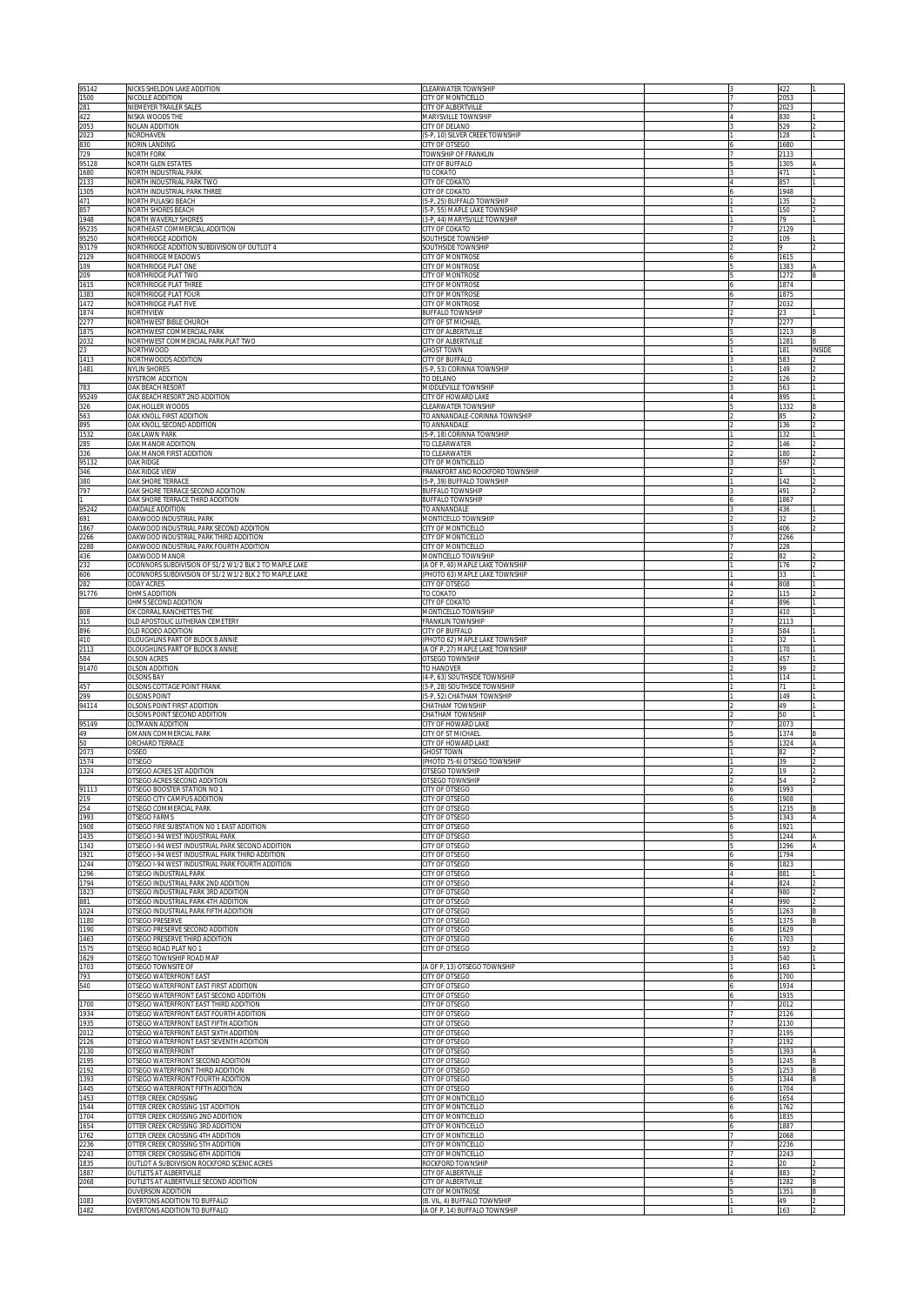| 95142          | NICKS SHELDON LAKE ADDITION                                                     | CLEARWATER TOWNSHIP                                              |   | 422          |       |
|----------------|---------------------------------------------------------------------------------|------------------------------------------------------------------|---|--------------|-------|
| 1500<br>281    | NICOLLE ADDITION<br>NIEMEYER TRAILER SALES                                      | CITY OF MONTICELLO<br><b>CITY OF ALBERTVILLE</b>                 |   | 2053<br>2023 |       |
| 422            | NISKA WOODS THE                                                                 | MARYSVILLE TOWNSHIP                                              |   | 830          |       |
| 2053<br>2023   | NOLAN ADDITION<br>NORDHAVEN                                                     | CITY OF DELANO<br>5-P, 10) SILVER CREEK TOWNSHIP                 |   | 529<br>128   |       |
| 830            | NORIN LANDING                                                                   | CITY OF OTSEGO                                                   |   | 1680         |       |
| 729            | <b>NORTH FORK</b>                                                               | TOWNSHIP OF FRANKLIN                                             |   | 2133         |       |
| 95128<br>1680  | <b>NORTH GLEN ESTATES</b><br>NORTH INDUSTRIAL PARK                              | CITY OF BUFFALO<br>TO COKATO                                     |   | 1305<br>471  |       |
| 2133           | NORTH INDUSTRIAL PARK TWO                                                       | <b>CITY OF COKATO</b>                                            |   | 857          |       |
| 1305<br>471    | NORTH INDUSTRIAL PARK THREE<br>NORTH PULASKI BEACH                              | CITY OF COKATO<br>5-P, 25) BUFFALO TOWNSHIP                      |   | 1948<br>135  |       |
| 857            | NORTH SHORES BEACH                                                              | 5-P, 55) MAPLE LAKE TOWNSHIP                                     |   | 150          |       |
| 1948           | NORTH WAVERLY SHORES                                                            | (3-P, 44) MARYSVILLE TOWNSHIP                                    |   | 79           |       |
| 95235<br>95250 | NORTHEAST COMMERCIAL ADDITION<br>NORTHRIDGE ADDITION                            | CITY OF COKATO<br>SOUTHSIDE TOWNSHIP                             |   | 2129<br>109  |       |
| 93179          | NORTHRIDGE ADDITION SUBDIVISION OF OUTLOT 4                                     | SOUTHSIDE TOWNSHIP                                               |   |              |       |
| 2129<br>109    | NORTHRIDGE MEADOWS<br>NORTHRIDGE PLAT ONE                                       | CITY OF MONTROSE<br>CITY OF MONTROSE                             |   | 1615<br>1383 |       |
| 209            | NORTHRIDGE PLAT TWO                                                             | CITY OF MONTROSE                                                 |   | 1272         |       |
| 1615           | NORTHRIDGE PLAT THREE                                                           | CITY OF MONTROSE                                                 |   | 1874         |       |
| 1383<br>1472   | NORTHRIDGE PLAT FOUR<br>NORTHRIDGE PLAT FIVE                                    | <b>CITY OF MONTROSE</b><br>CITY OF MONTROSE                      |   | 1875<br>2032 |       |
| 1874           | NORTHVIEW                                                                       | BUFFALO TOWNSHIP                                                 |   | 23           |       |
| 2277<br>1875   | NORTHWEST BIBLE CHURCH<br>NORTHWEST COMMERCIAL PARK                             | CITY OF ST MICHAEL<br>CITY OF ALBERTVILLE                        |   | 2277<br>1213 |       |
| 2032           | NORTHWEST COMMERCIAL PARK PLAT TWO                                              | CITY OF ALBERTVILLE                                              |   | 1281         |       |
| 23             | NORTHWOOD                                                                       | <b>CHOST TOWN</b>                                                |   | 181          | NSIDE |
| 1413<br>1481   | NORTHWOODS ADDITION<br><b>NYLIN SHORES</b>                                      | <b>CITY OF BUFFALO</b><br>(5-P, 53) CORINNA TOWNSHIP             |   | 583<br>149   |       |
|                | NYSTROM ADDITION                                                                | TO DELANO                                                        |   | 126          |       |
| 783<br>95249   | OAK BEACH RESORT<br>OAK BEACH RESORT 2ND ADDITION                               | MIDDLEVILLE TOWNSHIP<br>CITY OF HOWARD LAKE                      |   | 563<br>895   |       |
| 326            | OAK HOLLER WOODS                                                                | CLEARWATER TOWNSHIP                                              |   | 1332         |       |
| 563<br>895     | OAK KNOLL FIRST ADDITION                                                        | TO ANNANDALE-CORINNA TOWNSHIP                                    |   | 85           |       |
| 1532           | OAK KNOLL SECOND ADDITION<br><b>OAK LAWN PARK</b>                               | TO ANNANDALE<br>(5-P, 18) CORINNA TOWNSHIP                       |   | 136<br>132   |       |
| 285            | OAK MANOR ADDITION                                                              | TO CLEARWATER                                                    |   | 146          |       |
| 336<br>95132   | OAK MANOR FIRST ADDITION<br>OAK RIDGE                                           | TO CLEARWATER<br>CITY OF MONTICELLO                              |   | 180<br>597   |       |
| 346            | OAK RIDGE VIEW                                                                  | <b>FRANKFORT AND ROCKFORD TOWNSHIP</b>                           |   |              |       |
| 380<br>797     | OAK SHORE TERRACE<br>OAK SHORE TERRACE SECOND ADDITION                          | 5-P, 39) BUFFALO TOWNSHIP<br>BUFFALO TOWNSHIP                    |   | 142<br>491   |       |
|                | OAK SHORE TERRACE THIRD ADDITION                                                | <b>BUFFALO TOWNSHIP</b>                                          |   | 1867         |       |
| 95242          | OAKDALE ADDITION                                                                | TO ANNANDALE                                                     |   | 436          |       |
| 691<br>1867    | OAKWOOD INDUSTRIAL PARK<br>DAKWOOD INDUSTRIAL PARK SECOND ADDITION              | MONTICELLO TOWNSHIP<br>CITY OF MONTICELLO                        |   | 32<br>406    |       |
| 266            | DAKWOOD INDUSTRIAL PARK THIRD ADDITION                                          | CITY OF MONTICELLO                                               |   | 2266         |       |
| 288<br>436     | DAKWOOD INDUSTRIAL PARK FOURTH ADDITION<br><b>DAKWOOD MANOR</b>                 | CITY OF MONTICELLO<br>MONTICELLO TOWNSHIP                        |   | 228<br>82    |       |
| 232            | OCONNORS SUBDIVISION OF S1/2 W1/2 BLK 2 TO MAPLE LAKE                           | (A OF P, 40) MAPLE LAKE TOWNSHIP                                 |   | 176          |       |
| 606            | DCONNORS SUBDIVISION OF S1/2 W1/2 BLK 2 TO MAPLE LAKE                           | (PHOTO 63) MAPLE LAKE TOWNSHIP                                   |   |              |       |
| 282<br>91776   | ODAY ACRES<br>OHMS ADDITION                                                     | CITY OF OTSEGO<br>TO COKATO                                      |   | 808<br>115   |       |
|                | OHMS SECOND ADDITION                                                            | <b>CITY OF COKATO</b>                                            |   | 896          |       |
| 808<br>315     | OK CORRAL RANCHETTES THE<br>OLD APOSTOLIC LUTHERAN CEMETERY                     | <b>MONTICELLO TOWNSHIP</b><br><b>RANKLIN TOWNSHIP</b>            |   | 410<br>2113  |       |
| 896            | OLD RODEO ADDITION                                                              | <b>CITY OF BUFFALO</b>                                           |   | 584          |       |
| 410<br>2113    | OLOUGHLINS PART OF BLOCK 8 ANNIE<br>OLOUGHLINS PART OF BLOCK 8 ANNIE            | PHOTO 62) MAPLE LAKE TOWNSHIP<br>A OF P, 27) MAPLE LAKE TOWNSHIP |   | 32<br>170    |       |
| 584            | <b>OLSON ACRES</b>                                                              | <b>DTSEGO TOWNSHIP</b>                                           |   | 457          |       |
| 91470          | OLSON ADDITION                                                                  | TO HANOVER                                                       |   | 99           |       |
| 457            | <b>OLSONS BAY</b><br>OLSONS COTTAGE POINT FRANK                                 | 4-P, 63) SOUTHSIDE TOWNSHIP<br>3-P, 28) SOUTHSIDE TOWNSHIP       |   | 114<br>71    |       |
| 299            | OLSONS POINT                                                                    | 5-P, 52) CHATHAM TOWNSHIP                                        |   | 149          |       |
| 94114          | OLSONS POINT FIRST ADDITION<br><b>DLSONS POINT SECOND ADDITION</b>              | <b>HATHAM TOWNSHIP</b><br><b>HATHAM TOWNSHIP</b>                 |   | 49<br>50     |       |
| 95149          | OLTMANN ADDITION                                                                | <b>CITY OF HOWARD LAKE</b>                                       |   | 2073         |       |
| 49             | OMANN COMMERCIAL PARK                                                           | CITY OF ST MICHAEL                                               |   | 1374         |       |
| 50<br>2073     | ORCHARD TERRACE<br><b>OSSEO</b>                                                 | <b>CITY OF HOWARD LAKE</b><br><b>GHOST TOWN</b>                  |   | 1324<br>82   |       |
| 1574           | OTSEGO                                                                          | PHOTO 75-6) OTSEGO TOWNSHIP                                      |   | 39           |       |
| 1324           | <b>OTSEGO ACRES 1ST ADDITION</b><br>) I SEGO ACRES SECOND ADDITION              | OTSEGO TOWNSHIP<br>JISEGO TOWNSHIF                               |   | 19           |       |
| 91113          | OTSEGO BOOSTER STATION NO 1                                                     | CITY OF OTSEGO                                                   |   | 1993         |       |
| 219<br>!54     | DTSEGO CITY CAMPUS ADDITION<br><b>DTSEGO COMMERCIAL PARK</b>                    | CITY OF OTSEGO<br><b>CITY OF OTSEGO</b>                          |   | 908<br>235   |       |
| 1993           | <b>OTSEGO FARMS</b>                                                             | CITY OF OTSEGO                                                   |   | 343          |       |
| 1908           | OTSEGO FIRE SUBSTATION NO 1 EAST ADDITION<br>OTSEGO I-94 WEST INDUSTRIAL PARK   | <b>CITY OF OTSEGO</b>                                            |   | 921          |       |
| 1435<br>1343   | OTSEGO I-94 WEST INDUSTRIAL PARK SECOND ADDITION                                | <b>CITY OF OTSEGO</b><br>CITY OF OTSEGO                          |   | 244<br>1296  |       |
| 1921           | OTSEGO I-94 WEST INDUSTRIAL PARK THIRD ADDITION                                 | CITY OF OTSEGO                                                   |   | 1794         |       |
| 1244<br>1296   | OTSEGO I-94 WEST INDUSTRIAL PARK FOURTH ADDITION<br>OTSEGO INDUSTRIAL PARK      | CITY OF OTSEGO<br>CITY OF OTSEGO                                 |   | 1823<br>881  |       |
| 1794           | OTSEGO INDUSTRIAL PARK 2ND ADDITION                                             | CITY OF OTSEGO                                                   |   | 824          |       |
| 1823<br>881    | OTSEGO INDUSTRIAL PARK 3RD ADDITION<br>OTSEGO INDUSTRIAL PARK 4TH ADDITION      | CITY OF OTSEGO<br>CITY OF OTSEGO                                 |   | 980<br>990   |       |
| 1024           | OTSEGO INDUSTRIAL PARK FIFTH ADDITION                                           | CITY OF OTSEGO                                                   |   | 1263         | B     |
| 1180           | OTSEGO PRESERVE                                                                 | CITY OF OTSEGO                                                   |   | 1375         | B     |
| 1190<br>1463   | OTSEGO PRESERVE SECOND ADDITION<br>OTSEGO PRESERVE THIRD ADDITION               | CITY OF OTSEGO<br>CITY OF OTSEGO                                 | 6 | 1629<br>1703 |       |
| 1575           | OTSEGO ROAD PLAT NO 1                                                           | CITY OF OTSEGO                                                   |   | 593          |       |
| 1629<br>1703   | OTSEGO TOWNSHIP ROAD MAP<br>OTSEGO TOWNSITE OF                                  | (A OF P, 13) OTSEGO TOWNSHIP                                     |   | 540<br>163   |       |
| 793            | OTSEGO WATERFRONT EAST                                                          | CITY OF OTSEGO                                                   |   | 1700         |       |
| 540            | OTSEGO WATERFRONT EAST FIRST ADDITION                                           | CITY OF OTSEGO                                                   |   | 1934         |       |
| 1700           | OTSEGO WATERFRONT EAST SECOND ADDITION<br>OTSEGO WATERFRONT EAST THIRD ADDITION | CITY OF OTSEGO<br>CITY OF OTSEGO                                 |   | 1935<br>2012 |       |
| 1934           | OTSEGO WATERFRONT EAST FOURTH ADDITION                                          | CITY OF OTSEGO                                                   |   | 2126         |       |
| 1935<br>2012   | OTSEGO WATERFRONT EAST FIFTH ADDITION<br>OTSEGO WATERFRONT EAST SIXTH ADDITION  | CITY OF OTSEGO<br>CITY OF OTSEGO                                 |   | 2130<br>2195 |       |
| 2126           | OTSEGO WATERFRONT EAST SEVENTH ADDITION                                         | CITY OF OTSEGO                                                   |   | 2192         |       |
| 2130<br>2195   | OTSEGO WATERFRONT<br>OTSEGO WATERFRONT SECOND ADDITION                          | CITY OF OTSEGO<br>CITY OF OTSEGO                                 |   | 1393<br>1245 |       |
| 2192           | OTSEGO WATERFRONT THIRD ADDITION                                                | CITY OF OTSEGO                                                   |   | 1253         |       |
| 1393<br>1445   | OTSEGO WATERFRONT FOURTH ADDITION<br>OTSEGO WATERFRONT FIFTH ADDITION           | CITY OF OTSEGO<br>CITY OF OTSEGO                                 |   | 1344<br>1704 |       |
| 1453           | OTTER CREEK CROSSING                                                            | CITY OF MONTICELLO                                               |   | 1654         |       |
| 1544           | OTTER CREEK CROSSING 1ST ADDITION                                               | CITY OF MONTICELLO                                               |   | 1762         |       |
| 1704<br>1654   | OTTER CREEK CROSSING 2ND ADDITION<br>OTTER CREEK CROSSING 3RD ADDITION          | CITY OF MONTICELLO<br>CITY OF MONTICELLO                         |   | 1835<br>1887 |       |
| 1762           | OTTER CREEK CROSSING 4TH ADDITION                                               | CITY OF MONTICELLO                                               |   | 2068         |       |
| 2236<br>2243   | OTTER CREEK CROSSING 5TH ADDITION<br>OTTER CREEK CROSSING 6TH ADDITION          | CITY OF MONTICELLO<br>CITY OF MONTICELLO                         |   | 2236<br>2243 |       |
| 1835           | OUTLOT A SUBDIVISION ROCKFORD SCENIC ACRES                                      | ROCKFORD TOWNSHIP                                                |   | 20           |       |
| 1887           | OUTLETS AT ALBERTVILLE<br>OUTLETS AT ALBERTVILLE SECOND ADDITION                | CITY OF ALBERTVILLE                                              |   | 883          |       |
| 2068           | <b>OUVERSON ADDITION</b>                                                        | CITY OF ALBERTVILLE<br>CITY OF MONTROSE                          |   | 1282<br>1351 |       |
| 1083           | OVERTONS ADDITION TO BUFFALO                                                    | (B. VIL, 4) BUFFALO TOWNSHIP                                     |   | 49           |       |
| 1482           | OVERTONS ADDITION TO BUFFALO                                                    | (A OF P, 14) BUFFALO TOWNSHIP                                    |   | 163          |       |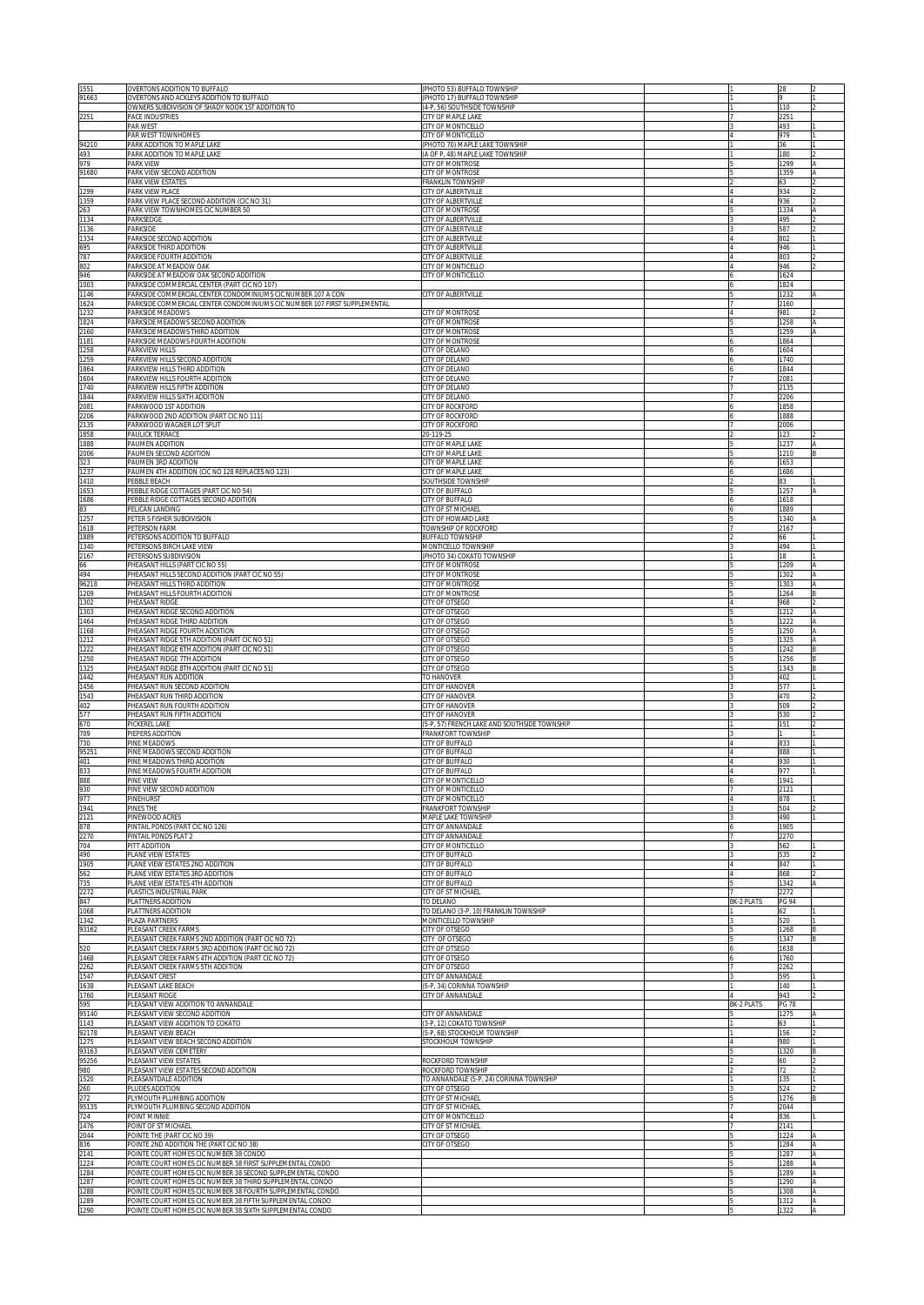| 1551<br>91663  | OVERTONS ADDITION TO BUFFALO<br>OVERTONS AND ACKLEYS ADDITION TO BUFFALO                                                | (PHOTO 53) BUFFALO TOWNSHIP<br>(PHOTO 17) BUFFALO TOWNSHIP        |            | 28                  |          |
|----------------|-------------------------------------------------------------------------------------------------------------------------|-------------------------------------------------------------------|------------|---------------------|----------|
| 2251           | OWNERS SUBDIVISION OF SHADY NOOK 1ST ADDITION TO<br>PACE INDUSTRIES                                                     | (4-P, 56) SOUTHSIDE TOWNSHIP<br>CITY OF MAPLE LAKE                |            | 110<br>2251         |          |
|                | PAR WEST<br>PAR WEST TOWNHOMES                                                                                          | CITY OF MONTICELLO<br>CITY OF MONTICELLO                          |            | 493<br>979          |          |
| 94210          | PARK ADDITION TO MAPLE LAKE                                                                                             | PHOTO 70) MAPLE LAKE TOWNSHIP                                     |            | 36<br>180           |          |
| 493<br>979     | PARK ADDITION TO MAPLE LAKE<br>PARK VIEW                                                                                | (A OF P, 48) MAPLE LAKE TOWNSHIP<br>CITY OF MONTROSE              |            | 1299                |          |
| 91680          | PARK VIEW SECOND ADDITION<br>PARK VIEW ESTATES                                                                          | CITY OF MONTROSE<br>FRANKLIN TOWNSHIP                             |            | 1359<br>63          |          |
| 1299<br>1359   | PARK VIEW PLACE<br>PARK VIEW PLACE SECOND ADDITION (CIC NO 31)                                                          | CITY OF ALBERTVILLE<br>CITY OF ALBERTVILLE                        |            | 934<br>936          |          |
| 263<br>1134    | PARK VIEW TOWNHOMES CIC NUMBER 50<br>PARKSEDGE                                                                          | CITY OF MONTROSE<br>CITY OF ALBERTVILLE                           |            | 1334<br>495         |          |
| 1136<br>1334   | PARKSIDE<br>PARKSIDE SECOND ADDITION                                                                                    | CITY OF ALBERTVILLE<br>CITY OF ALBERTVILLE                        |            | 587<br>802          |          |
| 695<br>787     | PARKSIDE THIRD ADDITION<br>PARKSIDE FOURTH ADDITION                                                                     | CITY OF ALBERTVILLE<br>CITY OF ALBERTVILLE                        |            | 946<br>803          |          |
| 802<br>946     | PARKSIDE AT MEADOW OAK<br>PARKSIDE AT MEADOW OAK SECOND ADDITION                                                        | CITY OF MONTICELLO<br>CITY OF MONTICELLO                          |            | 946<br>1624         |          |
| 1003<br>1146   | PARKSIDE COMMERCIAL CENTER (PART CIC NO 107)<br>PARKSIDE COMMERCIAL CENTER CONDOMINIUMS CIC NUMBER 107 A CON            | CITY OF ALBERTVILLE                                               |            | 1824                |          |
| 1624           | PARKSIDE COMMERCIAL CENTER CONDOMINIUMS CIC NUMBER 107 FIRST SUPPLEMENTAL                                               |                                                                   |            | 1232<br>2160        |          |
| 1232<br>1824   | PARKSIDE MEADOWS<br>PARKSIDE MEADOWS SECOND ADDITION                                                                    | City of Montrose<br>CITY OF MONTROSE                              |            | 981<br>1258         |          |
| 2160<br>1181   | PARKSIDE MEADOWS THIRD ADDITION<br>PARKSIDE MEADOWS FOURTH ADDITION                                                     | CITY OF MONTROSE<br>City of Montrose                              |            | 1259<br>1864        |          |
| 1258<br>1259   | PARKVIEW HILLS<br>PARKVIEW HILLS SECOND ADDITION                                                                        | CITY OF DELANO<br>CITY OF DELANO                                  |            | 1604<br>1740        |          |
| 1864<br>1604   | PARKVIEW HILLS THIRD ADDITION<br>PARKVIEW HILLS FOURTH ADDITION                                                         | CITY OF DELANO<br>CITY OF DELANO                                  |            | 1844<br>2081        |          |
| 1740<br>1844   | PARKVIEW HILLS FIFTH ADDITION<br>PARKVIEW HILLS SIXTH ADDITION                                                          | CITY OF DELANO<br>CITY OF DELANO                                  |            | 2135<br>2206        |          |
| 2081<br>2206   | PARKWOOD 1ST ADDITION<br>PARKWOOD 2ND ADDITION (PART CIC NO 111)                                                        | <b>CITY OF ROCKFORD</b><br>CITY OF ROCKFORD                       |            | 1858<br>1888        |          |
| 2135<br>1858   | PARKWOOD WAGNER LOT SPLIT<br>PAULICK TERRACE                                                                            | CITY OF ROCKFORD<br>20-119-25                                     |            | :006<br>123         |          |
| 1888<br>2006   | PAUMEN ADDITION<br>PAUMEN SECOND ADDITION                                                                               | CITY OF MAPLE LAKE<br><b>ITY OF MAPLE LAKE</b>                    |            | 1237<br>210         |          |
| 323<br>1237    | PAUMEN 3RD ADDITION<br>PAUMEN 4TH ADDITION (CIC NO 128 REPLACES NO 123)                                                 | <b>CITY OF MAPLE LAKE</b>                                         |            | 653                 |          |
| 1410           | PERRI E REACH                                                                                                           | <b>CITY OF MAPLE LAKE</b><br><b>SOUTHSIDE TOWNSHIP</b>            |            | 686<br>33.          |          |
| 1653<br>1686   | PEBBLE RIDGE COTTAGES (PART CIC NO 54)<br>PEBBLE RIDGE COTTAGES SECOND ADDITION                                         | <b>CITY OF BUFFALO</b><br><b>CITY OF BUFFALO</b>                  |            | 1257<br>618         |          |
| 83<br>1257     | PELICAN LANDING<br>PETER S FISHER SUBDIVISION                                                                           | <b>CITY OF ST MICHAEL</b><br><b>ITY OF HOWARD LAKE</b>            |            | 889<br>340          |          |
| 1618<br>1889   | PETERSON FARM<br>PETERSONS ADDITION TO BUFFALO                                                                          | TOWNSHIP OF ROCKFORD<br><b>BUFFALO TOWNSHIP</b>                   |            | 2167<br>66          |          |
| 1340<br>2167   | PETERSONS BIRCH LAKE VIEW<br>PETERSONS SUBDIVISION                                                                      | <b>MONTICELLO TOWNSHIP</b><br>PHOTO 34) COKATO TOWNSHIP           |            | 494<br>18           |          |
| 66<br>494      | PHEASANT HILLS (PART CIC NO 55)<br>PHEASANT HILLS SECOND ADDITION (PART CIC NO 55)                                      | <b>CITY OF MONTROSE</b><br><b>CITY OF MONTROSE</b>                |            | 1209<br>302         |          |
| 96218<br>1209  | PHEASANT HILLS THIRD ADDITION<br>PHEASANT HILLS FOURTH ADDITION                                                         | <b>CITY OF MONTROSE</b><br><b>CITY OF MONTROSE</b>                |            | 1303<br>1264        | IA       |
| 1302<br>1303   | PHEASANT RIDGE<br>PHEASANT RIDGE SECOND ADDITION                                                                        | CITY OF OTSEGO<br>CITY OF OTSEGO                                  |            | 968<br>1212         |          |
| 1464<br>1168   | PHEASANT RIDGE THIRD ADDITION<br>PHEASANT RIDGE FOURTH ADDITION                                                         | CITY OF OTSEGO<br><b>CITY OF OTSEGO</b>                           |            | 1222<br>1250        | IA<br>ΙA |
| 1212<br>1222   | PHEASANT RIDGE 5TH ADDITION (PART CIC NO 51)<br>PHEASANT RIDGE 6TH ADDITION (PART CIC NO 51)                            | CITY OF OTSEGO<br><b>CITY OF OTSEGO</b>                           |            | 1325<br>1242        | A        |
| 1250<br>1325   | PHEASANT RIDGE 7TH ADDITION<br>PHEASANT RIDGE 8TH ADDITION (PART CIC NO 51)                                             | CITY OF OTSEGO<br><b>CITY OF OTSEGO</b>                           |            | 1256<br>1343        |          |
| 1442           | PHEASANT RUN ADDITION                                                                                                   | TO HANOVER                                                        |            | 102                 |          |
| 1456<br>1543   | PHEASANT RUN SECOND ADDITION<br>PHEASANT RUN THIRD ADDITION                                                             | <b>CITY OF HANOVER</b><br><b>CITY OF HANOVER</b>                  |            | 77<br>170           |          |
| 402<br>577     | PHEASANT RUN FOURTH ADDITION<br>PHEASANT RUN FIFTH ADDITION                                                             | <b>ITY OF HANOVER</b><br><b>ITY OF HANOVER</b>                    |            | i09<br>530          |          |
| 670<br>709     | PICKEREL LAKE<br>PIEPERS ADDITION                                                                                       | 5-P, 57) FRENCH LAKE AND SOUTHSIDE TOWNSHIP<br>FRANKFORT TOWNSHIP |            | 151                 |          |
| 730<br>95251   | PINE MEADOWS<br>PINE MEADOWS SECOND ADDITION                                                                            | CITY OF BUFFALO<br>CITY OF BUFFALO                                |            | 833<br>888          |          |
| 401<br>833     | PINE MEADOWS THIRD ADDITION<br>PINE MEADOWS FOURTH ADDITION                                                             | CITY OF BUFFALO<br>CITY OF BUFFALO                                |            | 930<br>977          |          |
| 888<br>930     | PINE VIEW<br>PINE VIEW SECOND ADDITION                                                                                  | CITY OF MONTICELLO<br>CITY OF MONTICELLO                          |            | 1941<br>2121        |          |
| 977<br>1941    | PINEHURST<br><b>PINES THE</b>                                                                                           | CITY OF MONTICELLO<br>FRANKFORT TOWNSHIP                          |            | 878<br>504          |          |
| 2121<br>878    | PINEWOOD ACRES<br>PINTAIL PONDS (PART CIC NO 126)                                                                       | <b>MAPLE LAKE TOWNSHIP</b><br>CITY OF ANNANDALE                   |            | 490<br>1905         |          |
| 2270<br>704    | PINTAIL PONDS PLAT 2<br>PITT ADDITION                                                                                   | CITY OF ANNANDALE<br>CITY OF MONTICELLO                           |            | 2270<br>562         |          |
| 490<br>1905    | PLANE VIEW ESTATES<br>PLANE VIEW ESTATES 2ND ADDITION                                                                   | CITY OF BUFFALO<br>CITY OF BUFFALO                                |            | 535<br>847          |          |
| 562<br>735     | PLANE VIEW ESTATES 3RD ADDITION<br>PLANE VIEW ESTATES 4TH ADDITION                                                      | CITY OF BUFFALO<br>CITY OF BUFFALO                                |            | 868<br>1342         |          |
| 2272           | PLASTICS INDUSTRIAL PARK                                                                                                | CITY OF ST MICHAEL                                                | BK-2 PLATS | 2272                |          |
| 847<br>1068    | PLATTNERS ADDITION<br>PLATTNERS ADDITION                                                                                | TO DELANO<br>TO DELANO (3-P, 10) FRANKLIN TOWNSHIP                |            | <b>PG 94</b><br>62  |          |
| 1342<br>93162  | PLAZA PARTNERS<br>PLEASANT CREEK FARMS                                                                                  | MONTICELLO TOWNSHIP<br>CITY OF OTSEGO                             |            | 520<br>1268         |          |
| 520            | PLEASANT CREEK FARMS 2ND ADDITION (PART CIC NO 72)<br>PLEASANT CREEK FARMS 3RD ADDITION (PART CIC NO 72)                | CITY OF OTSEGO<br>CITY OF OTSEGO                                  |            | 1347<br>1638        |          |
| 1468<br>2262   | PLEASANT CREEK FARMS 4TH ADDITION (PART CIC NO 72)<br>PLEASANT CREEK FARMS 5TH ADDITION                                 | CITY OF OTSEGO<br>CITY OF OTSEGO                                  |            | 1760<br>2262        |          |
| 1547<br>1638   | PLEASANT CREST<br>PLEASANT LAKE BEACH                                                                                   | CITY OF ANNANDALE<br>(5-P, 34) CORINNA TOWNSHIP                   |            | 595<br>140          |          |
| 1760<br>595    | PLEASANT RIDGE<br>PLEASANT VIEW ADDITION TO ANNANDALE                                                                   | CITY OF ANNANDALE                                                 | BK-2 PLATS | 943<br><b>PG 78</b> |          |
| 95140<br>1143  | PLEASANT VIEW SECOND ADDITION<br>PLEASANT VIEW ADDITION TO COKATO                                                       | CITY OF ANNANDALE<br>3-P, 12) COKATO TOWNSHIP                     |            | 1275<br>63          |          |
| 92178<br>1275  | PLEASANT VIEW BEACH<br>PLEASANT VIEW BEACH SECOND ADDITION                                                              | (5-P, 68) STOCKHOLM TOWNSHIP<br>STOCKHOLM TOWNSHIP                |            | 156<br>980          |          |
| 93163<br>95256 | PLEASANT VIEW CEMETERY<br>PLEASANT VIEW ESTATES                                                                         | ROCKFORD TOWNSHIP                                                 |            | 1320<br>60          |          |
| 980<br>1520    | PLEASANT VIEW ESTATES SECOND ADDITION<br>PLEASANTDALE ADDITION                                                          | ROCKFORD TOWNSHIP<br>TO ANNANDALE (5-P, 24) CORINNA TOWNSHIP      |            | 72<br>135           |          |
| 260            | PLUDES ADDITION                                                                                                         | CITY OF OTSEGO<br>CITY OF ST MICHAEL                              |            | 524                 |          |
| 272<br>95135   | PLYMOUTH PLUMBING ADDITION<br>PLYMOUTH PLUMBING SECOND ADDITION                                                         | CITY OF ST MICHAEL                                                |            | 1276<br>2044        |          |
| 724<br>1476    | POINT MINNIE<br>POINT OF ST MICHAEL                                                                                     | <b>CITY OF MONTICELLO</b><br>CITY OF ST MICHAEL                   |            | 336<br>2141         |          |
| 2044<br>836    | POINTE THE (PART CIC NO 39)<br>POINTE 2ND ADDITION THE (PART CIC NO 38)                                                 | CITY OF OTSEGO<br><b>CITY OF OTSEGO</b>                           |            | 1224<br>1284        |          |
| 2141<br>1224   | POINTE COURT HOMES CIC NUMBER 38 CONDO<br>POINTE COURT HOMES CIC NUMBER 38 FIRST SUPPLEMENTAL CONDO                     |                                                                   |            | 1287<br>288         |          |
| 1284<br>1287   | POINTE COURT HOMES CIC NUMBER 38 SECOND SUPPLEMENTAL CONDO<br>POINTE COURT HOMES CIC NUMBER 38 THIRD SUPPLEMENTAL CONDO |                                                                   |            | 289<br>290          |          |
| 1288<br>1289   | POINTE COURT HOMES CIC NUMBER 38 FOURTH SUPPLEMENTAL CONDO<br>POINTE COURT HOMES CIC NUMBER 38 FIFTH SUPPLEMENTAL CONDO |                                                                   |            | 308<br>1312         |          |
| 1290           | POINTE COURT HOMES CIC NUMBER 38 SIXTH SUPPLEMENTAL CONDO                                                               |                                                                   |            | 1322                |          |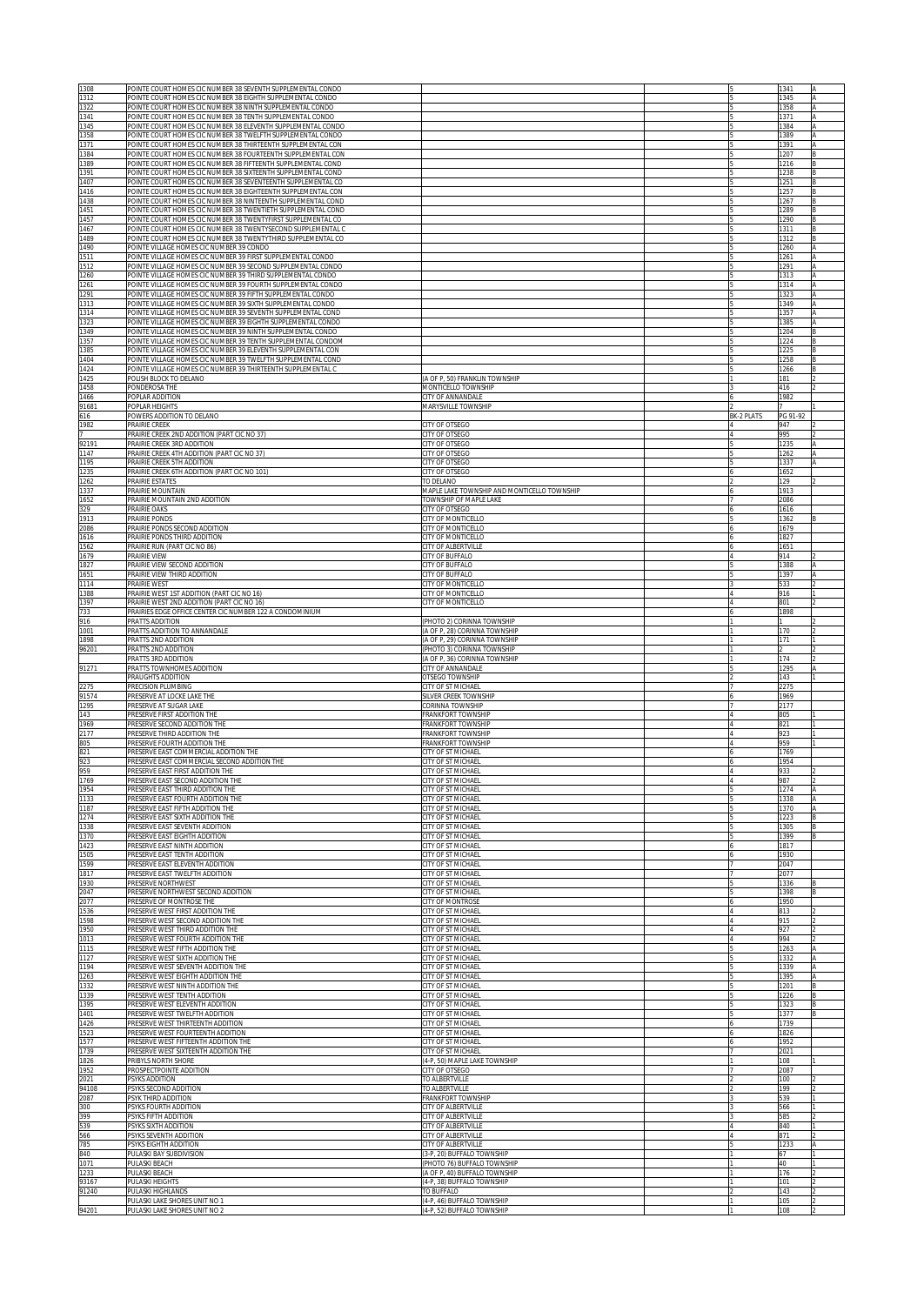| 1308           | POINTE COURT HOMES CIC NUMBER 38 SEVENTH SUPPLEMENTAL CONDO                                                                  |                                                          |                   | 1341         |          |
|----------------|------------------------------------------------------------------------------------------------------------------------------|----------------------------------------------------------|-------------------|--------------|----------|
| 1312<br>1322   | POINTE COURT HOMES CIC NUMBER 38 EIGHTH SUPPLEMENTAL CONDO<br>POINTE COURT HOMES CIC NUMBER 38 NINTH SUPPLEMENTAL CONDO      |                                                          |                   | 1345<br>1358 |          |
| 1341           | POINTE COURT HOMES CIC NUMBER 38 TENTH SUPPLEMENTAL CONDO                                                                    |                                                          |                   | 1371         |          |
| 1345           | POINTE COURT HOMES CIC NUMBER 38 ELEVENTH SUPPLEMENTAL CONDO                                                                 |                                                          |                   | 1384         |          |
| 1358           | POINTE COURT HOMES CIC NUMBER 38 TWELFTH SUPPLEMENTAL CONDO                                                                  |                                                          |                   | 1389<br>1391 | ΙA       |
| 1371<br>1384   | POINTE COURT HOMES CIC NUMBER 38 THIRTEENTH SUPPLEMENTAL CON<br>POINTE COURT HOMES CIC NUMBER 38 FOURTEENTH SUPPLEMENTAL CON |                                                          |                   | 1207         | <b>B</b> |
| 1389           | POINTE COURT HOMES CIC NUMBER 38 FIFTEENTH SUPPLEMENTAL COND                                                                 |                                                          |                   | 1216         |          |
| 1391<br>1407   | POINTE COURT HOMES CIC NUMBER 38 SIXTEENTH SUPPLEMENTAL COND<br>POINTE COURT HOMES CIC NUMBER 38 SEVENTEENTH SUPPLEMENTAL CO |                                                          |                   | 1238<br>1251 |          |
| 1416           | POINTE COURT HOMES CIC NUMBER 38 EIGHTEENTH SUPPLEMENTAL CON                                                                 |                                                          |                   | 1257         |          |
| 1438           | POINTE COURT HOMES CIC NUMBER 38 NINTEENTH SUPPLEMENTAL COND                                                                 |                                                          |                   | 1267         |          |
| 1451           | POINTE COURT HOMES CIC NUMBER 38 TWENTIETH SUPPLEMENTAL COND                                                                 |                                                          |                   | 1289         |          |
| 1457<br>1467   | POINTE COURT HOMES CIC NUMBER 38 TWENTYFIRST SUPPLEMENTAL CO<br>POINTE COURT HOMES CIC NUMBER 38 TWENTYSECOND SUPPLEMENTAL C |                                                          |                   | 1290<br>1311 |          |
| 1489           | POINTE COURT HOMES CIC NUMBER 38 TWENTYTHIRD SUPPLEMENTAL CO                                                                 |                                                          |                   | 1312         |          |
| 1490           | POINTE VILLAGE HOMES CIC NUMBER 39 CONDO                                                                                     |                                                          |                   | 1260         |          |
| 1511           | POINTE VILLAGE HOMES CIC NUMBER 39 FIRST SUPPLEMENTAL CONDO                                                                  |                                                          |                   | 1261         |          |
| 1512<br>1260   | POINTE VILLAGE HOMES CIC NUMBER 39 SECOND SUPPLEMENTAL CONDO<br>POINTE VILLAGE HOMES CIC NUMBER 39 THIRD SUPPLEMENTAL CONDO  |                                                          |                   | 1291<br>1313 |          |
| 1261           | POINTE VILLAGE HOMES CIC NUMBER 39 FOURTH SUPPLEMENTAL CONDO                                                                 |                                                          |                   | 1314         |          |
| 1291           | POINTE VILLAGE HOMES CIC NUMBER 39 FIFTH SUPPLEMENTAL CONDO                                                                  |                                                          |                   | 1323         |          |
| 1313<br>1314   | POINTE VILLAGE HOMES CIC NUMBER 39 SIXTH SUPPLEMENTAL CONDO<br>POINTE VILLAGE HOMES CIC NUMBER 39 SEVENTH SUPPLEMENTAL COND  |                                                          |                   | 1349<br>1357 |          |
| 1323           | POINTE VILLAGE HOMES CIC NUMBER 39 EIGHTH SUPPLEMENTAL CONDO                                                                 |                                                          |                   | 1385         |          |
| 1349           | POINTE VILLAGE HOMES CIC NUMBER 39 NINTH SUPPLEMENTAL CONDO                                                                  |                                                          |                   | 1204         |          |
| 1357           | POINTE VILLAGE HOMES CIC NUMBER 39 TENTH SUPPLEMENTAL CONDOM                                                                 |                                                          |                   | 1224         |          |
| 1385<br>1404   | POINTE VILLAGE HOMES CIC NUMBER 39 ELEVENTH SUPPLEMENTAL CON<br>POINTE VILLAGE HOMES CIC NUMBER 39 TWELFTH SUPPLEMENTAL COND |                                                          |                   | 1225<br>1258 |          |
| 1424           | POINTE VILLAGE HOMES CIC NUMBER 39 THIRTEENTH SUPPLEMENTAL C                                                                 |                                                          |                   | 1266         |          |
| 1425           | POLISH BLOCK TO DELANO                                                                                                       | (A OF P, 50) FRANKLIN TOWNSHIP                           |                   | 181          |          |
| 1458           | PONDEROSA THE                                                                                                                | MONTICELLO TOWNSHIP<br>CITY OF ANNANDALE                 |                   | 416<br>1982  |          |
| 1466<br>91681  | POPLAR ADDITION<br>POPLAR HEIGHTS                                                                                            | MARYSVILLE TOWNSHIP                                      |                   |              |          |
| 616            | POWERS ADDITION TO DELANO                                                                                                    |                                                          | <b>BK-2 PLATS</b> | PG 91-92     |          |
| 1982           | PRAIRIE CREEK                                                                                                                | CITY OF OTSEGO                                           |                   | 947          |          |
| 92191          | PRAIRIE CREEK 2ND ADDITION (PART CIC NO 37)<br>PRAIRIE CREEK 3RD ADDITION                                                    | CITY OF OTSEGO<br>CITY OF OTSEGO                         |                   | 995<br>1235  |          |
| 1147           | PRAIRIE CREEK 4TH ADDITION (PART CIC NO 37)                                                                                  | CITY OF OTSEGO                                           |                   | 1262         |          |
| 1195           | PRAIRIE CREEK 5TH ADDITION                                                                                                   | CITY OF OTSEGO                                           |                   | 1337         |          |
| 1235           | PRAIRIE CREEK 6TH ADDITION (PART CIC NO 101)                                                                                 | CITY OF OTSEGO                                           |                   | 1652         |          |
| 1262<br>1337   | PRAIRIE ESTATES<br>PRAIRIE MOUNTAIN                                                                                          | TO DELANO<br>MAPLE LAKE TOWNSHIP AND MONTICELLO TOWNSHIP |                   | 129<br>1913  |          |
| 1652           | PRAIRIE MOUNTAIN 2ND ADDITION                                                                                                | TOWNSHIP OF MAPLE LAKE                                   |                   | 2086         |          |
| 329            | PRAIRIE OAKS                                                                                                                 | CITY OF OTSEGO                                           |                   | 1616         |          |
| 1913           | PRAIRIE PONDS                                                                                                                | CITY OF MONTICELLO                                       |                   | 1362         |          |
| 2086<br>1616   | PRAIRIE PONDS SECOND ADDITION<br>PRAIRIE PONDS THIRD ADDITION                                                                | CITY OF MONTICELLO<br>CITY OF MONTICELLO                 |                   | 1679<br>1827 |          |
| 1562           | PRAIRIE RUN (PART CIC NO 86)                                                                                                 | CITY OF ALBERTVILLE                                      |                   | 1651         |          |
| 1679           | PRAIRIE VIEW                                                                                                                 | CITY OF BUFFALO                                          |                   | 914          |          |
| 1827<br>1651   | PRAIRIE VIEW SECOND ADDITION<br>PRAIRIE VIEW THIRD ADDITION                                                                  | CITY OF BUFFALO<br>CITY OF BUFFALO                       |                   | 1388<br>1397 |          |
| 1114           | PRAIRIE WEST                                                                                                                 | CITY OF MONTICELLO                                       |                   | 533          |          |
| 1388           | PRAIRIE WEST 1ST ADDITION (PART CIC NO 16)                                                                                   | CITY OF MONTICELLO                                       |                   | 916          |          |
| 1397           | PRAIRIE WEST 2ND ADDITION (PART CIC NO 16)                                                                                   | CITY OF MONTICELLO                                       |                   | 801          |          |
| 733<br>916     | PRAIRIES EDGE OFFICE CENTER CIC NUMBER 122 A CONDOMINIUM<br>PRATTS ADDITION                                                  | (PHOTO 2) CORINNA TOWNSHIP                               |                   | 1898         |          |
| 1001           | PRATTS ADDITION TO ANNANDALE                                                                                                 | (A OF P, 28) CORINNA TOWNSHIP                            |                   | 170          |          |
|                |                                                                                                                              |                                                          |                   | 171          |          |
| 1898           | PRATTS 2ND ADDITION                                                                                                          | (A OF P, 29) CORINNA TOWNSHIP                            |                   |              |          |
| 96201          | PRATTS 2ND ADDITION                                                                                                          | (PHOTO 3) CORINNA TOWNSHIP                               |                   |              |          |
|                | PRATTS 3RD ADDITION                                                                                                          | (A OF P, 36) CORINNA TOWNSHIP                            |                   | 174          |          |
| 91271          | PRATTS TOWNHOMES ADDITION<br>PRAUGHTS ADDITION                                                                               | CITY OF ANNANDALE<br>DTSEGO TOWNSHIP                     |                   | 1295<br>143  |          |
| 2275           | PRECISION PLUMBING                                                                                                           | CITY OF ST MICHAEL                                       |                   | 2275         |          |
| 91574          | PRESERVE AT LOCKE LAKE THE                                                                                                   | <b>ILVER CREEK TOWNSHIP</b>                              |                   | 1969         |          |
| 1295<br>143    | PRESERVE AT SUGAR LAKE<br>PRESERVE FIRST ADDITION THE                                                                        | CORINNA TOWNSHIP<br>RANKFORT TOWNSHIP                    |                   | 2177<br>805  |          |
| 1969           | PRESERVE SECOND ADDITION THE                                                                                                 | RANKFORT TOWNSHIP                                        |                   | 821          |          |
| 2177           | PRESERVE THIRD ADDITION THE                                                                                                  | <b>RANKFORT TOWNSHIP</b>                                 |                   | 923          |          |
| 805            | PRESERVE FOURTH ADDITION THE                                                                                                 | <b>RANKFORT TOWNSHIP</b>                                 |                   | 959          |          |
| 821<br>923     | PRESERVE EAST COMMERCIAL ADDITION THE<br>PRESERVE EAST COMMERCIAL SECOND ADDITION THE                                        | <b>CITY OF ST MICHAEL</b><br><b>CITY OF ST MICHAEL</b>   |                   | 1769<br>1954 |          |
| 959            | PRESERVE EAST FIRST ADDITION THE                                                                                             | <b>CITY OF ST MICHAEL</b>                                |                   | 933          |          |
| 1769<br>1954   | PRESERVE EAST SECOND ADDITION THE<br>PRESERVE EAST THIRD ADDITION THE                                                        | CITY OF ST MICHAEI<br><b>CITY OF ST MICHAEL</b>          |                   | 987<br>1274  |          |
| 1133           | PRESERVE EAST FOURTH ADDITION THE                                                                                            | ITY OF ST MICHAEL                                        |                   | 1338         |          |
| 1187           | PRESERVE EAST FIFTH ADDITION THE                                                                                             | <b>CITY OF ST MICHAEL</b>                                |                   | 1370         |          |
| 1274           | PRESERVE EAST SIXTH ADDITION THE                                                                                             | ITY OF ST MICHAEL<br><b>CITY OF ST MICHAEL</b>           |                   | 1223         |          |
| 1338<br>1370   | PRESERVE EAST SEVENTH ADDITION<br>PRESERVE EAST EIGHTH ADDITION                                                              | <b>CITY OF ST MICHAEL</b>                                |                   | 1305<br>1399 |          |
| 1423           | PRESERVE EAST NINTH ADDITION                                                                                                 | CITY OF ST MICHAEL                                       |                   | 1817         |          |
| 1505           | PRESERVE EAST TENTH ADDITION                                                                                                 | <b>CITY OF ST MICHAEL</b>                                |                   | 1930         |          |
| 1599<br>1817   | PRESERVE EAST ELEVENTH ADDITION<br>PRESERVE EAST TWELFTH ADDITION                                                            | CITY OF ST MICHAEL<br><b>CITY OF ST MICHAEL</b>          |                   | 2047<br>2077 |          |
| 1930           | PRESERVE NORTHWEST                                                                                                           | <b>CITY OF ST MICHAEL</b>                                |                   | 1336         |          |
| 2047           | PRESERVE NORTHWEST SECOND ADDITION                                                                                           | <b>CITY OF ST MICHAEL</b>                                |                   | 1398         |          |
| 2077<br>1536   | PRESERVE OF MONTROSE THE<br>PRESERVE WEST FIRST ADDITION THE                                                                 | <b>CITY OF MONTROSE</b><br><b>CITY OF ST MICHAEL</b>     |                   | 1950<br>813  |          |
| 1598           | PRESERVE WEST SECOND ADDITION THE                                                                                            | <b>CITY OF ST MICHAEL</b>                                |                   | 915          |          |
| 1950           | PRESERVE WEST THIRD ADDITION THE                                                                                             | <b>CITY OF ST MICHAEL</b>                                |                   | 927          |          |
| 1013<br>1115   | PRESERVE WEST FOURTH ADDITION THE<br>PRESERVE WEST FIFTH ADDITION THE                                                        | <b>CITY OF ST MICHAEL</b>                                |                   | 994<br>1263  |          |
| 1127           | PRESERVE WEST SIXTH ADDITION THE                                                                                             | <b>CITY OF ST MICHAEL</b><br><b>CITY OF ST MICHAEL</b>   |                   | 1332         |          |
| 1194           | PRESERVE WEST SEVENTH ADDITION THE                                                                                           | CITY OF ST MICHAEL                                       |                   | 1339         |          |
| 1263           | PRESERVE WEST EIGHTH ADDITION THE                                                                                            | CITY OF ST MICHAEL                                       |                   | 1395         |          |
| 1332<br>1339   | PRESERVE WEST NINTH ADDITION THE<br>PRESERVE WEST TENTH ADDITION                                                             | <b>CITY OF ST MICHAEL</b><br>CITY OF ST MICHAEL          |                   | 1201<br>1226 |          |
| 1395           | PRESERVE WEST ELEVENTH ADDITION                                                                                              | CITY OF ST MICHAEL                                       |                   | 1323         | B.       |
| 1401           | PRESERVE WEST TWELFTH ADDITION                                                                                               | CITY OF ST MICHAEL                                       |                   | 1377         |          |
| 1426<br>1523   | PRESERVE WEST THIRTEENTH ADDITION<br>PRESERVE WEST FOURTEENTH ADDITION                                                       | CITY OF ST MICHAEL<br>CITY OF ST MICHAEL                 |                   | 1739<br>1826 |          |
| 1577           | PRESERVE WEST FIFTEENTH ADDITION THE                                                                                         | CITY OF ST MICHAEL                                       |                   | 1952         |          |
| 1739           | PRESERVE WEST SIXTEENTH ADDITION THE                                                                                         | CITY OF ST MICHAEL                                       |                   | 2021         |          |
| 1826<br>1952   | PRIBYLS NORTH SHORE<br>PROSPECTPOINTE ADDITION                                                                               | (4-P, 50) MAPLE LAKE TOWNSHIP<br>CITY OF OTSEGO          |                   | 108<br>2087  |          |
| 2021           | PSYKS ADDITION                                                                                                               | TO ALBERTVILLE                                           |                   | 100          |          |
| 94108          | PSYKS SECOND ADDITION                                                                                                        | TO ALBERTVILLE                                           |                   | 199          |          |
| 2087           | PSYK THIRD ADDITION                                                                                                          | FRANKFORT TOWNSHIP                                       |                   | 539          |          |
| 300<br>399     | PSYKS FOURTH ADDITION<br>PSYKS FIFTH ADDITION                                                                                | CITY OF ALBERTVILLE<br>CITY OF ALBERTVILLE               |                   | 566<br>585   |          |
| 539            | PSYKS SIXTH ADDITION                                                                                                         | CITY OF ALBERTVILLE                                      |                   | 840          |          |
| 566            | PSYKS SEVENTH ADDITION                                                                                                       | CITY OF ALBERTVILLE                                      |                   | 871          |          |
| 785<br>840     | PSYKS EIGHTH ADDITION<br>PULASKI BAY SUBDIVISION                                                                             | CITY OF ALBERTVILLE<br>3-P, 20) BUFFALO TOWNSHIP         |                   | 1233<br>67   |          |
| 1071           | PULASKI BEACH                                                                                                                | PHOTO 76) BUFFALO TOWNSHIP                               |                   | 40           |          |
| 1233           | PULASKI BEACH                                                                                                                | (A OF P, 40) BUFFALO TOWNSHIP                            |                   | 176          |          |
| 93167          | PULASKI HEIGHTS                                                                                                              | (4-P, 38) BUFFALO TOWNSHIP<br>TO BUFFALO                 |                   | 101<br>143   |          |
| 91240<br>94201 | PULASKI HIGHLANDS<br>PULASKI LAKE SHORES UNIT NO 1<br>PULASKI LAKE SHORES UNIT NO 2                                          | (4-P, 46) BUFFALO TOWNSHIP<br>(4-P, 52) BUFFALO TOWNSHIP |                   | 105<br>108   |          |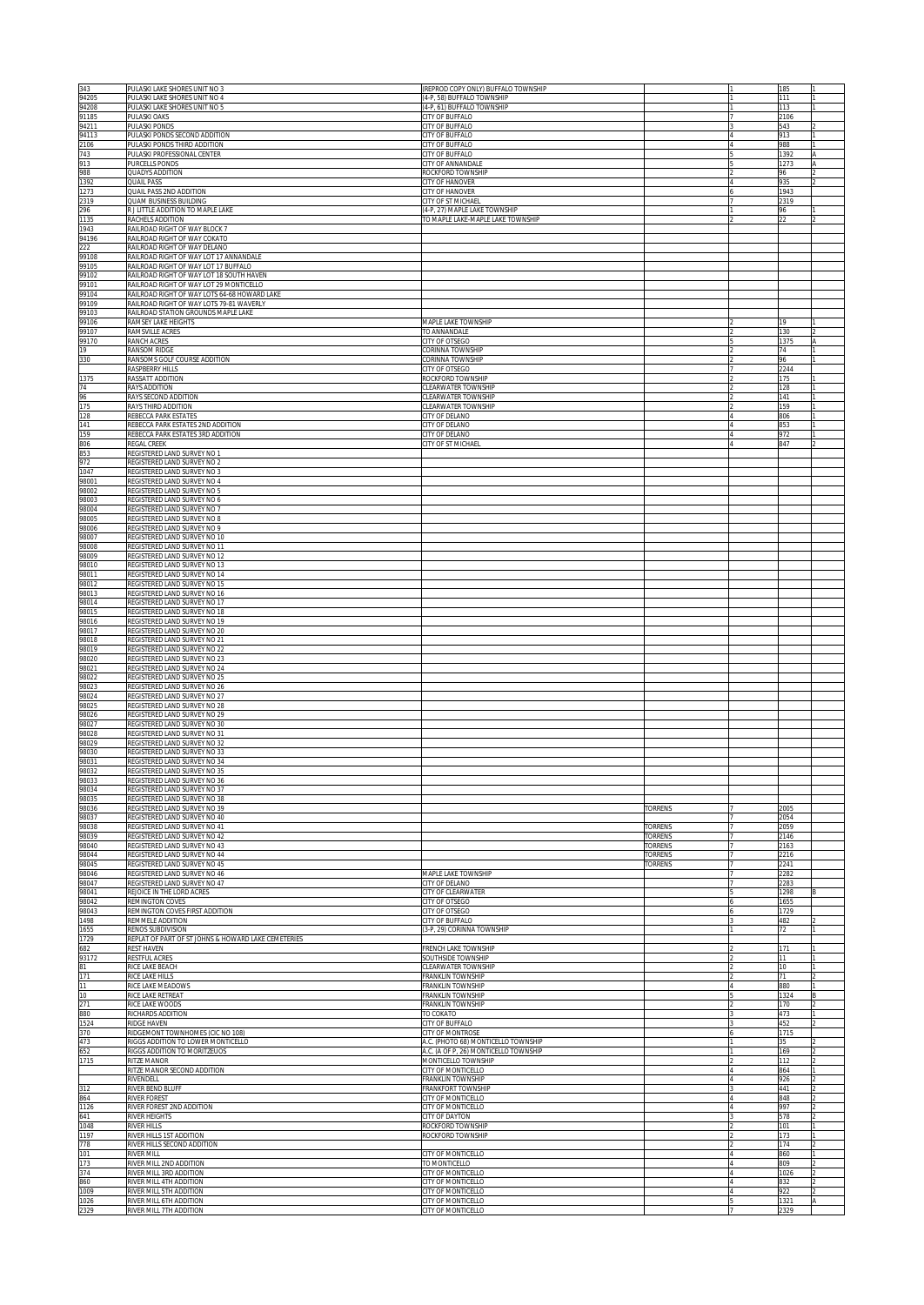| 343<br>94205   | PULASKI LAKE SHORES UNIT NO 3<br>PULASKI LAKE SHORES UNIT NO 4                                                             | (REPROD COPY ONLY) BUFFALO TOWNSHIP<br>4-P, 58) BUFFALO TOWNSHIP  |                    |    | 185<br>111            |  |
|----------------|----------------------------------------------------------------------------------------------------------------------------|-------------------------------------------------------------------|--------------------|----|-----------------------|--|
| 94208<br>91185 | PULASKI LAKE SHORES UNIT NO 5<br>PULASKI OAKS                                                                              | 4-P, 61) BUFFALO TOWNSHIP<br>CITY OF BUFFALO                      |                    |    | 113<br>2106           |  |
| 94211          | PULASKI PONDS                                                                                                              | <b>CITY OF BUFFALO</b>                                            |                    |    | 543                   |  |
| 94113<br>2106  | PULASKI PONDS SECOND ADDITION<br>PULASKI PONDS THIRD ADDITION                                                              | CITY OF BUFFALO<br><b>CITY OF BUFFALO</b>                         |                    |    | 913<br>988            |  |
| 743<br>913     | PULASKI PROFESSIONAL CENTER<br>PURCELLS PONDS                                                                              | CITY OF BUFFALO<br>CITY OF ANNANDALE                              |                    |    | 1392<br>1273          |  |
| 988<br>1392    | QUADYS ADDITION<br>QUAIL PASS                                                                                              | ROCKFORD TOWNSHIP<br><b>CITY OF HANOVER</b>                       |                    |    | 96<br>935             |  |
| 1273<br>2319   | QUAIL PASS 2ND ADDITION<br>QUAM BUSINESS BUILDING                                                                          | <b>CITY OF HANOVER</b><br><b>CITY OF ST MICHAEL</b>               |                    |    | 1943<br>2319          |  |
| 296<br>1135    | R J LITTLE ADDITION TO MAPLE LAKE<br>RACHELS ADDITION                                                                      | 4-P, 27) MAPLE LAKE TOWNSHIP<br>TO MAPLE LAKE-MAPLE LAKE TOWNSHIP |                    |    | 96<br>$\overline{22}$ |  |
| 1943<br>94196  | RAILROAD RIGHT OF WAY BLOCK 7<br>RAILROAD RIGHT OF WAY COKATO                                                              |                                                                   |                    |    |                       |  |
| 222<br>99108   | RAILROAD RIGHT OF WAY DELANO                                                                                               |                                                                   |                    |    |                       |  |
| 99105          | RAILROAD RIGHT OF WAY LOT 17 ANNANDALE<br>RAILROAD RIGHT OF WAY LOT 17 BUFFALO<br>RAILROAD RIGHT OF WAY LOT 18 SOUTH HAVEN |                                                                   |                    |    |                       |  |
| 99102<br>99101 | RAILROAD RIGHT OF WAY LOT 29 MONTICELLO                                                                                    |                                                                   |                    |    |                       |  |
| 99104<br>99109 | RAILROAD RIGHT OF WAY LOTS 64-68 HOWARD LAKE<br>RAILROAD RIGHT OF WAY LOTS 79-81 WAVERLY                                   |                                                                   |                    |    |                       |  |
| 99103<br>99106 | RAILROAD STATION GROUNDS MAPLE LAKE<br>RAMSEY LAKE HEIGHTS                                                                 | MAPLE LAKE TOWNSHIP                                               |                    |    | 19                    |  |
| 99107<br>99170 | RAMSVILLE ACRES<br>RANCH ACRES                                                                                             | TO ANNANDALE<br>CITY OF OTSEGO                                    |                    |    | 130<br>1375           |  |
| 19<br>330      | RANSOM RIDGE<br>RANSOMS GOLF COURSE ADDITION                                                                               | CORINNA TOWNSHIP<br>CORINNA TOWNSHIP                              |                    |    | 74<br>96              |  |
| 1375           | RASPBERRY HILLS<br>RASSATT ADDITION                                                                                        | CITY OF OTSEGO<br>ROCKFORD TOWNSHIP                               |                    |    | 2244<br>175           |  |
| 74<br>96       | RAYS ADDITION<br>RAYS SECOND ADDITION                                                                                      | LEARWATER TOWNSHIP<br>LEARWATER TOWNSHIP                          |                    |    | 128<br>141            |  |
| 175<br>128     | RAYS THIRD ADDITION<br>REBECCA PARK ESTATES                                                                                | LEARWATER TOWNSHIP<br>CITY OF DELANO                              |                    |    | 159<br>806            |  |
| 141            | REBECCA PARK ESTATES 2ND ADDITION                                                                                          | <b>ITY OF DELANO</b>                                              |                    |    | 853                   |  |
| 159<br>806     | REBECCA PARK ESTATES 3RD ADDITION<br>REGAL CREEK                                                                           | <b>CITY OF DELANO</b><br><b>CITY OF ST MICHAEL</b>                |                    |    | 972<br>847            |  |
| 853<br>972     | REGISTERED LAND SURVEY NO 1<br>REGISTERED LAND SURVEY NO 2                                                                 |                                                                   |                    |    |                       |  |
| 1047<br>98001  | REGISTERED LAND SURVEY NO 3<br>REGISTERED LAND SURVEY NO 4                                                                 |                                                                   |                    |    |                       |  |
| 98002<br>98003 | REGISTERED LAND SURVEY NO 5<br>REGISTERED LAND SURVEY NO 6                                                                 |                                                                   |                    |    |                       |  |
| 98004<br>98005 | REGISTERED LAND SURVEY NO 7<br>REGISTERED LAND SURVEY NO 8                                                                 |                                                                   |                    |    |                       |  |
| 98006<br>98007 | REGISTERED LAND SURVEY NO 9<br>REGISTERED LAND SURVEY NO 10                                                                |                                                                   |                    |    |                       |  |
| 98008<br>98009 | REGISTERED LAND SURVEY NO 11<br>REGISTERED LAND SURVEY NO 12                                                               |                                                                   |                    |    |                       |  |
| 98010<br>98011 | REGISTERED LAND SURVEY NO 13<br>REGISTERED LAND SURVEY NO 14                                                               |                                                                   |                    |    |                       |  |
| 98012<br>98013 | REGISTERED LAND SURVEY NO 15<br>REGISTERED LAND SURVEY NO 16                                                               |                                                                   |                    |    |                       |  |
| 98014<br>98015 | REGISTERED LAND SURVEY NO 17<br>REGISTERED LAND SURVEY NO 18                                                               |                                                                   |                    |    |                       |  |
| 98016<br>98017 | REGISTERED LAND SURVEY NO 19                                                                                               |                                                                   |                    |    |                       |  |
| 98018          | REGISTERED LAND SURVEY NO 20<br>REGISTERED LAND SURVEY NO 21                                                               |                                                                   |                    |    |                       |  |
| 98019<br>98020 | REGISTERED LAND SURVEY NO 22<br>REGISTERED LAND SURVEY NO 23                                                               |                                                                   |                    |    |                       |  |
| 98021<br>98022 | REGISTERED LAND SURVEY NO 24<br>REGISTERED LAND SURVEY NO 25                                                               |                                                                   |                    |    |                       |  |
| 98023<br>98024 | REGISTERED LAND SURVEY NO 26<br>REGISTERED LAND SURVEY NO 27                                                               |                                                                   |                    |    |                       |  |
| 98025<br>98026 | REGISTERED LAND SURVEY NO 28<br>REGISTERED LAND SURVEY NO 29                                                               |                                                                   |                    |    |                       |  |
| 98027<br>98028 | REGISTERED LAND SURVEY NO 30<br>REGISTERED LAND SURVEY NO 31                                                               |                                                                   |                    |    |                       |  |
| 98029<br>98030 | REGISTERED LAND SURVEY NO 32<br>REGISTERED LAND SURVEY NO 33                                                               |                                                                   |                    |    |                       |  |
| 98031<br>98032 | REGISTERED LAND SURVEY NO 34<br>REGISTERED LAND SURVEY NO 35                                                               |                                                                   |                    |    |                       |  |
| 98033<br>98034 | REGISTERED LAND SURVEY NO 36<br>REGISTERED LAND SURVEY NO 37                                                               |                                                                   |                    |    |                       |  |
| 98035<br>98036 | REGISTERED LAND SURVEY NO 38<br>REGISTERED LAND SURVEY NO 39                                                               |                                                                   | TORRENS            |    | 2005                  |  |
| 98037<br>98038 | REGISTERED LAND SURVEY NO 40<br>REGISTERED LAND SURVEY NO 41                                                               |                                                                   | TORRENS            |    | 2054<br>2059          |  |
| 98039<br>98040 | REGISTERED LAND SURVEY NO 42<br>REGISTERED LAND SURVEY NO 43                                                               |                                                                   | TORRENS<br>TORRENS |    | 2146<br>2163          |  |
| 98044          | REGISTERED LAND SURVEY NO 44<br>REGISTERED LAND SURVEY NO 45                                                               |                                                                   | TORRENS            | 7  | 2216<br>2241          |  |
| 98045<br>98046 | REGISTERED LAND SURVEY NO 46                                                                                               | MAPLE LAKE TOWNSHIP                                               | TORRENS            | 17 | 2282                  |  |
| 98047<br>98041 | REGISTERED LAND SURVEY NO 47<br>REJOICE IN THE LORD ACRES                                                                  | CITY OF DELANO<br>CITY OF CLEARWATER                              |                    |    | 2283<br>1298          |  |
| 98042<br>98043 | REMINGTON COVES<br>REMINGTON COVES FIRST ADDITION                                                                          | CITY OF OTSEGO<br>CITY OF OTSEGO                                  |                    |    | 1655<br>1729          |  |
| 1498<br>1655   | REMMELE ADDITION<br>RENOS SUBDIVISION                                                                                      | CITY OF BUFFALO<br>3-P, 29) CORINNA TOWNSHIP                      |                    |    | 482<br>72             |  |
| 1729<br>682    | REPLAT OF PART OF ST JOHNS & HOWARD LAKE CEMETERIES<br>REST HAVEN                                                          | <b>RENCH LAKE TOWNSHIP</b>                                        |                    |    | 171                   |  |
| 93172<br>81    | RESTFUL ACRES<br>RICE LAKE BEACH                                                                                           | SOUTHSIDE TOWNSHIP<br><b>CLEARWATER TOWNSHIP</b>                  |                    |    | 11<br>10              |  |
| 171<br>11      | RICE LAKE HILLS<br>RICE LAKE MEADOWS                                                                                       | <b>RANKLIN TOWNSHIP</b><br><b>FRANKLIN TOWNSHIP</b>               |                    |    | 71<br>880             |  |
| 10<br>271      | RICE LAKE RETREAT<br>RICE LAKE WOODS                                                                                       | <b>FRANKLIN TOWNSHIP</b><br><b>FRANKLIN TOWNSHIP</b>              |                    |    | 1324<br>170           |  |
| 880<br>1524    | RICHARDS ADDITION<br>RIDGE HAVEN                                                                                           | TO COKATO<br><b>CITY OF BUFFALO</b>                               |                    |    | 473<br>452            |  |
| 370<br>473     | RIDGEMONT TOWNHOMES (CIC NO 108)<br>RIGGS ADDITION TO LOWER MONTICELLO                                                     | CITY OF MONTROSE<br>A.C. (PHOTO 68) MONTICELLO TOWNSHIP           |                    |    | 1715<br>35            |  |
| 652<br>1715    | RIGGS ADDITION TO MORITZEUOS<br>RITZE MANOR                                                                                | A.C. (A OF P, 26) MONTICELLO TOWNSHIP<br>MONTICELLO TOWNSHIP      |                    |    | 169<br>112            |  |
|                | RITZE MANOR SECOND ADDITION<br>RIVENDELL                                                                                   | CITY OF MONTICELLO<br><b>FRANKLIN TOWNSHIP</b>                    |                    |    | 864<br>926            |  |
| 312            | RIVER BEND BLUFF<br>RIVER FOREST                                                                                           | <b>RANKFORT TOWNSHIP</b><br>CITY OF MONTICELLO                    |                    |    | 441<br>848            |  |
| 864<br>1126    | RIVER FOREST 2ND ADDITION                                                                                                  | CITY OF MONTICELLO                                                |                    |    | 997                   |  |
| 641<br>1048    | RIVER HEIGHTS<br>RIVER HILLS                                                                                               | CITY OF DAYTON<br>ROCKFORD TOWNSHIP                               |                    |    | 578<br>101            |  |
| 1197<br>778    | RIVER HILLS 1ST ADDITION<br>RIVER HILLS SECOND ADDITION                                                                    | ROCKFORD TOWNSHIP                                                 |                    |    | 173<br>174            |  |
| 101<br>173     | <b>RIVER MILL</b><br>RIVER MILL 2ND ADDITION                                                                               | CITY OF MONTICELLO<br>TO MONTICELLO                               |                    |    | 860<br>809            |  |
| 374<br>860     | RIVER MILL 3RD ADDITION<br><b>IVER MILL 4TH ADDITION</b>                                                                   | <b>CITY OF MONTICELLO</b><br>CITY OF MONTICELLO                   |                    |    | 1026<br>832           |  |
| 1009<br>1026   | RIVER MILL 5TH ADDITION<br>RIVER MILL 6TH ADDITION                                                                         | CITY OF MONTICELLO<br>CITY OF MONTICELLO                          |                    |    | 922<br>1321           |  |
| 2329           | RIVER MILL 7TH ADDITION                                                                                                    | CITY OF MONTICELLO                                                |                    |    | 2329                  |  |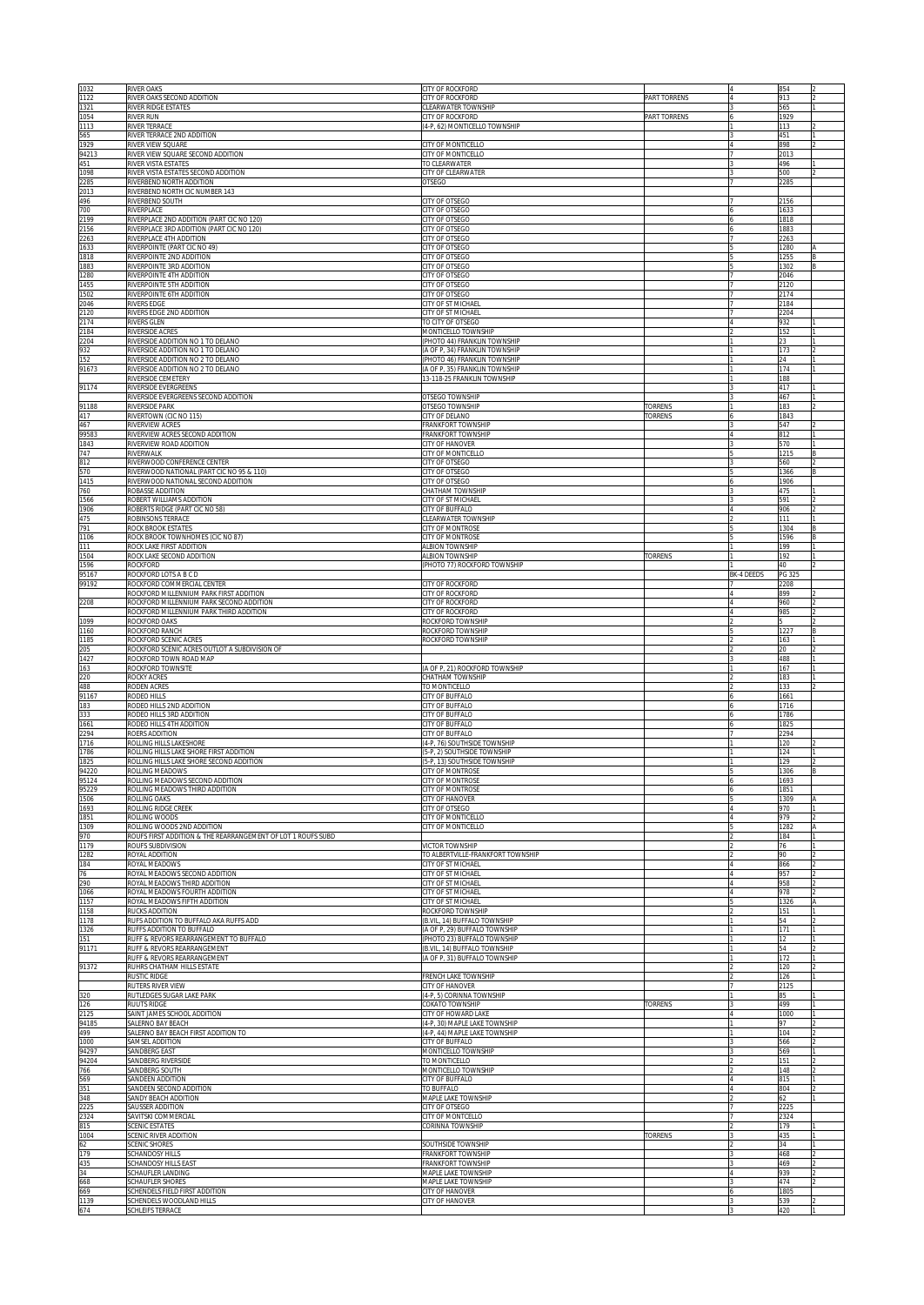| 1032<br>1122   | <b>RIVER OAKS</b><br>RIVER OAKS SECOND ADDITION                                        | CITY OF ROCKFORD<br>CITY OF ROCKFORD                          | <b>PART TORRENS</b> |            | 854<br>913             |   |
|----------------|----------------------------------------------------------------------------------------|---------------------------------------------------------------|---------------------|------------|------------------------|---|
| 1321           | RIVER RIDGE ESTATES                                                                    | CLEARWATER TOWNSHIP                                           |                     |            | 565                    |   |
| 1054<br>1113   | RIVER RUN<br>RIVER TERRACE                                                             | <b>CITY OF ROCKFORD</b><br>4-P. 62) MONTICELLO TOWNSHIP       | PART TORRENS        |            | 1929<br>113            |   |
| 565<br>1929    | RIVER TERRACE 2ND ADDITION<br>RIVER VIEW SQUARE                                        | CITY OF MONTICELLO                                            |                     |            | 451<br>898             |   |
| 94213<br>451   | RIVER VIEW SQUARE SECOND ADDITION<br>RIVER VISTA ESTATES                               | CITY OF MONTICELLO<br>TO CLEARWATER                           |                     |            | 2013<br>496            |   |
| 1098           | RIVER VISTA ESTATES SECOND ADDITION<br>RIVERBEND NORTH ADDITION                        | CITY OF CLEARWATER                                            |                     |            | 500                    |   |
| 2285<br>2013   | RIVERBEND NORTH CIC NUMBER 143                                                         | OTSEGO                                                        |                     |            | 2285                   |   |
| 496<br>700     | RIVERBEND SOUTH<br>RIVERPLACE                                                          | CITY OF OTSEGO<br><b>CITY OF OTSEGO</b>                       |                     |            | 2156<br>1633           |   |
| 2199<br>2156   | RIVERPLACE 2ND ADDITION (PART CIC NO 120)<br>RIVERPLACE 3RD ADDITION (PART CIC NO 120) | <b>CITY OF OTSEGO</b><br>CITY OF OTSEGO                       |                     |            | 1818<br>1883           |   |
| 2263           | RIVERPLACE 4TH ADDITION                                                                | CITY OF OTSEGO                                                |                     |            | 2263                   |   |
| 1633<br>1818   | RIVERPOINTE (PART CIC NO 49)<br>RIVERPOINTE 2ND ADDITION                               | <b>CITY OF OTSEGO</b><br>CITY OF OTSEGO                       |                     |            | 1280<br>1255           |   |
| 1883<br>1280   | RIVERPOINTE 3RD ADDITION<br>RIVERPOINTE 4TH ADDITION                                   | CITY OF OTSEGO<br><b>CITY OF OTSEGO</b>                       |                     |            | 1302<br>2046           |   |
| 1455<br>1502   | RIVERPOINTE 5TH ADDITION<br>RIVERPOINTE 6TH ADDITION                                   | CITY OF OTSEGO<br>CITY OF OTSEGO                              |                     |            | !120<br>174            |   |
| 2046           | RIVERS EDGE                                                                            | CITY OF ST MICHAEL                                            |                     |            | 184                    |   |
| 2120<br>2174   | RIVERS EDGE 2ND ADDITION<br>RIVERS GLEN                                                | CITY OF ST MICHAEL<br>TO CITY OF OTSEGO                       |                     |            | 204<br>932             |   |
| 2184<br>2204   | RIVERSIDE ACRES<br>RIVERSIDE ADDITION NO 1 TO DELANO                                   | MONTICELLO TOWNSHIP<br>(PHOTO 44) FRANKLIN TOWNSHIP           |                     |            | 152<br>$\overline{23}$ |   |
| 932<br>152     | RIVERSIDE ADDITION NO 1 TO DELANO<br>RIVERSIDE ADDITION NO 2 TO DELANO                 | A OF P, 34) FRANKLIN TOWNSHIP<br>(PHOTO 46) FRANKLIN TOWNSHIP |                     |            | 173<br>24              |   |
| 91673          | RIVERSIDE ADDITION NO 2 TO DELANO<br>RIVERSIDE CEMETERY                                | A OF P, 35) FRANKLIN TOWNSHIP<br>3-118-25 FRANKLIN TOWNSHIP   |                     |            | 174                    |   |
| 91174          | RIVERSIDE EVERGREENS                                                                   |                                                               |                     |            | 188<br>417             |   |
| 91188          | RIVERSIDE EVERGREENS SECOND ADDITION<br>RIVERSIDE PARK                                 | <b>OTSEGO TOWNSHIP</b><br>OTSEGO TOWNSHIP                     | <b>TORRENS</b>      |            | 467<br>183             |   |
| 417<br>467     | RIVERTOWN (CIC NO 115)<br>RIVERVIEW ACRES                                              | CITY OF DELANO<br>FRANKFORT TOWNSHIP                          | TORRENS             |            | 1843<br>547            |   |
| 99583<br>1843  | RIVERVIEW ACRES SECOND ADDITION<br>RIVERVIEW ROAD ADDITION                             | FRANKFORT TOWNSHIP<br>CITY OF HANOVER                         |                     |            | 812<br>570             |   |
| 747            | RIVERWALK                                                                              | CITY OF MONTICELLO                                            |                     |            | 1215                   |   |
| 812<br>570     | RIVERWOOD CONFERENCE CENTER<br>RIVERWOOD NATIONAL (PART CIC NO 95 & 110)               | CITY OF OTSEGO<br>CITY OF OTSEGO                              |                     |            | 560<br>1366            |   |
| 1415<br>760    | RIVERWOOD NATIONAL SECOND ADDITION<br>ROBASSE ADDITION                                 | <b>CITY OF OTSEGC</b><br><b>CHATHAM TOWNSHIP</b>              |                     |            | 1906<br>475            |   |
| 1566<br>1906   | ROBERT WILLIAMS ADDITION<br>ROBERTS RIDGE (PART CIC NO 58)                             | CITY OF ST MICHAEL<br><b>CITY OF BUFFALO</b>                  |                     |            | 591<br>906             |   |
| 475            | ROBINSONS TERRACE                                                                      | <b>CLEARWATER TOWNSHIP</b>                                    |                     |            | 111                    |   |
| 791<br>1106    | ROCK BROOK ESTATES<br>ROCK BROOK TOWNHOMES (CIC NO 87)                                 | CITY OF MONTROSE<br>CITY OF MONTROSE                          |                     |            | 1304<br>1596           |   |
| 111<br>1504    | ROCK LAKE FIRST ADDITION<br>ROCK LAKE SECOND ADDITION                                  | ALBION TOWNSHIP<br>ALBION TOWNSHIP                            | TORRENS             |            | 199<br>192             |   |
| 1596<br>95167  | ROCKFORD<br>ROCKFORD LOTS A B C D                                                      | (PHOTO 77) ROCKFORD TOWNSHIP                                  |                     | BK-4 DEEDS | 40<br>PG 325           |   |
| 99192          | ROCKFORD COMMERCIAL CENTER                                                             | <b>CITY OF ROCKFORD</b>                                       |                     |            | 208                    |   |
| 2208           | ROCKFORD MILLENNIUM PARK FIRST ADDITION<br>ROCKFORD MILLENNIUM PARK SECOND ADDITION    | <b>CITY OF ROCKFORD</b><br><b>CITY OF ROCKFORD</b>            |                     |            | 899<br>960             |   |
| 1099           | ROCKFORD MILLENNIUM PARK THIRD ADDITION<br>ROCKFORD OAKS                               | <b>CITY OF ROCKFORD</b><br>ROCKFORD TOWNSHIP                  |                     |            | 985                    |   |
| 1160<br>1185   | ROCKFORD RANCH<br>ROCKFORD SCENIC ACRES                                                | ROCKFORD TOWNSHIP<br>ROCKFORD TOWNSHIP                        |                     |            | 1227<br>163            |   |
| 205<br>1427    | ROCKFORD SCENIC ACRES OUTLOT A SUBDIVISION OF<br>ROCKFORD TOWN ROAD MAP                |                                                               |                     |            | $20 -$<br>488          |   |
| 163            | ROCKFORD TOWNSITE                                                                      | A OF P, 21) ROCKFORD TOWNSHIP                                 |                     |            | 167                    |   |
| 220<br>488     | ROCKY ACRES<br>RODEN ACRES                                                             | <b>HATHAM TOWNSHIP</b><br>TO MONTICELLO                       |                     |            | 183<br>133             |   |
| 91167<br>183   | RODEO HILLS<br>RODEO HILLS 2ND ADDITION                                                | <b>CITY OF BUFFALO</b><br><b>CITY OF BUFFALO</b>              |                     |            | 1661<br>1716           |   |
| 333<br>1661    | RODEO HILLS 3RD ADDITION<br>RODEO HILLS 4TH ADDITION                                   | <b>CITY OF BUFFALO</b><br><b>CITY OF BUFFALO</b>              |                     |            | 1786<br>1825           |   |
| 2294<br>1716   | ROERS ADDITION<br>ROLLING HILLS LAKESHORE                                              | <b>CITY OF BUFFALO</b><br>(4-P, 76) SOUTHSIDE TOWNSHIP        |                     |            | 2294<br>120            |   |
| 1786<br>1825   | ROLLING HILLS LAKE SHORE FIRST ADDITION<br>ROLLING HILLS LAKE SHORE SECOND ADDITION    | 5-P, 2) SOUTHSIDE TOWNSHIP<br>5-P, 13) SOUTHSIDE TOWNSHIP     |                     |            | 124<br>129             |   |
| 94220          | ROLLING MEADOWS                                                                        | CITY OF MONTROSE                                              |                     |            | 1306                   |   |
| 95124<br>95229 | ROLLING MEADOWS SECOND ADDITION<br>ROLLING MEADOWS THIRD ADDITION                      | CITY OF MONTROS<br>CITY OF MONTROSE                           |                     |            | 1693<br>1851           |   |
| 1506<br>1693   | ROLLING OAKS<br>ROLLING RIDGE CREEK                                                    | <b>CITY OF HANOVER</b><br><b>CITY OF OTSEGO</b>               |                     |            | 309<br>970             |   |
| 1851<br>1309   | ROLLING WOODS<br>ROLLING WOODS 2ND ADDITION                                            | <b>CITY OF MONTICELLO</b><br><b>CITY OF MONTICELLO</b>        |                     |            | 979<br>282             |   |
| 970            | ROUFS FIRST ADDITION & THE REARRANGEMENT OF LOT 1 ROUFS SUBD                           |                                                               |                     |            | 184                    |   |
| 1179<br>1282   | ROUFS SUBDIVISION<br>ROYAL ADDITION                                                    | <b>VICTOR TOWNSHIP</b><br>TO ALBERTVILLE-FRANKFORT TOWNSHIP   |                     |            | 76<br>90               |   |
| 184<br>76      | ROYAL MEADOWS<br>ROYAL MEADOWS SECOND ADDITION                                         | CITY OF ST MICHAEL<br>CITY OF ST MICHAEL                      |                     |            | 866<br>957             |   |
| 290<br>1066    | ROYAL MEADOWS THIRD ADDITION<br>ROYAL MEADOWS FOURTH ADDITION                          | CITY OF ST MICHAEL<br>CITY OF ST MICHAEL                      |                     |            | 958<br>978             |   |
| 1157<br>1158   | ROYAL MEADOWS FIFTH ADDITION<br>RUCKS ADDITION                                         | CITY OF ST MICHAEL<br>ROCKFORD TOWNSHIP                       |                     |            | 1326<br>151            | Α |
| 1178           | RUFS ADDITION TO BUFFALO AKA RUFFS ADD<br>RUFFS ADDITION TO BUFFALO                    | (B.VIL, 14) BUFFALO TOWNSHIP                                  |                     |            | 54<br>171              |   |
| 1326<br>151    | RUFF & REVORS REARRANGEMENT TO BUFFALO                                                 | (A OF P, 29) BUFFALO TOWNSHIP<br>(PHOTO 23) BUFFALO TOWNSHIP  |                     |            | 12                     |   |
| 91171          | RUFF & REVORS REARRANGEMENT<br>RUFF & REVORS REARRANGEMENT                             | (B.VIL, 14) BUFFALO TOWNSHIP<br>(A OF P, 31) BUFFALO TOWNSHIP |                     |            | 54<br>172              |   |
| 91372          | RUHRS CHATHAM HILLS ESTATE<br>RUSTIC RIDGE                                             | FRENCH LAKE TOWNSHIP                                          |                     |            | 120<br>126             |   |
| 320            | RUTERS RIVER VIEW<br>RUTLEDGES SUGAR LAKE PARK                                         | CITY OF HANOVER<br>(4-P, 5) CORINNA TOWNSHIP                  |                     |            | 2125<br>85             |   |
| 126<br>2125    | RUUTS RIDGE<br>SAINT JAMES SCHOOL ADDITION                                             | COKATO TOWNSHIP<br>CITY OF HOWARD LAKE                        | TORRENS             |            | 499<br>1000            |   |
| 94185          | SALERNO BAY BEACH<br>SALERNO BAY BEACH FIRST ADDITION TO                               | (4-P, 30) MAPLE LAKE TOWNSHIP                                 |                     |            | 97                     |   |
| 499<br>1000    | SAMSEL ADDITION                                                                        | (4-P, 44) MAPLE LAKE TOWNSHIP<br>CITY OF BUFFALO              |                     |            | 104<br>566             |   |
| 94297<br>94204 | SANDBERG EAST<br>SANDBERG RIVERSIDE                                                    | MONTICELLO TOWNSHIP<br>TO MONTICELLO                          |                     |            | 569<br>151             |   |
| 766<br>569     | SANDBERG SOUTH<br>SANDEEN ADDITION                                                     | MONTICELLO TOWNSHIP<br><b>CITY OF BUFFALO</b>                 |                     |            | 148<br>815             |   |
| 351<br>348     | SANDEEN SECOND ADDITION<br>SANDY BEACH ADDITION                                        | TO BUFFALO<br>MAPLE LAKE TOWNSHIP                             |                     |            | 804<br>62              |   |
| 2225           | SAUSSER ADDITION                                                                       | CITY OF OTSEGO                                                |                     |            | 2225                   |   |
| 2324<br>815    | SAVITSKI COMMERCIAL<br><b>SCENIC ESTATES</b>                                           | CITY OF MONTCELLO<br>CORINNA TOWNSHIP                         |                     |            | 2324<br>179            |   |
| 1004<br>62     | SCENIC RIVER ADDITION<br><b>SCENIC SHORES</b>                                          | SOUTHSIDE TOWNSHIP                                            | <b>TORRENS</b>      |            | 435<br>34              |   |
| 179<br>435     | <b>SCHANDOSY HILLS</b><br>SCHANDOSY HILLS EAST                                         | <b>FRANKFORT TOWNSHIP</b><br><b>RANKFORT TOWNSHIP</b>         |                     |            | 468<br>469             |   |
| 34<br>668      | SCHAUFLER LANDING<br>SCHAUFLER SHORES                                                  | <b>MAPLE LAKE TOWNSHIP</b><br>MAPLE LAKE TOWNSHIP             |                     |            | 939<br>474             |   |
| 669            | SCHENDELS FIELD FIRST ADDITION                                                         | CITY OF HANOVER                                               |                     |            | 1805                   |   |
| 1139<br>674    | SCHENDELS WOODLAND HILLS<br>SCHLEIFS TERRACE                                           | CITY OF HANOVER                                               |                     |            | 539<br>420             |   |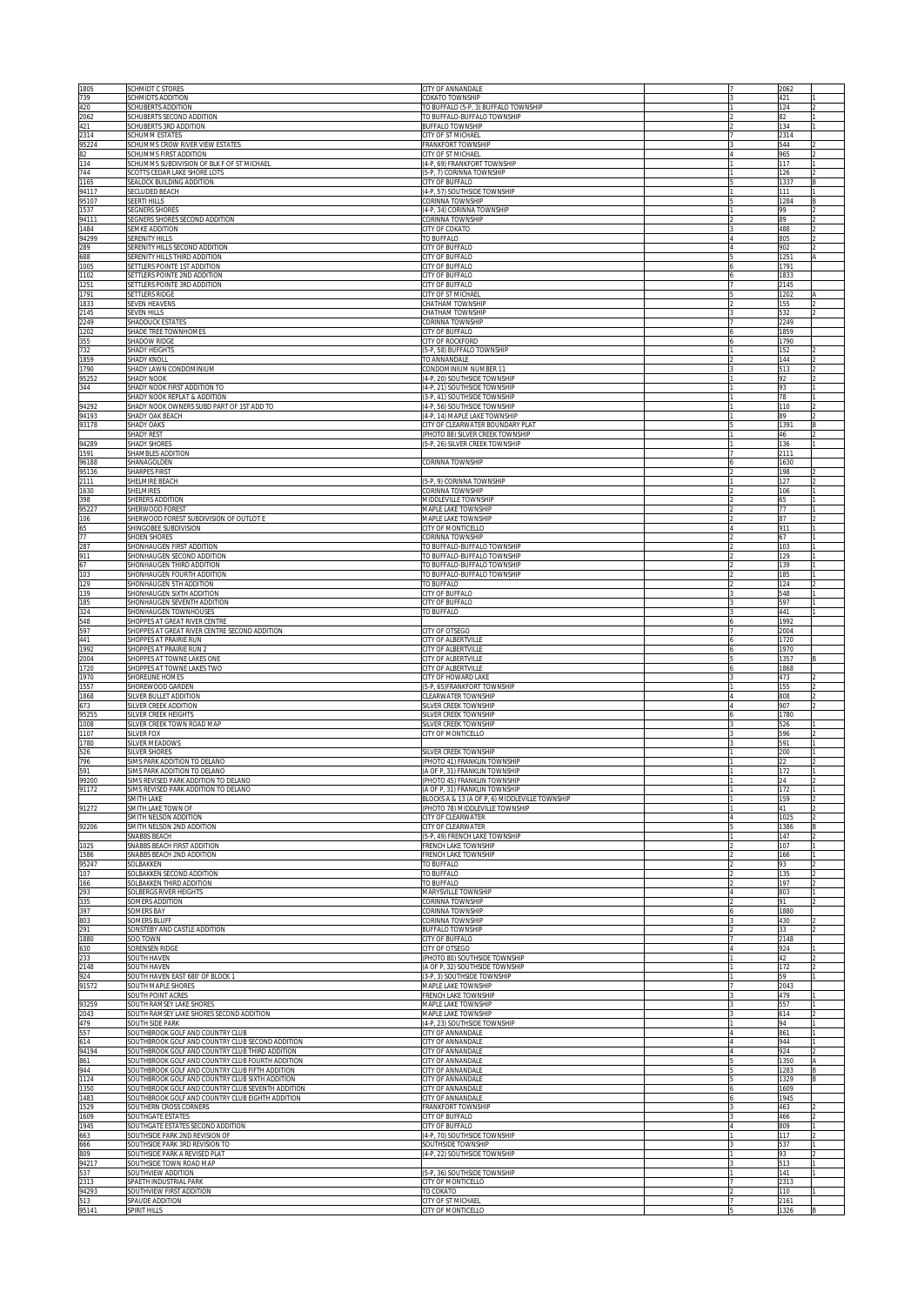| 1805<br>739          | SCHMIDT C STORES<br>SCHMIDTS ADDITION                                                                 | CITY OF ANNANDALE<br>COKATO TOWNSHIP                                            |  | 2062<br>421    |    |
|----------------------|-------------------------------------------------------------------------------------------------------|---------------------------------------------------------------------------------|--|----------------|----|
| 420                  | SCHUBERTS ADDITION                                                                                    | TO BUFFALO (5-P, 3) BUFFALO TOWNSHIP                                            |  | 124            |    |
| 2062<br>421          | SCHUBERTS SECOND ADDITION<br>SCHUBERTS 3RD ADDITION                                                   | TO BUFFALO-BUFFALO TOWNSHIP<br>BUFFALO TOWNSHIP                                 |  | 82<br>134      |    |
| 2314<br>95224        | <b>SCHUMM ESTATES</b><br>SCHUMMS CROW RIVER VIEW ESTATES                                              | CITY OF ST MICHAEL<br>FRANKFORT TOWNSHIP                                        |  | 2314<br>544    |    |
| 82                   | SCHUMMS FIRST ADDITION                                                                                | CITY OF ST MICHAEL                                                              |  | 965            |    |
| 134<br>744           | SCHUMMS SUBDIVISION OF BLK F OF ST MICHAEL<br>SCOTTS CEDAR LAKE SHORE LOTS                            | (4-P, 69) FRANKFORT TOWNSHIP<br>(5-P, 7) CORINNA TOWNSHIP                       |  | 117<br>126     |    |
| 1165<br>94117        | SEALOCK BUILDING ADDITION<br>SECLUDED BEACH                                                           | CITY OF BUFFALO<br>(4-P, 57) SOUTHSIDE TOWNSHIP                                 |  | 1337<br>111    |    |
| 95107                | SEERTI HILLS                                                                                          | CORINNA TOWNSHIP                                                                |  | 1284           |    |
| 1537<br>94111        | SEGNERS SHORES<br>SEGNERS SHORES SECOND ADDITION                                                      | (4-P, 34) CORINNA TOWNSHIP<br>CORINNA TOWNSHIP                                  |  | 99<br>89       |    |
| 1484<br>94299        | SEMKE ADDITION<br><b>SERENITY HILLS</b>                                                               | CITY OF COKATO<br>TO BUFFALO                                                    |  | 488<br>805     |    |
| 289                  | SERENITY HILLS SECOND ADDITION                                                                        | CITY OF BUFFALO                                                                 |  | 902            |    |
| 688<br>1005          | SERENITY HILLS THIRD ADDITION<br>SETTLERS POINTE 1ST ADDITION                                         | CITY OF BUFFALO<br>CITY OF BUFFALO                                              |  | 1251<br>1791   |    |
| 1102<br>1251         | SETTLERS POINTE 2ND ADDITION<br>SETTLERS POINTE 3RD ADDITION                                          | CITY OF BUFFALO<br>CITY OF BUFFALO                                              |  | 1833<br>2145   |    |
| 1791                 | <b>SETTLERS RIDGE</b>                                                                                 | CITY OF ST MICHAEI                                                              |  | 1202           |    |
| 1833<br>2145         | <b>SEVEN HEAVENS</b><br><b>SEVEN HILLS</b>                                                            | CHATHAM TOWNSHIP<br>CHATHAM TOWNSHIP                                            |  | 155<br>532     |    |
| 2249<br>1202         | SHADDUCK ESTATES<br>SHADE TREE TOWNHOMES                                                              | CORINNA TOWNSHIP<br>CITY OF BUFFALO                                             |  | 2249<br>1859   |    |
| 355<br>732           | SHADOW RIDGE<br><b>SHADY HEIGHTS</b>                                                                  | CITY OF ROCKFORD<br>5-P, 58) BUFFALO TOWNSHIP                                   |  | 1790<br>152    |    |
| 1859                 | SHADY KNOLI                                                                                           | TO ANNANDALE                                                                    |  | 144            |    |
| 1790<br>95252        | SHADY LAWN CONDOMINIUM<br>SHADY NOOK                                                                  | CONDOMINIUM NUMBER 11<br>(4-P, 20) SOUTHSIDE TOWNSHIP                           |  | 513<br>92      |    |
| 344                  | SHADY NOOK FIRST ADDITION TO<br><b>SHADY NOOK REPLAT &amp; ADDITION</b>                               | (4-P, 21) SOUTHSIDE TOWNSHIP<br>3-P, 41) SOUTHSIDE TOWNSHIP                     |  | 93<br>78       |    |
| 94292                | SHADY NOOK OWNERS SUBD PART OF 1ST ADD TO                                                             | (4-P, 56) SOUTHSIDE TOWNSHIP                                                    |  | 110            |    |
| 94193<br>93178       | SHADY OAK BEACH<br>SHADY OAKS                                                                         | (4-P, 14) MAPLE LAKE TOWNSHIP<br>CITY OF CLEARWATER BOUNDARY PLAT               |  | 80<br>1391     |    |
| 94289                | <b>SHADY REST</b><br><b>SHADY SHORES</b>                                                              | PHOTO 88) SILVER CREEK TOWNSHIP<br>5-P, 26) SILVER CREEK TOWNSHIP               |  | 46<br>136      |    |
| 1591                 | SHAMBLES ADDITION                                                                                     |                                                                                 |  | 2111           |    |
| 96188<br>95136       | SHANAGOLDEN<br>SHARPES FIRST                                                                          | CORINNA TOWNSHIP                                                                |  | 1630<br>198    |    |
| 2111<br>1630         | SHELMIRE BEACH<br>SHELMIRES                                                                           | (5-P, 9) CORINNA TOWNSHIP<br>CORINNA TOWNSHIP                                   |  | 127<br>106     |    |
| 398                  | SHERERS ADDITION                                                                                      | MIDDLEVILLE TOWNSHIP                                                            |  | 65             |    |
| 95227<br>106         | SHERWOOD FOREST<br>SHERWOOD FOREST SUBDIVISION OF OUTLOT E                                            | MAPLE LAKE TOWNSHIP<br>MAPLE LAKE TOWNSHIP                                      |  | 77<br>87       |    |
| 65<br>77             | SHINGOBEE SUBDIVISION<br>SHOEN SHORES                                                                 | CITY OF MONTICELLO<br>CORINNA TOWNSHIP                                          |  | 911<br>67      |    |
| 287                  | SHONHAUGEN FIRST ADDITION                                                                             | TO BUFFALO-BUFFALO TOWNSHIP                                                     |  | 103            |    |
| 911<br>67            | SHONHAUGEN SECOND ADDITION<br>SHONHAUGEN THIRD ADDITION                                               | TO BUFFALO-BUFFALO TOWNSHIP<br>TO BUFFALO-BUFFALO TOWNSHIP                      |  | 129<br>139     |    |
| 103<br>129           | SHONHAUGEN FOURTH ADDITION<br>SHONHAUGEN 5TH ADDITION                                                 | TO BUFFALO-BUFFALO TOWNSHIP<br>TO BUFFALO                                       |  | 185<br>124     |    |
| 139                  | SHONHAUGEN SIXTH ADDITION                                                                             | CITY OF BUFFALO                                                                 |  | 548            |    |
| 185<br>324           | SHONHAUGEN SEVENTH ADDITION<br>SHONHAUGEN TOWNHOUSES                                                  | CITY OF BUFFALO<br>TO BUFFALO                                                   |  | 597<br>441     |    |
| 548<br>597           | SHOPPES AT GREAT RIVER CENTRE<br>SHOPPES AT GREAT RIVER CENTRE SECOND ADDITION                        | CITY OF OTSEGO                                                                  |  | 1992<br>2004   |    |
| 441                  | SHOPPES AT PRAIRIE RUN<br>SHOPPES AT PRAIRIE RUN 2                                                    | CITY OF ALBERTVILLE<br>CITY OF ALBERTVILLE                                      |  | 1720<br>1970   |    |
|                      |                                                                                                       |                                                                                 |  |                |    |
| 1992<br>2004         | SHOPPES AT TOWNE LAKES ONE                                                                            | CITY OF ALBERTVILLE                                                             |  | 1357           |    |
| 1720                 | SHOPPES AT TOWNE LAKES TWO                                                                            | CITY OF ALBERTVILLE                                                             |  | 1868           |    |
| 1970<br>1557         | SHORELINE HOMES<br>SHOREWOOD GARDEN                                                                   | CITY OF HOWARD LAKE<br>5-P, 65)FRANKFORT TOWNSHIP                               |  | 473<br>155     |    |
| 1868<br>673          | SILVER BULLET ADDITION<br>SILVER CREEK ADDITION                                                       | <b>CLEARWATER TOWNSHIP</b><br>SILVER CREEK TOWNSHIP                             |  | 808<br>907     |    |
| 95255<br>1008        | <b>SILVER CREEK HEIGHTS</b>                                                                           | <b>SILVER CREEK TOWNSHIP</b>                                                    |  | 1780<br>526    |    |
| 1107                 | SILVER CREEK TOWN ROAD MAP<br>SILVER FOX                                                              | SILVER CREEK TOWNSHIP<br>CITY OF MONTICELLO                                     |  | 596            |    |
| 1780<br>526          | <b>SILVER MEADOWS</b><br>SILVER SHORES                                                                | SILVER CREEK TOWNSHIP                                                           |  | 591<br>200     |    |
| 796<br>591           | SIMS PARK ADDITION TO DELANO<br>SIMS PARK ADDITION TO DELANO                                          | PHOTO 41) FRANKLIN TOWNSHIP<br>A OF P. 31) FRANKLIN TOWNSHIP                    |  | 172            |    |
| 9200                 | SIMS REVISED PARK ADDITION TO DELANO                                                                  | (PHOTO 45) FRANKLIN TOWNSHIP                                                    |  |                |    |
| 91172                | SIMS REVISED PARK ADDITION TO DELANO<br>SMITH LAKE                                                    | A OF P, 31) FRANKLIN TOWNSHIP<br>BLOCKS A & 13 (A OF P, 6) MIDDLEVILLE TOWNSHIP |  | 172<br>159     |    |
| 91272                | SMITH LAKE TOWN OF<br>SMITH NELSON ADDITION                                                           | PHOTO 78) MIDDLEVILLE TOWNSHIP<br><b>CITY OF CLEARWATER</b>                     |  | 41<br>1025     |    |
| 92206                | SMITH NELSON 2ND ADDITION                                                                             | <b>CITY OF CLEARWATER</b>                                                       |  | 1386           |    |
| 1025                 | <b>SNABBS BEACH</b><br>SNABBS BEACH FIRST ADDITION                                                    | 5-P. 49) FRENCH LAKE TOWNSHIP<br>FRENCH LAKE TOWNSHIP                           |  | 147<br>107     |    |
| 1586<br>95247        | SNABBS BEACH 2ND ADDITION<br>SOLBAKKEN                                                                | FRENCH LAKE TOWNSHIP<br>TO BUFFALO                                              |  | 166<br>93      |    |
| 107<br>166           | SOLBAKKEN SECOND ADDITION<br><b>SOLBAKKEN THIRD ADDITION</b>                                          | TO BUFFALO<br>TO BUFFALO                                                        |  | 135<br>197     |    |
| 293                  | <b>SOLBERGS RIVER HEIGHTS</b>                                                                         | MARYSVILLE TOWNSHIP                                                             |  | 803            |    |
| 335<br>397           | <b>SOMERS ADDITION</b><br><b>SOMERS BAY</b>                                                           | <b>CORINNA TOWNSHIP</b><br>CORINNA TOWNSHIP                                     |  | 91<br>1880     |    |
| 803<br>291           | <b>SOMERS BLUFF</b><br>SONSTEBY AND CASTLE ADDITION                                                   | CORINNA TOWNSHIP<br><b>BUFFALO TOWNSHIP</b>                                     |  | 430            |    |
| 1880                 | <b>SOO TOWN</b>                                                                                       | <b>ITY OF BUFFALO</b>                                                           |  | 2148           |    |
| 630<br>233           | <b>SORENSEN RIDGE</b><br>SOUTH HAVEN                                                                  | <b>CITY OF OTSEGO</b><br>PHOTO 80) SOUTHSIDE TOWNSHIP                           |  | 924<br>$^{42}$ |    |
| 2148<br>924          | SOUTH HAVEN<br>SOUTH HAVEN EAST 680' OF BLOCK 1                                                       | (A OF P, 32) SOUTHSIDE TOWNSHIP<br>(3-P, 3) SOUTHSIDE TOWNSHIP                  |  | 172<br>59      |    |
| 91572                | SOUTH MAPLE SHORES                                                                                    | <b>MAPLE LAKE TOWNSHIP</b>                                                      |  | 2043           |    |
| 93259                | SOUTH POINT ACRES<br>SOUTH RAMSEY LAKE SHORES                                                         | FRENCH LAKE TOWNSHIP<br>MAPLE LAKE TOWNSHIP                                     |  | 479<br>557     |    |
| 2043                 | SOUTH RAMSEY LAKE SHORES SECOND ADDITION                                                              | MAPLE LAKE TOWNSHIP                                                             |  | 614<br>94      |    |
| 479<br>557           | SOUTH SIDE PARK<br>SOUTHBROOK GOLF AND COUNTRY CLUB                                                   | (4-P, 23) SOUTHSIDE TOWNSHIP<br>CITY OF ANNANDALE                               |  | 861            |    |
| 614<br>94194         | SOUTHBROOK GOLF AND COUNTRY CLUB SECOND ADDITION<br>SOUTHBROOK GOLF AND COUNTRY CLUB THIRD ADDITION   | CITY OF ANNANDALE<br>CITY OF ANNANDALE                                          |  | 944<br>924     |    |
| 861<br>944           | SOUTHBROOK GOLF AND COUNTRY CLUB FOURTH ADDITION<br>SOUTHBROOK GOLF AND COUNTRY CLUB FIFTH ADDITION   | CITY OF ANNANDALE<br>CITY OF ANNANDALE                                          |  | 1350<br>1283   |    |
| 1124                 | SOUTHBROOK GOLF AND COUNTRY CLUB SIXTH ADDITION                                                       | CITY OF ANNANDALE                                                               |  | 1329           | ΙB |
| 1350<br>1483         | SOUTHBROOK GOLF AND COUNTRY CLUB SEVENTH ADDITION<br>SOUTHBROOK GOLF AND COUNTRY CLUB EIGHTH ADDITION | CITY OF ANNANDALE<br>CITY OF ANNANDALE                                          |  | 1609<br>1945   |    |
| 1529<br>1609         | SOUTHERN CROSS CORNERS<br>SOUTHGATE ESTATES                                                           | FRANKFORT TOWNSHIP<br>CITY OF BUFFALO                                           |  | 463<br>466     |    |
| 1945                 | SOUTHGATE ESTATES SECOND ADDITION                                                                     | CITY OF BUFFALO                                                                 |  | 809            |    |
| 663<br>666           | SOUTHSIDE PARK 2ND REVISION OF<br>SOUTHSIDE PARK 3RD REVISION TO                                      | 4-P, 70) SOUTHSIDE TOWNSHIP<br>SOUTHSIDE TOWNSHIP                               |  | 117<br>537     |    |
| 809<br>94217         | SOUTHSIDE PARK A REVISED PLAT<br>SOUTHSIDE TOWN ROAD MAP                                              | (4-P, 22) SOUTHSIDE TOWNSHIP                                                    |  | 93<br>513      |    |
| 537                  | SOUTHVIEW ADDITION<br>SPAETH INDUSTRIAL PARK                                                          | 5-P, 36) SOUTHSIDE TOWNSHIP                                                     |  | 141<br>2313    |    |
| 2313<br>94293<br>513 | SOUTHVIEW FIRST ADDITION<br>SPAUDE ADDITION                                                           | CITY OF MONTICELLO<br>TO COKATO<br>CITY OF ST MICHAEL                           |  | 110<br>2161    |    |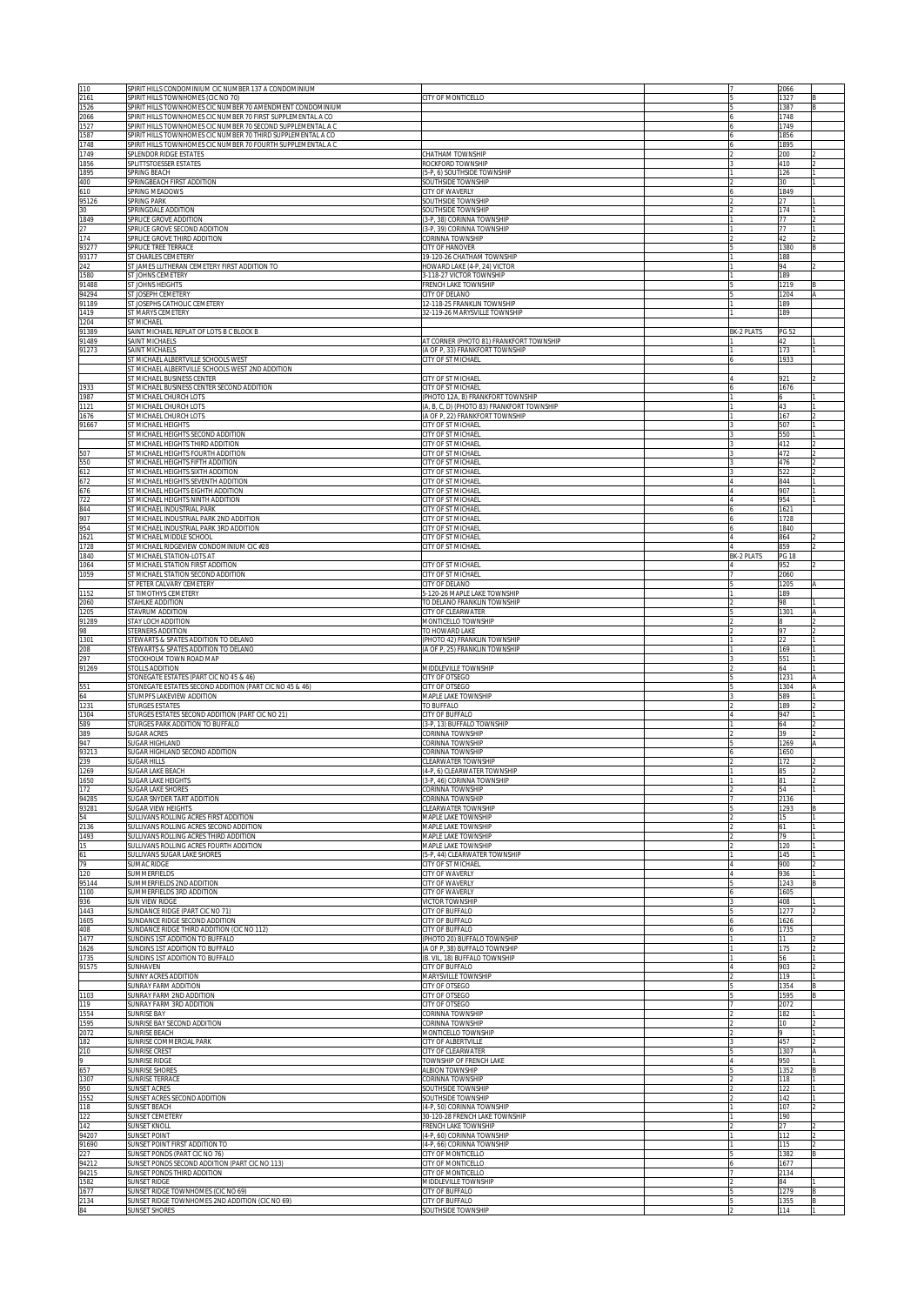| 110<br>2161          | SPIRIT HILLS CONDOMINIUM CIC NUMBER 137 A CONDOMINIUM<br>SPIRIT HILLS TOWNHOMES (CIC NO 70)<br>SPIRIT HILLS TOWNHOMES CIC NUMBER 70 AMENDMENT CONDOMINIUM | ITY OF MONTICELLO                                                             |                   | 2066<br>1327         |        |
|----------------------|-----------------------------------------------------------------------------------------------------------------------------------------------------------|-------------------------------------------------------------------------------|-------------------|----------------------|--------|
| 1526<br>2066<br>1527 | SPIRIT HILLS TOWNHOMES CIC NUMBER 70 FIRST SUPPLEMENTAL A CO                                                                                              |                                                                               |                   | 1387<br>1748<br>1749 |        |
| 1587                 | SPIRIT HILLS TOWNHOMES CIC NUMBER 70 SECOND SUPPLEMENTAL A C<br>SPIRIT HILLS TOWNHOMES CIC NUMBER 70 THIRD SUPPLEMENTAL A CO                              |                                                                               |                   | 1856                 |        |
| 1748<br>1749         | SPIRIT HILLS TOWNHOMES CIC NUMBER 70 FOURTH SUPPLEMENTAL A C<br>SPLENDOR RIDGE ESTATES                                                                    | CHATHAM TOWNSHIP                                                              |                   | 1895<br>200          |        |
| 1856<br>1895         | SPLITTSTOESSER ESTATES<br>SPRING BEACH                                                                                                                    | ROCKFORD TOWNSHIP<br>(5-P, 6) SOUTHSIDE TOWNSHIP                              |                   | 410<br>126           |        |
| 400<br>610           | SPRINGBEACH FIRST ADDITION<br>SPRING MEADOWS                                                                                                              | SOUTHSIDE TOWNSHIP<br>CITY OF WAVERLY                                         |                   | 30<br>1849           |        |
| 95126<br>30          | <b>SPRING PARK</b><br>SPRINGDALE ADDITION                                                                                                                 | SOUTHSIDE TOWNSHIP<br>SOUTHSIDE TOWNSHIP                                      |                   | 27<br>174            |        |
| 1849<br>27           | SPRUCE GROVE ADDITION                                                                                                                                     | (3-P, 38) CORINNA TOWNSHIP                                                    |                   | 77<br>77             |        |
| 174                  | SPRUCE GROVE SECOND ADDITION<br>SPRUCE GROVE THIRD ADDITION                                                                                               | (3-P, 39) CORINNA TOWNSHIP<br>CORINNA TOWNSHIP                                |                   | 42                   |        |
| 93277<br>93177       | SPRUCE TREE TERRACE<br>ST CHARLES CEMETERY                                                                                                                | CITY OF HANOVER<br>19-120-26 CHATHAM TOWNSHIP                                 |                   | 1380<br>188          |        |
| 242<br>1580          | ST JAMES LUTHERAN CEMETERY FIRST ADDITION TO<br>ST JOHNS CEMETERY                                                                                         | HOWARD LAKE (4-P, 24) VICTOR<br>3-118-27 VICTOR TOWNSHIP                      |                   | 94<br>189            |        |
| 91488<br>94294       | ST JOHNS HEIGHTS<br>ST JOSEPH CEMETERY                                                                                                                    | FRENCH LAKE TOWNSHIP<br>CITY OF DELANO                                        |                   | 1219<br>1204         |        |
| 91189<br>1419        | ST JOSEPHS CATHOLIC CEMETERY<br>ST MARYS CEMETERY                                                                                                         | 12-118-25 FRANKLIN TOWNSHIP<br>32-119-26 MARYSVILLE TOWNSHIP                  |                   | 189<br>189           |        |
| 1204<br>91389        | ST MICHAEL<br>SAINT MICHAEL REPLAT OF LOTS B C BLOCK B                                                                                                    |                                                                               | <b>BK-2 PLATS</b> | PG 52                |        |
| 91489<br>91273       | SAINT MICHAELS<br>SAINT MICHAELS                                                                                                                          | AT CORNER (PHOTO 81) FRANKFORT TOWNSHIP<br>(A OF P, 33) FRANKFORT TOWNSHIP    |                   | 42<br>173            |        |
|                      | ST MICHAEL ALBERTVILLE SCHOOLS WEST<br>ST MICHAEL ALBERTVILLE SCHOOLS WEST 2ND ADDITION                                                                   | CITY OF ST MICHAEL                                                            |                   | 1933                 |        |
| 1933                 | ST MICHAEL BUSINESS CENTER<br>ST MICHAEL BUSINESS CENTER SECOND ADDITION                                                                                  | CITY OF ST MICHAEL<br>CITY OF ST MICHAEL                                      |                   | 921<br>1676          |        |
| 1987                 | ST MICHAEL CHURCH LOTS<br>ST MICHAEL CHURCH LOTS                                                                                                          | (PHOTO 12A, B) FRANKFORT TOWNSHIP                                             |                   |                      |        |
| 1121<br>1676         | ST MICHAEL CHURCH LOTS                                                                                                                                    | (A, B, C, D) (PHOTO 83) FRANKFORT TOWNSHIP<br>(A OF P, 22) FRANKFORT TOWNSHIP |                   | 43<br>167            |        |
| 91667                | ST MICHAEL HEIGHTS<br>ST MICHAEL HEIGHTS SECOND ADDITION                                                                                                  | CITY OF ST MICHAEL<br>CITY OF ST MICHAEL                                      |                   | 507<br>550           |        |
| 507                  | ST MICHAEL HEIGHTS THIRD ADDITION<br>ST MICHAEL HEIGHTS FOURTH ADDITION                                                                                   | CITY OF ST MICHAEL<br>CITY OF ST MICHAEL                                      |                   | 412<br>472           |        |
| 550<br>612           | ST MICHAEL HEIGHTS FIFTH ADDITION<br><b>ST MICHAEL HEIGHTS SIXTH ADDITION</b>                                                                             | CITY OF ST MICHAEL<br>CITY OF ST MICHAEI                                      |                   | 476<br>522           |        |
| 672<br>676           | ST MICHAEL HEIGHTS SEVENTH ADDITION<br><b>ST MICHAEL HEIGHTS EIGHTH ADDITION</b>                                                                          | CITY OF ST MICHAEI<br>CITY OF ST MICHAEL                                      |                   | 844<br>907           |        |
| 722<br>844           | T MICHAEL HEIGHTS NINTH ADDITION<br>T MICHAEL INDUSTRIAL PARK                                                                                             | CITY OF ST MICHAEI<br>CITY OF ST_MICHAEL                                      |                   | 954<br>1621          |        |
| 907<br>954           | IT MICHAEL INDUSTRIAL PARK 2ND ADDITION<br>T MICHAEL INDUSTRIAL PARK 3RD ADDITION                                                                         | CITY OF ST MICHAEI<br>CITY OF ST MICHAEL                                      |                   | 1728<br>1840         |        |
| 1621<br>1728         | T MICHAEL MIDDLE SCHOOL                                                                                                                                   | CITY OF ST MICHAEL<br>CITY OF ST MICHAEL                                      |                   | 864<br>859           |        |
| 1840                 | IT MICHAEL RIDGEVIEW CONDOMINIUM CIC #28<br>T MICHAEL STATION-LOTS AT                                                                                     |                                                                               | BK-2 PLATS        | <b>PG 18</b>         |        |
| 1064<br>1059         | <b>IT MICHAEL STATION FIRST ADDITION</b><br><b>ST MICHAEL STATION SECOND ADDITION</b>                                                                     | CITY OF ST MICHAEL<br>CITY OF ST MICHAEL                                      |                   | 952<br>2060          |        |
| 1152                 | ST PETER CALVARY CEMETERY<br>ST TIMOTHYS CEMETERY                                                                                                         | CITY OF DELANO<br>5-120-26 MAPLE LAKE TOWNSHIP                                |                   | 1205<br>189          |        |
| 2060<br>1205         | STAHLKE ADDITION<br>STAVRUM ADDITION                                                                                                                      | TO DELANO FRANKLIN TOWNSHIP<br>CITY OF CLEARWATER                             |                   | 98<br>1301           |        |
| 91289<br>98          | STAY LOCH ADDITION<br>STERNERS ADDITION                                                                                                                   | <b>MONTICELLO TOWNSHIP</b><br>TO HOWARD LAKE                                  |                   | 97                   |        |
| 1301<br>208          | STEWARTS & SPATES ADDITION TO DELANO<br>STEWARTS & SPATES ADDITION TO DELANO                                                                              | PHOTO 42) FRANKLIN TOWNSHIP<br>(A OF P, 25) FRANKLIN TOWNSHIP                 |                   | 22<br>169            |        |
| 297<br>91269         | STOCKHOLM TOWN ROAD MAP<br>STOLLS ADDITION                                                                                                                | MIDDLEVILLE TOWNSHIP                                                          |                   | 551<br>64            |        |
| 551                  | STONEGATE ESTATES (PART CIC NO 45 & 46)<br>STONEGATE ESTATES SECOND ADDITION (PART CIC NO 45 & 46)                                                        | CITY OF OTSEGO<br>CITY OF OTSEGO                                              |                   | 1231<br>1304         |        |
| 54<br>1231           | STUMPFS LAKEVIEW ADDITION<br>STURGES ESTATES                                                                                                              | MAPLE LAKE TOWNSHIP<br>TO BUFFALO                                             |                   | 589<br>189           |        |
| 1304                 | STURGES ESTATES SECOND ADDITION (PART CIC NO 21)                                                                                                          | CITY OF BUFFALO                                                               |                   | 947<br>64            |        |
| 589<br>389           | STURGES PARK ADDITION TO BUFFALO<br>SUGAR ACRES                                                                                                           | 3-P, 13) BUFFALO TOWNSHIP<br>CORINNA TOWNSHIP                                 |                   | 39                   |        |
| 947<br>93213         | SUGAR HIGHLAND<br>SUGAR HIGHLAND SECOND ADDITION                                                                                                          | CORINNA TOWNSHIP<br>CORINNA TOWNSHIP                                          |                   | 1269<br>1650         |        |
| 239<br>1269          | SUGAR HILLS<br>SUGAR LAKE BEACH                                                                                                                           | <b>CLEARWATER TOWNSHIP</b><br>(4-P, 6) CLEARWATER TOWNSHIP                    |                   | 172<br>85            |        |
| 650<br>172           | <b>JUGAR LAKE HEIGHTS</b><br>SUGAR LAKE SHORES                                                                                                            | -P, 46) CORINNA TOWNSHI<br>CORINNA TOWNSHIP                                   |                   | 54                   |        |
| 94285<br>93281       | SUGAR SNYDER TART ADDITION<br>SUGAR VIEW HEIGHTS                                                                                                          | CORINNA TOWNSHIP<br><b>CLEARWATER TOWNSHIP</b>                                |                   | 2136<br>1293         |        |
| 54<br>2136           | SULLIVANS ROLLING ACRES FIRST ADDITION<br>SULLIVANS ROLLING ACRES SECOND ADDITION                                                                         | <b>MAPLE LAKE TOWNSHIP</b><br><b>MAPLE LAKE TOWNSHIP</b>                      |                   | 15<br>61             |        |
| 1493<br>15           | SULLIVANS ROLLING ACRES THIRD ADDITION<br>SULLIVANS ROLLING ACRES FOURTH ADDITION                                                                         | MAPLE LAKE TOWNSHIP<br><b>MAPLE LAKE TOWNSHIP</b>                             |                   | 79<br>120            |        |
| 61<br>79             | SULLIVANS SUGAR LAKE SHORES<br>SUMAC RIDGE                                                                                                                | 5-P. 44) CLEARWATER TOWNSHIP<br><b>CITY OF ST MICHAEL</b>                     |                   | 145<br>900           |        |
| 120<br>95144         | SUMMERFIELDS<br>SUMMERFIELDS 2ND ADDITION                                                                                                                 | <b>CITY OF WAVERLY</b><br><b>CITY OF WAVERLY</b>                              |                   | 936<br>1243          |        |
| 1100<br>936          | SUMMERFIELDS 3RD ADDITION<br>SUN VIEW RIDGE                                                                                                               | <b>CITY OF WAVERLY</b><br><b>ICTOR TOWNSHIP</b>                               |                   | 1605<br>408          |        |
| 1443<br>1605         | SUNDANCE RIDGE (PART CIC NO 71)<br>SUNDANCE RIDGE SECOND ADDITION                                                                                         | <b>ITY OF BUFFALO</b><br><b>CITY OF BUFFALO</b>                               |                   | 1277<br>1626         |        |
| 408<br>1477          | SUNDANCE RIDGE THIRD ADDITION (CIC NO 112)<br>SUNDINS 1ST ADDITION TO BUFFALO                                                                             | <b>CITY OF BUFFALO</b><br>PHOTO 20) BUFFALO TOWNSHIP                          |                   | 1735<br>11.          |        |
| 1626                 | SUNDINS 1ST ADDITION TO BUFFALO                                                                                                                           | A OF P, 38) BUFFALO TOWNSHIP                                                  |                   | 175                  |        |
| 1735<br>91575        | SUNDINS 1ST ADDITION TO BUFFALO<br>SUNHAVEN                                                                                                               | B. VIL, 18) BUFFALO TOWNSHIP<br><b>CITY OF BUFFALO</b>                        |                   | 56<br>903            |        |
|                      | SUNNY ACRES ADDITION<br><b>SUNRAY FARM ADDITION</b>                                                                                                       | <b>MARYSVILLE TOWNSHIP</b><br>CITY OF OTSEGO                                  |                   | 119<br>1354          |        |
| 1103<br>119          | SUNRAY FARM 2ND ADDITION<br>SUNRAY FARM 3RD ADDITION                                                                                                      | CITY OF OTSEGO<br>CITY OF OTSEGO                                              |                   | 1595<br>2072         |        |
| 1554<br>1595         | SUNRISE BAY<br>SUNRISE BAY SECOND ADDITION                                                                                                                | CORINNA TOWNSHIP<br>CORINNA TOWNSHIP                                          |                   | 182<br>10            |        |
| 2072<br>182          | <b>SUNRISE BEACH</b><br>SUNRISE COMMERCIAL PARK                                                                                                           | <b>MONTICELLO TOWNSHIP</b><br>CITY OF ALBERTVILLE                             |                   | 457                  |        |
| 210                  | <b>SUNRISE CREST</b><br>SUNRISE RIDGE                                                                                                                     | <b>CITY OF CLEARWATER</b><br><b>TOWNSHIP OF FRENCH LAKE</b>                   |                   | 1307<br>950          |        |
| 657<br>1307          | SUNRISE SHORES<br>SUNRISE TERRACE                                                                                                                         | <b>ALBION TOWNSHIP</b><br>CORINNA TOWNSHIP                                    |                   | 1352<br>118          |        |
| 950<br>1552          | <b>SUNSET ACRES</b><br>SUNSET ACRES SECOND ADDITION                                                                                                       | SOUTHSIDE TOWNSHIP<br>SOUTHSIDE TOWNSHIP                                      |                   | 122<br>142           |        |
| 118<br>122           | SUNSET BEACH<br>SUNSET CEMETERY                                                                                                                           | (4-P, 50) CORINNA TOWNSHIP<br>30-120-28 FRENCH LAKE TOWNSHIP                  |                   | 107<br>190           |        |
| 142<br>94207         | <b>SUNSET KNOLL</b><br><b>SUNSET POINT</b>                                                                                                                | FRENCH LAKE TOWNSHIP<br>(4-P, 60) CORINNA TOWNSHIP                            |                   | 27<br>112            | 2      |
| 91690                | SUNSET POINT FIRST ADDITION TO                                                                                                                            | (4-P, 66) CORINNA TOWNSHIP<br>CITY OF MONTICELLO                              |                   | 115                  | 2<br>B |
| 227<br>94212         | SUNSET PONDS (PART CIC NO 76)<br>SUNSET PONDS SECOND ADDITION (PART CIC NO 113)                                                                           | CITY OF MONTICELLO                                                            |                   | 1382<br>1677         |        |
| 94215<br>1582        | SUNSET PONDS THIRD ADDITION<br><b>SUNSET RIDGE</b>                                                                                                        | CITY OF MONTICELLO<br><b>MIDDLEVILLE TOWNSHIP</b>                             |                   | 2134<br>84           |        |
| 1677<br>2134         | SUNSET RIDGE TOWNHOMES (CIC NO 69)<br>SUNSET RIDGE TOWNHOMES 2ND ADDITION (CIC NO 69)                                                                     | CITY OF BUFFALO<br>CITY OF BUFFALO                                            |                   | 1279<br>1355         | B<br>B |
| 84                   | <b>SUNSET SHORES</b>                                                                                                                                      | SOUTHSIDE TOWNSHIP                                                            |                   | 114                  |        |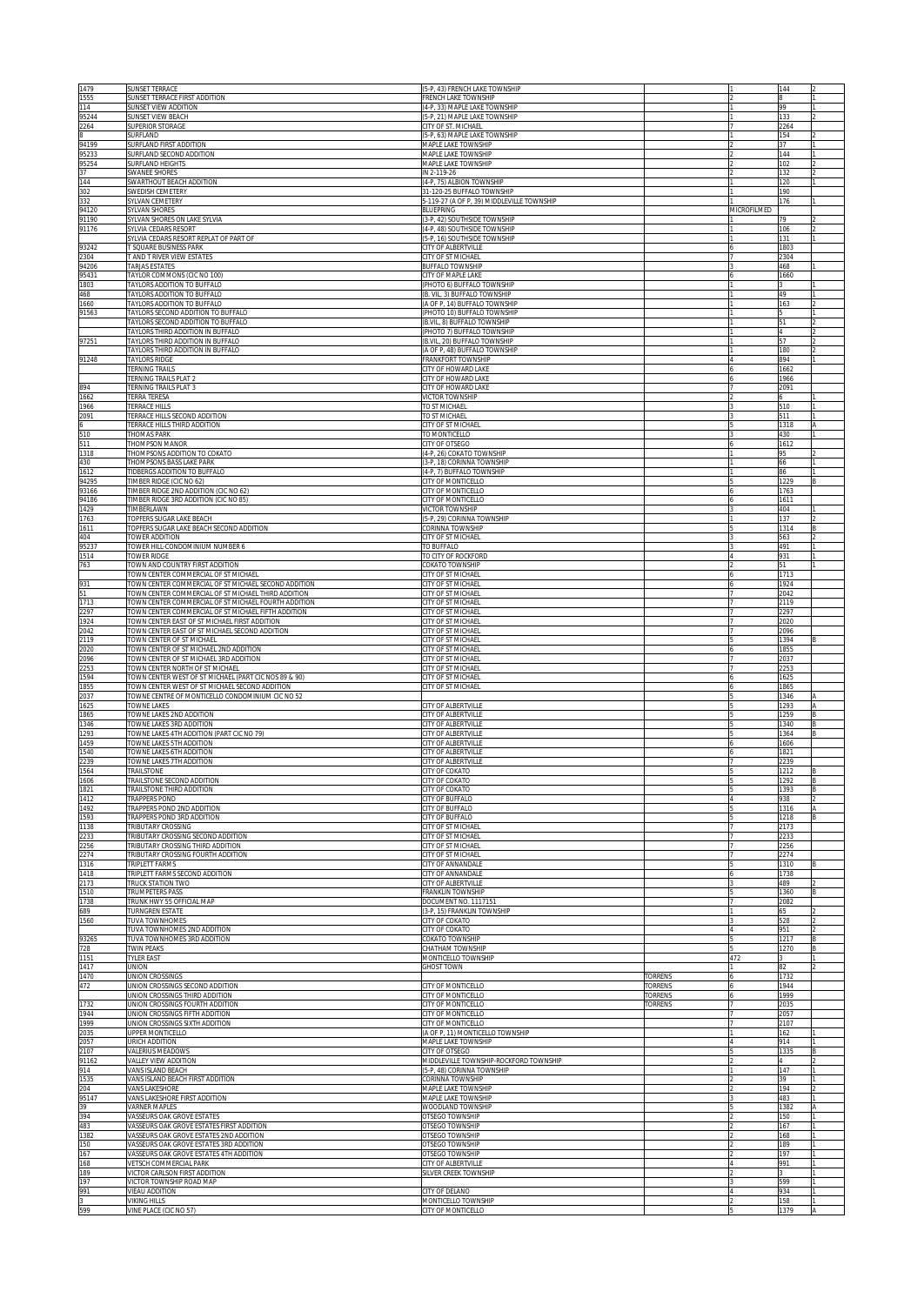| 1479           | SUNSET TERRACE                                                                                              | (5-P, 43) FRENCH LAKE TOWNSHIP                                           |         |             | 144          |        |
|----------------|-------------------------------------------------------------------------------------------------------------|--------------------------------------------------------------------------|---------|-------------|--------------|--------|
| 1555<br>114    | SUNSET TERRACE FIRST ADDITION<br>SUNSET VIEW ADDITION                                                       | <b>RENCH LAKE TOWNSHIP</b><br>(4-P, 33) MAPLE LAKE TOWNSHIP              |         |             | 99           |        |
| 95244          | SUNSET VIEW BEACH                                                                                           | 5-P, 21) MAPLE LAKE TOWNSHIP                                             |         |             | 133          |        |
| 2264<br>8      | SUPERIOR STORAGE<br>SURFLAND                                                                                | <b>CITY OF ST. MICHAEL</b><br>5-P. 63) MAPLE LAKE TOWNSHIP               |         |             | 2264<br>154  |        |
| 94199          | SURFLAND FIRST ADDITION                                                                                     | <b>MAPLE LAKE TOWNSHIP</b>                                               |         |             | 37           |        |
| 95233          | SURFLAND SECOND ADDITION                                                                                    | <b>MAPLE LAKE TOWNSHIP</b>                                               |         |             | 144          |        |
| 95254<br>37    | SURFLAND HEIGHTS<br>SWANEE SHORES                                                                           | <b>MAPLE LAKE TOWNSHIP</b><br>N 2-119-26                                 |         |             | 102<br>132   |        |
| 144            | SWARTHOUT BEACH ADDITION                                                                                    | 4-P. 75) ALBION TOWNSHIP                                                 |         |             | 120          |        |
| 302<br>332     | SWEDISH CEMETERY<br>SYLVAN CEMETERY                                                                         | 31-120-25 BUFFALO TOWNSHIP<br>5-119-27 (A OF P, 39) MIDDLEVILLE TOWNSHIP |         |             | 190<br>176   |        |
| 94120          | <b>SYLVAN SHORES</b>                                                                                        | BLUEPRING                                                                |         | MICROFILMED |              |        |
| 91190          | SYLVAN SHORES ON LAKE SYLVIA                                                                                | 3-P, 42) SOUTHSIDE TOWNSHIP                                              |         |             | 79           |        |
| 91176          | SYLVIA CEDARS RESORT<br>SYLVIA CEDARS RESORT REPLAT OF PART OF                                              | 4-P, 48) SOUTHSIDE TOWNSHIP<br>5-P, 16) SOUTHSIDE TOWNSHIP               |         |             | 106<br>131   |        |
| 93242          | T SQUARE BUSINESS PARK                                                                                      | <b>CITY OF ALBERTVILLE</b>                                               |         |             | 1803         |        |
| 2304           | T AND T RIVER VIEW ESTATES                                                                                  | CITY OF ST MICHAEL                                                       |         |             | 2304         |        |
| 94206<br>95431 | <b>TARJAS ESTATES</b><br>TAYLOR COMMONS (CIC NO 100)                                                        | <b>BUFFALO TOWNSHIP</b><br>CITY OF MAPLE LAKE                            |         |             | 468<br>1660  |        |
| 1803           | TAYLORS ADDITION TO BUFFALO                                                                                 | PHOTO 6) BUFFALO TOWNSHIP                                                |         |             |              |        |
| 468            | <b>TAYLORS ADDITION TO BUFFALO</b>                                                                          | B. VIL, 3) BUFFALO TOWNSHIP                                              |         |             | 49           |        |
| 1660<br>91563  | TAYLORS ADDITION TO BUFFALO<br>TAYLORS SECOND ADDITION TO BUFFALO                                           | A OF P, 14) BUFFALO TOWNSHIP<br>PHOTO 10) BUFFALO TOWNSHIP               |         |             | 163          |        |
|                | TAYLORS SECOND ADDITION TO BUFFALO                                                                          | B.VIL, 8) BUFFALO TOWNSHIP                                               |         |             | 51           |        |
|                | TAYLORS THIRD ADDITION IN BUFFALO                                                                           | PHOTO 7) BUFFALO TOWNSHIP                                                |         |             | 57           |        |
| 97251          | TAYLORS THIRD ADDITION IN BUFFALO<br>TAYLORS THIRD ADDITION IN BUFFALO                                      | B.VIL, 20) BUFFALO TOWNSHIP<br>A OF P, 48) BUFFALO TOWNSHIP              |         |             | 180          |        |
| 91248          | TAYLORS RIDGE                                                                                               | <b><i>FRANKFORT TOWNSHIP</i></b>                                         |         |             | 894          |        |
|                | <b>TERNING TRAILS</b><br>TERNING TRAILS PLAT 2                                                              | <b>CITY OF HOWARD LAKE</b><br>CITY OF HOWARD LAKE                        |         |             | 1662         |        |
| 894            | TERNING TRAILS PLAT 3                                                                                       | CITY OF HOWARD LAKE                                                      |         |             | 1966<br>2091 |        |
| 1662           | TERRA TERESA                                                                                                | VICTOR TOWNSHIP                                                          |         |             |              |        |
| 1966<br>2091   | <b>TERRACE HILLS</b><br>TERRACE HILLS SECOND ADDITION                                                       | TO ST MICHAEL<br>TO ST MICHAEL                                           |         |             | 510<br>511   |        |
|                | TERRACE HILLS THIRD ADDITION                                                                                | CITY OF ST MICHAEL                                                       |         |             | 1318         |        |
| 510            | <b>THOMAS PARK</b>                                                                                          | TO MONTICELLO                                                            |         |             | 430          |        |
| 511<br>1318    | THOMPSON MANOR<br>THOMPSONS ADDITION TO COKATO                                                              | CITY OF OTSEGO<br>4-P, 26) COKATO TOWNSHIP                               |         |             | 1612<br>95   |        |
| 430            | THOMPSONS BASS LAKE PARK                                                                                    | 3-P, 18) CORINNA TOWNSHIP                                                |         |             | 66           |        |
| 1612           | TIDBERGS ADDITION TO BUFFALO                                                                                | (4-P, 7) BUFFALO TOWNSHIP                                                |         |             | 86           |        |
| 94295<br>93166 | TIMBER RIDGE (CIC NO 62)<br>TIMBER RIDGE 2ND ADDITION (CIC NO 62)                                           | CITY OF MONTICELLO<br>CITY OF MONTICELLO                                 |         |             | 1229<br>1763 |        |
| 94186          | TIMBER RIDGE 3RD ADDITION (CIC NO 85)                                                                       | CITY OF MONTICELLO                                                       |         |             | 1611         |        |
| 1429           | TIMBERLAWN                                                                                                  | VICTOR TOWNSHIP                                                          |         |             | 404          |        |
| 1763<br>1611   | TOPFERS SUGAR LAKE BEACH<br>TOPFERS SUGAR LAKE BEACH SECOND ADDITION                                        | (5-P, 29) CORINNA TOWNSHIP<br>CORINNA TOWNSHIP                           |         |             | 137<br>1314  |        |
| 404            | TOWER ADDITION                                                                                              | CITY OF ST MICHAEL                                                       |         |             | 563          |        |
| 95237          | TOWER HILL-CONDOMINIUM NUMBER 6                                                                             | TO BUFFALO                                                               |         |             | 491          |        |
| 1514<br>763    | TOWER RIDGE<br>TOWN AND COUNTRY FIRST ADDITION                                                              | TO CITY OF ROCKFORD<br><b>COKATO TOWNSHIP</b>                            |         |             | 931<br>51    |        |
|                | TOWN CENTER COMMERCIAL OF ST MICHAEL                                                                        | <b>CITY OF ST MICHAEL</b>                                                |         |             | 1713         |        |
| 931<br>51      | TOWN CENTER COMMERCIAL OF ST MICHAEL SECOND ADDITION<br>TOWN CENTER COMMERCIAL OF ST MICHAEL THIRD ADDITION | <b>CITY OF ST MICHAEL</b><br><b>CITY OF ST MICHAEL</b>                   |         |             | 1924         |        |
| 1713           | TOWN CENTER COMMERCIAL OF ST MICHAEL FOURTH ADDITION                                                        | <b>CITY OF ST MICHAEL</b>                                                |         |             | 2042<br>2119 |        |
| 2297           | TOWN CENTER COMMERCIAL OF ST MICHAEL FIFTH ADDITION                                                         | <b>CITY OF ST MICHAEL</b>                                                |         |             | 2297         |        |
| 1924<br>2042   | TOWN CENTER EAST OF ST MICHAEL FIRST ADDITION<br>TOWN CENTER EAST OF ST MICHAEL SECOND ADDITION             | <b>CITY OF ST MICHAEL</b><br><b>CITY OF ST MICHAEL</b>                   |         |             | 2020<br>2096 |        |
| 2119           | TOWN CENTER OF ST MICHAEL                                                                                   | <b>CITY OF ST MICHAEL</b>                                                |         |             | 394          |        |
| 2020           | TOWN CENTER OF ST MICHAEL 2ND ADDITION                                                                      | <b>CITY OF ST MICHAEL</b>                                                |         |             | 1855         |        |
| 2096<br>2253   | TOWN CENTER OF ST MICHAEL 3RD ADDITION<br>TOWN CENTER NORTH OF ST MICHAEL                                   | <b>CITY OF ST MICHAEL</b><br><b>CITY OF ST MICHAEL</b>                   |         |             | 2037<br>2253 |        |
| 1594           | TOWN CENTER WEST OF ST MICHAEL (PART CIC NOS 89 & 90)                                                       | CITY OF ST MICHAEL                                                       |         |             | 1625         |        |
| 1855<br>2037   | TOWN CENTER WEST OF ST MICHAEL SECOND ADDITION<br>TOWNE CENTRE OF MONTICELLO CONDOMINIUM CIC NO 52          | CITY OF ST MICHAEL                                                       |         |             | 1865<br>1346 |        |
| 1625           | <b>TOWNE LAKES</b>                                                                                          | CITY OF ALBERTVILLE                                                      |         |             | 1293         |        |
| 1865           | TOWNE LAKES 2ND ADDITION                                                                                    | CITY OF ALBERTVILLE                                                      |         |             | 1259         |        |
| 1346<br>1293   | TOWNE LAKES 3RD ADDITION<br>TOWNE LAKES 4TH ADDITION (PART CIC NO 79)                                       | CITY OF ALBERTVILLE<br>CITY OF ALBERTVILLE                               |         |             | 1340<br>1364 |        |
| 1459           | TOWNE LAKES 5TH ADDITION                                                                                    | CITY OF ALBERTVILLE                                                      |         |             | 1606         |        |
| 1540           | TOWNE LAKES 6TH ADDITION                                                                                    | CITY OF ALBERTVILLE                                                      |         |             | 1821         |        |
| 2239<br>1564   | TOWNE LAKES 7TH ADDITION<br>TRAILSTONE                                                                      | CITY OF ALBERTVILLE<br>CITY OF COKATO                                    |         |             | 2239<br>1212 |        |
| 1606           | IRAILSTONE SECOND ADDITION                                                                                  | CITY OF COKATC                                                           |         |             | 1292         |        |
| 1821           | TRAILSTONE THIRD ADDITION                                                                                   | CITY OF COKATO                                                           |         |             | 1393         |        |
| 1412<br>1492   | <b>FRAPPERS POND</b><br><b>FRAPPERS POND 2ND ADDITION</b>                                                   | <b>CITY OF BUFFALO</b><br><b>ITY OF BUFFALO</b>                          |         |             | 938<br>1316  |        |
| 1593           | <b>FRAPPERS POND 3RD ADDITION</b>                                                                           | <b>CITY OF BUFFALO</b>                                                   |         |             | 1218         | B      |
| 1138<br>2233   | <b>TRIBUTARY CROSSING</b><br>TRIBUTARY CROSSING SECOND ADDITION                                             | <b>CITY OF ST MICHAEL</b><br><b>CITY OF ST MICHAEL</b>                   |         |             | 2173<br>2233 |        |
| 2256           | TRIBUTARY CROSSING THIRD ADDITION                                                                           | <b>CITY OF ST MICHAEL</b>                                                |         |             | 2256         |        |
| 2274           | TRIBUTARY CROSSING FOURTH ADDITION                                                                          | <b>CITY OF ST MICHAEL</b>                                                |         |             | 2274         |        |
| 1316<br>1418   | TRIPLETT FARMS<br>TRIPLETT FARMS SECOND ADDITION                                                            | CITY OF ANNANDALE<br>CITY OF ANNANDALE                                   |         |             | 1310<br>1738 |        |
| 2173           | TRUCK STATION TWO                                                                                           | CITY OF ALBERTVILLE                                                      |         |             | 489          |        |
| 1510           | TRUMPETERS PASS                                                                                             | FRANKLIN TOWNSHIP                                                        |         |             | 1360         | B      |
| 1738<br>689    | TRUNK HWY 55 OFFICIAL MAP<br>TURNGREN ESTATE                                                                | DOCUMENT NO. 1117151<br>(3-P, 15) FRANKLIN TOWNSHIP                      |         |             | 2082<br>65   |        |
| 1560           | <b>TUVA TOWNHOMES</b>                                                                                       | CITY OF COKATO                                                           |         |             | 528          |        |
| 93265          | TUVA TOWNHOMES 2ND ADDITION<br>TUVA TOWNHOMES 3RD ADDITION                                                  | CITY OF COKATO<br>COKATO TOWNSHIP                                        |         |             | 951<br>1217  |        |
| 728            | <b>TWIN PEAKS</b>                                                                                           | <b>CHATHAM TOWNSHIP</b>                                                  |         |             | 1270         | B<br>B |
| 1151           | <b>TYLER EAST</b>                                                                                           | MONTICELLO TOWNSHIP                                                      |         | 472         |              |        |
| 1417<br>1470   | UNION<br>UNION CROSSINGS                                                                                    | <b>GHOST TOWN</b>                                                        | TORRENS |             | 82<br>1732   |        |
| 472            | UNION CROSSINGS SECOND ADDITION                                                                             | CITY OF MONTICELLO                                                       | TORRENS |             | 1944         |        |
|                | UNION CROSSINGS THIRD ADDITION                                                                              | CITY OF MONTICELLO                                                       | TORRENS |             | 1999         |        |
| 1732<br>1944   | UNION CROSSINGS FOURTH ADDITION<br>UNION CROSSINGS FIFTH ADDITION                                           | CITY OF MONTICELLO<br>CITY OF MONTICELLO                                 | TORRENS | 7           | 2035<br>2057 |        |
| 1999           | UNION CROSSINGS SIXTH ADDITION                                                                              | CITY OF MONTICELLO                                                       |         |             | 2107         |        |
| 2035           | UPPER MONTICELLO<br>URICH ADDITION                                                                          | (A OF P, 11) MONTICELLO TOWNSHIP<br>MAPLE LAKE TOWNSHIP                  |         |             | 162<br>914   |        |
| 2057<br>2107   | VALERIUS MEADOWS                                                                                            | CITY OF OTSEGO                                                           |         |             | 1335         |        |
| 91162          | VALLEY VIEW ADDITION                                                                                        | MIDDLEVILLE TOWNSHIP-ROCKFORD TOWNSHIP                                   |         |             |              |        |
| 914<br>1535    | VANS ISLAND BEACH<br>VANS ISLAND BEACH FIRST ADDITION                                                       | (5-P, 48) CORINNA TOWNSHIP<br>CORINNA TOWNSHIP                           |         |             | 147<br>39    |        |
| 204            | VANS LAKESHORE                                                                                              | <b>MAPLE LAKE TOWNSHIP</b>                                               |         |             | 194          |        |
| 95147          | VANS LAKESHORE FIRST ADDITION                                                                               | MAPLE LAKE TOWNSHIP                                                      |         |             | 483          |        |
| 39<br>394      | <b>VARNER MAPLES</b><br>VASSEURS OAK GROVE ESTATES                                                          | WOODLAND TOWNSHIP<br>OTSEGO TOWNSHIP                                     |         |             | 1382<br>150  |        |
| 483            | VASSEURS OAK GROVE ESTATES FIRST ADDITION                                                                   | OTSEGO TOWNSHIP                                                          |         |             | 167          |        |
| 1382<br>150    | VASSEURS OAK GROVE ESTATES 2ND ADDITION<br>VASSEURS OAK GROVE ESTATES 3RD ADDITION                          | OTSEGO TOWNSHIP<br>OTSEGO TOWNSHIP                                       |         |             | 168          |        |
| 167            | VASSEURS OAK GROVE ESTATES 4TH ADDITION                                                                     | OTSEGO TOWNSHIP                                                          |         |             | 189<br>197   |        |
| 168            | VETSCH COMMERCIAL PARK                                                                                      | CITY OF ALBERTVILLE                                                      |         |             | 991          |        |
| 189<br>197     | VICTOR CARLSON FIRST ADDITION<br>VICTOR TOWNSHIP ROAD MAP                                                   | SILVER CREEK TOWNSHIP                                                    |         |             | 599          |        |
| 991            | <b>VIEAU ADDITION</b>                                                                                       | CITY OF DELANO                                                           |         |             | 934          |        |
| l3             | <b>VIKING HILLS</b>                                                                                         | MONTICELLO TOWNSHIP                                                      |         |             | 158          |        |
| 599            | VINE PLACE (CIC NO 57)                                                                                      | CITY OF MONTICELLO                                                       |         |             | 1379         |        |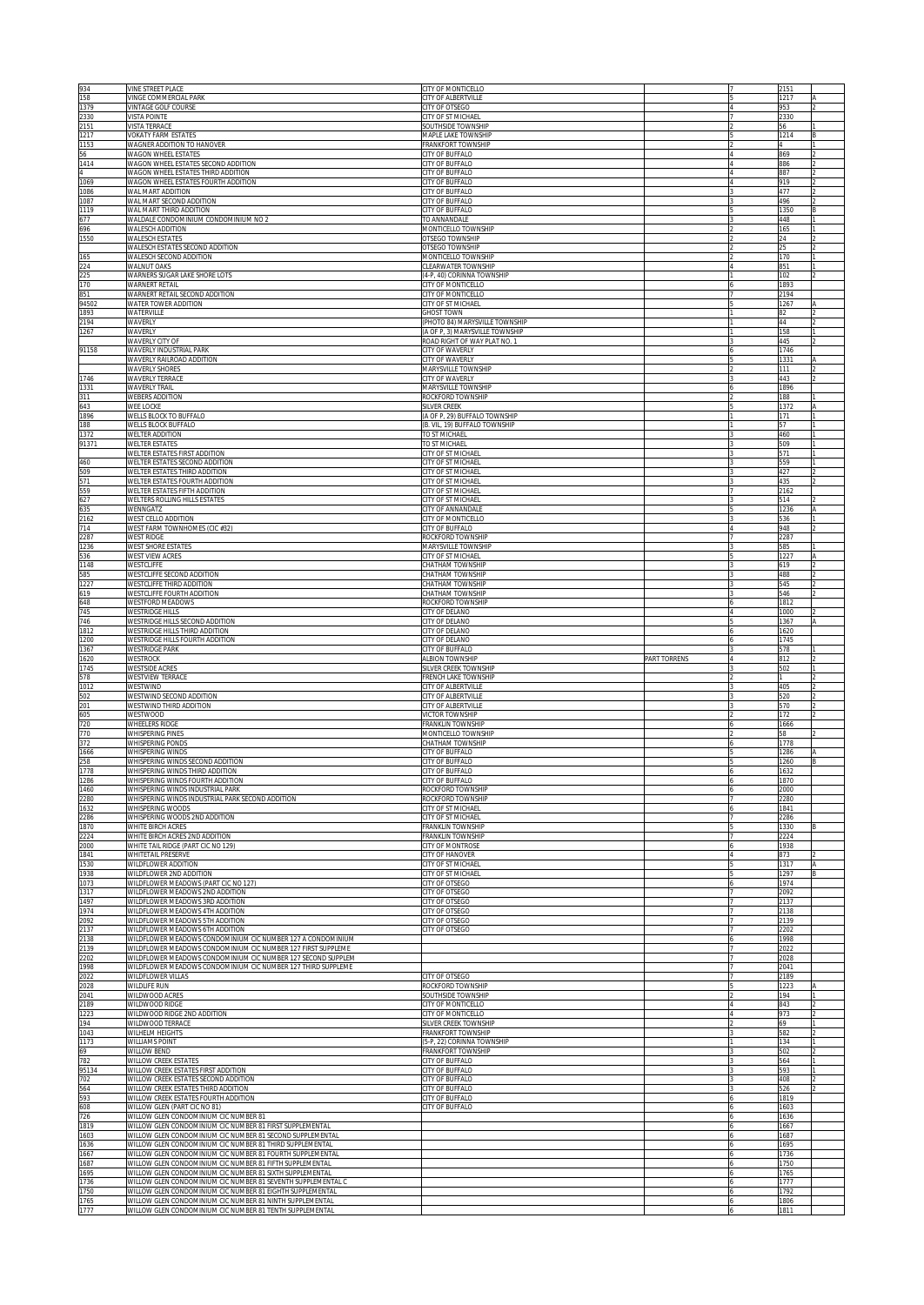| 934<br>158        | VINE STREET PLACE<br>VINGE COMMERCIAL PARK                                                                                   | <b>CITY OF MONTICELLO</b><br>CITY OF ALBERTVILLE                  |              | 2151<br>1217 |  |
|-------------------|------------------------------------------------------------------------------------------------------------------------------|-------------------------------------------------------------------|--------------|--------------|--|
| 1379              | VINTAGE GOLF COURSE                                                                                                          | <b>CITY OF OTSEGO</b>                                             |              | 953          |  |
| 2330<br>2151      | <b>VISTA POINTE</b><br><b>VISTA TERRACE</b>                                                                                  | CITY OF ST MICHAEL<br><b>SOUTHSIDE TOWNSHIP</b>                   |              | 2330<br>56   |  |
| 1217              | <b>VOKATY FARM ESTATES</b>                                                                                                   | <b>MAPLE LAKE TOWNSHIP</b>                                        |              | 1214         |  |
| 1153<br>56        | WAGNER ADDITION TO HANOVER<br>WAGON WHEEL ESTATES                                                                            | FRANKFORT TOWNSHIP<br>CITY OF BUFFALO                             |              | 869          |  |
| 1414<br>4         | WAGON WHEEL ESTATES SECOND ADDITION<br>WAGON WHEEL ESTATES THIRD ADDITION                                                    | <b>CITY OF BUFFALO</b><br>CITY OF BUFFALO                         |              | 886<br>887   |  |
| 1069              | WAGON WHEEL ESTATES FOURTH ADDITION                                                                                          | CITY OF BUFFALO                                                   |              | 919          |  |
| 1086<br>1087      | WAL MART ADDITION<br>WAL MART SECOND ADDITION                                                                                | <b>CITY OF BUFFALO</b><br>CITY OF BUFFALO                         |              | 477<br>496   |  |
| 1119              | WAL MART THIRD ADDITION                                                                                                      | CITY OF BUFFALO                                                   |              | 1350         |  |
| 677<br>696        | WALDALE CONDOMINIUM CONDOMINIUM NO 2<br>WALESCH ADDITION                                                                     | TO ANNANDALE<br>MONTICELLO TOWNSHIP                               |              | 448<br>165   |  |
| 1550              | <b>WALESCH ESTATES</b>                                                                                                       | <b>OTSEGO TOWNSHIP</b>                                            |              | 24           |  |
| 165               | WALESCH ESTATES SECOND ADDITION<br>WALESCH SECOND ADDITION                                                                   | OTSEGO TOWNSHIP<br>MONTICELLO TOWNSHIP                            |              | 25<br>170    |  |
| 224<br>225        | WALNUT OAKS                                                                                                                  | CLEARWATER TOWNSHIP                                               |              | 851          |  |
| 170               | WARNERS SUGAR LAKE SHORE LOTS<br>WARNERT RETAIL                                                                              | (4-P, 40) CORINNA TOWNSHIP<br>CITY OF MONTICELLO                  |              | 102<br>1893  |  |
| 851<br>94502      | WARNERT RETAIL SECOND ADDITION<br>WATER TOWER ADDITION                                                                       | CITY OF MONTICELLO<br>CITY OF ST MICHAEL                          |              | 194<br>1267  |  |
| 1893              | WATERVILLE                                                                                                                   | <b>GHOST TOWN</b>                                                 |              | 82           |  |
| 2194<br>1267      | WAVERLY<br>WAVERLY                                                                                                           | (PHOTO 84) MARYSVILLE TOWNSHIP<br>(A OF P, 3) MARYSVILLE TOWNSHIP |              | 44<br>158    |  |
|                   | <b>WAVERLY CITY OF</b>                                                                                                       | ROAD RIGHT OF WAY PLAT NO. 1                                      |              | 445          |  |
| 91158             | WAVERLY INDUSTRIAL PARK<br>WAVERLY RAILROAD ADDITION                                                                         | CITY OF WAVERLY<br>CITY OF WAVERLY                                |              | 1746<br>1331 |  |
|                   | WAVERLY SHORES                                                                                                               | MARYSVILLE TOWNSHIP                                               |              | 111          |  |
| 1746<br>1331      | WAVERLY TERRACE<br>WAVERLY TRAIL                                                                                             | CITY OF WAVERLY<br>MARYSVILLE TOWNSHIP                            |              | 443<br>1896  |  |
| 311               | <b>WEBERS ADDITION</b>                                                                                                       | ROCKFORD TOWNSHIP                                                 |              | 188          |  |
| 643<br>1896       | WEE LOCKE<br>WELLS BLOCK TO BUFFALO                                                                                          | SILVER CREEK<br>(A OF P, 29) BUFFALO TOWNSHIP                     |              | 1372<br>171  |  |
| 188<br>1372       | WELLS BLOCK BUFFALO<br>WELTER ADDITION                                                                                       | B. VIL, 19) BUFFALO TOWNSHIP<br>TO ST MICHAEL                     |              | 57<br>460    |  |
| 91371             | <b>WELTER ESTATES</b>                                                                                                        | TO ST MICHAEL                                                     |              | 509          |  |
| 460               | WELTER ESTATES FIRST ADDITION<br>WELTER ESTATES SECOND ADDITION                                                              | CITY OF ST MICHAEL<br>CITY OF ST MICHAEL                          |              | 571<br>559   |  |
| 509               | WELTER ESTATES THIRD ADDITION                                                                                                | <b>CITY OF ST MICHAEI</b>                                         |              | 427          |  |
| $\frac{571}{559}$ | WELTER ESTATES FOURTH ADDITION<br>WELTER ESTATES FIFTH ADDITION                                                              | CITY OF ST MICHAEL<br>CITY OF ST MICHAEL                          |              | 435<br>2162  |  |
|                   | WELTERS ROLLING HILLS ESTATES                                                                                                | CITY OF ST MICHAEL                                                |              | 514          |  |
| 635<br>2162       | <b>WENNGATZ</b><br>WEST CELLO ADDITION                                                                                       | CITY OF ANNANDALE<br>CITY OF MONTICELLO                           |              | 1236<br>536  |  |
| 714               | WEST FARM TOWNHOMES (CIC #32)                                                                                                | <b>CITY OF BUFFALO</b>                                            |              | 948          |  |
| 2287<br>1236      | <b>WEST RIDGE</b><br><b>WEST SHORE ESTATES</b>                                                                               | ROCKFORD TOWNSHIP<br><b>MARYSVILLE TOWNSHIP</b>                   |              | 2287<br>585  |  |
| 536<br>1148       | WEST VIEW ACRES                                                                                                              | CITY OF ST MICHAEL                                                |              | 1227         |  |
| 585               | WESTCLIFFE<br>WESTCLIFFE SECOND ADDITION                                                                                     | <b>HATHAM TOWNSHIP</b><br><b>HATHAM TOWNSHIP</b>                  |              | 619<br>488   |  |
| 1227<br>619       | WESTCLIFFE THIRD ADDITION<br>WESTCLIFFE FOURTH ADDITION                                                                      | <b>HATHAM TOWNSHIP</b><br><b>HATHAM TOWNSHIP</b>                  |              | 545<br>546   |  |
| 648               | WESTFORD MEADOWS                                                                                                             | ROCKFORD TOWNSHIP                                                 |              | 812          |  |
| 745<br>746        | WESTRIDGE HILLS<br>WESTRIDGE HILLS SECOND ADDITION                                                                           | <b>CITY OF DELANO</b><br><b>CITY OF DELANO</b>                    |              | 000<br>367   |  |
| 1812              | WESTRIDGE HILLS THIRD ADDITION                                                                                               | <b>CITY OF DELANO</b>                                             |              | 620          |  |
| 1200              | WESTRIDGE HILLS FOURTH ADDITION<br><b>WESTRIDGE PARK</b>                                                                     | <b>CITY OF DELANO</b>                                             |              | 1745<br>578  |  |
|                   |                                                                                                                              |                                                                   |              |              |  |
| 1367<br>1620      | WESTROCK                                                                                                                     | <b>CITY OF BUFFALO</b><br><b>LEBION TOWNSHIP</b>                  | PART TORRENS | 812          |  |
| 1745              | <b>WESTSIDE ACRES</b><br>WESTVIEW TERRACE                                                                                    | SILVER CREEK TOWNSHIP<br><b>RENCH LAKE TOWNSHIP</b>               |              | 502          |  |
| 578<br>1012       | WESTWIND                                                                                                                     | <b>CITY OF ALBERTVILLE</b>                                        |              | 405          |  |
|                   | WESTWIND SECOND ADDITION<br>WESTWIND THIRD ADDITION                                                                          | <b>CITY OF ALBERTVILLE</b><br><b>CITY OF ALBERTVILLE</b>          |              | 520<br>570   |  |
| 502<br>201        | WESTWOOD                                                                                                                     | <b>VICTOR TOWNSHIP</b>                                            |              | 172          |  |
| 605<br>720        | <b>WHEELERS RIDGE</b><br><b>WHISPERING PINES</b>                                                                             | FRANKLIN TOWNSHIP<br><b>MONTICELLO TOWNSHIP</b>                   |              | 1666<br>58   |  |
| 770<br>372        | <b>WHISPERING PONDS</b>                                                                                                      | <b>CHATHAM TOWNSHIP</b>                                           |              | 1778         |  |
| 1666<br>258       | WHISPERING WINDS<br>WHISPERING WINDS SECOND ADDITION                                                                         | <b>ITY OF BUFFALO</b><br><b>CITY OF BUFFALO</b>                   |              | 1286<br>1260 |  |
| 1778              | WHISPERING WINDS THIRD ADDITION                                                                                              | CITY OF BUFFALO                                                   |              | 1632         |  |
| 1286<br>1460      | WHISPERING WINDS FOURTH ADDITION<br>WHISPERING WINDS INDUSTRIAL PARK                                                         | CITY OF BUFFALO<br>ROCKFORD TOWNSHIP                              |              | 1870<br>000  |  |
| 2280<br>1632      | WHISPERING WINDS INDUSTRIAL PARK SECOND ADDITION<br><b>WHISPERING WOODS</b>                                                  | ROCKFORD TOWNSHIP<br><b>CITY OF ST MICHAEL</b>                    |              | 280<br>841   |  |
| 2286              | WHISPERING WOODS 2ND ADDITION                                                                                                | <b>CITY OF ST MICHAEL</b>                                         |              | 286          |  |
| 1870<br>2224      | <b>WHITE BIRCH ACRES</b><br>WHITE BIRCH ACRES 2ND ADDITION                                                                   | <b>FRANKLIN TOWNSHIP</b><br><b>FRANKLIN TOWNSHIP</b>              |              | 330<br>224   |  |
| 2000              | WHITE TAIL RIDGE (PART CIC NO 129)                                                                                           | <b>CITY OF MONTROSE</b>                                           |              | 938          |  |
| 1841<br>1530      | WHITETAIL PRESERVE<br>WILDFLOWER ADDITION                                                                                    | <b>CITY OF HANOVER</b><br><b>CITY OF ST MICHAEL</b>               |              | 373<br>1317  |  |
| 1938              | WILDFLOWER 2ND ADDITION                                                                                                      | CITY OF ST MICHAEL                                                |              | 1297         |  |
| 1073<br>1317      | WILDFLOWER MEADOWS (PART CIC NO 127)<br>WILDFLOWER MEADOWS 2ND ADDITION                                                      | CITY OF OTSEGO<br>CITY OF OTSEGO                                  |              | 1974<br>2092 |  |
| 1497<br>1974      | WILDFLOWER MEADOWS 3RD ADDITION<br>WILDFLOWER MEADOWS 4TH ADDITION                                                           | CITY OF OTSEGO<br>CITY OF OTSEGO                                  |              | 2137<br>2138 |  |
| 2092              | WILDFLOWER MEADOWS 5TH ADDITION                                                                                              | CITY OF OTSEGO                                                    |              | 2139         |  |
| 2137<br>2138      | WILDFLOWER MEADOWS 6TH ADDITION                                                                                              | CITY OF OTSEGO                                                    |              | 202<br>1998  |  |
| 2139              | WILDFLOWER MEADOWS CONDOMINIUM CIC NUMBER 127 A CONDOMINIUM<br>WILDFLOWER MEADOWS CONDOMINIUM CIC NUMBER 127 FIRST SUPPLEME  |                                                                   |              | 2022         |  |
| 2202<br>1998      | WILDFLOWER MEADOWS CONDOMINIUM CIC NUMBER 127 SECOND SUPPLEM<br>WILDFLOWER MEADOWS CONDOMINIUM CIC NUMBER 127 THIRD SUPPLEME |                                                                   |              | 2028<br>2041 |  |
| 2022              | WILDFLOWER VILLAS                                                                                                            | CITY OF OTSEGO                                                    |              | 2189         |  |
| 2028<br>2041      | WILDLIFE RUN<br>WILDWOOD ACRES                                                                                               | ROCKFORD TOWNSHIP<br>SOUTHSIDE TOWNSHIP                           |              | 1223<br>194  |  |
| 2189              | WILDWOOD RIDGE                                                                                                               | CITY OF MONTICELLO                                                |              | 843          |  |
| 1223<br>194       | WILDWOOD RIDGE 2ND ADDITION<br>WILDWOOD TERRACE                                                                              | CITY OF MONTICELLO<br>SILVER CREEK TOWNSHIP                       |              | 973<br>69    |  |
| 1043              | WILHELM HEIGHTS                                                                                                              | FRANKFORT TOWNSHIP                                                |              | 582<br>134   |  |
| 1173<br>69        | WILLIAMS POINT<br>WILLOW BEND                                                                                                | (5-P, 22) CORINNA TOWNSHIP<br>FRANKFORT TOWNSHIP                  |              | 502          |  |
| 782               | WILLOW CREEK ESTATES<br>WILLOW CREEK ESTATES FIRST ADDITION                                                                  | CITY OF BUFFALO                                                   |              | 564<br>593   |  |
| 95134<br>702      | WILLOW CREEK ESTATES SECOND ADDITION                                                                                         | CITY OF BUFFALO<br>CITY OF BUFFALO                                |              | 408          |  |
| 564<br>593        | WILLOW CREEK ESTATES THIRD ADDITION<br>WILLOW CREEK ESTATES FOURTH ADDITION                                                  | CITY OF BUFFALO<br>CITY OF BUFFALO                                |              | 526<br>1819  |  |
| 608               | WILLOW GLEN (PART CIC NO 81)                                                                                                 | <b>CITY OF BUFFALO</b>                                            |              | 1603         |  |
| 726<br>1819       | WILLOW GLEN CONDOMINIUM CIC NUMBER 81<br>WILLOW GLEN CONDOMINIUM CIC NUMBER 81 FIRST SUPPLEMENTAL                            |                                                                   |              | 1636<br>1667 |  |
| 1603              | WILLOW GLEN CONDOMINIUM CIC NUMBER 81 SECOND SUPPLEMENTAL                                                                    |                                                                   |              | 1687         |  |
| 1636<br>1667      | WILLOW GLEN CONDOMINIUM CIC NUMBER 81 THIRD SUPPLEMENTAL<br>WILLOW GLEN CONDOMINIUM CIC NUMBER 81 FOURTH SUPPLEMENTAL        |                                                                   |              | 1695<br>1736 |  |
| 1687              | WILLOW GLEN CONDOMINIUM CIC NUMBER 81 FIFTH SUPPLEMENTAL                                                                     |                                                                   |              | 1750         |  |
| 1695<br>1736      | WILLOW GLEN CONDOMINIUM CIC NUMBER 81 SIXTH SUPPLEMENTAL<br>WILLOW GLEN CONDOMINIUM CIC NUMBER 81 SEVENTH SUPPLEMENTAL C     |                                                                   |              | 1765<br>1777 |  |
| 1750<br>1765      | WILLOW GLEN CONDOMINIUM CIC NUMBER 81 EIGHTH SUPPLEMENTAL<br>WILLOW GLEN CONDOMINIUM CIC NUMBER 81 NINTH SUPPLEMENTAL        |                                                                   |              | 1792<br>1806 |  |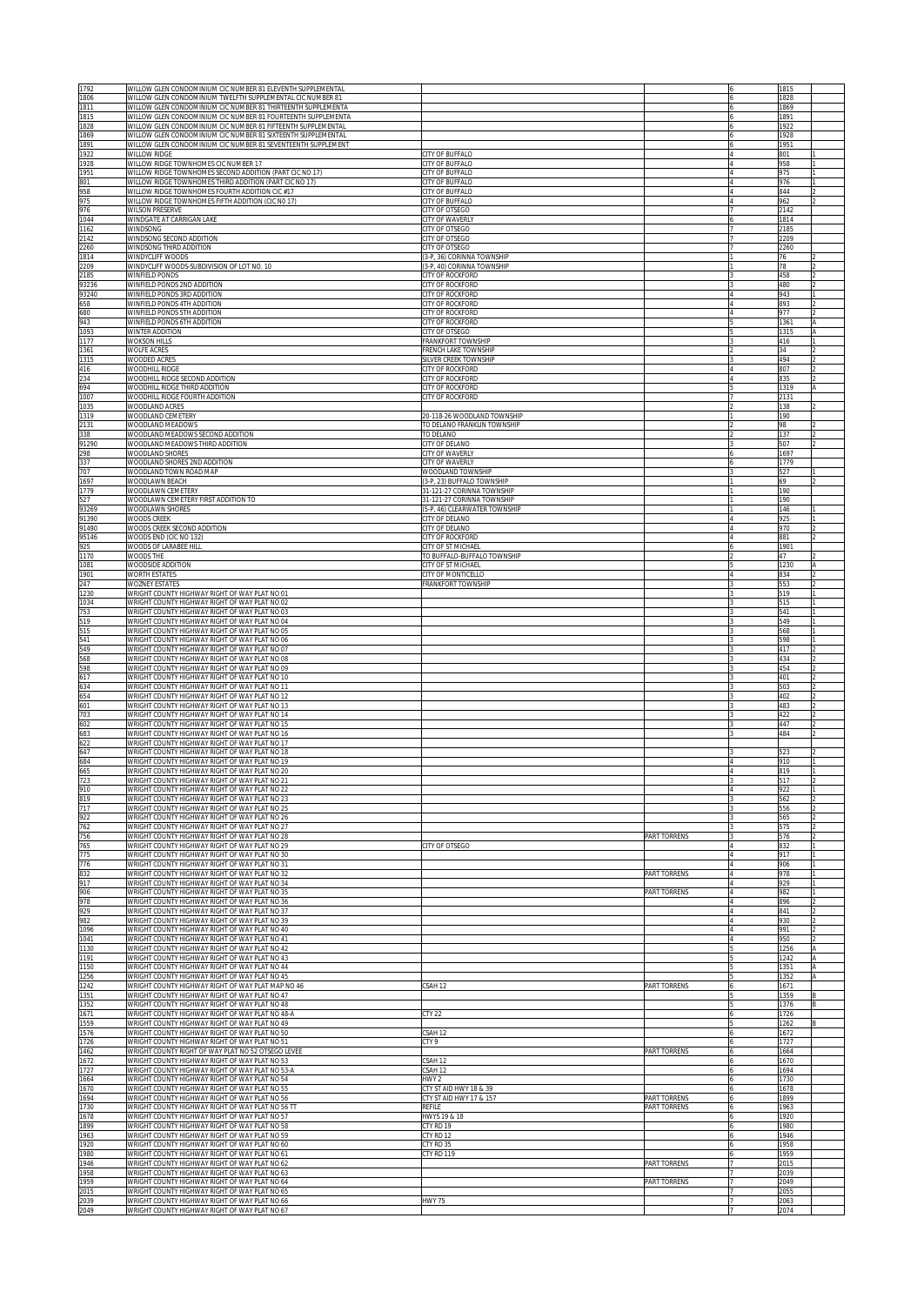| 1792           | WILLOW GLEN CONDOMINIUM CIC NUMBER 81 ELEVENTH SUPPLEMENTAL                                                                  |                                                          |                              | 1815         |   |
|----------------|------------------------------------------------------------------------------------------------------------------------------|----------------------------------------------------------|------------------------------|--------------|---|
| 1806<br>1811   | WILLOW GLEN CONDOMINIUM TWELFTH SUPPLEMENTAL CIC NUMBER 81<br>WILLOW GLEN CONDOMINIUM CIC NUMBER 81 THIRTEENTH SUPPLEMENTA   |                                                          |                              | 1828<br>1869 |   |
| 1815           | WILLOW GLEN CONDOMINIUM CIC NUMBER 81 FOURTEENTH SUPPLEMENTA                                                                 |                                                          |                              | 1891         |   |
| 1828<br>1869   | WILLOW GLEN CONDOMINIUM CIC NUMBER 81 FIFTEENTH SUPPLEMENTAL<br>WILLOW GLEN CONDOMINIUM CIC NUMBER 81 SIXTEENTH SUPPLEMENTAL |                                                          |                              | 1922<br>1928 |   |
| 1891           | WILLOW GLEN CONDOMINIUM CIC NUMBER 81 SEVENTEENTH SUPPLEMENT                                                                 |                                                          |                              | 1951         |   |
| 1922<br>1928   | WILLOW RIDGE<br>WILLOW RIDGE TOWNHOMES CIC NUMBER 17                                                                         | CITY OF BUFFALO<br>CITY OF BUFFALO                       |                              | 801<br>958   |   |
| 1951           | WILLOW RIDGE TOWNHOMES SECOND ADDITION (PART CIC NO 17)                                                                      | CITY OF BUFFALO                                          |                              | 975          |   |
| 801            | WILLOW RIDGE TOWNHOMES THIRD ADDITION (PART CIC NO 17)                                                                       | CITY OF BUFFALO                                          |                              | 976          |   |
| 958<br>975     | WILLOW RIDGE TOWNHOMES FOURTH ADDITION CIC #17<br>WILLOW RIDGE TOWNHOMES FIFTH ADDITION (CIC NO 17)                          | CITY OF BUFFALO<br>CITY OF BUFFALO                       |                              | 844<br>962   |   |
| 976            | <b>WILSON PRESERVE</b>                                                                                                       | CITY OF OTSEGO                                           |                              | 2142         |   |
| 1044<br>1162   | WINDGATE AT CARRIGAN LAKE<br>WINDSONG                                                                                        | CITY OF WAVERLY<br>CITY OF OTSEGO                        |                              | 1814<br>2185 |   |
| 2142           | WINDSONG SECOND ADDITION                                                                                                     | CITY OF OTSEGO                                           |                              | 2209         |   |
| 2260           | WINDSONG THIRD ADDITION                                                                                                      | CITY OF OTSEGO                                           |                              | 2260         |   |
| 1814<br>2209   | WINDYCLIFF WOODS<br>WINDYCLIFF WOODS-SUBDIVISION OF LOT NO. 10                                                               | (3-P, 36) CORINNA TOWNSHIP<br>(3-P, 40) CORINNA TOWNSHIP |                              | 76<br>78     |   |
| 2185           | WINFIELD PONDS                                                                                                               | <b>CITY OF ROCKFORD</b>                                  |                              | 458          |   |
| 93236<br>93240 | WINFIELD PONDS 2ND ADDITION<br>WINFIELD PONDS 3RD ADDITION                                                                   | CITY OF ROCKFORD<br>CITY OF ROCKFORD                     |                              | 480<br>943   |   |
| 658            | WINFIELD PONDS 4TH ADDITION                                                                                                  | CITY OF ROCKFORD                                         |                              | 893          |   |
| 680            | WINFIELD PONDS 5TH ADDITION                                                                                                  | CITY OF ROCKFORD                                         |                              | 977          |   |
| 943<br>1093    | WINFIELD PONDS 6TH ADDITION<br>WINTER ADDITION                                                                               | CITY OF ROCKFORD<br>CITY OF OTSEGO                       |                              | 1361<br>1315 |   |
| 1177           | <b>WOKSON HILLS</b>                                                                                                          | FRANKFORT TOWNSHIP                                       |                              | 416          |   |
| 1361<br>1315   | WOLFE ACRES                                                                                                                  | <b>FRENCH LAKE TOWNSHIP</b>                              |                              | 34           |   |
| 416            | WOODED ACRES<br>WOODHILL RIDGE                                                                                               | SILVER CREEK TOWNSHIP<br>CITY OF ROCKFORD                |                              | 494<br>807   |   |
| 234            | WOODHILL RIDGE SECOND ADDITION                                                                                               | CITY OF ROCKFORD                                         |                              | 835          |   |
| 694<br>1007    | WOODHILL RIDGE THIRD ADDITION<br>WOODHILL RIDGE FOURTH ADDITION                                                              | CITY OF ROCKFORD<br>CITY OF ROCKFORD                     |                              | 1319<br>2131 |   |
| 1035           | WOODLAND ACRES                                                                                                               |                                                          |                              | 138          |   |
| 1319<br>2131   | WOODLAND CEMETERY                                                                                                            | 20-118-26 WOODLAND TOWNSHIP                              |                              | 190          |   |
| 338            | WOODLAND MEADOWS<br>WOODLAND MEADOWS SECOND ADDITION                                                                         | TO DELANO FRANKLIN TOWNSHIP<br>TO DELANO                 |                              | 98<br>137    |   |
| 91290          | WOODLAND MEADOWS THIRD ADDITION                                                                                              | CITY OF DELANO                                           |                              | 507          |   |
| 298<br>337     | WOODLAND SHORES<br>WOODLAND SHORES 2ND ADDITION                                                                              | CITY OF WAVERLY<br>CITY OF WAVERLY                       |                              | 1697<br>1779 |   |
| 707            | WOODLAND TOWN ROAD MAP                                                                                                       | WOODLAND TOWNSHIP                                        |                              | 527          |   |
| 1697           | WOODLAWN BEACH                                                                                                               | (3-P, 23) BUFFALO TOWNSHIP                               |                              | 69           |   |
| 1779<br>527    | WOODLAWN CEMETERY<br>WOODLAWN CEMETERY FIRST ADDITION TO                                                                     | 31-121-27 CORINNA TOWNSHIP<br>31-121-27 CORINNA TOWNSHIP |                              | 190<br>190   |   |
| 93269          | WOODLAWN SHORES                                                                                                              | 5-P, 46) CLEARWATER TOWNSHIP                             |                              | 146          |   |
| 91390<br>91490 | <b>WOODS CREEK</b><br>WOODS CREEK SECOND ADDITION                                                                            | CITY OF DELANO<br><b>CITY OF DELANO</b>                  |                              | 925<br>970   |   |
| 95146          | WOODS END (CIC NO 132)                                                                                                       | CITY OF ROCKFORD                                         |                              | 881          |   |
| 925            | WOODS OF LARABEE HILL                                                                                                        | <b>CITY OF ST MICHAEL</b>                                |                              | 1901         |   |
| 1170<br>1081   | WOODS THE<br>WOODSIDE ADDITION                                                                                               | O BUFFALO-BUFFALO TOWNSHIP<br>CITY OF ST MICHAEL         |                              | 47<br>1230   |   |
| 1901           | WORTH ESTATES                                                                                                                | <b>ITY OF MONTICELLO</b>                                 |                              | 834          |   |
| 247<br>1230    | WOZNEY ESTATES<br>WRIGHT COUNTY HIGHWAY RIGHT OF WAY PLAT NO 01                                                              | <b>RANKFORT TOWNSHIP</b>                                 |                              | 553<br>519   |   |
| 1034           | WRIGHT COUNTY HIGHWAY RIGHT OF WAY PLAT NO 02                                                                                |                                                          |                              | 515          |   |
| 753            | WRIGHT COUNTY HIGHWAY RIGHT OF WAY PLAT NO 03                                                                                |                                                          |                              | 541          |   |
| 519<br>515     | WRIGHT COUNTY HIGHWAY RIGHT OF WAY PLAT NO 04<br>WRIGHT COUNTY HIGHWAY RIGHT OF WAY PLAT NO 05                               |                                                          |                              | 549<br>568   |   |
| 541            | WRIGHT COUNTY HIGHWAY RIGHT OF WAY PLAT NO 06                                                                                |                                                          |                              | 598          |   |
| 549<br>568     | WRIGHT COUNTY HIGHWAY RIGHT OF WAY PLAT NO 07<br>WRIGHT COUNTY HIGHWAY RIGHT OF WAY PLAT NO 08                               |                                                          |                              | 417<br>434   |   |
| 598            | WRIGHT COUNTY HIGHWAY RIGHT OF WAY PLAT NO 09                                                                                |                                                          |                              | 454          |   |
| 617            | WRIGHT COUNTY HIGHWAY RIGHT OF WAY PLAT NO 10<br>WRIGHT COUNTY HIGHWAY RIGHT OF WAY PLAT NO 11                               |                                                          |                              | 401          |   |
| 634<br>654     | WRIGHT COUNTY HIGHWAY RIGHT OF WAY PLAT NO 12                                                                                |                                                          |                              | 503<br>402   |   |
| 601            | WRIGHT COUNTY HIGHWAY RIGHT OF WAY PLAT NO 13                                                                                |                                                          |                              | 483          |   |
| 703<br>602     | WRIGHT COUNTY HIGHWAY RIGHT OF WAY PLAT NO 14<br>WRIGHT COUNTY HIGHWAY RIGHT OF WAY PLAT NO 15                               |                                                          |                              | 422<br>447   |   |
| 683            | WRIGHT COUNTY HIGHWAY RIGHT OF WAY PLAT NO 16                                                                                |                                                          |                              | 484          |   |
| 622            | WRIGHT COUNTY HIGHWAY RIGHT OF WAY PLAT NO 17                                                                                |                                                          |                              |              |   |
| 647<br>684     | WRIGHT COUNTY HIGHWAY RIGHT OF WAY PLAT NO 18<br>WRIGHT COUNTY HIGHWAY RIGHT OF WAY PLAT NO 19                               |                                                          |                              | 523<br>910   |   |
| 665<br>723     | WRIGHT COUNTY HIGHWAY RIGHT OF WAY PLAT NO 20                                                                                |                                                          |                              | 819          |   |
| 910            | WRIGHT COUNTY HIGHWAY RIGHT OF WAY PLAT NO 21<br>WRIGHT COUNTY HIGHWAY RIGHT OF WAY PLAT NO 22                               |                                                          |                              | 517<br>922   |   |
| 819            | WRIGHT COUNTY HIGHWAY RIGHT OF WAY PLAT NO 23                                                                                |                                                          |                              | 562          |   |
| 717            | WRIGHT COUNTY HIGHWAY RIGHT OF WAY PLAT NO 25                                                                                |                                                          |                              | 556          |   |
| 922<br>762     | WRIGHT COUNTY HIGHWAY RIGHT OF WAY PLAT NO 26<br>WRIGHT COUNTY HIGHWAY RIGHT OF WAY PLAT NO 27                               |                                                          |                              | 565<br>575   |   |
| 756            | WRIGHT COUNTY HIGHWAY RIGHT OF WAY PLAT NO 28                                                                                |                                                          | PART TORRENS                 | 576          |   |
| 765<br>775     | WRIGHT COUNTY HIGHWAY RIGHT OF WAY PLAT NO 29<br>WRIGHT COUNTY HIGHWAY RIGHT OF WAY PLAT NO 30                               | CITY OF OTSEGO                                           |                              | 832<br>917   |   |
| 776            | WRIGHT COUNTY HIGHWAY RIGHT OF WAY PLAT NO 31                                                                                |                                                          |                              | 906          |   |
| 832<br>917     | WRIGHT COUNTY HIGHWAY RIGHT OF WAY PLAT NO 32<br>WRIGHT COUNTY HIGHWAY RIGHT OF WAY PLAT NO 34                               |                                                          | PART TORRENS                 | 978<br>929   |   |
| 906            | WRIGHT COUNTY HIGHWAY RIGHT OF WAY PLAT NO 35                                                                                |                                                          | PART TORRENS                 | 982          |   |
| 978            | WRIGHT COUNTY HIGHWAY RIGHT OF WAY PLAT NO 36                                                                                |                                                          |                              | 896          |   |
| 929<br>982     | WRIGHT COUNTY HIGHWAY RIGHT OF WAY PLAT NO 37<br>WRIGHT COUNTY HIGHWAY RIGHT OF WAY PLAT NO 39                               |                                                          |                              | 841<br>930   |   |
| 1096           | WRIGHT COUNTY HIGHWAY RIGHT OF WAY PLAT NO 40                                                                                |                                                          |                              | 991          |   |
| 1041<br>1130   | WRIGHT COUNTY HIGHWAY RIGHT OF WAY PLAT NO 41<br>WRIGHT COUNTY HIGHWAY RIGHT OF WAY PLAT NO 42                               |                                                          |                              | 950<br>1256  |   |
| 1191           | WRIGHT COUNTY HIGHWAY RIGHT OF WAY PLAT NO 43                                                                                |                                                          |                              | 1242         | Α |
| 1150<br>1256   | WRIGHT COUNTY HIGHWAY RIGHT OF WAY PLAT NO 44<br>WRIGHT COUNTY HIGHWAY RIGHT OF WAY PLAT NO 45                               |                                                          |                              | 1351<br>1352 | A |
| 1242           | WRIGHT COUNTY HIGHWAY RIGHT OF WAY PLAT MAP NO 46                                                                            | SAH <sub>12</sub>                                        | PART TORRENS                 | 1671         |   |
| 1351           | WRIGHT COUNTY HIGHWAY RIGHT OF WAY PLAT NO 47                                                                                |                                                          |                              | 1359         |   |
| 1352<br>1671   | WRIGHT COUNTY HIGHWAY RIGHT OF WAY PLAT NO 48<br>WRIGHT COUNTY HIGHWAY RIGHT OF WAY PLAT NO 48-A                             | CTY 22                                                   |                              | 1376<br>1726 |   |
| 1559           | WRIGHT COUNTY HIGHWAY RIGHT OF WAY PLAT NO 49                                                                                |                                                          |                              | 1262         |   |
| 1576<br>1726   | WRIGHT COUNTY HIGHWAY RIGHT OF WAY PLAT NO 50<br>WRIGHT COUNTY HIGHWAY RIGHT OF WAY PLAT NO 51                               | SAH <sub>12</sub><br>CTY 9                               |                              | 1672<br>1727 |   |
| 1462           | WRIGHT COUNTY RIGHT OF WAY PLAT NO 52 OTSEGO LEVEE                                                                           |                                                          | PART TORRENS                 | 1664         |   |
| 1672<br>1727   | WRIGHT COUNTY HIGHWAY RIGHT OF WAY PLAT NO 53<br>WRIGHT COUNTY HIGHWAY RIGHT OF WAY PLAT NO 53-A                             | SAH <sub>12</sub><br>SAH <sub>12</sub>                   |                              | 1670<br>1694 |   |
| 1664           | WRIGHT COUNTY HIGHWAY RIGHT OF WAY PLAT NO 54                                                                                | HWY 2                                                    |                              | 1730         |   |
| 1670           | WRIGHT COUNTY HIGHWAY RIGHT OF WAY PLAT NO 55                                                                                | CTY ST AID HWY 18 & 39                                   |                              | 1678         |   |
| 1694<br>1730   | WRIGHT COUNTY HIGHWAY RIGHT OF WAY PLAT NO 56<br>WRIGHT COUNTY HIGHWAY RIGHT OF WAY PLAT NO 56 TT                            | CTY ST AID HWY 17 & 157<br>REFILE                        | PART TORRENS<br>PART TORRENS | 1899<br>1963 |   |
| 1678           | WRIGHT COUNTY HIGHWAY RIGHT OF WAY PLAT NO 57                                                                                | HWYS 19 & 18                                             |                              | 1920         |   |
| 1899<br>1963   | WRIGHT COUNTY HIGHWAY RIGHT OF WAY PLAT NO 58<br>WRIGHT COUNTY HIGHWAY RIGHT OF WAY PLAT NO 59                               | CTY RD 19<br>CTY RD 12                                   |                              | 1980         |   |
| 1920           | WRIGHT COUNTY HIGHWAY RIGHT OF WAY PLAT NO 60                                                                                | CTY RD 35                                                |                              | 1946<br>1958 |   |
| 1980           | WRIGHT COUNTY HIGHWAY RIGHT OF WAY PLAT NO 61                                                                                | CTY RD 119                                               |                              | 1959         |   |
| 1946<br>1958   | WRIGHT COUNTY HIGHWAY RIGHT OF WAY PLAT NO 62<br>WRIGHT COUNTY HIGHWAY RIGHT OF WAY PLAT NO 63                               |                                                          | PART TORRENS                 | 2015<br>2039 |   |
| 1959           |                                                                                                                              |                                                          |                              | 2049         |   |
|                | WRIGHT COUNTY HIGHWAY RIGHT OF WAY PLAT NO 64                                                                                |                                                          | PART TORRENS                 |              |   |
| 2015<br>2039   | WRIGHT COUNTY HIGHWAY RIGHT OF WAY PLAT NO 65<br>WRIGHT COUNTY HIGHWAY RIGHT OF WAY PLAT NO 66                               | <b>HWY 75</b>                                            |                              | 2055<br>2063 |   |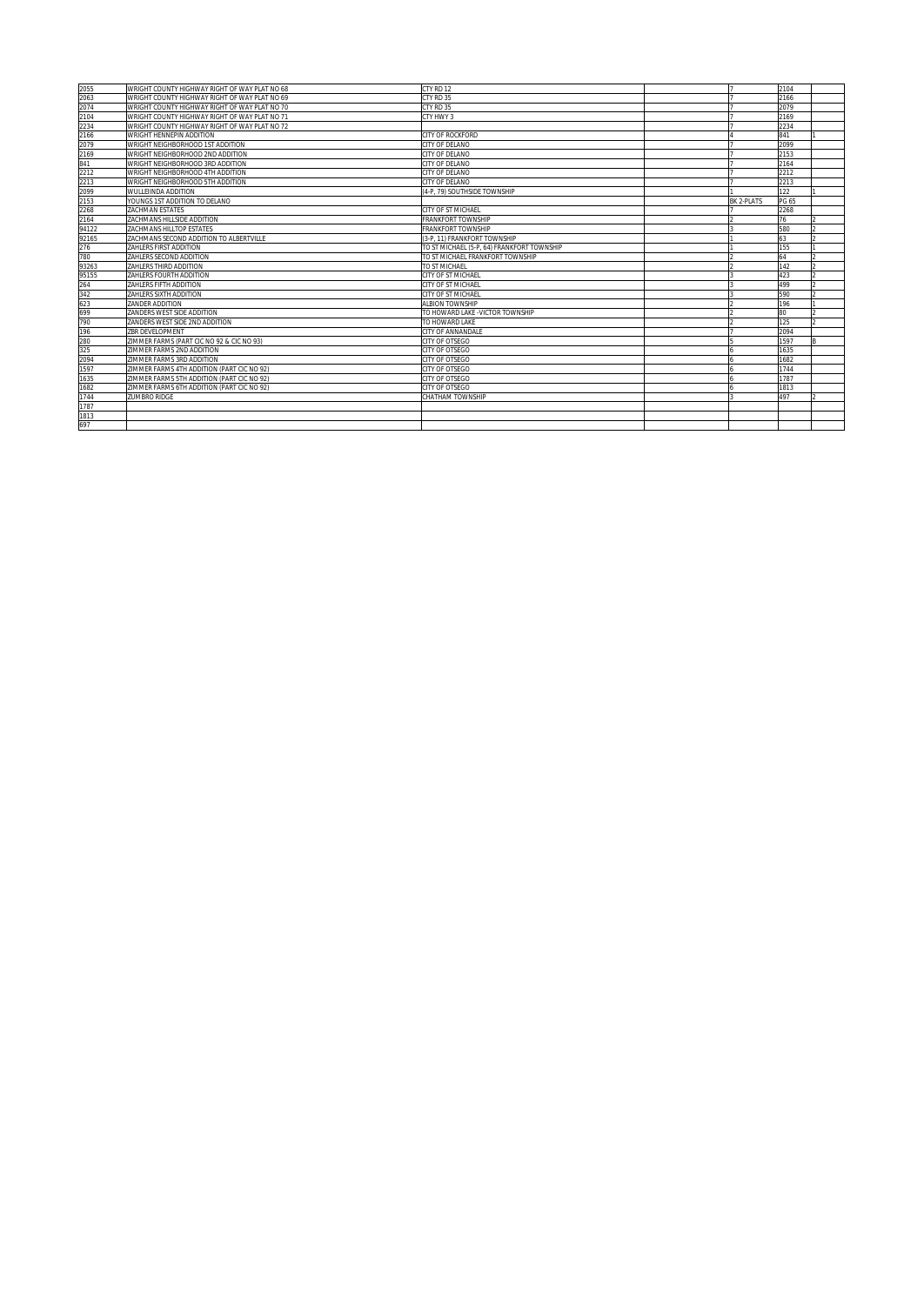| 2055                                | WRIGHT COUNTY HIGHWAY RIGHT OF WAY PLAT NO 68 | CTY RD 12                                  |            | 2104  |  |
|-------------------------------------|-----------------------------------------------|--------------------------------------------|------------|-------|--|
| 2063                                | WRIGHT COUNTY HIGHWAY RIGHT OF WAY PLAT NO 69 | <b>CTY RD 35</b>                           |            | 2166  |  |
| 2074                                | WRIGHT COUNTY HIGHWAY RIGHT OF WAY PLAT NO 70 | CTY RD 35                                  |            | 2079  |  |
| 2104                                | WRIGHT COUNTY HIGHWAY RIGHT OF WAY PLAT NO 71 | CTY HWY 3                                  |            | 2169  |  |
| 2234<br>2166                        | WRIGHT COUNTY HIGHWAY RIGHT OF WAY PLAT NO 72 |                                            |            | 2234  |  |
|                                     | WRIGHT HENNEPIN ADDITION                      | CITY OF ROCKFORD                           |            | 841   |  |
|                                     | WRIGHT NEIGHBORHOOD 1ST ADDITION              | CITY OF DELANO                             |            | 2099  |  |
|                                     | WRIGHT NEIGHBORHOOD 2ND ADDITION              | CITY OF DELANO                             |            | 2153  |  |
|                                     | WRIGHT NEIGHBORHOOD 3RD ADDITION              | CITY OF DELANO                             |            | 2164  |  |
| 2109<br>2079<br>2169<br>841<br>2212 | WRIGHT NEIGHBORHOOD 4TH ADDITION              | CITY OF DELANO                             |            | 2212  |  |
| 2213                                | WRIGHT NEIGHBORHOOD 5TH ADDITION              | CITY OF DELANO                             |            | 2213  |  |
| 2099                                | WULLEIINDA ADDITION                           | 4-P. 79) SOUTHSIDE TOWNSHIP                |            | 122   |  |
| 2153                                | YOUNGS 1ST ADDITION TO DELANO                 |                                            | BK 2-PLATS | PG 65 |  |
| 2268                                | <b>ZACHMAN ESTATES</b>                        | CITY OF ST MICHAEL                         |            | 2268  |  |
| 2164                                | ZACHMANS HILLSIDE ADDITION                    | <b>FRANKFORT TOWNSHIP</b>                  |            | 76    |  |
| 94122                               | ZACHMANS HILLTOP ESTATES                      | <b>FRANKFORT TOWNSHIP</b>                  |            | 580   |  |
| 92165                               | ZACHMANS SECOND ADDITION TO ALBERTVILLE       | (3-P. 11) FRANKFORT TOWNSHIP               |            | 63    |  |
| 276                                 | ZAHLERS FIRST ADDITION                        | TO ST MICHAEL (5-P. 64) FRANKFORT TOWNSHIP |            | 155   |  |
| 780                                 | ZAHLERS SECOND ADDITION                       | TO ST MICHAEL FRANKFORT TOWNSHIP           |            | 64    |  |
| 93263                               | ZAHLERS THIRD ADDITION                        | TO ST MICHAEL                              |            | 142   |  |
| 95155                               | ZAHLERS FOURTH ADDITION                       | CITY OF ST MICHAEL                         |            | 423   |  |
|                                     | ZAHLERS FIFTH ADDITION                        | CITY OF ST MICHAEL                         |            | 499   |  |
| $\frac{264}{342}$                   | ZAHLERS SIXTH ADDITION                        | CITY OF ST MICHAEL                         |            | 590   |  |
| 623                                 | ZANDER ADDITION                               | <b>ALBION TOWNSHIP</b>                     |            | 196   |  |
| 699                                 | ZANDERS WEST SIDE ADDITION                    | TO HOWARD LAKE -VICTOR TOWNSHIP            |            | 80    |  |
| 790                                 | ZANDERS WEST SIDE 2ND ADDITION                | TO HOWARD LAKE                             |            | 125   |  |
| 196                                 | ZBR DEVELOPMENT                               | CITY OF ANNANDALE                          |            | 2094  |  |
| 280                                 | ZIMMER FARMS (PART CIC NO 92 & CIC NO 93)     | <b>CITY OF OTSEGO</b>                      |            | 1597  |  |
| 325                                 | ZIMMER FARMS 2ND ADDITION                     | CITY OF OTSEGO                             |            | 1635  |  |
| 2094                                | ZIMMER FARMS 3RD ADDITION                     | CITY OF OTSEGO                             |            | 1682  |  |
| 1597                                | ZIMMER FARMS 4TH ADDITION (PART CIC NO 92)    | CITY OF OTSEGO                             |            | 1744  |  |
| 1635                                | ZIMMER FARMS 5TH ADDITION (PART CIC NO 92)    | CITY OF OTSEGO                             |            | 1787  |  |
| 1682                                | ZIMMER FARMS 6TH ADDITION (PART CIC NO 92)    | CITY OF OTSEGO                             |            | 1813  |  |
| 1744                                | <b>ZUMBRO RIDGE</b>                           | CHATHAM TOWNSHIP                           |            | 497   |  |
| 1787                                |                                               |                                            |            |       |  |
| 1813                                |                                               |                                            |            |       |  |
| 697                                 |                                               |                                            |            |       |  |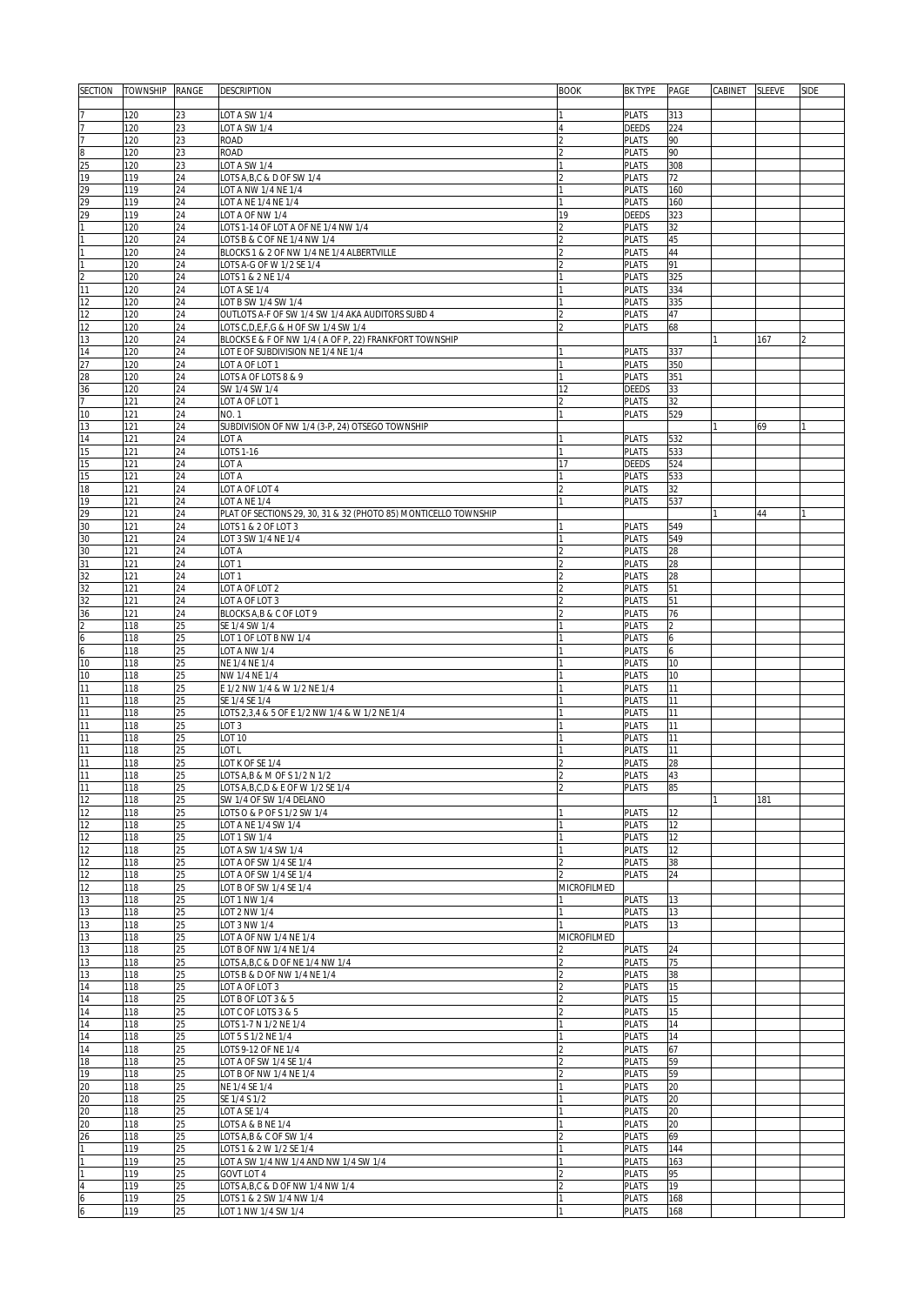| <b>SECTION</b>                                                     | <b>TOWNSHIP</b> | RANGE    | DESCRIPTION                                                           | <b>BOOK</b>   | <b>BK TYPE</b>               | PAGE       | CABINET SLEEVE |     | <b>SIDE</b> |
|--------------------------------------------------------------------|-----------------|----------|-----------------------------------------------------------------------|---------------|------------------------------|------------|----------------|-----|-------------|
|                                                                    |                 |          |                                                                       |               |                              |            |                |     |             |
|                                                                    | 120             | 23       | LOT A SW 1/4                                                          |               | <b>PLATS</b>                 | 313        |                |     |             |
| $\overline{7}$                                                     | 120             | 23       | LOT A SW 1/4                                                          |               | <b>DEEDS</b>                 | 224        |                |     |             |
| 7                                                                  | 120             | 23       | <b>ROAD</b>                                                           | 2             | <b>PLATS</b>                 | 90         |                |     |             |
| $\overline{8}$                                                     | 120             | 23       | <b>ROAD</b>                                                           |               | <b>PLATS</b>                 | 90         |                |     |             |
| 25                                                                 | 120             | 23       | LOT A SW 1/4                                                          |               | <b>PLATS</b>                 | 308        |                |     |             |
| 19                                                                 | 119             | 24       | LOTS A, B, C & D OF SW 1/4                                            |               | <b>PLATS</b>                 | 72         |                |     |             |
| $\begin{array}{r} 29 \\ 29 \\ 29 \end{array}$                      | 119             | 24       | LOT A NW 1/4 NE 1/4                                                   |               | <b>PLATS</b>                 | 160        |                |     |             |
|                                                                    | 119             | 24       | LOT A NE 1/4 NE 1/4                                                   |               | <b>PLATS</b>                 | 160        |                |     |             |
|                                                                    | 119             | 24       | LOT A OF NW 1/4                                                       | 19            | DEEDS                        | 323        |                |     |             |
| $\mathbf{1}$                                                       | 120             | 24       | LOTS 1-14 OF LOT A OF NE 1/4 NW 1/4                                   |               | <b>PLATS</b>                 | 32         |                |     |             |
| $\mathbf{1}$                                                       | 120             | 24       | LOTS B & C OF NE 1/4 NW 1/4                                           |               | <b>PLATS</b>                 | 45<br>44   |                |     |             |
| $\mathbf{1}$                                                       | 120<br>120      | 24<br>24 | BLOCKS 1 & 2 OF NW 1/4 NE 1/4 ALBERTVILLE<br>LOTS A-G OF W 1/2 SE 1/4 |               | <b>PLATS</b><br><b>PLATS</b> | 91         |                |     |             |
|                                                                    | 120             | 24       | LOTS 1 & 2 NE 1/4                                                     |               | PLATS                        | 325        |                |     |             |
| $\frac{2}{11}$                                                     | 120             | 24       | LOT A SE 1/4                                                          |               | <b>PLATS</b>                 | 334        |                |     |             |
| 12                                                                 | 120             | 24       | LOT B SW 1/4 SW 1/4                                                   |               | <b>PLATS</b>                 | 335        |                |     |             |
| $\overline{12}$                                                    | 120             | 24       | OUTLOTS A-F OF SW 1/4 SW 1/4 AKA AUDITORS SUBD 4                      |               | PLATS                        | 47         |                |     |             |
| 12                                                                 | 120             | 24       | LOTS C, D, E, F, G & H OF SW 1/4 SW 1/4                               |               | <b>PLATS</b>                 | 68         |                |     |             |
| 13                                                                 | 120             | 24       | BLOCKS E & F OF NW 1/4 (A OF P, 22) FRANKFORT TOWNSHIP                |               |                              |            |                | 167 |             |
| $\overline{14}$                                                    | 120             | 24       | LOT E OF SUBDIVISION NE 1/4 NE 1/4                                    |               | <b>PLATS</b>                 | 337        |                |     |             |
| 27                                                                 | 120             | 24       | LOT A OF LOT 1                                                        |               | <b>PLATS</b>                 | 350        |                |     |             |
| 28                                                                 | 120             | 24       | LOTS A OF LOTS 8 & 9                                                  |               | <b>PLATS</b>                 | 351        |                |     |             |
| $\frac{36}{7}$                                                     | 120             | 24       | SW 1/4 SW 1/4                                                         | 12            | DEEDS                        | 33         |                |     |             |
|                                                                    | 121             | 24       | LOT A OF LOT 1                                                        | l2            | <b>PLATS</b>                 | 32         |                |     |             |
| 10                                                                 | 121             | 24       | <b>NO.1</b>                                                           |               | <b>PLATS</b>                 | 529        |                |     |             |
| 13                                                                 | 121             | 24       | SUBDIVISION OF NW 1/4 (3-P, 24) OTSEGO TOWNSHIP<br>LOT A              |               |                              |            |                | 69  |             |
| 14<br>15                                                           | 121<br>121      | 24<br>24 | LOTS 1-16                                                             |               | <b>PLATS</b><br><b>PLATS</b> | 532<br>533 |                |     |             |
| 15                                                                 | 121             | 24       | LOT A                                                                 | 17            | <b>DEEDS</b>                 | 524        |                |     |             |
| 15                                                                 | 121             | 24       | LOT A                                                                 |               | <b>PLATS</b>                 | 533        |                |     |             |
| 18                                                                 | 121             | 24       | LOT A OF LOT 4                                                        |               | <b>PLATS</b>                 | 32         |                |     |             |
| 19                                                                 | 121             | 24       | LOT A NE 1/4                                                          |               | <b>PLATS</b>                 | 537        |                |     |             |
| 29                                                                 | 121             | 24       | PLAT OF SECTIONS 29, 30, 31 & 32 (PHOTO 85) MONTICELLO TOWNSHIP       |               |                              |            |                | 44  |             |
| 30                                                                 | 121             | 24       | LOTS 1 & 2 OF LOT 3                                                   |               | <b>PLATS</b>                 | 549        |                |     |             |
| 30                                                                 | 121             | 24       | LOT 3 SW 1/4 NE 1/4                                                   |               | <b>PLATS</b>                 | 549        |                |     |             |
| 30                                                                 | 121             | 24       | LOT A                                                                 |               | <b>PLATS</b>                 | 28         |                |     |             |
| 31                                                                 | 121             | 24       | LOT <sub>1</sub>                                                      |               | <b>PLATS</b>                 | 28         |                |     |             |
| $\frac{32}{32}$                                                    | 121             | 24       | LOT <sub>1</sub>                                                      |               | <b>PLATS</b>                 | 28         |                |     |             |
|                                                                    | 121             | 24       | LOT A OF LOT 2                                                        |               | <b>PLATS</b>                 | 51         |                |     |             |
| 32                                                                 | 121             | 24       | LOT A OF LOT 3                                                        |               | <b>PLATS</b>                 | 51         |                |     |             |
| $\begin{array}{r}\n36 \\ 2 \\ \hline\n6 \\ \hline\n6\n\end{array}$ | 121             | 24       | BLOCKS A,B & C OF LOT 9                                               |               | <b>PLATS</b>                 | 76         |                |     |             |
|                                                                    | 118             | 25       | SE 1/4 SW 1/4                                                         |               | <b>PLATS</b>                 |            |                |     |             |
|                                                                    | 118<br>118      | 25<br>25 | LOT 1 OF LOT B NW 1/4                                                 |               | PLATS<br><b>PLATS</b>        | 6          |                |     |             |
| 10                                                                 | 118             | 25       | LOT A NW 1/4<br>NE 1/4 NE 1/4                                         |               | PLATS                        | 6<br>10    |                |     |             |
| 10                                                                 | 118             | 25       | NW 1/4 NE 1/4                                                         |               | <b>PLATS</b>                 | 10         |                |     |             |
| 11                                                                 | 118             | 25       | E 1/2 NW 1/4 & W 1/2 NE 1/4                                           |               | <b>PLATS</b>                 | 11         |                |     |             |
| $\overline{11}$                                                    | 118             | 25       | SE 1/4 SE 1/4                                                         |               | <b>PLATS</b>                 | 11         |                |     |             |
| 11                                                                 | 118             | 25       | LOTS 2,3,4 & 5 OF E 1/2 NW 1/4 & W 1/2 NE 1/4                         |               | <b>PLATS</b>                 | 11         |                |     |             |
| 11                                                                 | 118             | 25       | LOT <sub>3</sub>                                                      |               | <b>PLATS</b>                 | 11         |                |     |             |
| 11                                                                 | 118             | 25       | LOT 10                                                                |               | <b>PLATS</b>                 | 11         |                |     |             |
| 11                                                                 | 118             | 25       | LOT L                                                                 |               | <b>PLATS</b>                 | 11         |                |     |             |
| 11                                                                 | 118             | 25       | LOT K OF SE 1/4                                                       |               | <b>PLATS</b>                 | 28         |                |     |             |
| $\overline{11}$                                                    | 118             | 25       | LOTS A, B & M OF S 1/2 N 1/2                                          | I2            | <b>PLATS</b>                 | 43         |                |     |             |
| 11                                                                 | 118             | 25       | LOTS A, B, C, D & E OF W 1/2 SE 1/4                                   | $\mathcal{P}$ | <b>PLATS</b>                 | 85         |                |     |             |
| 12                                                                 | 118             | 25       | SW 1/4 OF SW 1/4 DELANO                                               |               |                              |            |                | 181 |             |
| $\overline{12}$                                                    | 118             | 25       | LOTS O & P OF S 1/2 SW 1/4                                            |               | <b>PLATS</b>                 | 12         |                |     |             |
| 12<br>12                                                           | 118<br>118      | 25<br>25 | LOT A NE 1/4 SW 1/4                                                   |               | <b>PLATS</b>                 | 12<br>12   |                |     |             |
| $\overline{12}$                                                    | 118             | 25       | LOT 1 SW 1/4<br>LOT A SW 1/4 SW 1/4                                   |               | PLATS<br><b>PLATS</b>        | 12         |                |     |             |
|                                                                    | 118             | 25       | LOT A OF SW 1/4 SE 1/4                                                |               | <b>PLATS</b>                 | 38         |                |     |             |
| $\frac{12}{12}$                                                    | 118             | 25       | LOT A OF SW 1/4 SE 1/4                                                |               | <b>PLATS</b>                 | 24         |                |     |             |
| $\overline{12}$                                                    | 118             | 25       | LOT B OF SW 1/4 SE 1/4                                                | MICROFILMED   |                              |            |                |     |             |
| $\overline{13}$                                                    | 118             | 25       | LOT 1 NW 1/4                                                          |               | <b>PLATS</b>                 | 13         |                |     |             |
| $\overline{13}$                                                    | 118             | 25       | LOT 2 NW 1/4                                                          |               | <b>PLATS</b>                 | 13         |                |     |             |
| 13                                                                 | 118             | 25       | LOT 3 NW 1/4                                                          |               | <b>PLATS</b>                 | 13         |                |     |             |
| $\overline{13}$                                                    | 118             | 25       | LOT A OF NW 1/4 NE 1/4                                                | MICROFILMED   |                              |            |                |     |             |
| 13                                                                 | 118             | 25       | LOT B OF NW 1/4 NE 1/4                                                | 2             | <b>PLATS</b>                 | 24         |                |     |             |
| 13                                                                 | 118             | 25       | LOTS A, B, C & D OF NE 1/4 NW 1/4                                     |               | <b>PLATS</b>                 | 75         |                |     |             |
| 13                                                                 | 118             | 25       | LOTS B & D OF NW 1/4 NE 1/4                                           |               | <b>PLATS</b>                 | 38         |                |     |             |
| $\overline{14}$                                                    | 118             | 25       | LOT A OF LOT 3                                                        | l2            | <b>PLATS</b>                 | 15         |                |     |             |
| $\overline{14}$<br>$\overline{14}$                                 | 118             | 25       | LOT B OF LOT 3 & 5                                                    |               | <b>PLATS</b>                 | 15         |                |     |             |
| $\overline{14}$                                                    | 118<br>118      | 25<br>25 | LOT C OF LOTS 3 & 5<br>LOTS 1-7 N 1/2 NE 1/4                          |               | <b>PLATS</b><br><b>PLATS</b> | 15<br>14   |                |     |             |
| 14                                                                 | 118             | 25       | LOT 5 S 1/2 NE 1/4                                                    |               | <b>PLATS</b>                 | 14         |                |     |             |
| $\overline{14}$                                                    | 118             | 25       | LOTS 9-12 OF NE 1/4                                                   |               | PLATS                        | 67         |                |     |             |
| 18                                                                 | 118             | 25       | LOT A OF SW 1/4 SE 1/4                                                |               | <b>PLATS</b>                 | 59         |                |     |             |
| 19                                                                 | 118             | 25       | LOT B OF NW 1/4 NE 1/4                                                |               | <b>PLATS</b>                 | 59         |                |     |             |
|                                                                    | 118             | 25       | NE 1/4 SE 1/4                                                         |               | <b>PLATS</b>                 | 20         |                |     |             |
| $\frac{1}{20}$                                                     | 118             | 25       | SE 1/4 S 1/2                                                          |               | <b>PLATS</b>                 | 20         |                |     |             |
| 20                                                                 | 118             | 25       | LOT A SE 1/4                                                          |               | <b>PLATS</b>                 | 20         |                |     |             |
| $\overline{20}$                                                    | 118             | 25       | LOTS A & B NE 1/4                                                     |               | <b>PLATS</b>                 | 20         |                |     |             |
| $\overline{26}$                                                    | 118             | 25       | LOTS A,B & C OF SW 1/4                                                | b             | <b>PLATS</b>                 | 69         |                |     |             |
| $\mathbf{1}$                                                       | 119             | 25       | LOTS 1 & 2 W 1/2 SE 1/4                                               |               | <b>PLATS</b>                 | 144        |                |     |             |
| $\overline{1}$                                                     | 119             | 25       | LOT A SW 1/4 NW 1/4 AND NW 1/4 SW 1/4                                 |               | <b>PLATS</b>                 | 163        |                |     |             |
| $\overline{1}$                                                     | 119             | 25       | GOVT LOT 4                                                            | <sub>2</sub>  | <b>PLATS</b>                 | 95         |                |     |             |
| $\overline{4}$                                                     | 119             | 25       | LOTS A, B, C & D OF NW 1/4 NW 1/4                                     | l2            | <b>PLATS</b>                 | 19         |                |     |             |
| $\overline{6}$<br>$\overline{6}$                                   | 119<br>119      | 25<br>25 | LOTS 1 & 2 SW 1/4 NW 1/4<br>LOT 1 NW 1/4 SW 1/4                       |               | PLATS<br><b>PLATS</b>        | 168<br>168 |                |     |             |
|                                                                    |                 |          |                                                                       |               |                              |            |                |     |             |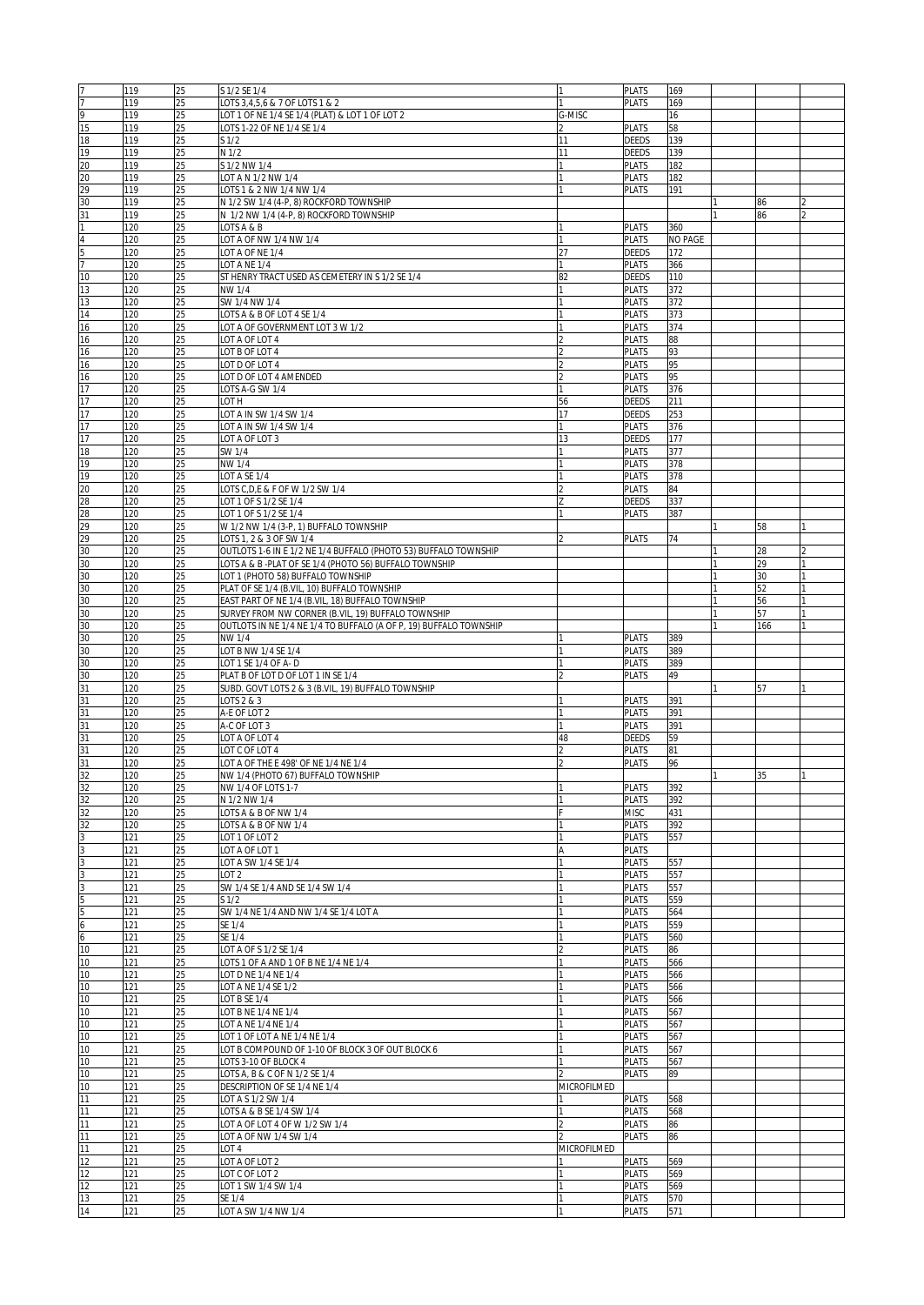| 17              | 119 | 25 | S 1/2 SE 1/4                                                      | I1          | <b>PLATS</b> | 169            |     |  |
|-----------------|-----|----|-------------------------------------------------------------------|-------------|--------------|----------------|-----|--|
| 7               | 119 | 25 | LOTS 3,4,5,6 & 7 OF LOTS 1 & 2                                    |             | <b>PLATS</b> | 169            |     |  |
| 9               | 119 | 25 | LOT 1 OF NE 1/4 SE 1/4 (PLAT) & LOT 1 OF LOT 2                    | G-MISC      |              | 16             |     |  |
|                 |     |    |                                                                   |             |              |                |     |  |
| 15              | 119 | 25 | LOTS 1-22 OF NE 1/4 SE 1/4                                        |             | <b>PLATS</b> | 58             |     |  |
| 18              | 119 | 25 | S <sub>1/2</sub>                                                  | 11          | <b>DEEDS</b> | 139            |     |  |
| 19              | 119 | 25 | N 1/2                                                             | 11          | DEEDS        | 139            |     |  |
| 20              | 119 | 25 | S 1/2 NW 1/4                                                      |             | <b>PLATS</b> | 182            |     |  |
| 20              | 119 | 25 | LOT A N 1/2 NW 1/4                                                |             | <b>PLATS</b> | 182            |     |  |
| 29              | 119 | 25 | LOTS 1 & 2 NW 1/4 NW 1/4                                          |             | <b>PLATS</b> | 191            |     |  |
| 30              | 119 | 25 | N 1/2 SW 1/4 (4-P, 8) ROCKFORD TOWNSHIP                           |             |              |                | 86  |  |
| 31              | 119 | 25 | N 1/2 NW 1/4 (4-P, 8) ROCKFORD TOWNSHIP                           |             |              |                | 86  |  |
|                 |     |    |                                                                   |             |              |                |     |  |
| ī               | 120 | 25 | LOTS A & B                                                        |             | PLATS        | 360            |     |  |
| $\overline{4}$  | 120 | 25 | LOT A OF NW 1/4 NW 1/4                                            |             | <b>PLATS</b> | <b>NO PAGE</b> |     |  |
| $\frac{5}{7}$   | 120 | 25 | LOT A OF NE 1/4                                                   | 27          | DEEDS        | 172            |     |  |
|                 | 120 | 25 | LOT A NE 1/4                                                      |             | <b>PLATS</b> | 366            |     |  |
| 10              | 120 | 25 | ST HENRY TRACT USED AS CEMETERY IN S 1/2 SE 1/4                   | 82          | <b>DEEDS</b> | 110            |     |  |
| 13              | 120 | 25 | NW 1/4                                                            |             | <b>PLATS</b> | 372            |     |  |
| 13              | 120 | 25 | SW 1/4 NW 1/4                                                     |             | <b>PLATS</b> | 372            |     |  |
|                 |     |    |                                                                   |             |              |                |     |  |
| 14              | 120 | 25 | LOTS A & B OF LOT 4 SE 1/4                                        |             | <b>PLATS</b> | 373            |     |  |
| 16              | 120 | 25 | LOT A OF GOVERNMENT LOT 3 W 1/2                                   |             | <b>PLATS</b> | 374            |     |  |
| 16              | 120 | 25 | LOT A OF LOT 4                                                    |             | <b>PLATS</b> | 88             |     |  |
| 16              | 120 | 25 | LOT B OF LOT 4                                                    |             | <b>PLATS</b> | 93             |     |  |
| 16              | 120 | 25 | LOT D OF LOT 4                                                    |             | <b>PLATS</b> | 95             |     |  |
| 16              | 120 | 25 | LOT D OF LOT 4 AMENDED                                            |             | <b>PLATS</b> | 95             |     |  |
| 17              | 120 | 25 | LOTS A-G SW 1/4                                                   |             | <b>PLATS</b> | 376            |     |  |
| 17              | 120 | 25 | LOT H                                                             | 56          | DEEDS        | 211            |     |  |
| 17              |     |    | LOT A IN SW 1/4 SW 1/4                                            |             |              |                |     |  |
|                 | 120 | 25 |                                                                   | 17          | DEEDS        | 253            |     |  |
| 17              | 120 | 25 | OT A IN SW 1/4 SW 1/4                                             |             | PLATS        | 376            |     |  |
| 17              | 120 | 25 | LOT A OF LOT 3                                                    | 13          | <b>DEEDS</b> | 177            |     |  |
| 18              | 120 | 25 | SW 1/4                                                            |             | <b>PLATS</b> | 377            |     |  |
| 19              | 120 | 25 | NW 1/4                                                            |             | <b>PLATS</b> | 378            |     |  |
| 19              | 120 | 25 | LOT A SE 1/4                                                      |             | <b>PLATS</b> | 378            |     |  |
| 20              | 120 | 25 | LOTS C, D, E & F OF W 1/2 SW 1/4                                  |             | <b>PLATS</b> | 84             |     |  |
| 28              | 120 | 25 |                                                                   |             | DEEDS        | 337            |     |  |
|                 |     |    | LOT 1 OF S 1/2 SE 1/4                                             |             |              |                |     |  |
| $\overline{28}$ | 120 | 25 | LOT 1 OF S 1/2 SE 1/4                                             |             | <b>PLATS</b> | 387            |     |  |
| 29              | 120 | 25 | W 1/2 NW 1/4 (3-P, 1) BUFFALO TOWNSHIP                            |             |              |                | 58  |  |
| 29              | 120 | 25 | LOTS 1, 2 & 3 OF SW 1/4                                           |             | <b>PLATS</b> | 74             |     |  |
| 30              | 120 | 25 | OUTLOTS 1-6 IN E 1/2 NE 1/4 BUFFALO (PHOTO 53) BUFFALO TOWNSHIP   |             |              |                | 28  |  |
| 30              | 120 | 25 | LOTS A & B -PLAT OF SE 1/4 (PHOTO 56) BUFFALO TOWNSHIP            |             |              |                | 29  |  |
| 30              | 120 | 25 | LOT 1 (PHOTO 58) BUFFALO TOWNSHIP                                 |             |              |                | 30  |  |
| 30              | 120 | 25 | PLAT OF SE 1/4 (B.VIL, 10) BUFFALO TOWNSHIP                       |             |              |                | 52  |  |
| 30              | 120 | 25 | EAST PART OF NE 1/4 (B.VIL, 18) BUFFALO TOWNSHIP                  |             |              |                | 56  |  |
|                 |     |    |                                                                   |             |              |                |     |  |
| 30              | 120 | 25 | SURVEY FROM NW CORNER (B.VIL, 19) BUFFALO TOWNSHIP                |             |              |                | 57  |  |
| 30              | 120 | 25 | OUTLOTS IN NE 1/4 NE 1/4 TO BUFFALO (A OF P, 19) BUFFALO TOWNSHIP |             |              |                | 166 |  |
| 30              | 120 | 25 | NW 1/4                                                            |             | <b>PLATS</b> | 389            |     |  |
| 30              | 120 | 25 | LOT B NW 1/4 SE 1/4                                               |             | <b>PLATS</b> | 389            |     |  |
| 30              | 120 | 25 | LOT 1 SE 1/4 OF A-D                                               |             | <b>PLATS</b> | 389            |     |  |
| 30              | 120 | 25 | PLAT B OF LOT D OF LOT 1 IN SE 1/4                                |             | <b>PLATS</b> | 49             |     |  |
| 31              | 120 | 25 | SUBD. GOVT LOTS 2 & 3 (B.VIL, 19) BUFFALO TOWNSHIP                |             |              |                | 57  |  |
|                 |     |    | $\overline{LO}$ TS 2 & 3                                          |             |              | 391            |     |  |
| 31              | 120 | 25 |                                                                   |             | <b>PLATS</b> |                |     |  |
| 31              | 120 | 25 | A-E OF LOT 2                                                      |             | <b>PLATS</b> | 391            |     |  |
| $\overline{31}$ | 120 | 25 | A-C OF LOT 3                                                      |             | <b>PLATS</b> | 391            |     |  |
| 31              | 120 | 25 | LOT A OF LOT 4                                                    | 48          | DEEDS        | 59             |     |  |
| 31              | 120 | 25 | LOT C OF LOT 4                                                    |             | PLATS        | 81             |     |  |
| $\overline{31}$ | 120 | 25 | LOT A OF THE E 498' OF NE 1/4 NE 1/4                              |             | <b>PLATS</b> | 96             |     |  |
| 32              | 120 | 25 | NW 1/4 (PHOTO 67) BUFFALO TOWNSHIP                                |             |              |                | 35  |  |
| 32              | 120 | 25 | NW 1/4 OF LOTS 1-7                                                | 11          | PLATS        | 392            |     |  |
|                 |     |    | N 1/2 NW 1/4                                                      |             |              |                |     |  |
| 32              | 120 | 25 |                                                                   |             | <b>PLATS</b> | 392            |     |  |
| 32              | 120 | 25 | LOTS A & B OF NW 1/4                                              |             | MISC         | 431            |     |  |
| $\frac{32}{3}$  | 120 | 25 | LOTS A & B OF NW 1/4                                              |             | <b>PLATS</b> | 392            |     |  |
|                 | 121 | 25 | LOT 1 OF LOT 2                                                    |             | <b>PLATS</b> | 557            |     |  |
|                 | 121 | 25 | LOT A OF LOT 1                                                    |             | <b>PLATS</b> |                |     |  |
|                 | 121 | 25 | LOT A SW 1/4 SE 1/4                                               |             | <b>PLATS</b> | 557            |     |  |
| $\frac{3}{3}$   | 121 | 25 | LOT <sub>2</sub>                                                  |             | <b>PLATS</b> | 557            |     |  |
| $\overline{3}$  | 121 | 25 | SW 1/4 SE 1/4 AND SE 1/4 SW 1/4                                   |             | <b>PLATS</b> | 557            |     |  |
| 5               | 121 | 25 | S <sub>1/2</sub>                                                  |             | <b>PLATS</b> | 559            |     |  |
|                 |     |    |                                                                   |             |              |                |     |  |
| $\frac{5}{6}$   | 121 | 25 | SW 1/4 NE 1/4 AND NW 1/4 SE 1/4 LOT A                             |             | <b>PLATS</b> | 564            |     |  |
|                 | 121 | 25 | SE 1/4                                                            |             | <b>PLATS</b> | 559            |     |  |
| 6               | 121 | 25 | SE 1/4                                                            |             | <b>PLATS</b> | 560            |     |  |
| 10              | 121 | 25 | LOT A OF S 1/2 SE 1/4                                             |             | <b>PLATS</b> | 86             |     |  |
| 10              | 121 | 25 | LOTS 1 OF A AND 1 OF B NE 1/4 NE 1/4                              |             | PLATS        | 566            |     |  |
| 10              | 121 | 25 | LOT D NE 1/4 NE 1/4                                               |             | <b>PLATS</b> | 566            |     |  |
| 10              | 121 | 25 | LOT A NE 1/4 SE 1/2                                               |             | <b>PLATS</b> | 566            |     |  |
| 10              | 121 | 25 | LOT B SE 1/4                                                      |             | <b>PLATS</b> | 566            |     |  |
|                 |     |    |                                                                   |             |              |                |     |  |
| 10              | 121 | 25 | LOT B NE 1/4 NE 1/4                                               |             | <b>PLATS</b> | 567            |     |  |
| 10              | 121 | 25 | LOT A NE 1/4 NE 1/4                                               |             | <b>PLATS</b> | 567            |     |  |
| 10              | 121 | 25 | LOT 1 OF LOT A NE 1/4 NE 1/4                                      |             | <b>PLATS</b> | 567            |     |  |
| 10              | 121 | 25 | LOT B COMPOUND OF 1-10 OF BLOCK 3 OF OUT BLOCK 6                  |             | <b>PLATS</b> | 567            |     |  |
| 10              | 121 | 25 | LOTS 3-10 OF BLOCK 4                                              |             | <b>PLATS</b> | 567            |     |  |
| 10              | 121 | 25 | LOTS A, B & C OF N 1/2 SE 1/4                                     |             | <b>PLATS</b> | 89             |     |  |
| 10              | 121 | 25 | DESCRIPTION OF SE 1/4 NE 1/4                                      | MICROFILMED |              |                |     |  |
| 11              | 121 | 25 | LOT A S 1/2 SW 1/4                                                |             | <b>PLATS</b> | 568            |     |  |
| 11              |     |    |                                                                   |             |              |                |     |  |
|                 | 121 | 25 | LOTS A & B SE 1/4 SW 1/4                                          |             | <b>PLATS</b> | 568            |     |  |
| 11              | 121 | 25 | LOT A OF LOT 4 OF W 1/2 SW 1/4                                    |             | <b>PLATS</b> | 86             |     |  |
| 11              | 121 | 25 | LOT A OF NW 1/4 SW 1/4                                            |             | <b>PLATS</b> | 86             |     |  |
| 11              | 121 | 25 | LOT <sub>4</sub>                                                  | MICROFILMED |              |                |     |  |
| 12              | 121 | 25 | LOT A OF LOT 2                                                    |             | <b>PLATS</b> | 569            |     |  |
| 12              | 121 | 25 | LOT C OF LOT 2                                                    |             | <b>PLATS</b> | 569            |     |  |
| 12              | 121 | 25 | LOT 1 SW 1/4 SW 1/4                                               |             | <b>PLATS</b> | 569            |     |  |
| 13              | 121 | 25 | SE 1/4                                                            |             | PLATS        | 570            |     |  |
| $\overline{14}$ | 121 | 25 |                                                                   | I1          | <b>PLATS</b> | 571            |     |  |
|                 |     |    | LOT A SW 1/4 NW 1/4                                               |             |              |                |     |  |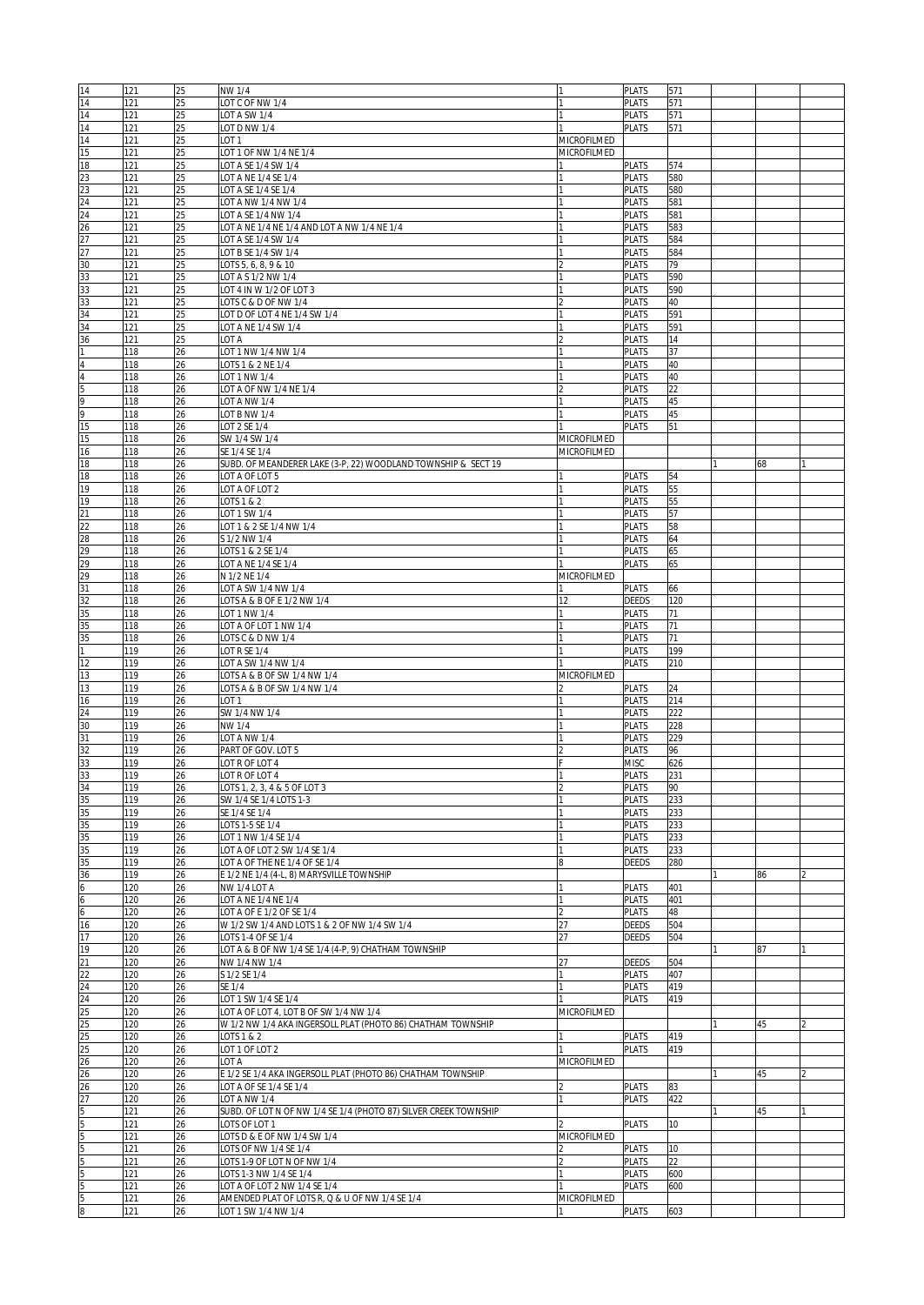| 14                                            | 121 | 25 | NW 1/4                                                           |             | <b>PLATS</b> | 571             |    |  |
|-----------------------------------------------|-----|----|------------------------------------------------------------------|-------------|--------------|-----------------|----|--|
| 14                                            | 121 | 25 | LOT C OF NW 1/4                                                  |             | <b>PLATS</b> | 571             |    |  |
| 14                                            | 121 | 25 | LOT A SW 1/4                                                     |             | <b>PLATS</b> | 571             |    |  |
|                                               |     |    |                                                                  |             |              |                 |    |  |
| 14                                            | 121 | 25 | LOT D NW 1/4                                                     |             | <b>PLATS</b> | 571             |    |  |
| 14                                            | 121 | 25 | LOT <sub>1</sub>                                                 | MICROFILMED |              |                 |    |  |
| 15                                            | 121 | 25 | LOT 1 OF NW 1/4 NE 1/4                                           | MICROFILMED |              |                 |    |  |
| 18                                            | 121 | 25 | OT A SE 1/4 SW 1/4                                               |             | <b>PLATS</b> | 574             |    |  |
| $\begin{array}{r} 23 \\ 23 \\ 24 \end{array}$ | 121 | 25 | LOT A NE 1/4 SE 1/4                                              |             | <b>PLATS</b> | 580             |    |  |
|                                               | 121 | 25 | LOT A SE 1/4 SE 1/4                                              |             | <b>PLATS</b> | 580             |    |  |
|                                               | 121 | 25 | LOT A NW 1/4 NW 1/4                                              |             | <b>PLATS</b> | 581             |    |  |
| $\overline{24}$                               | 121 | 25 | LOT A SE 1/4 NW 1/4                                              |             | <b>PLATS</b> | 581             |    |  |
|                                               |     |    |                                                                  |             |              |                 |    |  |
| $\frac{1}{26}$                                | 121 | 25 | LOT A NE 1/4 NE 1/4 AND LOT A NW 1/4 NE 1/4                      |             | <b>PLATS</b> | 583             |    |  |
|                                               | 121 | 25 | LOT A SE 1/4 SW 1/4                                              |             | <b>PLATS</b> | 584             |    |  |
| 27                                            | 121 | 25 | LOT B SE 1/4 SW 1/4                                              |             | <b>PLATS</b> | 584             |    |  |
| 30                                            | 121 | 25 | LOTS 5, 6, 8, 9 & 10                                             |             | <b>PLATS</b> | 79              |    |  |
| 33                                            | 121 | 25 | OT A S 1/2 NW 1/4                                                |             | PLATS        | 590             |    |  |
| 33                                            | 121 | 25 | LOT 4 IN W 1/2 OF LOT 3                                          |             | <b>PLATS</b> | 590             |    |  |
| 33                                            | 121 | 25 | LOTS C & D OF NW 1/4                                             |             | <b>PLATS</b> | 40              |    |  |
| 34                                            | 121 | 25 | OT D OF LOT 4 NE 1/4 SW 1/4                                      |             | PLATS        | 591             |    |  |
| 34                                            | 121 | 25 | LOT A NE 1/4 SW 1/4                                              |             | <b>PLATS</b> | 591             |    |  |
|                                               |     |    |                                                                  |             |              |                 |    |  |
| 36                                            | 121 | 25 | LOT A                                                            |             | <b>PLATS</b> | 14              |    |  |
| 1                                             | 118 | 26 | LOT 1 NW 1/4 NW 1/4                                              |             | <b>PLATS</b> | 37              |    |  |
| $\overline{4}$                                | 118 | 26 | LOTS 1 & 2 NE 1/4                                                |             | <b>PLATS</b> | 40              |    |  |
| $\frac{4}{5}$                                 | 118 | 26 | LOT 1 NW 1/4                                                     |             | <b>PLATS</b> | 40              |    |  |
|                                               | 118 | 26 | LOT A OF NW 1/4 NE 1/4                                           |             | <b>PLATS</b> | 22              |    |  |
|                                               | 118 | 26 | LOT A NW 1/4                                                     |             | <b>PLATS</b> | 45              |    |  |
| $\frac{9}{9}$                                 | 118 | 26 |                                                                  |             | <b>PLATS</b> | 45              |    |  |
|                                               |     |    | LOT B NW 1/4                                                     |             |              |                 |    |  |
| 15                                            | 118 | 26 | LOT 2 SE 1/4                                                     |             | <b>PLATS</b> | 51              |    |  |
| 15                                            | 118 | 26 | SW 1/4 SW 1/4                                                    | MICROFILMED |              |                 |    |  |
| 16                                            | 118 | 26 | SE 1/4 SE 1/4                                                    | MICROFILMED |              |                 |    |  |
| 18                                            | 118 | 26 | SUBD. OF MEANDERER LAKE (3-P, 22) WOODLAND TOWNSHIP & SECT 19    |             |              |                 | 68 |  |
| 18                                            | 118 | 26 | LOT A OF LOT 5                                                   |             | <b>PLATS</b> | 54              |    |  |
| 19                                            | 118 | 26 | LOT A OF LOT 2                                                   |             | <b>PLATS</b> | 55              |    |  |
|                                               |     |    | $\overline{O}$ TS 1 & 2                                          |             |              |                 |    |  |
| 19                                            | 118 | 26 |                                                                  |             | <b>PLATS</b> | 55              |    |  |
| $\overline{21}$                               | 118 | 26 | OT 1 SW 1/4                                                      |             | <b>PLATS</b> | 57              |    |  |
|                                               | 118 | 26 | LOT 1 & 2 SE 1/4 NW 1/4                                          |             | <b>PLATS</b> | 58              |    |  |
| $\begin{array}{c}\n 22 \\  28\n \end{array}$  | 118 | 26 | S 1/2 NW 1/4                                                     |             | <b>PLATS</b> | 64              |    |  |
| 29                                            | 118 | 26 | LOTS 1 & 2 SE 1/4                                                |             | <b>PLATS</b> | 65              |    |  |
| 29                                            | 118 | 26 | LOT A NE 1/4 SE 1/4                                              |             | <b>PLATS</b> | 65              |    |  |
|                                               | 118 | 26 | N 1/2 NE 1/4                                                     | MICROFILMED |              |                 |    |  |
| $\frac{29}{31}$                               |     |    |                                                                  |             |              |                 |    |  |
|                                               | 118 | 26 | LOT A SW 1/4 NW 1/4                                              |             | <b>PLATS</b> | 66              |    |  |
| 32                                            | 118 | 26 | LOTS A & B OF E 1/2 NW 1/4                                       | 12          | DEEDS        | 120             |    |  |
| 35                                            | 118 | 26 | OT 1 NW 1/4                                                      |             | <b>PLATS</b> | 71              |    |  |
| 35                                            | 118 | 26 | OT A OF LOT 1 NW 1/4                                             |             | <b>PLATS</b> | 71              |    |  |
| 35                                            | 118 | 26 | LOTS C & D NW 1/4                                                | 11          | <b>PLATS</b> | 71              |    |  |
| 1                                             | 119 | 26 | LOT R SE 1/4                                                     |             | <b>PLATS</b> | 199             |    |  |
| $\overline{12}$                               |     |    |                                                                  |             | <b>PLATS</b> |                 |    |  |
|                                               | 119 | 26 | OT A SW 1/4 NW 1/4                                               |             |              | 210             |    |  |
| 13                                            | 119 | 26 | LOTS A & B OF SW 1/4 NW 1/4                                      | MICROFILMED |              |                 |    |  |
| 13                                            | 119 | 26 | OTS A & B OF SW 1/4 NW 1/4                                       |             | PLATS        | 24              |    |  |
| 16                                            | 119 | 26 | LOT <sub>1</sub>                                                 |             | <b>PLATS</b> | 214             |    |  |
| 24                                            | 119 | 26 | SW 1/4 NW 1/4                                                    |             | <b>PLATS</b> | 222             |    |  |
| 30                                            | 119 | 26 | NW 1/4                                                           |             | <b>PLATS</b> | 228             |    |  |
| 31                                            | 119 | 26 | LOT A NW 1/4                                                     |             | <b>PLATS</b> | 229             |    |  |
|                                               |     |    |                                                                  |             |              |                 |    |  |
| 32                                            | 119 | 26 | PART OF GOV. LOT 5                                               |             | <b>PLATS</b> | 96              |    |  |
| 33                                            | 119 | 26 | LOT R OF LOT 4                                                   |             | <b>MISC</b>  | 626             |    |  |
| 33                                            | 119 | 26 | LOT R OF LOT 4                                                   |             | <b>PLATS</b> | 231             |    |  |
| 34                                            | 119 | 26 | LOTS 1, 2, 3, 4 & 5 OF LOT 3                                     | C           | <b>PLATS</b> | 90              |    |  |
| 35                                            | 119 | 26 | SW 1/4 SE 1/4 LOTS 1-3                                           |             | <b>PLATS</b> | 233             |    |  |
| 35                                            | 119 | 26 | SE 1/4 SE 1/4                                                    |             | <b>PLATS</b> | 233             |    |  |
| 35                                            | 119 | 26 | LOTS 1-5 SE 1/4                                                  |             | <b>PLATS</b> | 233             |    |  |
| 35                                            | 119 | 26 | LOT 1 NW 1/4 SE 1/4                                              |             | PLATS        | 233             |    |  |
| 35                                            |     |    |                                                                  |             |              |                 |    |  |
|                                               | 119 | 26 | LOT A OF LOT 2 SW 1/4 SE 1/4                                     |             | <b>PLATS</b> | 233             |    |  |
| 35                                            | 119 | 26 | LOT A OF THE NE 1/4 OF SE 1/4                                    |             | DEEDS        | 280             |    |  |
| 36                                            | 119 | 26 | E 1/2 NE 1/4 (4-L, 8) MARYSVILLE TOWNSHIP                        |             |              |                 | 86 |  |
| $6\overline{6}$                               | 120 | 26 | NW 1/4 LOT A                                                     |             | <b>PLATS</b> | 401             |    |  |
|                                               | 120 | 26 | LOT A NE 1/4 NE 1/4                                              |             | <b>PLATS</b> | 401             |    |  |
| $\frac{6}{6}$                                 | 120 | 26 | LOT A OF E 1/2 OF SE 1/4                                         | l2          | <b>PLATS</b> | 48              |    |  |
| 16                                            | 120 | 26 | W 1/2 SW 1/4 AND LOTS 1 & 2 OF NW 1/4 SW 1/4                     | 27          | DEEDS        | 504             |    |  |
| 17                                            | 120 | 26 | LOTS 1-4 OF SE 1/4                                               | 27          | DEEDS        | 504             |    |  |
| 19                                            | 120 | 26 | LOT A & B OF NW 1/4 SE 1/4 (4-P, 9) CHATHAM TOWNSHIP             |             |              |                 | 87 |  |
|                                               |     |    |                                                                  |             |              |                 |    |  |
| $\overline{21}$                               | 120 | 26 | NW 1/4 NW 1/4                                                    |             | DEEDS        | 504             |    |  |
| $\frac{22}{24}$                               | 120 | 26 | S 1/2 SE 1/4                                                     |             | <b>PLATS</b> | 407             |    |  |
|                                               | 120 | 26 | SE 1/4                                                           | 1           | PLATS        | 419             |    |  |
| $\overline{24}$                               | 120 | 26 | LOT 1 SW 1/4 SE 1/4                                              |             | <b>PLATS</b> | 419             |    |  |
| $\frac{25}{25}$                               | 120 | 26 | LOT A OF LOT 4, LOT B OF SW 1/4 NW 1/4                           | MICROFILMED |              |                 |    |  |
|                                               | 120 | 26 | W 1/2 NW 1/4 AKA INGERSOLL PLAT (PHOTO 86) CHATHAM TOWNSHIP      |             |              |                 | 45 |  |
| 25                                            | 120 | 26 | LOTS 1 & 2                                                       |             | <b>PLATS</b> | 419             |    |  |
|                                               | 120 | 26 | LOT 1 OF LOT 2                                                   |             | <b>PLATS</b> | 419             |    |  |
| $\frac{25}{26}$                               |     |    |                                                                  |             |              |                 |    |  |
|                                               | 120 | 26 | LOT A                                                            | MICROFILMED |              |                 |    |  |
| 26                                            | 120 | 26 | E 1/2 SE 1/4 AKA INGERSOLL PLAT (PHOTO 86) CHATHAM TOWNSHIP      |             |              |                 | 45 |  |
| 26                                            | 120 | 26 | LOT A OF SE 1/4 SE 1/4                                           |             | <b>PLATS</b> | 83              |    |  |
| $\frac{27}{5}$                                | 120 | 26 | LOT A NW 1/4                                                     | I1          | <b>PLATS</b> | 422             |    |  |
|                                               | 121 | 26 | SUBD. OF LOT N OF NW 1/4 SE 1/4 (PHOTO 87) SILVER CREEK TOWNSHIP |             |              |                 | 45 |  |
|                                               | 121 | 26 | LOTS OF LOT 1                                                    |             | <b>PLATS</b> | 10 <sup>°</sup> |    |  |
|                                               | 121 | 26 | LOTS D & E OF NW 1/4 SW 1/4                                      | MICROFILMED |              |                 |    |  |
| 5<br>5<br>5<br>5                              |     |    |                                                                  |             |              |                 |    |  |
|                                               | 121 | 26 | LOTS OF NW 1/4 SE 1/4                                            |             | <b>PLATS</b> | 10              |    |  |
|                                               | 121 | 26 | LOTS 1-9 OF LOT N OF NW 1/4                                      |             | <b>PLATS</b> | 22              |    |  |
| 5                                             | 121 | 26 | LOTS 1-3 NW 1/4 SE 1/4                                           |             | <b>PLATS</b> | 600             |    |  |
| 5                                             | 121 | 26 | LOT A OF LOT 2 NW 1/4 SE 1/4                                     |             | <b>PLATS</b> | 600             |    |  |
| 5                                             | 121 | 26 | AMENDED PLAT OF LOTS R, Q & U OF NW 1/4 SE 1/4                   | MICROFILMED |              |                 |    |  |
| $\overline{8}$                                | 121 | 26 | LOT 1 SW 1/4 NW 1/4                                              |             | <b>PLATS</b> | 603             |    |  |
|                                               |     |    |                                                                  |             |              |                 |    |  |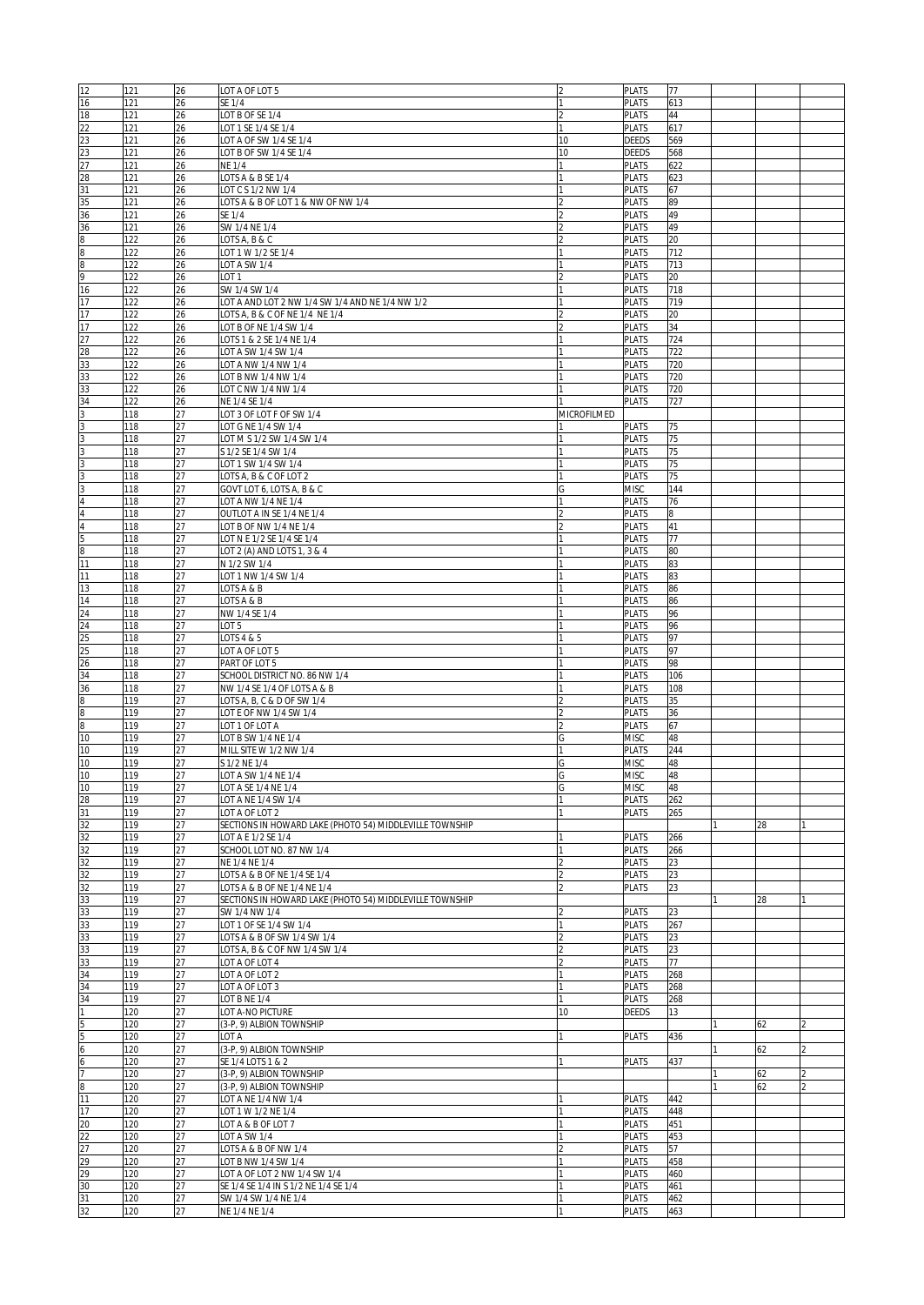| 12                                            | 121 | 26 | LOT A OF LOT 5                                          |             | <b>PLATS</b> | 77  |    |  |
|-----------------------------------------------|-----|----|---------------------------------------------------------|-------------|--------------|-----|----|--|
| 16                                            | 121 | 26 | SE 1/4                                                  |             | <b>PLATS</b> | 613 |    |  |
| 18                                            | 121 | 26 | LOT B OF SE 1/4                                         |             | <b>PLATS</b> | 44  |    |  |
|                                               | 121 | 26 | LOT 1 SE 1/4 SE 1/4                                     | I1          | <b>PLATS</b> | 617 |    |  |
| $\begin{array}{r} 22 \\ 23 \\ 23 \end{array}$ | 121 | 26 | LOT A OF SW 1/4 SE 1/4                                  | 10          | DEEDS        | 569 |    |  |
|                                               | 121 | 26 | LOT B OF SW 1/4 SE 1/4                                  | 10          | DEEDS        | 568 |    |  |
|                                               | 121 | 26 | <b>NE 1/4</b>                                           |             | <b>PLATS</b> | 622 |    |  |
| $\frac{27}{28}$                               | 121 | 26 | LOTS A & B SE 1/4                                       |             | <b>PLATS</b> | 623 |    |  |
| 31                                            |     |    |                                                         |             |              | 67  |    |  |
|                                               | 121 | 26 | LOT C S 1/2 NW 1/4                                      |             | <b>PLATS</b> |     |    |  |
| 35                                            | 121 | 26 | LOTS A & B OF LOT 1 & NW OF NW 1/4                      |             | <b>PLATS</b> | 89  |    |  |
| 36                                            | 121 | 26 | SE 1/4                                                  |             | <b>PLATS</b> | 49  |    |  |
| 36                                            | 121 | 26 | SW 1/4 NE 1/4                                           |             | PLATS        | 49  |    |  |
| $\overline{\mathbf{8}}$                       | 122 | 26 | LOTS A, B & C                                           |             | <b>PLATS</b> | 20  |    |  |
| $\frac{8}{8}$                                 | 122 | 26 | LOT 1 W 1/2 SE 1/4                                      |             | <b>PLATS</b> | 712 |    |  |
|                                               | 122 | 26 | LOT A SW 1/4                                            |             | <b>PLATS</b> | 713 |    |  |
| 9                                             | 122 | 26 | LOT <sub>1</sub>                                        |             | <b>PLATS</b> | 20  |    |  |
| $\overline{16}$                               | 122 | 26 | SW 1/4 SW 1/4                                           |             | <b>PLATS</b> | 718 |    |  |
| 17                                            | 122 | 26 | LOT A AND LOT 2 NW 1/4 SW 1/4 AND NE 1/4 NW 1/2         |             | <b>PLATS</b> | 719 |    |  |
| 17                                            | 122 | 26 | LOTS A, B & C OF NE 1/4 NE 1/4                          |             | <b>PLATS</b> | 20  |    |  |
| 17                                            | 122 | 26 | LOT B OF NE 1/4 SW 1/4                                  |             | <b>PLATS</b> | 34  |    |  |
| 27                                            | 122 | 26 | LOTS 1 & 2 SE 1/4 NE 1/4                                |             | <b>PLATS</b> | 724 |    |  |
| 28                                            | 122 | 26 | LOT A SW 1/4 SW 1/4                                     |             | <b>PLATS</b> | 722 |    |  |
| 33                                            | 122 | 26 | LOT A NW 1/4 NW 1/4                                     |             | <b>PLATS</b> | 720 |    |  |
| 33                                            | 122 | 26 | LOT B NW 1/4 NW 1/4                                     |             | <b>PLATS</b> | 720 |    |  |
| 33                                            | 122 | 26 | LOT C NW 1/4 NW 1/4                                     |             | <b>PLATS</b> | 720 |    |  |
| 34                                            | 122 | 26 | NE 1/4 SE 1/4                                           |             | <b>PLATS</b> | 727 |    |  |
|                                               | 118 | 27 | LOT 3 OF LOT F OF SW 1/4                                | MICROFILMED |              |     |    |  |
|                                               | 118 | 27 | LOT G NE 1/4 SW 1/4                                     |             | <b>PLATS</b> | 75  |    |  |
| $\frac{3}{3}$                                 | 118 | 27 | LOT M S 1/2 SW 1/4 SW 1/4                               |             | <b>PLATS</b> | 75  |    |  |
|                                               | 118 | 27 | S 1/2 SE 1/4 SW 1/4                                     |             | <b>PLATS</b> | 75  |    |  |
| 3                                             | 118 | 27 | LOT 1 SW 1/4 SW 1/4                                     |             | <b>PLATS</b> | 75  |    |  |
| $\overline{3}$                                | 118 | 27 | LOTS A, B & C OF LOT 2                                  |             | <b>PLATS</b> | 75  |    |  |
| 3                                             | 118 | 27 | GOVT LOT 6, LOTS A, B & C                               | G           | <b>MISC</b>  | 144 |    |  |
| $\overline{4}$                                | 118 | 27 | LOT A NW 1/4 NE 1/4                                     |             | <b>PLATS</b> | 76  |    |  |
| 4                                             | 118 | 27 | OUTLOT A IN SE 1/4 NE 1/4                               |             | <b>PLATS</b> | 8   |    |  |
| $\overline{4}$                                | 118 | 27 | LOT B OF NW 1/4 NE 1/4                                  |             | <b>PLATS</b> | 41  |    |  |
| 5                                             | 118 | 27 | LOT N E 1/2 SE 1/4 SE 1/4                               |             | <b>PLATS</b> | 77  |    |  |
| 8                                             | 118 | 27 | LOT 2 (A) AND LOTS 1, 3 & 4                             |             | <b>PLATS</b> | 80  |    |  |
| 11                                            | 118 | 27 | N 1/2 SW 1/4                                            |             | <b>PLATS</b> | 83  |    |  |
| 11                                            | 118 | 27 | LOT 1 NW 1/4 SW 1/4                                     |             | <b>PLATS</b> | 83  |    |  |
| 13                                            | 118 | 27 | LOTS A & B                                              |             | <b>PLATS</b> | 86  |    |  |
| 14                                            | 118 | 27 | LOTS A & B                                              |             | <b>PLATS</b> | 86  |    |  |
| 24                                            | 118 | 27 | NW 1/4 SE 1/4                                           |             | <b>PLATS</b> | 96  |    |  |
| 24                                            | 118 | 27 | LOT <sub>5</sub>                                        |             | <b>PLATS</b> | 96  |    |  |
| 25                                            | 118 | 27 | LOTS 4 & 5                                              |             | <b>PLATS</b> | 97  |    |  |
| 25                                            | 118 | 27 | LOT A OF LOT 5                                          |             | <b>PLATS</b> | 97  |    |  |
| 26                                            | 118 | 27 | PART OF LOT 5                                           |             | <b>PLATS</b> | 98  |    |  |
| 34                                            | 118 | 27 | SCHOOL DISTRICT NO. 86 NW 1/4                           |             | <b>PLATS</b> | 106 |    |  |
| $\frac{36}{8}$                                | 118 | 27 | NW 1/4 SE 1/4 OF LOTS A & B                             |             | <b>PLATS</b> | 108 |    |  |
|                                               | 119 | 27 | LOTS A, B, C & D OF SW 1/4                              |             | <b>PLATS</b> | 35  |    |  |
|                                               | 119 | 27 | LOT E OF NW 1/4 SW 1/4                                  |             | <b>PLATS</b> | 36  |    |  |
| 8                                             | 119 | 27 | LOT 1 OF LOT A                                          |             | <b>PLATS</b> | 67  |    |  |
| 10                                            | 119 | 27 | LOT B SW 1/4 NE 1/4                                     |             | <b>MISC</b>  | 48  |    |  |
| 10                                            | 119 | 27 | MILL SITE W 1/2 NW 1/4                                  | 11          | <b>PLATS</b> | 244 |    |  |
| 10                                            | 119 | 27 | S 1/2 NE 1/4                                            | G           | <b>MISC</b>  | 48  |    |  |
| 10                                            | 119 | 27 | LOT A SW 1/4 NE 1/4                                     |             | <b>MISC</b>  | 48  |    |  |
| 10                                            | 119 | 27 | LOT A SE 1/4 NE 1/4                                     | G           | <b>MISC</b>  | 48  |    |  |
| 28                                            | 119 | 27 | LOT A NE 1/4 SW 1/4                                     |             | <b>PLATS</b> | 262 |    |  |
| 31                                            | 119 | 27 | LOT A OF LOT 2                                          |             | <b>PLATS</b> | 265 |    |  |
| 32                                            | 119 | 27 | SECTIONS IN HOWARD LAKE (PHOTO 54) MIDDLEVILLE TOWNSHIP |             |              |     | 28 |  |
| 32                                            | 119 | 27 | LOT A E 1/2 SE 1/4                                      |             | <b>PLATS</b> | 266 |    |  |
| 32                                            | 119 | 27 | SCHOOL LOT NO. 87 NW 1/4                                |             | <b>PLATS</b> | 266 |    |  |
|                                               | 119 | 27 | NE 1/4 NE 1/4                                           |             | <b>PLATS</b> | 23  |    |  |
| $\frac{32}{32}$                               | 119 | 27 | LOTS A & B OF NE 1/4 SE 1/4                             |             | <b>PLATS</b> | 23  |    |  |
| 32                                            | 119 | 27 | LOTS A & B OF NE 1/4 NE 1/4                             |             | <b>PLATS</b> | 23  |    |  |
| 33                                            | 119 | 27 | SECTIONS IN HOWARD LAKE (PHOTO 54) MIDDLEVILLE TOWNSHIP |             |              |     | 28 |  |
| 33                                            | 119 | 27 | SW 1/4 NW 1/4                                           |             | <b>PLATS</b> | 23  |    |  |
| 33                                            | 119 | 27 | LOT 1 OF SE 1/4 SW 1/4                                  |             | <b>PLATS</b> | 267 |    |  |
| 33                                            | 119 | 27 | LOTS A & B OF SW 1/4 SW 1/4                             |             | <b>PLATS</b> | 23  |    |  |
| 33                                            | 119 | 27 | LOTS A, B & C OF NW 1/4 SW 1/4                          |             | <b>PLATS</b> | 23  |    |  |
| 33                                            | 119 | 27 | LOT A OF LOT 4                                          |             | PLATS        | 77  |    |  |
| 34                                            | 119 | 27 | LOT A OF LOT 2                                          |             | <b>PLATS</b> | 268 |    |  |
| 34                                            | 119 | 27 | LOT A OF LOT 3                                          |             | <b>PLATS</b> | 268 |    |  |
| 34                                            | 119 | 27 | LOT B NE 1/4                                            |             | <b>PLATS</b> | 268 |    |  |
| 1                                             | 120 | 27 | LOT A-NO PICTURE                                        | 10          | <b>DEEDS</b> | 13  |    |  |
|                                               | 120 | 27 | (3-P, 9) ALBION TOWNSHIP                                |             |              |     | 62 |  |
| $\frac{5}{5}$ $\frac{5}{6}$                   | 120 | 27 | LOT A                                                   |             | <b>PLATS</b> | 436 |    |  |
|                                               | 120 | 27 | (3-P, 9) ALBION TOWNSHIP                                |             |              |     | 62 |  |
|                                               | 120 | 27 | SE 1/4 LOTS 1 & 2                                       |             | <b>PLATS</b> | 437 |    |  |
| 7                                             | 120 | 27 | (3-P, 9) ALBION TOWNSHIP                                |             |              |     | 62 |  |
| $\overline{8}$                                | 120 | 27 | (3-P, 9) ALBION TOWNSHIP                                |             |              |     | 62 |  |
| $\overline{11}$                               | 120 | 27 | LOT A NE 1/4 NW 1/4                                     |             | <b>PLATS</b> | 442 |    |  |
| 17                                            | 120 | 27 | LOT 1 W 1/2 NE 1/4                                      |             | <b>PLATS</b> | 448 |    |  |
| 20                                            | 120 | 27 | LOT A & B OF LOT 7                                      |             | <b>PLATS</b> | 451 |    |  |
| 22                                            | 120 | 27 | LOT A SW 1/4                                            |             | PLATS        | 453 |    |  |
| $\overline{27}$                               | 120 | 27 | LOTS A & B OF NW 1/4                                    |             | <b>PLATS</b> | 57  |    |  |
| $\overline{29}$                               | 120 | 27 | LOT B NW 1/4 SW 1/4                                     |             | PLATS        | 458 |    |  |
| $\overline{29}$                               | 120 | 27 | LOT A OF LOT 2 NW 1/4 SW 1/4                            |             | <b>PLATS</b> | 460 |    |  |
| 30                                            | 120 | 27 | SE 1/4 SE 1/4 IN S 1/2 NE 1/4 SE 1/4                    |             | <b>PLATS</b> | 461 |    |  |
| 31                                            | 120 | 27 | SW 1/4 SW 1/4 NE 1/4                                    |             | <b>PLATS</b> | 462 |    |  |
| 32                                            | 120 | 27 | NE 1/4 NE 1/4                                           | l1          | <b>PLATS</b> | 463 |    |  |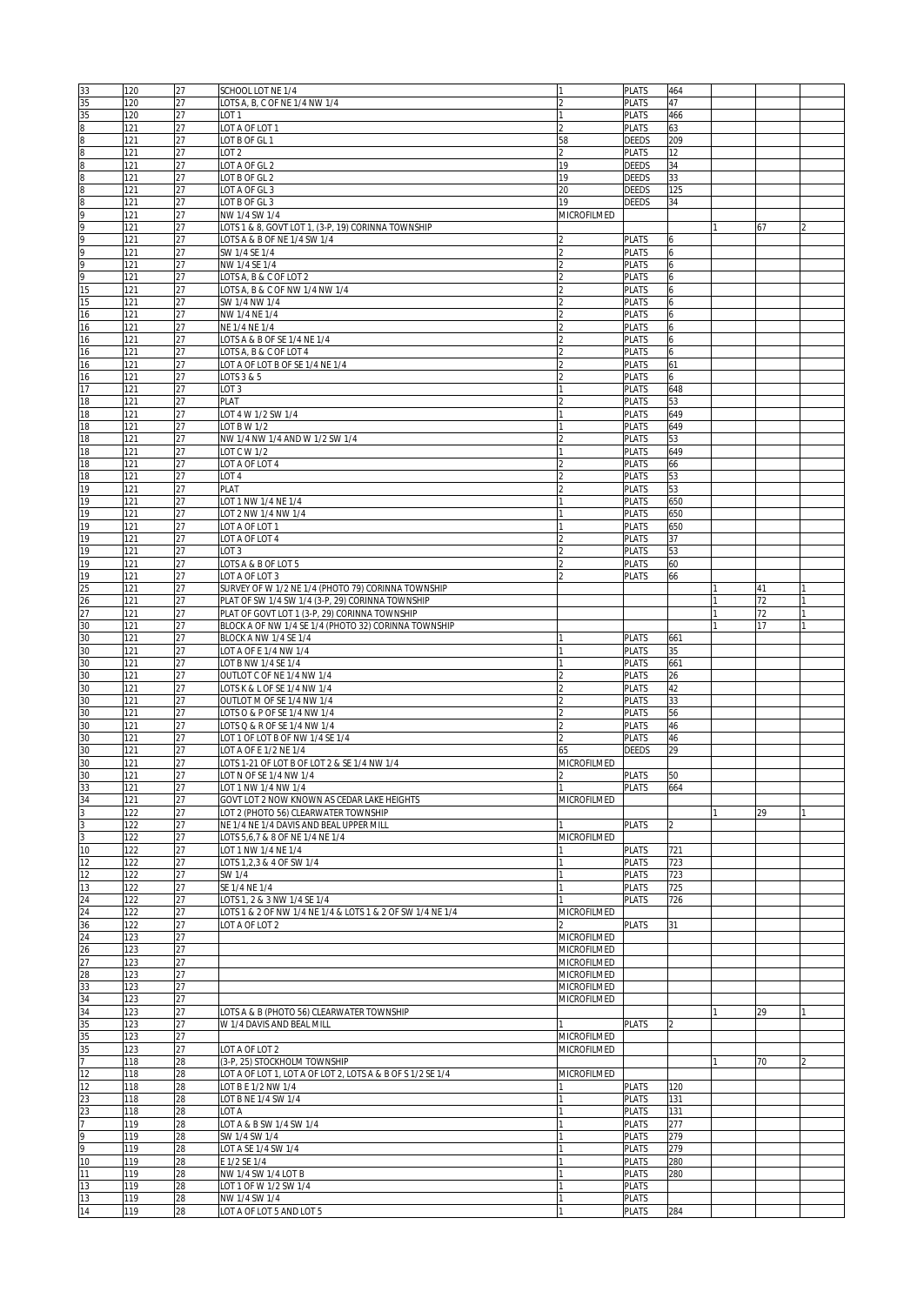| 33                                                                      | 120        | 27       | SCHOOL LOT NE 1/4                                          |                    | <b>PLATS</b>          | 464 |    |  |
|-------------------------------------------------------------------------|------------|----------|------------------------------------------------------------|--------------------|-----------------------|-----|----|--|
| 35                                                                      | 120        | 27       | LOTS A, B, C OF NE 1/4 NW 1/4                              |                    | <b>PLATS</b>          | 47  |    |  |
|                                                                         |            |          |                                                            |                    |                       |     |    |  |
| 35                                                                      | 120        | 27       | LOT <sub>1</sub>                                           |                    | <b>PLATS</b>          | 466 |    |  |
| $\frac{\infty}{\infty}$ $\frac{\infty}{\infty}$ $\frac{\infty}{\infty}$ | 121        | 27       | LOT A OF LOT 1                                             |                    | <b>PLATS</b>          | 63  |    |  |
|                                                                         | 121        | 27       | LOT B OF GL 1                                              | 58                 | <b>DEEDS</b>          | 209 |    |  |
|                                                                         | 121        | 27       | LOT <sub>2</sub>                                           |                    | <b>PLATS</b>          | 12  |    |  |
|                                                                         | 121        | 27       | LOT A OF GL 2                                              | 19                 | <b>DEEDS</b>          | 34  |    |  |
|                                                                         |            |          |                                                            |                    |                       |     |    |  |
|                                                                         | 121        | 27       | LOT B OF GL 2                                              | 19                 | <b>DEEDS</b>          | 33  |    |  |
| $\frac{8}{9}$                                                           | 121        | 27       | LOT A OF GL 3                                              | 20                 | <b>DEEDS</b>          | 125 |    |  |
|                                                                         | 121        | 27       | LOT B OF GL 3                                              | 19                 | <b>DEEDS</b>          | 34  |    |  |
|                                                                         | 121        | 27       | NW 1/4 SW 1/4                                              | MICROFILMED        |                       |     |    |  |
|                                                                         |            |          |                                                            |                    |                       |     |    |  |
|                                                                         | 121        | 27       | LOTS 1 & 8, GOVT LOT 1, (3-P, 19) CORINNA TOWNSHIP         |                    |                       |     | 67 |  |
|                                                                         | 121        | 27       | LOTS A & B OF NE 1/4 SW 1/4                                |                    | <b>PLATS</b>          | 6   |    |  |
| $\frac{9}{9}$                                                           | 121        | 27       | SW 1/4 SE 1/4                                              |                    | <b>PLATS</b>          | 6   |    |  |
|                                                                         | 121        | 27       | NW 1/4 SE 1/4                                              |                    | <b>PLATS</b>          | 6   |    |  |
| $\frac{9}{9}$                                                           |            |          |                                                            |                    |                       |     |    |  |
|                                                                         | 121        | 27       | LOTS A, B & C OF LOT 2                                     |                    | PLATS                 | 6   |    |  |
| 15                                                                      | 121        | 27       | LOTS A, B & C OF NW 1/4 NW 1/4                             |                    | <b>PLATS</b>          | 6   |    |  |
| 15                                                                      | 121        | 27       | SW 1/4 NW 1/4                                              |                    | <b>PLATS</b>          | 6   |    |  |
| $\overline{16}$                                                         | 121        | 27       | NW 1/4 NE 1/4                                              |                    | <b>PLATS</b>          | 6   |    |  |
|                                                                         |            |          |                                                            |                    |                       |     |    |  |
| 16                                                                      | 121        | 27       | NE 1/4 NE 1/4                                              |                    | <b>PLATS</b>          | 6   |    |  |
| 16                                                                      | 121        | 27       | LOTS A & B OF SE 1/4 NE 1/4                                |                    | <b>PLATS</b>          | 6   |    |  |
| 16                                                                      | 121        | 27       | LOTS A, B & C OF LOT 4                                     |                    | <b>PLATS</b>          | 6   |    |  |
| 16                                                                      | 121        | 27       | LOT A OF LOT B OF SE 1/4 NE 1/4                            |                    | <b>PLATS</b>          | 61  |    |  |
|                                                                         |            |          |                                                            |                    |                       |     |    |  |
| 16                                                                      | 121        | 27       | LOTS 3 & 5                                                 |                    | <b>PLATS</b>          | 6   |    |  |
| 17                                                                      | 121        | 27       | LOT 3                                                      |                    | <b>PLATS</b>          | 648 |    |  |
| 18                                                                      | 121        | 27       | PLAT                                                       |                    | <b>PLATS</b>          | 53  |    |  |
| 18                                                                      | 121        | 27       | LOT 4 W 1/2 SW 1/4                                         |                    | <b>PLATS</b>          | 649 |    |  |
|                                                                         |            |          |                                                            |                    |                       |     |    |  |
| 18                                                                      | 121        | 27       | LOT B W 1/2                                                |                    | <b>PLATS</b>          | 649 |    |  |
| 18                                                                      | 121        | 27       | NW 1/4 NW 1/4 AND W 1/2 SW 1/4                             |                    | <b>PLATS</b>          | 53  |    |  |
| 18                                                                      | 121        | 27       | LOT C W 1/2                                                |                    | <b>PLATS</b>          | 649 |    |  |
|                                                                         |            |          |                                                            |                    |                       |     |    |  |
| 18                                                                      | 121        | 27       | LOT A OF LOT 4                                             |                    | <b>PLATS</b>          | 66  |    |  |
| 18                                                                      | 121        | 27       | LOT <sub>4</sub>                                           |                    | <b>PLATS</b>          | 53  |    |  |
| 19                                                                      | 121        | 27       | PLAT                                                       |                    | <b>PLATS</b>          | 53  |    |  |
| 19                                                                      |            | 27       |                                                            |                    |                       |     |    |  |
|                                                                         | 121        |          | LOT 1 NW 1/4 NE 1/4                                        |                    | <b>PLATS</b>          | 650 |    |  |
| 19                                                                      | 121        | 27       | LOT 2 NW 1/4 NW 1/4                                        |                    | <b>PLATS</b>          | 650 |    |  |
| 19                                                                      | 121        | 27       | LOT A OF LOT 1                                             |                    | <b>PLATS</b>          | 650 |    |  |
| 19                                                                      | 121        | 27       | LOT A OF LOT 4                                             |                    | <b>PLATS</b>          | 37  |    |  |
|                                                                         |            |          |                                                            |                    |                       |     |    |  |
| 19                                                                      | 121        | 27       | LOT <sub>3</sub>                                           |                    | <b>PLATS</b>          | 53  |    |  |
| 19                                                                      | 121        | 27       | LOTS A & B OF LOT 5                                        |                    | <b>PLATS</b>          | 60  |    |  |
| 19                                                                      | 121        | 27       | LOT A OF LOT 3                                             |                    | <b>PLATS</b>          | 66  |    |  |
|                                                                         |            |          |                                                            |                    |                       |     |    |  |
| $\overline{25}$                                                         | 121        | 27       | SURVEY OF W 1/2 NE 1/4 (PHOTO 79) CORINNA TOWNSHIP         |                    |                       |     | 41 |  |
| $\frac{26}{27}$                                                         | 121        | 27       | PLAT OF SW 1/4 SW 1/4 (3-P, 29) CORINNA TOWNSHIP           |                    |                       |     | 72 |  |
|                                                                         | 121        | 27       | PLAT OF GOVT LOT 1 (3-P, 29) CORINNA TOWNSHIP              |                    |                       |     | 72 |  |
|                                                                         |            |          |                                                            |                    |                       |     | 17 |  |
| 30                                                                      | 121        | 27       | BLOCK A OF NW 1/4 SE 1/4 (PHOTO 32) CORINNA TOWNSHIP       |                    |                       |     |    |  |
| 30                                                                      | 121        | 27       | BLOCK A NW 1/4 SE 1/4                                      |                    | <b>PLATS</b>          | 661 |    |  |
| 30                                                                      | 121        | 27       | LOT A OF E 1/4 NW 1/4                                      |                    | <b>PLATS</b>          | 35  |    |  |
| 30                                                                      | 121        | 27       | LOT B NW 1/4 SE 1/4                                        |                    | PLATS                 | 661 |    |  |
|                                                                         |            |          |                                                            |                    |                       |     |    |  |
| 30                                                                      | 121        | 27       | OUTLOT C OF NE 1/4 NW 1/4                                  |                    | <b>PLATS</b>          | 26  |    |  |
| 30                                                                      | 121        | 27       | LOTS K & L OF SE 1/4 NW 1/4                                |                    | <b>PLATS</b>          | 42  |    |  |
| 30                                                                      | 121        | 27       | OUTLOT M OF SE 1/4 NW 1/4                                  |                    | <b>PLATS</b>          | 33  |    |  |
|                                                                         |            |          |                                                            |                    |                       |     |    |  |
| 30                                                                      | 121        | 27       | LOTS O & P OF SE 1/4 NW 1/4                                |                    | <b>PLATS</b>          | 56  |    |  |
| 30                                                                      | 121        | 27       | LOTS Q & R OF SE 1/4 NW 1/4                                |                    | <b>PLATS</b>          | 46  |    |  |
| 30                                                                      | 121        | 27       | LOT 1 OF LOT B OF NW 1/4 SE 1/4                            |                    | <b>PLATS</b>          | 46  |    |  |
|                                                                         |            |          |                                                            |                    |                       |     |    |  |
| 30                                                                      | 121        | 27       | LOT A OF E 1/2 NE 1/4                                      | 65                 | DEEDS                 | 29  |    |  |
| 30                                                                      | 121        | 27       | LOTS 1-21 OF LOT B OF LOT 2 & SE 1/4 NW 1/4                | MICROFILMED        |                       |     |    |  |
| 30                                                                      | 121        | 27       | LOT N OF SE 1/4 NW 1/4                                     | $\mathcal{P}$      | <b>PLATS</b>          | 50  |    |  |
|                                                                         |            |          |                                                            |                    |                       |     |    |  |
| $\frac{33}{34}$ $\frac{3}{3}$ $\frac{3}{3}$ $\frac{3}{10}$              | 121        | 27       | LOT 1 NW 1/4 NW 1/4                                        |                    | <b>PLATS</b>          | 664 |    |  |
|                                                                         | 121        | 27       | GOVT LOT 2 NOW KNOWN AS CEDAR LAKE HEIGHTS                 | MICROFILMED        |                       |     |    |  |
|                                                                         | 122        | 27       | LOT 2 (PHOTO 56) CLEARWATER TOWNSHIP                       |                    |                       |     | 29 |  |
|                                                                         | 122        | 27       | NE 1/4 NE 1/4 DAVIS AND BEAL UPPER MILL                    |                    | <b>PLATS</b>          | 2   |    |  |
|                                                                         |            |          |                                                            |                    |                       |     |    |  |
|                                                                         | 122        | 27       | LOTS 5,6,7 & 8 OF NE 1/4 NE 1/4                            | MICROFILMED        |                       |     |    |  |
|                                                                         | 122        | 27       | LOT 1 NW 1/4 NE 1/4                                        |                    | <b>PLATS</b>          | 721 |    |  |
|                                                                         | 122        | 27       | LOTS 1,2,3 & 4 OF SW 1/4                                   |                    | <b>PLATS</b>          | 723 |    |  |
| $\frac{12}{12}$                                                         | 122        | 27       | SW 1/4                                                     |                    | PLATS                 | 723 |    |  |
|                                                                         |            |          |                                                            |                    |                       |     |    |  |
| 13                                                                      | 122        | 27       | SE 1/4 NE 1/4                                              |                    | <b>PLATS</b>          | 725 |    |  |
|                                                                         | 122        | 27       | LOTS 1, 2 & 3 NW 1/4 SE 1/4                                |                    | <b>PLATS</b>          | 726 |    |  |
|                                                                         | 122        | 27       | LOTS 1 & 2 OF NW 1/4 NE 1/4 & LOTS 1 & 2 OF SW 1/4 NE 1/4  | MICROFILMED        |                       |     |    |  |
|                                                                         | 122        | 27       | LOT A OF LOT 2                                             |                    | <b>PLATS</b>          | 31  |    |  |
|                                                                         |            |          |                                                            |                    |                       |     |    |  |
|                                                                         | 123        | 27       |                                                            | <b>MICROFILMED</b> |                       |     |    |  |
|                                                                         | 123        | 27       |                                                            | <b>MICROFILMED</b> |                       |     |    |  |
| 24<br>24<br>36<br>24<br>26<br>27<br>28<br>33<br>34<br>35                | 123        | 27       |                                                            | MICROFILMED        |                       |     |    |  |
|                                                                         |            |          |                                                            |                    |                       |     |    |  |
|                                                                         | 123        | 27       |                                                            | MICROFILMED        |                       |     |    |  |
|                                                                         | 123        | 27       |                                                            | MICROFILMED        |                       |     |    |  |
|                                                                         | 123        | 27       |                                                            | MICROFILMED        |                       |     |    |  |
|                                                                         | 123        | 27       | LOTS A & B (PHOTO 56) CLEARWATER TOWNSHIP                  |                    |                       |     | 29 |  |
|                                                                         |            |          |                                                            |                    |                       |     |    |  |
|                                                                         | 123        | 27       | W 1/4 DAVIS AND BEAL MILL                                  |                    | <b>PLATS</b>          | 12  |    |  |
| 35                                                                      | 123        | 27       |                                                            | MICROFILMED        |                       |     |    |  |
|                                                                         | 123        | 27       | LOT A OF LOT 2                                             | MICROFILMED        |                       |     |    |  |
| $\frac{35}{7}$                                                          |            |          |                                                            |                    |                       |     |    |  |
|                                                                         | 118        | 28       | (3-P, 25) STOCKHOLM TOWNSHIP                               |                    |                       |     | 70 |  |
| $\overline{12}$                                                         | 118        | 28       | LOT A OF LOT 1, LOT A OF LOT 2, LOTS A & B OF S 1/2 SE 1/4 | MICROFILMED        |                       |     |    |  |
| $\overline{12}$                                                         | 118        | 28       | LOT B E 1/2 NW 1/4                                         |                    | <b>PLATS</b>          | 120 |    |  |
|                                                                         |            |          |                                                            |                    |                       |     |    |  |
| $\frac{23}{23}$<br>$\frac{7}{9}$                                        | 118        | 28       | LOT B NE 1/4 SW 1/4                                        |                    | <b>PLATS</b>          | 131 |    |  |
|                                                                         | 118        | 28       | LOT A                                                      |                    | <b>PLATS</b>          | 131 |    |  |
|                                                                         | 119        | 28       | LOT A & B SW 1/4 SW 1/4                                    |                    | <b>PLATS</b>          | 277 |    |  |
|                                                                         |            |          |                                                            |                    |                       |     |    |  |
|                                                                         | 119        | 28       | SW 1/4 SW 1/4                                              |                    | <b>PLATS</b>          | 279 |    |  |
|                                                                         | 119        | 28       | LOT A SE 1/4 SW 1/4                                        |                    | <b>PLATS</b>          | 279 |    |  |
| 10                                                                      | 119        | 28       | E 1/2 SE 1/4                                               |                    | PLATS                 | 280 |    |  |
|                                                                         |            |          |                                                            |                    |                       |     |    |  |
| 11                                                                      | 119        | 28       | NW 1/4 SW 1/4 LOT B                                        |                    | <b>PLATS</b>          | 280 |    |  |
|                                                                         |            |          |                                                            |                    |                       |     |    |  |
| 13                                                                      | 119        | 28       | LOT 1 OF W 1/2 SW 1/4                                      |                    | PLATS                 |     |    |  |
|                                                                         |            |          |                                                            |                    |                       |     |    |  |
| 13<br>14                                                                | 119<br>119 | 28<br>28 | NW 1/4 SW 1/4<br>LOT A OF LOT 5 AND LOT 5                  |                    | PLATS<br><b>PLATS</b> | 284 |    |  |